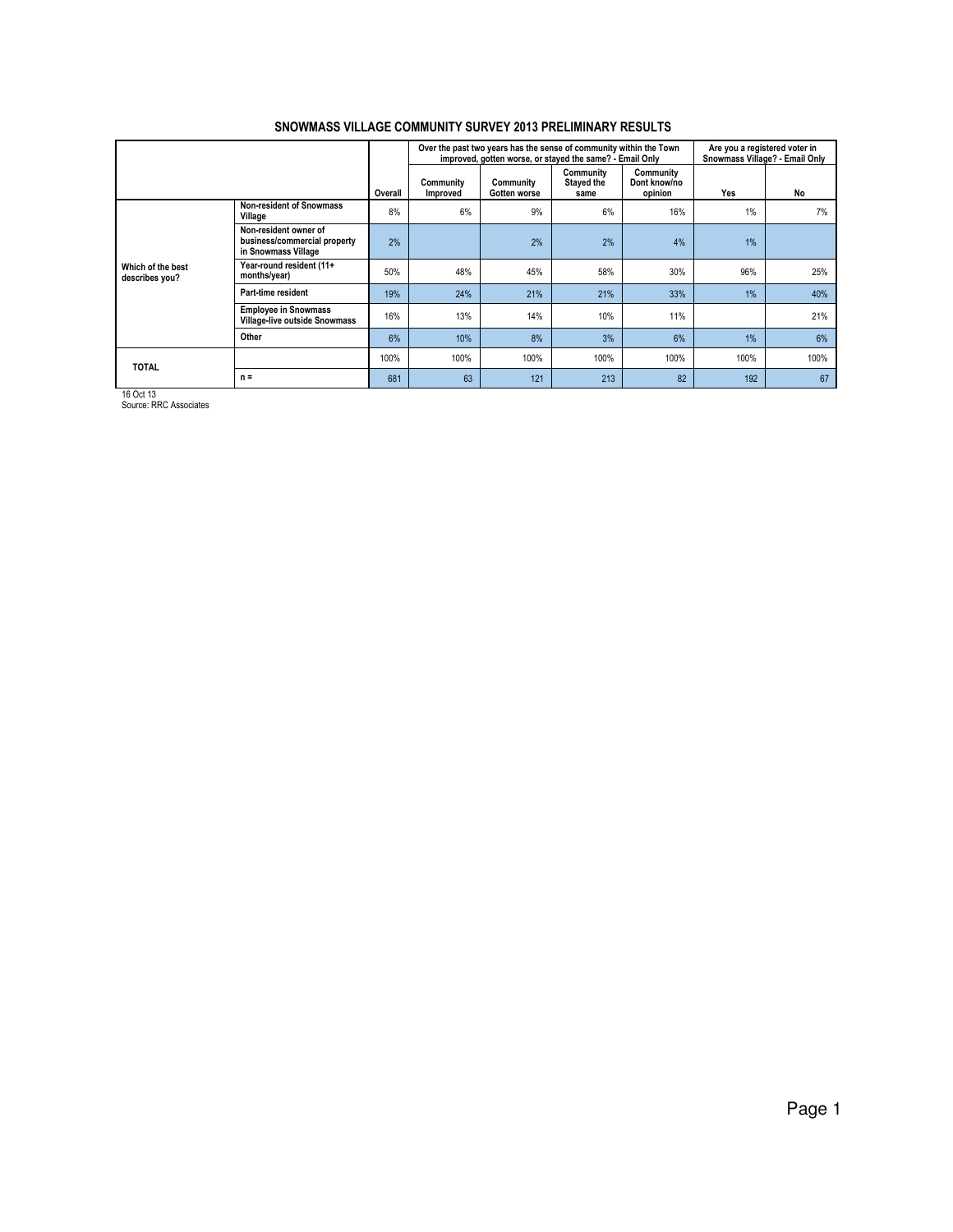|                                     |                                                                              |         |                       | Over the past two years has the sense of community within the Town<br>improved, gotten worse, or stayed the same? - Email Only |                                 |                                      | Are you a registered voter in<br>Snowmass Village? - Email Only |      |
|-------------------------------------|------------------------------------------------------------------------------|---------|-----------------------|--------------------------------------------------------------------------------------------------------------------------------|---------------------------------|--------------------------------------|-----------------------------------------------------------------|------|
|                                     |                                                                              | Overall | Community<br>Improved | Community<br>Gotten worse                                                                                                      | Community<br>Stayed the<br>same | Community<br>Dont know/no<br>opinion | Yes                                                             | No   |
|                                     | <b>Non-resident of Snowmass</b><br>Village                                   | 8%      | 6%                    | 9%                                                                                                                             | 6%                              | 16%                                  | 1%                                                              | 7%   |
|                                     | Non-resident owner of<br>business/commercial property<br>in Snowmass Village | 2%      |                       | 2%                                                                                                                             | 2%                              | 4%                                   | 1%                                                              |      |
| Which of the best<br>describes you? | Year-round resident (11+<br>months/year)                                     | 50%     | 48%                   | 45%                                                                                                                            | 58%                             | 30%                                  | 96%                                                             | 25%  |
|                                     | Part-time resident                                                           | 19%     | 24%                   | 21%                                                                                                                            | 21%                             | 33%                                  | 1%                                                              | 40%  |
|                                     | <b>Employee in Snowmass</b><br>Village-live outside Snowmass                 | 16%     | 13%                   | 14%                                                                                                                            | 10%                             | 11%                                  |                                                                 | 21%  |
|                                     | Other                                                                        | 6%      | 10%                   | 8%                                                                                                                             | 3%                              | 6%                                   | 1%                                                              | 6%   |
| <b>TOTAL</b>                        |                                                                              | 100%    | 100%                  | 100%                                                                                                                           | 100%                            | 100%                                 | 100%                                                            | 100% |
|                                     | $n =$                                                                        | 681     | 63                    | 121                                                                                                                            | 213                             | 82                                   | 192                                                             | 67   |

16 Oct 13 Source: RRC Associates

Page 1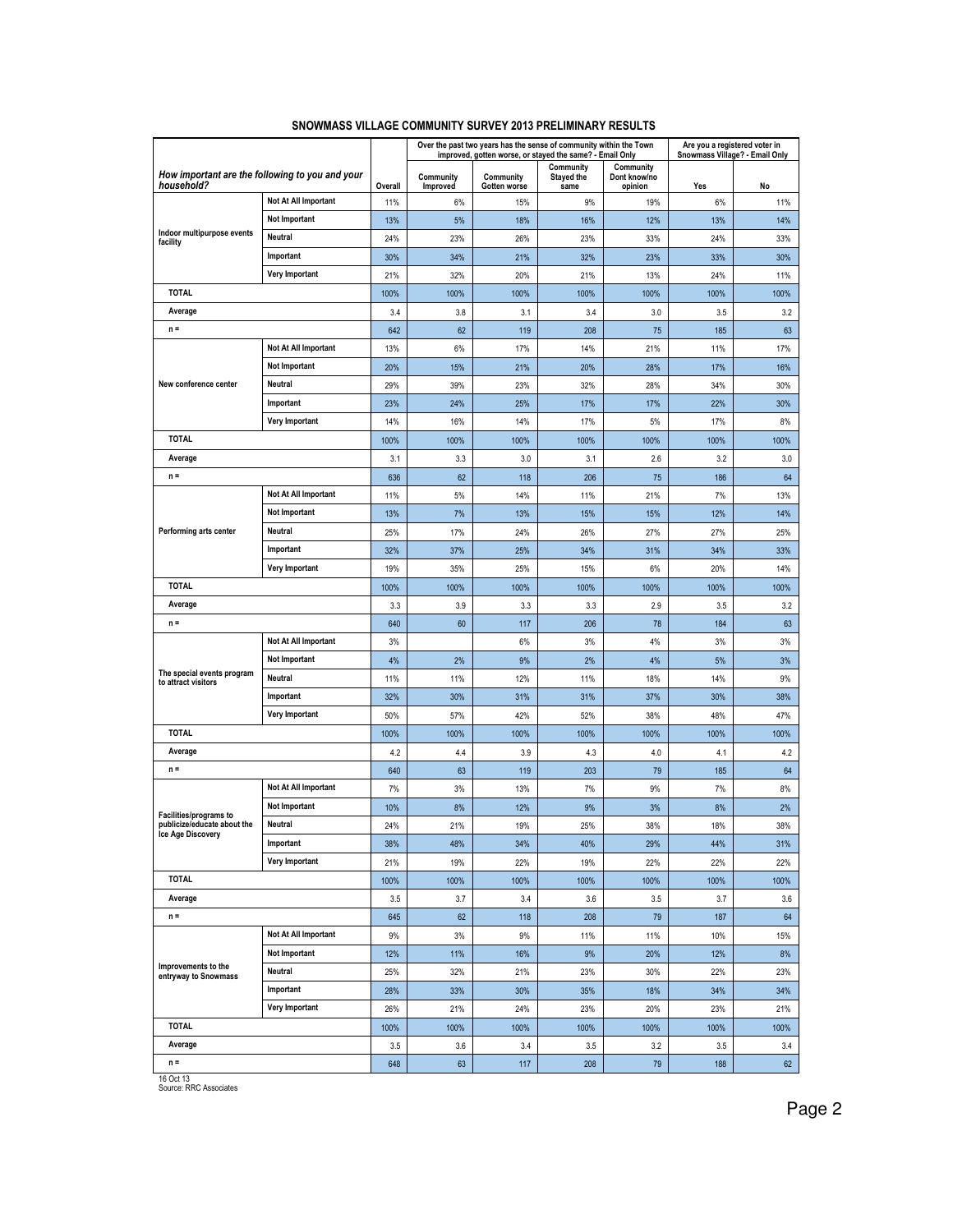|                                                   |                                                 |         |                       |                           | Over the past two years has the sense of community within the Town<br>improved, gotten worse, or stayed the same? - Email Only |                                      | Are you a registered voter in<br>Snowmass Village? - Email Only |      |
|---------------------------------------------------|-------------------------------------------------|---------|-----------------------|---------------------------|--------------------------------------------------------------------------------------------------------------------------------|--------------------------------------|-----------------------------------------------------------------|------|
| household?                                        | How important are the following to you and your | Overall | Community<br>Improved | Community<br>Gotten worse | Community<br>Stayed the<br>same                                                                                                | Community<br>Dont know/no<br>opinion | Yes                                                             | No   |
|                                                   | Not At All Important                            | 11%     | 6%                    | 15%                       | 9%                                                                                                                             | 19%                                  | 6%                                                              | 11%  |
|                                                   | <b>Not Important</b>                            | 13%     | 5%                    | 18%                       | 16%                                                                                                                            | 12%                                  | 13%                                                             | 14%  |
| Indoor multipurpose events<br>facility            | Neutral                                         | 24%     | 23%                   | 26%                       | 23%                                                                                                                            | 33%                                  | 24%                                                             | 33%  |
|                                                   | Important                                       | 30%     | 34%                   | 21%                       | 32%                                                                                                                            | 23%                                  | 33%                                                             | 30%  |
|                                                   | Very Important                                  | 21%     | 32%                   | 20%                       | 21%                                                                                                                            | 13%                                  | 24%                                                             | 11%  |
| <b>TOTAL</b>                                      |                                                 | 100%    | 100%                  | 100%                      | 100%                                                                                                                           | 100%                                 | 100%                                                            | 100% |
| Average                                           |                                                 | 3.4     | 3.8                   | 3.1                       | 3.4                                                                                                                            | 3.0                                  | 3.5                                                             | 3.2  |
| $n =$                                             |                                                 | 642     | 62                    | 119                       | 208                                                                                                                            | 75                                   | 185                                                             | 63   |
|                                                   | Not At All Important                            | 13%     | 6%                    | 17%                       | 14%                                                                                                                            | 21%                                  | 11%                                                             | 17%  |
|                                                   | Not Important                                   | 20%     | 15%                   | 21%                       | 20%                                                                                                                            | 28%                                  | 17%                                                             | 16%  |
| New conference center                             | Neutral                                         | 29%     | 39%                   | 23%                       | 32%                                                                                                                            | 28%                                  | 34%                                                             | 30%  |
|                                                   | Important                                       | 23%     | 24%                   | 25%                       | 17%                                                                                                                            | 17%                                  | 22%                                                             | 30%  |
|                                                   | Very Important                                  | 14%     | 16%                   | 14%                       | 17%                                                                                                                            | 5%                                   | 17%                                                             | 8%   |
| <b>TOTAL</b>                                      |                                                 | 100%    | 100%                  | 100%                      | 100%                                                                                                                           | 100%                                 | 100%                                                            | 100% |
| Average                                           |                                                 | 3.1     | 3.3                   | 3.0                       | 3.1                                                                                                                            | 2.6                                  | 3.2                                                             | 3.0  |
| $n =$                                             |                                                 | 636     | 62                    | 118                       | 206                                                                                                                            | 75                                   | 186                                                             | 64   |
|                                                   | Not At All Important                            | 11%     | 5%                    | 14%                       | 11%                                                                                                                            | 21%                                  | 7%                                                              | 13%  |
|                                                   | Not Important                                   | 13%     | 7%                    | 13%                       | 15%                                                                                                                            | 15%                                  | 12%                                                             | 14%  |
| Performing arts center                            | Neutral                                         | 25%     | 17%                   | 24%                       | 26%                                                                                                                            | 27%                                  | 27%                                                             | 25%  |
|                                                   | Important                                       | 32%     | 37%                   | 25%                       | 34%                                                                                                                            | 31%                                  | 34%                                                             | 33%  |
|                                                   | Very Important                                  | 19%     | 35%                   | 25%                       | 15%                                                                                                                            | 6%                                   | 20%                                                             | 14%  |
| <b>TOTAL</b>                                      |                                                 | 100%    | 100%                  | 100%                      | 100%                                                                                                                           | 100%                                 | 100%                                                            | 100% |
| Average                                           |                                                 | 3.3     | 3.9                   | 3.3                       | 3.3                                                                                                                            | 2.9                                  | 3.5                                                             | 3.2  |
| $n =$                                             |                                                 | 640     | 60                    | 117                       | 206                                                                                                                            | 78                                   | 184                                                             | 63   |
|                                                   | Not At All Important                            | 3%      |                       | 6%                        | 3%                                                                                                                             | 4%                                   | 3%                                                              | 3%   |
|                                                   | <b>Not Important</b>                            | 4%      | 2%                    | 9%                        | 2%                                                                                                                             | 4%                                   | 5%                                                              | 3%   |
| The special events program<br>to attract visitors | Neutral                                         | 11%     | 11%                   | 12%                       | 11%                                                                                                                            | 18%                                  | 14%                                                             | 9%   |
|                                                   | Important                                       | 32%     | 30%                   | 31%                       | 31%                                                                                                                            | 37%                                  | 30%                                                             | 38%  |
|                                                   | Very Important                                  | 50%     | 57%                   | 42%                       | 52%                                                                                                                            | 38%                                  | 48%                                                             | 47%  |
| <b>TOTAL</b>                                      |                                                 | 100%    | 100%                  | 100%                      | 100%                                                                                                                           | 100%                                 | 100%                                                            | 100% |
| Average                                           |                                                 | 4.2     | 4.4                   | 3.9                       | 4.3                                                                                                                            | 4.0                                  | 4.1                                                             | 4.2  |
| $n =$                                             |                                                 | 640     | 63                    | 119                       | 203                                                                                                                            | 79                                   | 185                                                             | 64   |
|                                                   | Not At All Important                            | 7%      | 3%                    | 13%                       | 7%                                                                                                                             | 9%                                   | 7%                                                              | 8%   |
| Facilities/programs to                            | Not Important                                   | 10%     | 8%                    | 12%                       | 9%                                                                                                                             | 3%                                   | 8%                                                              | 2%   |
| publicize/educate about the                       | Neutral                                         | 24%     | 21%                   | 19%                       | 25%                                                                                                                            | 38%                                  | 18%                                                             | 38%  |
| Ice Age Discovery                                 | Important                                       | 38%     | 48%                   | 34%                       | 40%                                                                                                                            | 29%                                  | 44%                                                             | 31%  |
|                                                   | Very Important                                  | 21%     | 19%                   | 22%                       | 19%                                                                                                                            | 22%                                  | 22%                                                             | 22%  |
| <b>TOTAL</b>                                      |                                                 | 100%    | 100%                  | 100%                      | 100%                                                                                                                           | 100%                                 | 100%                                                            | 100% |
| Average                                           |                                                 | 3.5     | 3.7                   | 3.4                       | 3.6                                                                                                                            | 3.5                                  | 3.7                                                             | 3.6  |
| $n =$                                             |                                                 | 645     | 62                    | 118                       | 208                                                                                                                            | 79                                   | 187                                                             | 64   |
|                                                   | Not At All Important                            | 9%      | 3%                    | 9%                        | 11%                                                                                                                            | 11%                                  | 10%                                                             | 15%  |
|                                                   | Not Important                                   | 12%     | 11%                   | 16%                       | 9%                                                                                                                             | 20%                                  | 12%                                                             | 8%   |
| Improvements to the<br>entryway to Snowmass       | Neutral                                         | 25%     | 32%                   | 21%                       | 23%                                                                                                                            | 30%                                  | 22%                                                             | 23%  |
|                                                   | Important                                       | 28%     | 33%                   | 30%                       | 35%                                                                                                                            | 18%                                  | 34%                                                             | 34%  |
|                                                   | Very Important                                  | 26%     | 21%                   | 24%                       | 23%                                                                                                                            | 20%                                  | 23%                                                             | 21%  |
| <b>TOTAL</b>                                      |                                                 | 100%    | 100%                  | 100%                      | 100%                                                                                                                           | 100%                                 | 100%                                                            | 100% |
| Average                                           |                                                 | 3.5     | 3.6                   | 3.4                       | 3.5                                                                                                                            | 3.2                                  | 3.5                                                             | 3.4  |
| $n =$                                             |                                                 | 648     | 63                    | 117                       | 208                                                                                                                            | 79                                   | 188                                                             | 62   |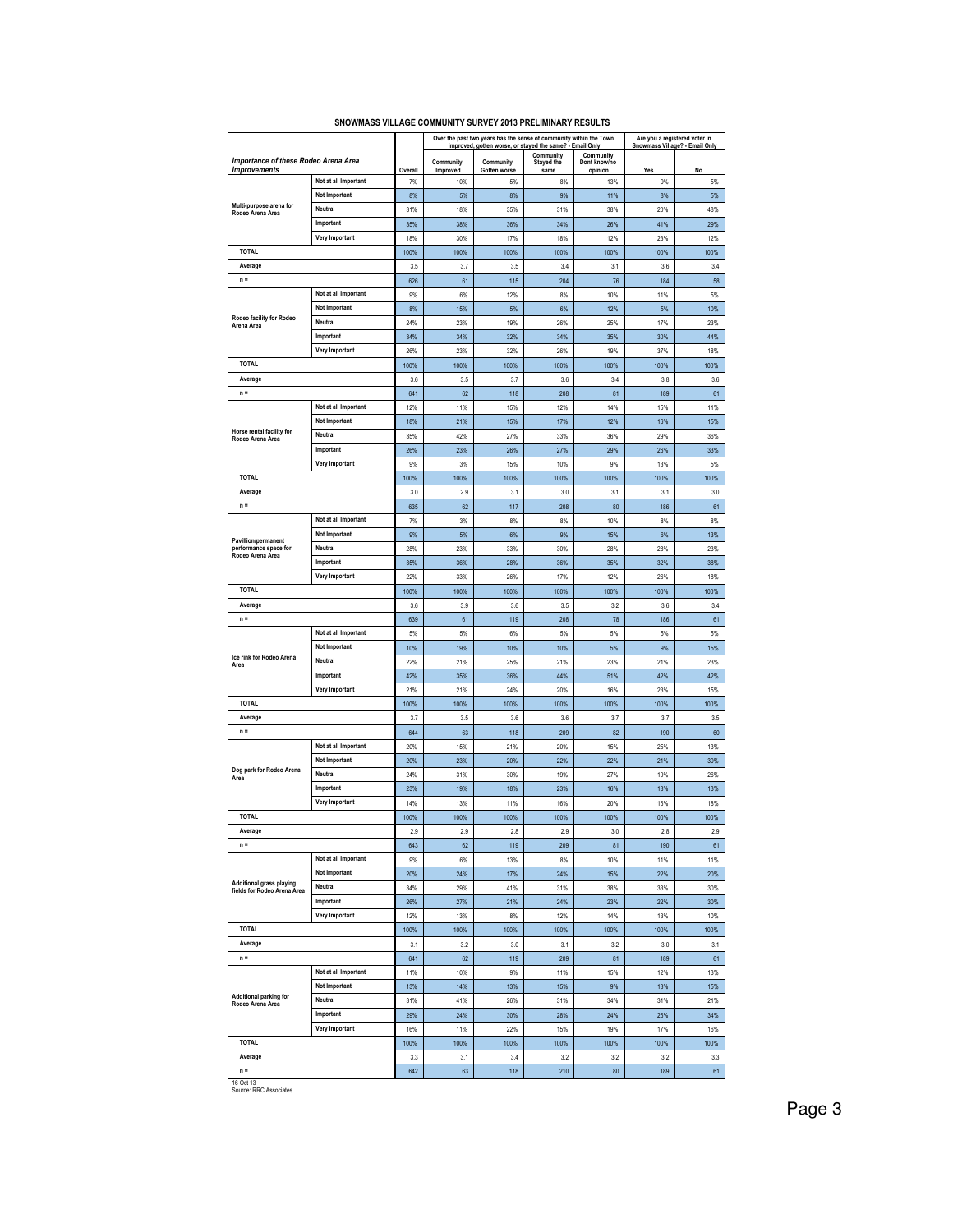|                                                         |                          |             |                       |                           | Over the past two years has the sense of community within the Town<br>improved, gotten worse, or stayed the same? - Email Only |                         | Are you a registered voter in<br>Snowmass Village? - Email Only |             |
|---------------------------------------------------------|--------------------------|-------------|-----------------------|---------------------------|--------------------------------------------------------------------------------------------------------------------------------|-------------------------|-----------------------------------------------------------------|-------------|
|                                                         |                          |             |                       |                           | Community                                                                                                                      | Community               |                                                                 |             |
| importance of these Rodeo Arena Area<br>improvements    |                          | Overall     | Community<br>Improved | Community<br>Gotten worse | Stayed the<br>same                                                                                                             | Dont know/no<br>opinion | Yes                                                             | No          |
|                                                         | Not at all Important     | 7%          | 10%                   | 5%                        | 8%                                                                                                                             | 13%                     | 9%                                                              | 5%          |
|                                                         | <b>Not Important</b>     | 8%          | 5%                    | 8%                        | 9%                                                                                                                             | 11%                     | 8%                                                              | 5%          |
| Multi-purpose arena for<br>Rodeo Arena Area             | Neutral                  | 31%         | 18%                   | 35%                       | 31%                                                                                                                            | 38%                     | 20%                                                             | 48%         |
|                                                         | Important                | 35%         | 38%                   | 36%                       | 34%                                                                                                                            | 26%                     | 41%                                                             | 29%         |
|                                                         | Very Important           | 18%         | 30%                   | 17%                       | 18%                                                                                                                            | 12%                     | 23%                                                             | 12%         |
| <b>TOTAL</b>                                            |                          | 100%        | 100%                  | 100%                      | 100%                                                                                                                           | 100%                    | 100%                                                            | 100%        |
| Average                                                 |                          | 3.5         | 3.7                   | 3.5                       | 3.4                                                                                                                            | 3.1                     | 3.6                                                             | 3.4         |
| $n =$                                                   |                          | 626         | 61                    | 115                       | 204                                                                                                                            | 76                      | 184                                                             | 58          |
|                                                         | Not at all Important     | 9%          | 6%                    | 12%                       | 8%                                                                                                                             | 10%                     | 11%                                                             | 5%          |
| Rodeo facility for Rodeo                                | Not Important<br>Neutral | 8%<br>24%   | 15%<br>23%            | 5%<br>19%                 | 6%<br>26%                                                                                                                      | 12%<br>25%              | 5%<br>17%                                                       | 10%<br>23%  |
| Arena Area                                              | Important                | 34%         | 34%                   | 32%                       | 34%                                                                                                                            | 35%                     | 30%                                                             | 44%         |
|                                                         | Very Important           | 26%         | 23%                   | 32%                       | 26%                                                                                                                            | 19%                     | 37%                                                             | 18%         |
| <b>TOTAL</b>                                            |                          | 100%        | 100%                  | 100%                      | 100%                                                                                                                           | 100%                    | 100%                                                            | 100%        |
| Average                                                 |                          | 3.6         | 3.5                   | 3.7                       | 3.6                                                                                                                            | 3.4                     | 3.8                                                             | 3.6         |
| $n =$                                                   |                          | 641         | 62                    | 118                       | 208                                                                                                                            | 81                      | 189                                                             | 61          |
|                                                         | Not at all Important     | 12%         | 11%                   | 15%                       | 12%                                                                                                                            | 14%                     | 15%                                                             | 11%         |
|                                                         | Not Important            | 18%         | 21%                   | 15%                       | 17%                                                                                                                            | 12%                     | 16%                                                             | 15%         |
| Horse rental facility for<br>Rodeo Arena Area           | Neutral                  | 35%         | 42%                   | 27%                       | 33%                                                                                                                            | 36%                     | 29%                                                             | 36%         |
|                                                         | Important                | 26%         | 23%                   | 26%                       | 27%                                                                                                                            | 29%                     | 26%                                                             | 33%         |
|                                                         | Very Important           | 9%          | 3%                    | 15%                       | 10%                                                                                                                            | 9%                      | 13%                                                             | 5%          |
| <b>TOTAL</b>                                            |                          | 100%        | 100%                  | 100%                      | 100%                                                                                                                           | 100%                    | 100%                                                            | 100%        |
| Average                                                 |                          | 3.0         | 2.9                   | 3.1                       | 3.0                                                                                                                            | 3.1                     | 3.1                                                             | 3.0         |
| $n =$                                                   |                          | 635         | 62                    | 117                       | 208                                                                                                                            | 80                      | 186                                                             | 61          |
|                                                         | Not at all Important     | 7%          | 3%                    | 8%                        | 8%                                                                                                                             | 10%                     | 8%                                                              | 8%          |
| Pavillion/permanent                                     | Not Important            | 9%          | 5%                    | 6%                        | 9%                                                                                                                             | 15%                     | 6%                                                              | 13%         |
| performance space for<br>Rodeo Arena Area               | Neutral                  | 28%         | 23%                   | 33%                       | 30%                                                                                                                            | 28%                     | 28%                                                             | 23%         |
|                                                         | Important                | 35%         | 36%                   | 28%                       | 36%                                                                                                                            | 35%                     | 32%                                                             | 38%         |
| Very Important<br><b>TOTAL</b>                          |                          | 22%<br>100% | 33%<br>100%           | 26%<br>100%               | 17%<br>100%                                                                                                                    | 12%<br>100%             | 26%<br>100%                                                     | 18%<br>100% |
| Average                                                 |                          | 3.6         | 3.9                   | 3.6                       | 3.5                                                                                                                            | 32                      | 3.6                                                             | 3.4         |
| $n =$                                                   |                          | 639         | 61                    | 119                       | 208                                                                                                                            | 78                      | 186                                                             | 61          |
|                                                         | Not at all Important     | 5%          | 5%                    | 6%                        | 5%                                                                                                                             | 5%                      | 5%                                                              | 5%          |
|                                                         | Not Important            | 10%         | 19%                   | 10%                       | 10%                                                                                                                            | 5%                      | 9%                                                              | 15%         |
| Ice rink for Rodeo Arena<br>Area                        | Neutral                  | 22%         | 21%                   | 25%                       | 21%                                                                                                                            | 23%                     | 21%                                                             | 23%         |
|                                                         | Important                | 42%         | 35%                   | 36%                       | 44%                                                                                                                            | 51%                     | 42%                                                             | 42%         |
|                                                         | Very Important           | 21%         | 21%                   | 24%                       | 20%                                                                                                                            | 16%                     | 23%                                                             | 15%         |
| <b>TOTAL</b>                                            |                          | 100%        | 100%                  | 100%                      | 100%                                                                                                                           | 100%                    | 100%                                                            | 100%        |
| Average                                                 |                          | 3.7         | 3.5                   | 3.6                       | 3.6                                                                                                                            | 3.7                     | 3.7                                                             | 3.5         |
| $n =$                                                   |                          | 644         | 63                    | 118                       | 209                                                                                                                            | 82                      | 190                                                             | 60          |
|                                                         | Not at all Important     | 20%         | 15%                   | 21%                       | 20%                                                                                                                            | 15%                     | 25%                                                             | 13%         |
| Dog park for Rodeo Arena                                | <b>Not Important</b>     | 20%         | 23%                   | 20%                       | 22%                                                                                                                            | 22%                     | 21%                                                             | 30%         |
| Area                                                    | Neutral                  | 24%         | 31%                   | 30%                       | 19%                                                                                                                            | 27%                     | 19%                                                             | 26%         |
|                                                         | Important                | 23%         | 19%                   | 18%                       | 23%                                                                                                                            | 16%                     | 18%                                                             | 13%         |
|                                                         | Very Important           | 14%         | 13%                   | 11%                       | 16%                                                                                                                            | 20%                     | 16%                                                             | 18%         |
| <b>TOTAL</b>                                            |                          | 100%        | 100%                  | 100%                      | 100%                                                                                                                           | 100%                    | 100%                                                            | 100%        |
| Average<br>$n =$                                        |                          | 2.9<br>643  | 2.9<br>62             | 2.8<br>119                | 2.9<br>209                                                                                                                     | 3.0<br>81               | 2.8<br>190                                                      | 2.9<br>61   |
|                                                         | Not at all Important     | 9%          | 6%                    | 13%                       | 8%                                                                                                                             | 10%                     | 11%                                                             | 11%         |
|                                                         | Not Important            | 20%         | 24%                   | 17%                       | 24%                                                                                                                            | 15%                     | 22%                                                             | 20%         |
| Additional grass playing<br>fields for Rodeo Arena Area | Neutral                  | 34%         | 29%                   | 41%                       | 31%                                                                                                                            | 38%                     | 33%                                                             | 30%         |
|                                                         | Important                | 26%         | 27%                   | 21%                       | 24%                                                                                                                            | 23%                     | 22%                                                             | 30%         |
| <b>Very Important</b>                                   |                          | 12%         | 13%                   | 8%                        | 12%                                                                                                                            | 14%                     | 13%                                                             | 10%         |
| <b>TOTAL</b>                                            |                          | 100%        | 100%                  | 100%                      | 100%                                                                                                                           | 100%                    | 100%                                                            | 100%        |
| Average                                                 |                          | 3.1         | 3.2                   | 3.0                       | 3.1                                                                                                                            | 3.2                     | 3.0                                                             | 3.1         |
| $n =$                                                   |                          | 641         | 62                    | 119                       | 209                                                                                                                            | 81                      | 189                                                             | 61          |
|                                                         | Not at all Important     | 11%         | 10%                   | 9%                        | 11%                                                                                                                            | 15%                     | 12%                                                             | 13%         |
|                                                         | Not Important            | 13%         | 14%                   | 13%                       | 15%                                                                                                                            | 9%                      | 13%                                                             | 15%         |
| Additional parking for<br>Rodeo Arena Area              | Neutral                  | 31%         | 41%                   | 26%                       | 31%                                                                                                                            | 34%                     | 31%                                                             | 21%         |
|                                                         | Important                | 29%         | 24%                   | 30%                       | 28%                                                                                                                            | 24%                     | 26%                                                             | 34%         |
|                                                         | Very Important           | 16%         | 11%                   | 22%                       | 15%                                                                                                                            | 19%                     | 17%                                                             | 16%         |
| <b>TOTAL</b>                                            |                          | 100%        | 100%                  | 100%                      | 100%                                                                                                                           | 100%                    | 100%                                                            | 100%        |
| Average                                                 |                          | 3.3         | 3.1                   | 3.4                       | 3.2                                                                                                                            | 3.2                     | 3.2                                                             | 3.3         |
| $n =$<br>16 Oct 13                                      |                          | 642         | 63                    | 118                       | 210                                                                                                                            | 80                      | 189                                                             | 61          |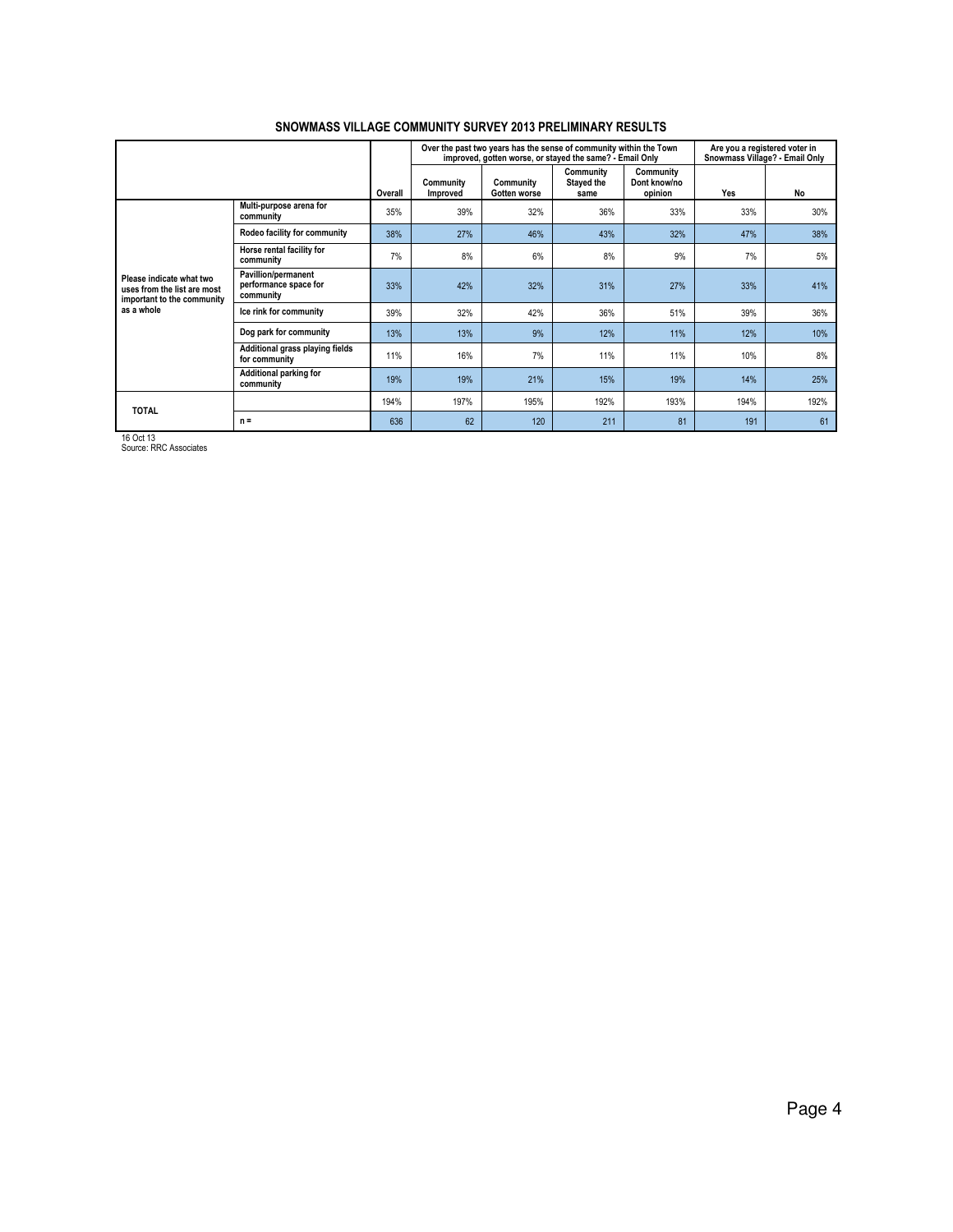|                                                                                       |                                                           |         |                              | Over the past two years has the sense of community within the Town<br>improved, gotten worse, or stayed the same? - Email Only |                                 |                                      | Are you a registered voter in<br>Snowmass Village? - Email Only |      |
|---------------------------------------------------------------------------------------|-----------------------------------------------------------|---------|------------------------------|--------------------------------------------------------------------------------------------------------------------------------|---------------------------------|--------------------------------------|-----------------------------------------------------------------|------|
|                                                                                       |                                                           | Overall | Community<br><b>Improved</b> | Community<br>Gotten worse                                                                                                      | Community<br>Stayed the<br>same | Community<br>Dont know/no<br>opinion | Yes                                                             | No   |
|                                                                                       | Multi-purpose arena for<br>community                      | 35%     | 39%                          | 32%                                                                                                                            | 36%                             | 33%                                  | 33%                                                             | 30%  |
|                                                                                       | Rodeo facility for community                              | 38%     | 27%                          | 46%                                                                                                                            | 43%                             | 32%                                  | 47%                                                             | 38%  |
|                                                                                       | Horse rental facility for<br>community                    | 7%      | 8%                           | 6%                                                                                                                             | 8%                              | 9%                                   | 7%                                                              | 5%   |
| Please indicate what two<br>uses from the list are most<br>important to the community | Pavillion/permanent<br>performance space for<br>community | 33%     | 42%                          | 32%                                                                                                                            | 31%                             | 27%                                  | 33%                                                             | 41%  |
| as a whole                                                                            | Ice rink for community                                    | 39%     | 32%                          | 42%                                                                                                                            | 36%                             | 51%                                  | 39%                                                             | 36%  |
|                                                                                       | Dog park for community                                    | 13%     | 13%                          | 9%                                                                                                                             | 12%                             | 11%                                  | 12%                                                             | 10%  |
|                                                                                       | Additional grass playing fields<br>for community          | 11%     | 16%                          | 7%                                                                                                                             | 11%                             | 11%                                  | 10%                                                             | 8%   |
|                                                                                       | Additional parking for<br>community                       | 19%     | 19%                          | 21%                                                                                                                            | 15%                             | 19%                                  | 14%                                                             | 25%  |
| <b>TOTAL</b><br>1001110                                                               |                                                           | 194%    | 197%                         | 195%                                                                                                                           | 192%                            | 193%                                 | 194%                                                            | 192% |
|                                                                                       | $n =$                                                     | 636     | 62                           | 120                                                                                                                            | 211                             | 81                                   | 191                                                             | 61   |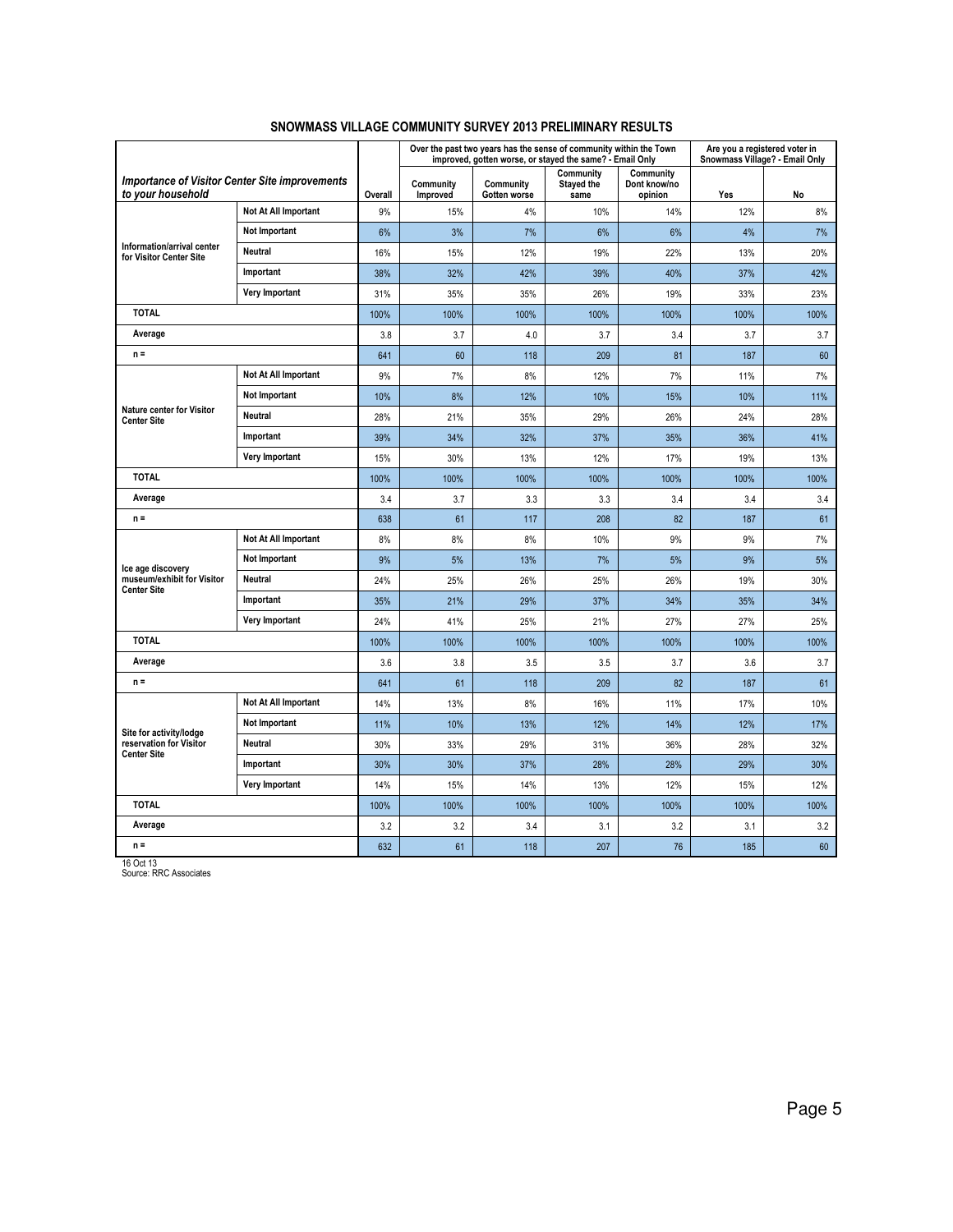|                                                                            |                      |         |                       |                           | Over the past two years has the sense of community within the Town<br>improved, gotten worse, or stayed the same? - Email Only |                                      | Are you a registered voter in<br>Snowmass Village? - Email Only |      |
|----------------------------------------------------------------------------|----------------------|---------|-----------------------|---------------------------|--------------------------------------------------------------------------------------------------------------------------------|--------------------------------------|-----------------------------------------------------------------|------|
| <b>Importance of Visitor Center Site improvements</b><br>to your household |                      | Overall | Community<br>Improved | Community<br>Gotten worse | Community<br>Stayed the<br>same                                                                                                | Community<br>Dont know/no<br>opinion | Yes                                                             | No   |
|                                                                            | Not At All Important | 9%      | 15%                   | 4%                        | 10%                                                                                                                            | 14%                                  | 12%                                                             | 8%   |
|                                                                            | Not Important        | 6%      | 3%                    | 7%                        | 6%                                                                                                                             | 6%                                   | 4%                                                              | 7%   |
| Information/arrival center<br>for Visitor Center Site                      | Neutral              | 16%     | 15%                   | 12%                       | 19%                                                                                                                            | 22%                                  | 13%                                                             | 20%  |
|                                                                            | Important            | 38%     | 32%                   | 42%                       | 39%                                                                                                                            | 40%                                  | 37%                                                             | 42%  |
|                                                                            | Very Important       | 31%     | 35%                   | 35%                       | 26%                                                                                                                            | 19%                                  | 33%                                                             | 23%  |
| <b>TOTAL</b>                                                               |                      | 100%    | 100%                  | 100%                      | 100%                                                                                                                           | 100%                                 | 100%                                                            | 100% |
| Average                                                                    |                      |         | 3.7                   | 4.0                       | 3.7                                                                                                                            | 3.4                                  | 3.7                                                             | 3.7  |
| $n =$                                                                      |                      | 641     | 60                    | 118                       | 209                                                                                                                            | 81                                   | 187                                                             | 60   |
|                                                                            | Not At All Important | 9%      | 7%                    | 8%                        | 12%                                                                                                                            | 7%                                   | 11%                                                             | 7%   |
|                                                                            | <b>Not Important</b> | 10%     | 8%                    | 12%                       | 10%                                                                                                                            | 15%                                  | 10%                                                             | 11%  |
| <b>Nature center for Visitor</b><br><b>Center Site</b>                     | Neutral              | 28%     | 21%                   | 35%                       | 29%                                                                                                                            | 26%                                  | 24%                                                             | 28%  |
| Important                                                                  |                      | 39%     | 34%                   | 32%                       | 37%                                                                                                                            | 35%                                  | 36%                                                             | 41%  |
| <b>Very Important</b>                                                      |                      | 15%     | 30%                   | 13%                       | 12%                                                                                                                            | 17%                                  | 19%                                                             | 13%  |
| <b>TOTAL</b>                                                               |                      | 100%    | 100%                  | 100%                      | 100%                                                                                                                           | 100%                                 | 100%                                                            | 100% |
| Average                                                                    |                      | 3.4     | 3.7                   | 3.3                       | 3.3                                                                                                                            | 3.4                                  | 3.4                                                             | 3.4  |
| $n =$                                                                      |                      | 638     | 61                    | 117                       | 208                                                                                                                            | 82                                   | 187                                                             | 61   |
|                                                                            | Not At All Important | 8%      | 8%                    | 8%                        | 10%                                                                                                                            | 9%                                   | 9%                                                              | 7%   |
| Ice age discovery                                                          | <b>Not Important</b> | 9%      | 5%                    | 13%                       | 7%                                                                                                                             | 5%                                   | 9%                                                              | 5%   |
| museum/exhibit for Visitor<br><b>Center Site</b>                           | <b>Neutral</b>       | 24%     | 25%                   | 26%                       | 25%                                                                                                                            | 26%                                  | 19%                                                             | 30%  |
|                                                                            | Important            | 35%     | 21%                   | 29%                       | 37%                                                                                                                            | 34%                                  | 35%                                                             | 34%  |
|                                                                            | Very Important       | 24%     | 41%                   | 25%                       | 21%                                                                                                                            | 27%                                  | 27%                                                             | 25%  |
| <b>TOTAL</b>                                                               |                      | 100%    | 100%                  | 100%                      | 100%                                                                                                                           | 100%                                 | 100%                                                            | 100% |
| Average                                                                    |                      |         | 3.8                   | 3.5                       | 3.5                                                                                                                            | 3.7                                  | 3.6                                                             | 3.7  |
| $n =$                                                                      |                      | 641     | 61                    | 118                       | 209                                                                                                                            | 82                                   | 187                                                             | 61   |
|                                                                            | Not At All Important | 14%     | 13%                   | 8%                        | 16%                                                                                                                            | 11%                                  | 17%                                                             | 10%  |
| Site for activity/lodge<br>reservation for Visitor<br><b>Center Site</b>   | <b>Not Important</b> | 11%     | 10%                   | 13%                       | 12%                                                                                                                            | 14%                                  | 12%                                                             | 17%  |
|                                                                            | Neutral              | 30%     | 33%                   | 29%                       | 31%                                                                                                                            | 36%                                  | 28%                                                             | 32%  |
|                                                                            | Important            | 30%     | 30%                   | 37%                       | 28%                                                                                                                            | 28%                                  | 29%                                                             | 30%  |
|                                                                            | Very Important       | 14%     | 15%                   | 14%                       | 13%                                                                                                                            | 12%                                  | 15%                                                             | 12%  |
| <b>TOTAL</b>                                                               |                      | 100%    | 100%                  | 100%                      | 100%                                                                                                                           | 100%                                 | 100%                                                            | 100% |
| Average                                                                    |                      | 3.2     | 3.2                   | 3.4                       | 3.1                                                                                                                            | 3.2                                  | 3.1                                                             | 3.2  |
| $n =$                                                                      |                      | 632     | 61                    | 118                       | 207                                                                                                                            | 76                                   | 185                                                             | 60   |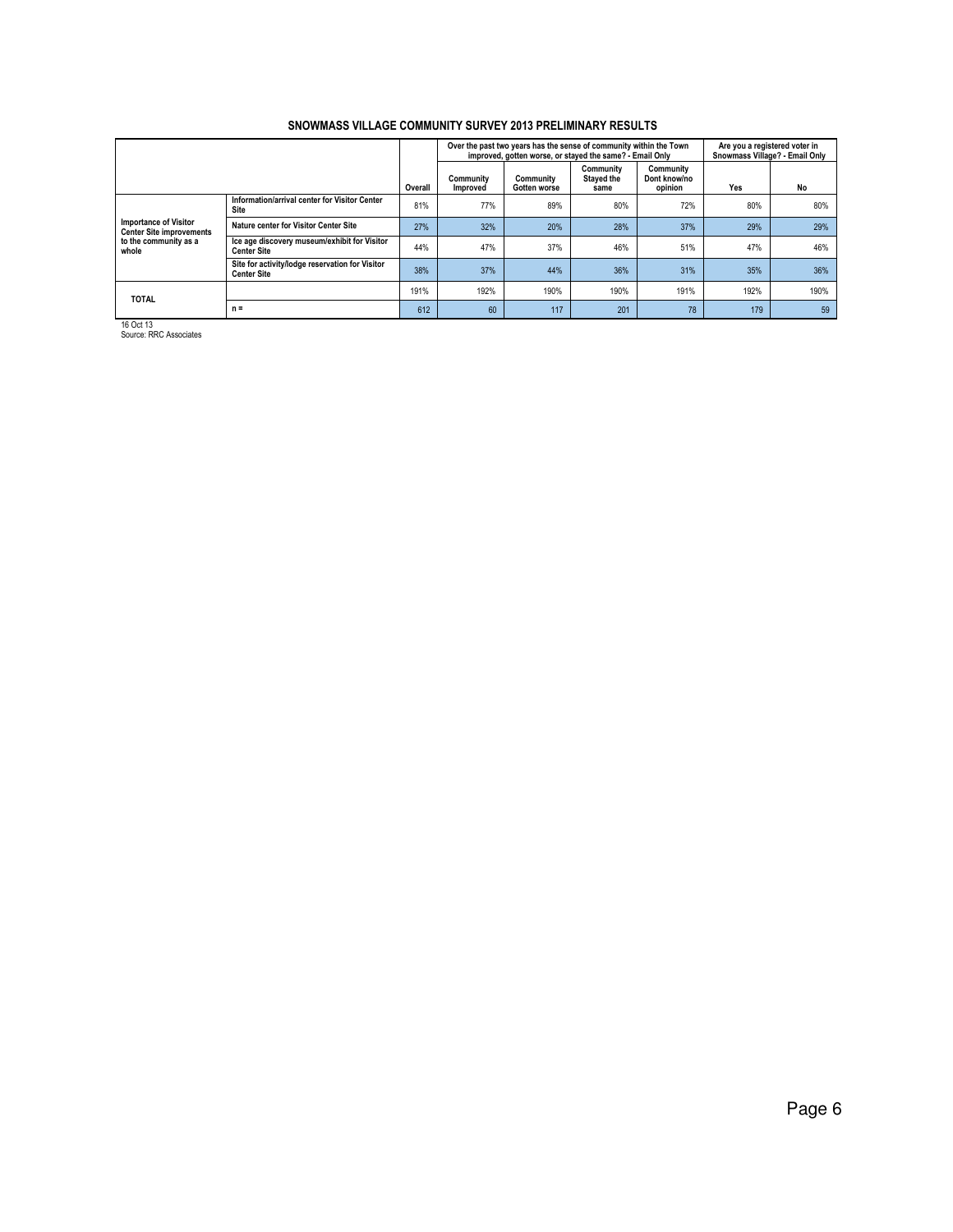|                                                                                                   |                                                                       |      |                       | Over the past two years has the sense of community within the Town<br>improved, gotten worse, or stayed the same? - Email Only |                                 |                                      | Are you a registered voter in<br>Snowmass Village? - Email Only |      |  |
|---------------------------------------------------------------------------------------------------|-----------------------------------------------------------------------|------|-----------------------|--------------------------------------------------------------------------------------------------------------------------------|---------------------------------|--------------------------------------|-----------------------------------------------------------------|------|--|
|                                                                                                   |                                                                       |      | Community<br>Improved | Community<br>Gotten worse                                                                                                      | Community<br>Stayed the<br>same | Community<br>Dont know/no<br>opinion | Yes                                                             | No   |  |
|                                                                                                   | Information/arrival center for Visitor Center<br>Site                 | 81%  | 77%                   | 89%                                                                                                                            | 80%                             | 72%                                  | 80%                                                             | 80%  |  |
| <b>Importance of Visitor</b><br><b>Center Site improvements</b><br>to the community as a<br>whole | Nature center for Visitor Center Site                                 | 27%  | 32%                   | 20%                                                                                                                            | 28%                             | 37%                                  | 29%                                                             | 29%  |  |
|                                                                                                   | Ice age discovery museum/exhibit for Visitor<br><b>Center Site</b>    | 44%  | 47%                   | 37%                                                                                                                            | 46%                             | 51%                                  | 47%                                                             | 46%  |  |
|                                                                                                   | Site for activity/lodge reservation for Visitor<br><b>Center Site</b> | 38%  | 37%                   | 44%                                                                                                                            | 36%                             | 31%                                  | 35%                                                             | 36%  |  |
| <b>TOTAL</b>                                                                                      |                                                                       | 191% | 192%                  | 190%                                                                                                                           | 190%                            | 191%                                 | 192%                                                            | 190% |  |
|                                                                                                   | $n =$                                                                 | 612  | 60                    | 117                                                                                                                            | 201                             | 78                                   | 179                                                             | 59   |  |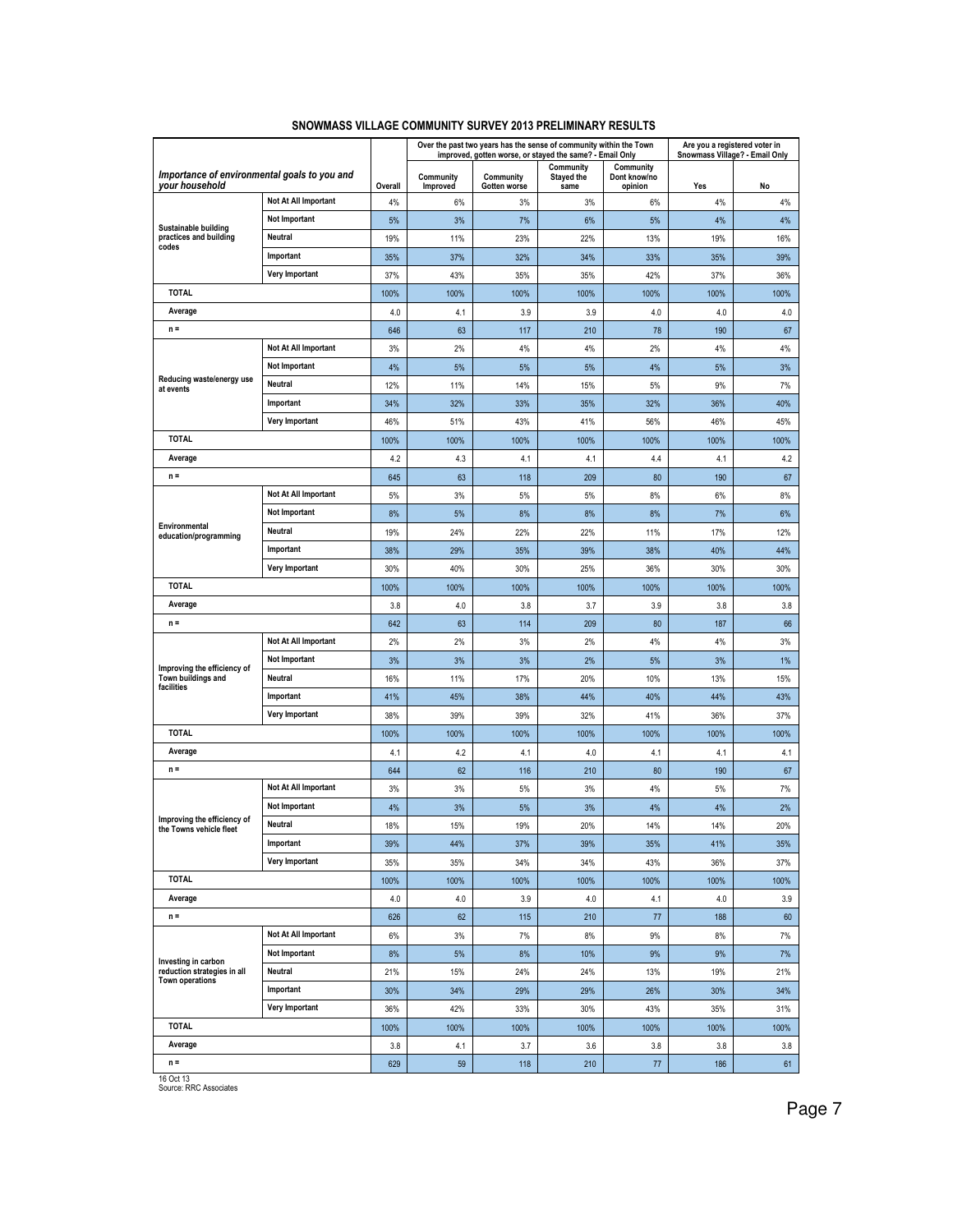|                                                                |                      |         |                       |                           | Over the past two years has the sense of community within the Town<br>improved, gotten worse, or stayed the same? - Email Only |                                      | Are you a registered voter in<br>Snowmass Village? - Email Only |      |
|----------------------------------------------------------------|----------------------|---------|-----------------------|---------------------------|--------------------------------------------------------------------------------------------------------------------------------|--------------------------------------|-----------------------------------------------------------------|------|
| Importance of environmental goals to you and<br>vour household |                      | Overall | Community<br>Improved | Community<br>Gotten worse | Community<br><b>Stayed the</b><br>same                                                                                         | Community<br>Dont know/no<br>opinion | Yes                                                             | No   |
|                                                                | Not At All Important | 4%      | 6%                    | 3%                        | 3%                                                                                                                             | 6%                                   | 4%                                                              | 4%   |
|                                                                | Not Important        | 5%      | 3%                    | 7%                        | 6%                                                                                                                             | 5%                                   | 4%                                                              | 4%   |
| Sustainable building<br>practices and building                 | Neutral              | 19%     | 11%                   | 23%                       | 22%                                                                                                                            | 13%                                  | 19%                                                             | 16%  |
| codes                                                          | Important            | 35%     | 37%                   | 32%                       | 34%                                                                                                                            | 33%                                  | 35%                                                             | 39%  |
|                                                                | Very Important       | 37%     | 43%                   | 35%                       | 35%                                                                                                                            | 42%                                  | 37%                                                             | 36%  |
| <b>TOTAL</b>                                                   |                      | 100%    | 100%                  | 100%                      | 100%                                                                                                                           | 100%                                 | 100%                                                            | 100% |
| Average                                                        |                      | 4.0     | 4.1                   | 3.9                       | 3.9                                                                                                                            | 4.0                                  | 4.0                                                             | 4.0  |
| $n =$                                                          |                      | 646     | 63                    | 117                       | 210                                                                                                                            | 78                                   | 190                                                             | 67   |
|                                                                | Not At All Important | 3%      | 2%                    | 4%                        | 4%                                                                                                                             | 2%                                   | 4%                                                              | 4%   |
|                                                                | Not Important        | 4%      | 5%                    | 5%                        | 5%                                                                                                                             | 4%                                   | 5%                                                              | 3%   |
| Reducing waste/energy use<br>at events                         | Neutral              | 12%     | 11%                   | 14%                       | 15%                                                                                                                            | 5%                                   | 9%                                                              | 7%   |
|                                                                | Important            | 34%     | 32%                   | 33%                       | 35%                                                                                                                            | 32%                                  | 36%                                                             | 40%  |
|                                                                | Very Important       | 46%     | 51%                   | 43%                       | 41%                                                                                                                            | 56%                                  | 46%                                                             | 45%  |
| <b>TOTAL</b>                                                   |                      | 100%    | 100%                  | 100%                      | 100%                                                                                                                           | 100%                                 | 100%                                                            | 100% |
| Average                                                        |                      | 4.2     | 4.3                   | 4.1                       | 4.1                                                                                                                            | 4.4                                  | 4.1                                                             | 4.2  |
| $n =$                                                          |                      | 645     | 63                    | 118                       | 209                                                                                                                            | 80                                   | 190                                                             | 67   |
|                                                                | Not At All Important | 5%      | 3%                    | 5%                        | 5%                                                                                                                             | 8%                                   | 6%                                                              | 8%   |
|                                                                | <b>Not Important</b> | 8%      | 5%                    | 8%                        | 8%                                                                                                                             | 8%                                   | 7%                                                              | 6%   |
| Environmental<br>education/programming                         | Neutral              | 19%     | 24%                   | 22%                       | 22%                                                                                                                            | 11%                                  | 17%                                                             | 12%  |
|                                                                | Important            | 38%     | 29%                   | 35%                       | 39%                                                                                                                            | 38%                                  | 40%                                                             | 44%  |
|                                                                | Very Important       | 30%     | 40%                   | 30%                       | 25%                                                                                                                            | 36%                                  | 30%                                                             | 30%  |
| <b>TOTAL</b>                                                   |                      | 100%    | 100%                  | 100%                      | 100%                                                                                                                           | 100%                                 | 100%                                                            | 100% |
| Average                                                        |                      | 3.8     | 4.0                   | 3.8                       | 3.7                                                                                                                            | 3.9                                  | 3.8                                                             | 3.8  |
| $n =$                                                          |                      | 642     | 63                    | 114                       | 209                                                                                                                            | 80                                   | 187                                                             | 66   |
|                                                                | Not At All Important | 2%      | 2%                    | 3%                        | 2%                                                                                                                             | 4%                                   | 4%                                                              | 3%   |
|                                                                | Not Important        | 3%      | 3%                    | 3%                        | 2%                                                                                                                             | 5%                                   | 3%                                                              | 1%   |
| Improving the efficiency of<br>Town buildings and              | Neutral              | 16%     | 11%                   | 17%                       | 20%                                                                                                                            | 10%                                  | 13%                                                             | 15%  |
| facilities                                                     | Important            | 41%     | 45%                   | 38%                       | 44%                                                                                                                            | 40%                                  | 44%                                                             | 43%  |
|                                                                | Very Important       | 38%     | 39%                   | 39%                       | 32%                                                                                                                            | 41%                                  | 36%                                                             | 37%  |
| <b>TOTAL</b>                                                   |                      | 100%    | 100%                  | 100%                      | 100%                                                                                                                           | 100%                                 | 100%                                                            | 100% |
| Average                                                        |                      | 4.1     | 4.2                   | 4.1                       | 4.0                                                                                                                            | 4.1                                  | 4.1                                                             | 4.1  |
| $n =$                                                          |                      | 644     | 62                    | 116                       | 210                                                                                                                            | 80                                   | 190                                                             | 67   |
|                                                                | Not At All Important | 3%      | 3%                    | 5%                        | 3%                                                                                                                             | 4%                                   | 5%                                                              | 7%   |
|                                                                | <b>Not Important</b> | 4%      | 3%                    | 5%                        | 3%                                                                                                                             | 4%                                   | 4%                                                              | 2%   |
| Improving the efficiency of<br>the Towns vehicle fleet         | Neutral              | 18%     | 15%                   | 19%                       | 20%                                                                                                                            | 14%                                  | 14%                                                             | 20%  |
|                                                                | Important            | 39%     | 44%                   | 37%                       | 39%                                                                                                                            | 35%                                  | 41%                                                             | 35%  |
|                                                                | Very Important       | 35%     | 35%                   | 34%                       | 34%                                                                                                                            | 43%                                  | 36%                                                             | 37%  |
| <b>TOTAL</b>                                                   |                      | 100%    | 100%                  | 100%                      | 100%                                                                                                                           | 100%                                 | 100%                                                            | 100% |
| Average                                                        |                      | 4.0     | 4.0                   | 3.9                       | 4.0                                                                                                                            | 4.1                                  | $4.0$                                                           | 3.9  |
| $n =$                                                          |                      | 626     | 62                    | 115                       | 210                                                                                                                            | 77                                   | 188                                                             | 60   |
|                                                                | Not At All Important | 6%      | 3%                    | 7%                        | 8%                                                                                                                             | 9%                                   | 8%                                                              | 7%   |
| Investing in carbon                                            | Not Important        | 8%      | 5%                    | 8%                        | 10%                                                                                                                            | 9%                                   | 9%                                                              | 7%   |
| reduction strategies in all<br>Town operations                 | Neutral              | 21%     | 15%                   | 24%                       | 24%                                                                                                                            | 13%                                  | 19%                                                             | 21%  |
|                                                                | Important            | 30%     | 34%                   | 29%                       | 29%                                                                                                                            | 26%                                  | 30%                                                             | 34%  |
|                                                                | Very Important       | 36%     | 42%                   | 33%                       | 30%                                                                                                                            | 43%                                  | 35%                                                             | 31%  |
| <b>TOTAL</b>                                                   |                      | 100%    | 100%                  | 100%                      | 100%                                                                                                                           | 100%                                 | 100%                                                            | 100% |
| Average                                                        |                      | 3.8     | 4.1                   | 3.7                       | 3.6                                                                                                                            | 3.8                                  | 3.8                                                             | 3.8  |
| $n =$                                                          |                      | 629     | 59                    | 118                       | 210                                                                                                                            | 77                                   | 186                                                             | 61   |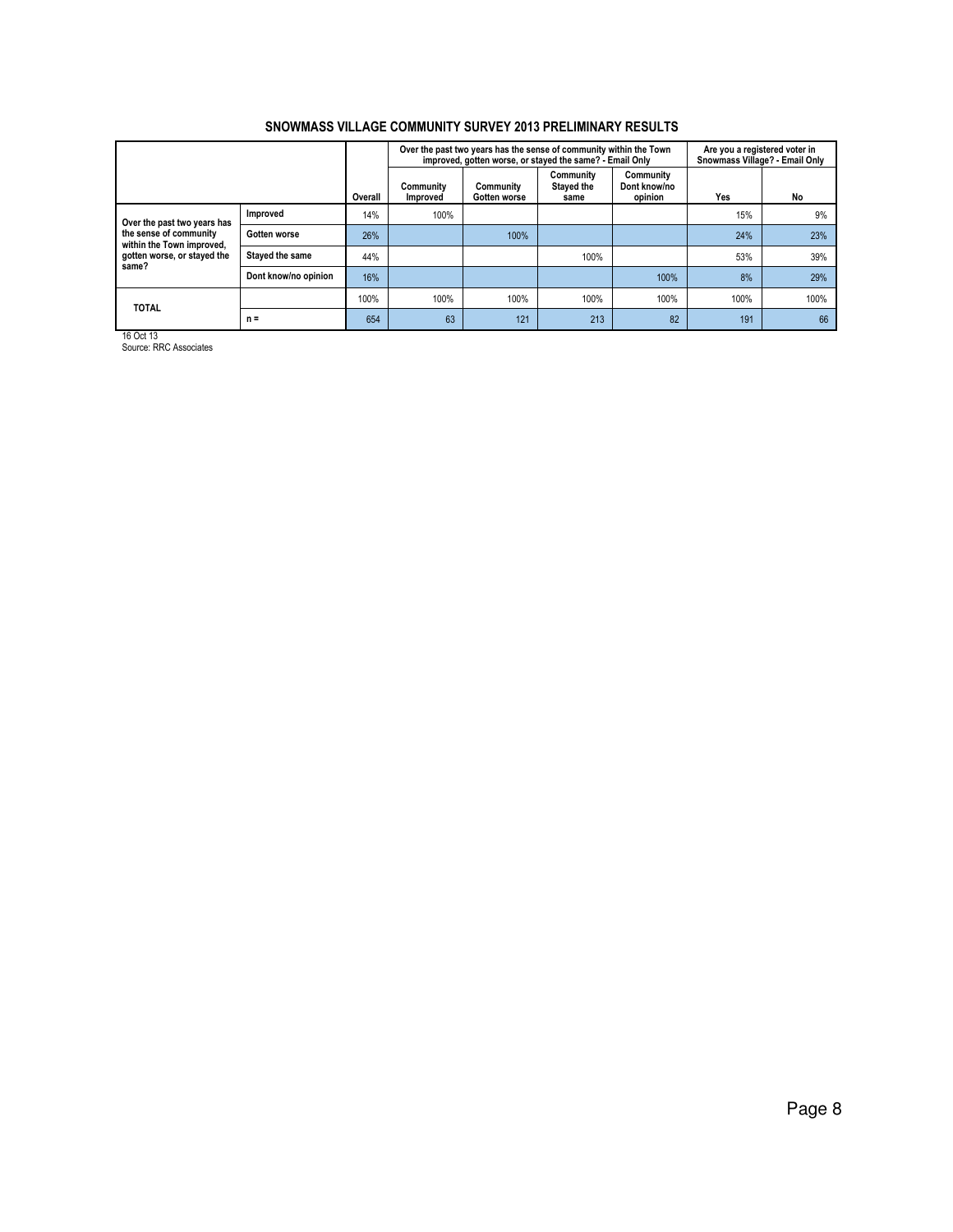| SNOWMASS VILLAGE COMMUNITY SURVEY 2013 PRELIMINARY RESULTS |
|------------------------------------------------------------|
|------------------------------------------------------------|

|                                                     |                      |         |                       |                           | Over the past two years has the sense of community within the Town<br>improved, gotten worse, or stayed the same? - Email Only |                                      | Are you a registered voter in<br>Snowmass Village? - Email Only |      |  |
|-----------------------------------------------------|----------------------|---------|-----------------------|---------------------------|--------------------------------------------------------------------------------------------------------------------------------|--------------------------------------|-----------------------------------------------------------------|------|--|
|                                                     |                      | Overall | Community<br>Improved | Community<br>Gotten worse | Community<br>Stayed the<br>same                                                                                                | Community<br>Dont know/no<br>opinion | Yes                                                             | No   |  |
| Over the past two years has                         | Improved             | 14%     | 100%                  |                           |                                                                                                                                |                                      | 15%                                                             | 9%   |  |
| the sense of community<br>within the Town improved, | Gotten worse         | 26%     |                       | 100%                      |                                                                                                                                |                                      | 24%                                                             | 23%  |  |
| gotten worse, or stayed the<br>same?                | Stayed the same      | 44%     |                       |                           | 100%                                                                                                                           |                                      | 53%                                                             | 39%  |  |
|                                                     | Dont know/no opinion | 16%     |                       |                           |                                                                                                                                | 100%                                 | 8%                                                              | 29%  |  |
| <b>TOTAL</b>                                        |                      | 100%    | 100%                  | 100%                      | 100%                                                                                                                           | 100%                                 | 100%                                                            | 100% |  |
|                                                     | $n =$                | 654     | 63                    | 121                       | 213                                                                                                                            | 82                                   | 191                                                             | 66   |  |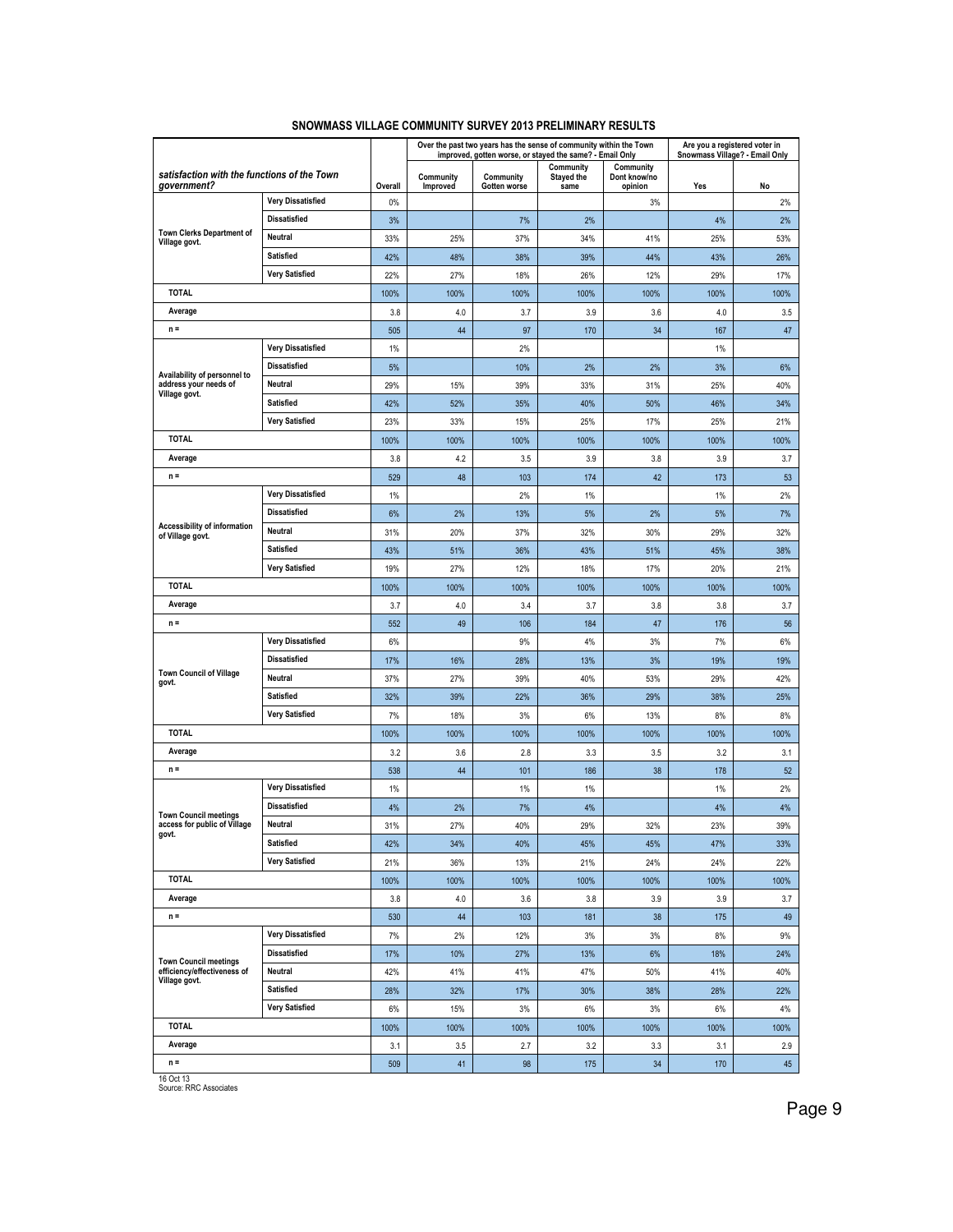|                                                              |                          |         |                       | Over the past two years has the sense of community within the Town<br>improved, gotten worse, or stayed the same? - Email Only |                                 |                                      | Are you a registered voter in<br>Snowmass Village? - Email Only |      |
|--------------------------------------------------------------|--------------------------|---------|-----------------------|--------------------------------------------------------------------------------------------------------------------------------|---------------------------------|--------------------------------------|-----------------------------------------------------------------|------|
| satisfaction with the functions of the Town<br>government?   |                          | Overall | Community<br>Improved | Community<br>Gotten worse                                                                                                      | Community<br>Stayed the<br>same | Community<br>Dont know/no<br>opinion | Yes                                                             | No   |
|                                                              | <b>Very Dissatisfied</b> | 0%      |                       |                                                                                                                                |                                 | 3%                                   |                                                                 | 2%   |
|                                                              | <b>Dissatisfied</b>      | 3%      |                       | 7%                                                                                                                             | 2%                              |                                      | 4%                                                              | 2%   |
| Town Clerks Department of<br>Village govt.                   | Neutral                  | 33%     | 25%                   | 37%                                                                                                                            | 34%                             | 41%                                  | 25%                                                             | 53%  |
|                                                              | <b>Satisfied</b>         | 42%     | 48%                   | 38%                                                                                                                            | 39%                             | 44%                                  | 43%                                                             | 26%  |
|                                                              | <b>Very Satisfied</b>    | 22%     | 27%                   | 18%                                                                                                                            | 26%                             | 12%                                  | 29%                                                             | 17%  |
| <b>TOTAL</b>                                                 |                          | 100%    | 100%                  | 100%                                                                                                                           | 100%                            | 100%                                 | 100%                                                            | 100% |
| Average                                                      |                          | 3.8     | 4.0                   | 3.7                                                                                                                            | 3.9                             | 3.6                                  | 4.0                                                             | 3.5  |
| $n =$                                                        |                          | 505     | 44                    | 97                                                                                                                             | 170                             | 34                                   | 167                                                             | 47   |
|                                                              | <b>Very Dissatisfied</b> | 1%      |                       | 2%                                                                                                                             |                                 |                                      | 1%                                                              |      |
|                                                              | <b>Dissatisfied</b>      | 5%      |                       | 10%                                                                                                                            | 2%                              | 2%                                   | 3%                                                              | 6%   |
| Availability of personnel to<br>address your needs of        | Neutral                  | 29%     | 15%                   | 39%                                                                                                                            | 33%                             | 31%                                  | 25%                                                             | 40%  |
| Village govt.                                                | Satisfied                | 42%     | 52%                   | 35%                                                                                                                            | 40%                             | 50%                                  | 46%                                                             | 34%  |
|                                                              | <b>Very Satisfied</b>    | 23%     | 33%                   | 15%                                                                                                                            | 25%                             | 17%                                  | 25%                                                             | 21%  |
| <b>TOTAL</b>                                                 |                          | 100%    | 100%                  | 100%                                                                                                                           | 100%                            | 100%                                 | 100%                                                            | 100% |
| Average                                                      |                          | 3.8     | 4.2                   | 3.5                                                                                                                            | 3.9                             | 3.8                                  | 3.9                                                             | 3.7  |
| $n =$                                                        |                          | 529     | 48                    | 103                                                                                                                            | 174                             | 42                                   | 173                                                             | 53   |
|                                                              | <b>Very Dissatisfied</b> | 1%      |                       | 2%                                                                                                                             | 1%                              |                                      | 1%                                                              | 2%   |
|                                                              | <b>Dissatisfied</b>      | 6%      | 2%                    | 13%                                                                                                                            | 5%                              | 2%                                   | 5%                                                              | 7%   |
| Accessibility of information                                 | Neutral                  | 31%     | 20%                   | 37%                                                                                                                            | 32%                             | 30%                                  | 29%                                                             | 32%  |
| of Village govt.                                             | <b>Satisfied</b>         | 43%     | 51%                   | 36%                                                                                                                            | 43%                             | 51%                                  | 45%                                                             | 38%  |
|                                                              | <b>Very Satisfied</b>    | 19%     | 27%                   | 12%                                                                                                                            | 18%                             | 17%                                  | 20%                                                             | 21%  |
| <b>TOTAL</b>                                                 |                          | 100%    | 100%                  | 100%                                                                                                                           | 100%                            | 100%                                 | 100%                                                            | 100% |
| Average                                                      |                          | 3.7     | 4.0                   | 3.4                                                                                                                            | 3.7                             | 3.8                                  | 3.8                                                             | 3.7  |
| $n =$                                                        |                          | 552     | 49                    | 106                                                                                                                            | 184                             | 47                                   | 176                                                             | 56   |
|                                                              | <b>Very Dissatisfied</b> | 6%      |                       | 9%                                                                                                                             | 4%                              | 3%                                   | 7%                                                              | 6%   |
|                                                              | <b>Dissatisfied</b>      | 17%     | 16%                   | 28%                                                                                                                            | 13%                             | 3%                                   | 19%                                                             | 19%  |
| <b>Town Council of Village</b>                               | Neutral                  | 37%     | 27%                   | 39%                                                                                                                            | 40%                             | 53%                                  | 29%                                                             | 42%  |
| govt.                                                        | <b>Satisfied</b>         | 32%     | 39%                   | 22%                                                                                                                            | 36%                             | 29%                                  | 38%                                                             | 25%  |
|                                                              | <b>Very Satisfied</b>    | 7%      | 18%                   | 3%                                                                                                                             | 6%                              | 13%                                  | 8%                                                              | 8%   |
| <b>TOTAL</b>                                                 |                          | 100%    | 100%                  | 100%                                                                                                                           | 100%                            | 100%                                 | 100%                                                            | 100% |
| Average                                                      |                          | 3.2     | 3.6                   | 2.8                                                                                                                            | 3.3                             | 3.5                                  | 3.2                                                             | 3.1  |
| $n =$                                                        |                          | 538     | 44                    | 101                                                                                                                            | 186                             | 38                                   | 178                                                             | 52   |
|                                                              | <b>Very Dissatisfied</b> | 1%      |                       | 1%                                                                                                                             | 1%                              |                                      | 1%                                                              | 2%   |
|                                                              | <b>Dissatisfied</b>      | 4%      | 2%                    | 7%                                                                                                                             | 4%                              |                                      | 4%                                                              | 4%   |
| <b>Town Council meetings</b><br>access for public of Village | <b>Neutral</b>           | 31%     | 27%                   | 40%                                                                                                                            | 29%                             | 32%                                  | 23%                                                             | 39%  |
| govt.                                                        | Satisfied                | 42%     | 34%                   | 40%                                                                                                                            | 45%                             | 45%                                  | 47%                                                             | 33%  |
|                                                              | <b>Very Satisfied</b>    | 21%     | 36%                   | 13%                                                                                                                            | 21%                             | 24%                                  | 24%                                                             | 22%  |
| <b>TOTAL</b>                                                 |                          | 100%    | 100%                  | 100%                                                                                                                           | 100%                            | 100%                                 | 100%                                                            | 100% |
| Average                                                      |                          | 3.8     | 4.0                   | 3.6                                                                                                                            | 3.8                             | 3.9                                  | 3.9                                                             | 3.7  |
| $n =$                                                        |                          | 530     | 44                    | 103                                                                                                                            | 181                             | 38                                   | 175                                                             | 49   |
|                                                              | Very Dissatisfied        | 7%      | 2%                    | 12%                                                                                                                            | 3%                              | 3%                                   | 8%                                                              | 9%   |
|                                                              | <b>Dissatisfied</b>      | 17%     | 10%                   | 27%                                                                                                                            | 13%                             | 6%                                   | 18%                                                             | 24%  |
| <b>Town Council meetings</b><br>efficiency/effectiveness of  | Neutral                  | 42%     | 41%                   | 41%                                                                                                                            | 47%                             | 50%                                  | 41%                                                             | 40%  |
| Village govt.                                                | <b>Satisfied</b>         | 28%     | 32%                   | 17%                                                                                                                            | 30%                             | 38%                                  | 28%                                                             | 22%  |
|                                                              | <b>Very Satisfied</b>    | 6%      | 15%                   | 3%                                                                                                                             | 6%                              | 3%                                   | 6%                                                              | 4%   |
| <b>TOTAL</b>                                                 |                          | 100%    | 100%                  | 100%                                                                                                                           | 100%                            | 100%                                 | 100%                                                            | 100% |
| Average                                                      |                          | 3.1     | 3.5                   | 2.7                                                                                                                            | 3.2                             | 3.3                                  | 3.1                                                             | 2.9  |
| $n =$                                                        |                          | 509     | 41                    | 98                                                                                                                             | 175                             | 34                                   | 170                                                             | 45   |
|                                                              |                          |         |                       |                                                                                                                                |                                 |                                      |                                                                 |      |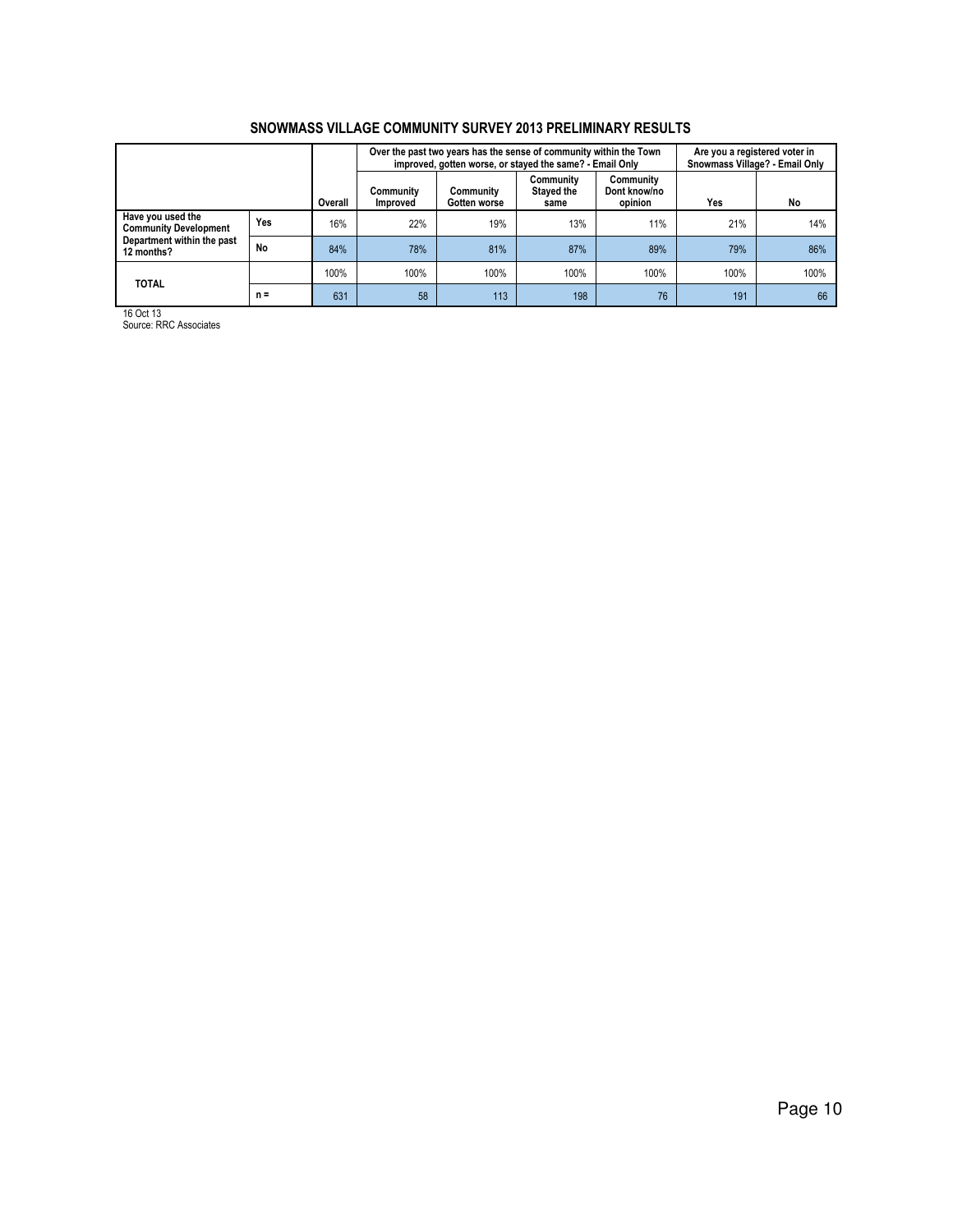|                                                   |           |         |                              | Over the past two years has the sense of community within the Town<br>improved, gotten worse, or stayed the same? - Email Only |                                 |                                      | Are you a registered voter in<br>Snowmass Village? - Email Only |      |
|---------------------------------------------------|-----------|---------|------------------------------|--------------------------------------------------------------------------------------------------------------------------------|---------------------------------|--------------------------------------|-----------------------------------------------------------------|------|
|                                                   |           | Overall | Community<br><b>Improved</b> | Community<br>Gotten worse                                                                                                      | Community<br>Stayed the<br>same | Community<br>Dont know/no<br>opinion | Yes                                                             | No   |
| Have you used the<br><b>Community Development</b> | Yes       | 16%     | 22%                          | 19%                                                                                                                            | 13%                             | 11%                                  | 21%                                                             | 14%  |
| Department within the past<br>12 months?          | <b>No</b> | 84%     | 78%                          | 81%                                                                                                                            | 87%                             | 89%                                  | 79%                                                             | 86%  |
| <b>TOTAL</b>                                      |           | 100%    | 100%                         | 100%                                                                                                                           | 100%                            | 100%                                 | 100%                                                            | 100% |
|                                                   | $n =$     | 631     | 58                           | 113                                                                                                                            | 198                             | 76                                   | 191                                                             | 66   |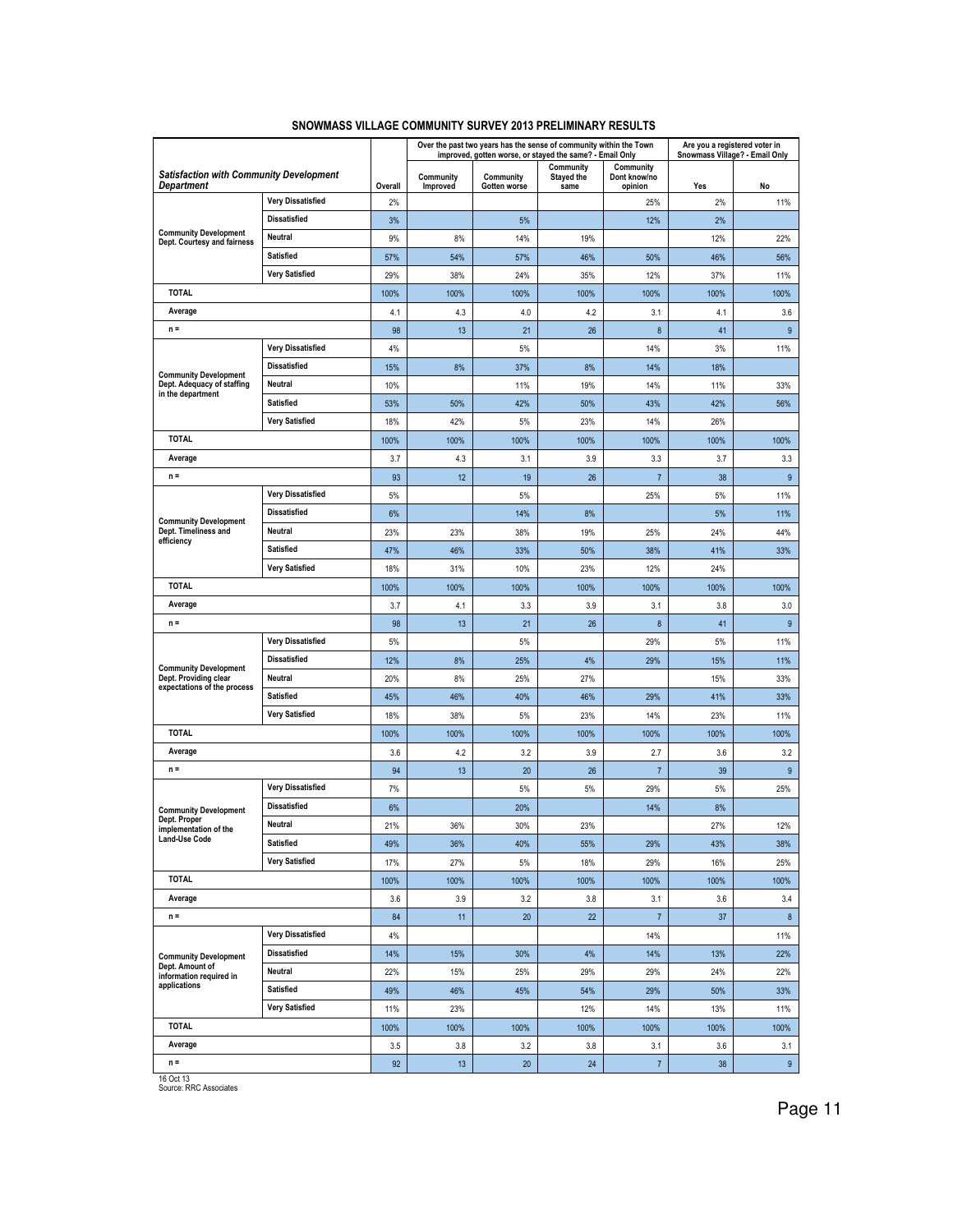|                                                                     |                          |         |                       |                           | Over the past two years has the sense of community within the Town<br>improved, gotten worse, or stayed the same? - Email Only |                                      | Are you a registered voter in<br>Snowmass Village? - Email Only |                |
|---------------------------------------------------------------------|--------------------------|---------|-----------------------|---------------------------|--------------------------------------------------------------------------------------------------------------------------------|--------------------------------------|-----------------------------------------------------------------|----------------|
| <b>Satisfaction with Community Development</b><br><b>Department</b> |                          | Overall | Community<br>Improved | Community<br>Gotten worse | Community<br><b>Stayed the</b><br>same                                                                                         | Community<br>Dont know/no<br>opinion | Yes                                                             | No             |
|                                                                     | <b>Very Dissatisfied</b> | 2%      |                       |                           |                                                                                                                                | 25%                                  | 2%                                                              | 11%            |
|                                                                     | <b>Dissatisfied</b>      | 3%      |                       | 5%                        |                                                                                                                                | 12%                                  | 2%                                                              |                |
| <b>Community Development</b><br>Dept. Courtesy and fairness         | Neutral                  | 9%      | 8%                    | 14%                       | 19%                                                                                                                            |                                      | 12%                                                             | 22%            |
|                                                                     | Satisfied                | 57%     | 54%                   | 57%                       | 46%                                                                                                                            | 50%                                  | 46%                                                             | 56%            |
|                                                                     | <b>Very Satisfied</b>    | 29%     | 38%                   | 24%                       | 35%                                                                                                                            | 12%                                  | 37%                                                             | 11%            |
| <b>TOTAL</b>                                                        |                          | 100%    | 100%                  | 100%                      | 100%                                                                                                                           | 100%                                 | 100%                                                            | 100%           |
| Average                                                             |                          | 4.1     | 4.3                   | 4.0                       | 4.2                                                                                                                            | 3.1                                  | 4.1                                                             | 3.6            |
| $n =$                                                               |                          | 98      | 13                    | 21                        | 26                                                                                                                             | $\bf 8$                              | 41                                                              | 9              |
|                                                                     | <b>Very Dissatisfied</b> | 4%      |                       | 5%                        |                                                                                                                                | 14%                                  | 3%                                                              | 11%            |
|                                                                     | <b>Dissatisfied</b>      | 15%     | 8%                    | 37%                       | 8%                                                                                                                             | 14%                                  | 18%                                                             |                |
| <b>Community Development</b><br>Dept. Adequacy of staffing          | Neutral                  | 10%     |                       | 11%                       | 19%                                                                                                                            | 14%                                  | 11%                                                             | 33%            |
| in the department                                                   | <b>Satisfied</b>         | 53%     | 50%                   | 42%                       | 50%                                                                                                                            | 43%                                  | 42%                                                             | 56%            |
|                                                                     | <b>Very Satisfied</b>    | 18%     | 42%                   | 5%                        | 23%                                                                                                                            | 14%                                  | 26%                                                             |                |
| <b>TOTAL</b>                                                        |                          | 100%    | 100%                  | 100%                      | 100%                                                                                                                           | 100%                                 | 100%                                                            | 100%           |
| Average                                                             |                          | 3.7     | 4.3                   | 3.1                       | 3.9                                                                                                                            | 3.3                                  | 3.7                                                             | 3.3            |
| $n =$                                                               |                          | 93      | 12                    | 19                        | 26                                                                                                                             | $\overline{7}$                       | 38                                                              | 9              |
|                                                                     | <b>Very Dissatisfied</b> | 5%      |                       | 5%                        |                                                                                                                                | 25%                                  | 5%                                                              | 11%            |
|                                                                     | <b>Dissatisfied</b>      | 6%      |                       | 14%                       | 8%                                                                                                                             |                                      | 5%                                                              | 11%            |
| <b>Community Development</b><br>Dept. Timeliness and                | Neutral                  | 23%     | 23%                   | 38%                       | 19%                                                                                                                            | 25%                                  | 24%                                                             | 44%            |
| efficiency                                                          | <b>Satisfied</b>         | 47%     | 46%                   | 33%                       | 50%                                                                                                                            | 38%                                  | 41%                                                             | 33%            |
| <b>Very Satisfied</b>                                               |                          | 18%     | 31%                   | 10%                       | 23%                                                                                                                            | 12%                                  | 24%                                                             |                |
| <b>TOTAL</b>                                                        |                          | 100%    | 100%                  | 100%                      | 100%                                                                                                                           | 100%                                 | 100%                                                            | 100%           |
| Average                                                             |                          | 3.7     | 4.1                   | 3.3                       | 3.9                                                                                                                            | 3.1                                  | 3.8                                                             | 3.0            |
| $n =$                                                               |                          | 98      | 13                    | 21                        | 26                                                                                                                             | 8                                    | 41                                                              | $9\,$          |
|                                                                     | <b>Very Dissatisfied</b> | 5%      |                       | 5%                        |                                                                                                                                | 29%                                  | 5%                                                              | 11%            |
| <b>Community Development</b>                                        | <b>Dissatisfied</b>      | 12%     | 8%                    | 25%                       | 4%                                                                                                                             | 29%                                  | 15%                                                             | 11%            |
| Dept. Providing clear                                               | Neutral                  | 20%     | 8%                    | 25%                       | 27%                                                                                                                            |                                      | 15%                                                             | 33%            |
| expectations of the process                                         | <b>Satisfied</b>         | 45%     | 46%                   | 40%                       | 46%                                                                                                                            | 29%                                  | 41%                                                             | 33%            |
|                                                                     | <b>Very Satisfied</b>    | 18%     | 38%                   | 5%                        | 23%                                                                                                                            | 14%                                  | 23%                                                             | 11%            |
| <b>TOTAL</b>                                                        |                          | 100%    | 100%                  | 100%                      | 100%                                                                                                                           | 100%                                 | 100%                                                            | 100%           |
| Average                                                             |                          | 3.6     | 4.2                   | 3.2                       | 3.9                                                                                                                            | 2.7                                  | 3.6                                                             | 3.2            |
| $n =$                                                               |                          | 94      | 13                    | 20                        | 26                                                                                                                             | $\overline{7}$                       | 39                                                              | 9              |
|                                                                     | <b>Very Dissatisfied</b> | 7%      |                       | 5%                        | 5%                                                                                                                             | 29%                                  | 5%                                                              | 25%            |
| <b>Community Development</b>                                        | <b>Dissatisfied</b>      | 6%      |                       | 20%                       |                                                                                                                                | 14%                                  | 8%                                                              |                |
| Dept. Proper<br>implementation of the                               | <b>Neutral</b>           | 21%     | 36%                   | 30%                       | 23%                                                                                                                            |                                      | 27%                                                             | 12%            |
| <b>Land-Use Code</b>                                                | Satisfied                | 49%     | 36%                   | 40%                       | 55%                                                                                                                            | 29%                                  | 43%                                                             | 38%            |
|                                                                     | <b>Very Satisfied</b>    | 17%     | 27%                   | 5%                        | 18%                                                                                                                            | 29%                                  | 16%                                                             | 25%            |
| <b>TOTAL</b>                                                        |                          | 100%    | 100%                  | 100%                      | 100%                                                                                                                           | 100%                                 | 100%                                                            | 100%           |
| Average                                                             |                          | 3.6     | 3.9                   | 3.2                       | 3.8                                                                                                                            | 3.1                                  | 3.6                                                             | 3.4            |
| $n =$                                                               |                          | 84      | 11                    | 20                        | 22                                                                                                                             | $\sqrt{7}$                           | 37                                                              | $\bf 8$        |
|                                                                     | <b>Very Dissatisfied</b> | 4%      |                       |                           |                                                                                                                                | 14%                                  |                                                                 | 11%            |
| <b>Community Development</b>                                        | <b>Dissatisfied</b>      | 14%     | 15%                   | 30%                       | 4%                                                                                                                             | 14%                                  | 13%                                                             | 22%            |
| Dept. Amount of<br>information required in                          | Neutral                  | 22%     | 15%                   | 25%                       | 29%                                                                                                                            | 29%                                  | 24%                                                             | 22%            |
| applications                                                        | Satisfied                | 49%     | 46%                   | 45%                       | 54%                                                                                                                            | 29%                                  | 50%                                                             | 33%            |
|                                                                     | <b>Very Satisfied</b>    | 11%     | 23%                   |                           | 12%                                                                                                                            | 14%                                  | 13%                                                             | 11%            |
| <b>TOTAL</b>                                                        |                          | 100%    | 100%                  | 100%                      | 100%                                                                                                                           | 100%                                 | 100%                                                            | 100%           |
| Average                                                             |                          | 3.5     | 3.8                   | 3.2                       | 3.8                                                                                                                            | 3.1                                  | 3.6                                                             | 3.1            |
| $n =$                                                               |                          | 92      | 13                    | 20                        | 24                                                                                                                             | $\overline{7}$                       | 38                                                              | 9 <sub>o</sub> |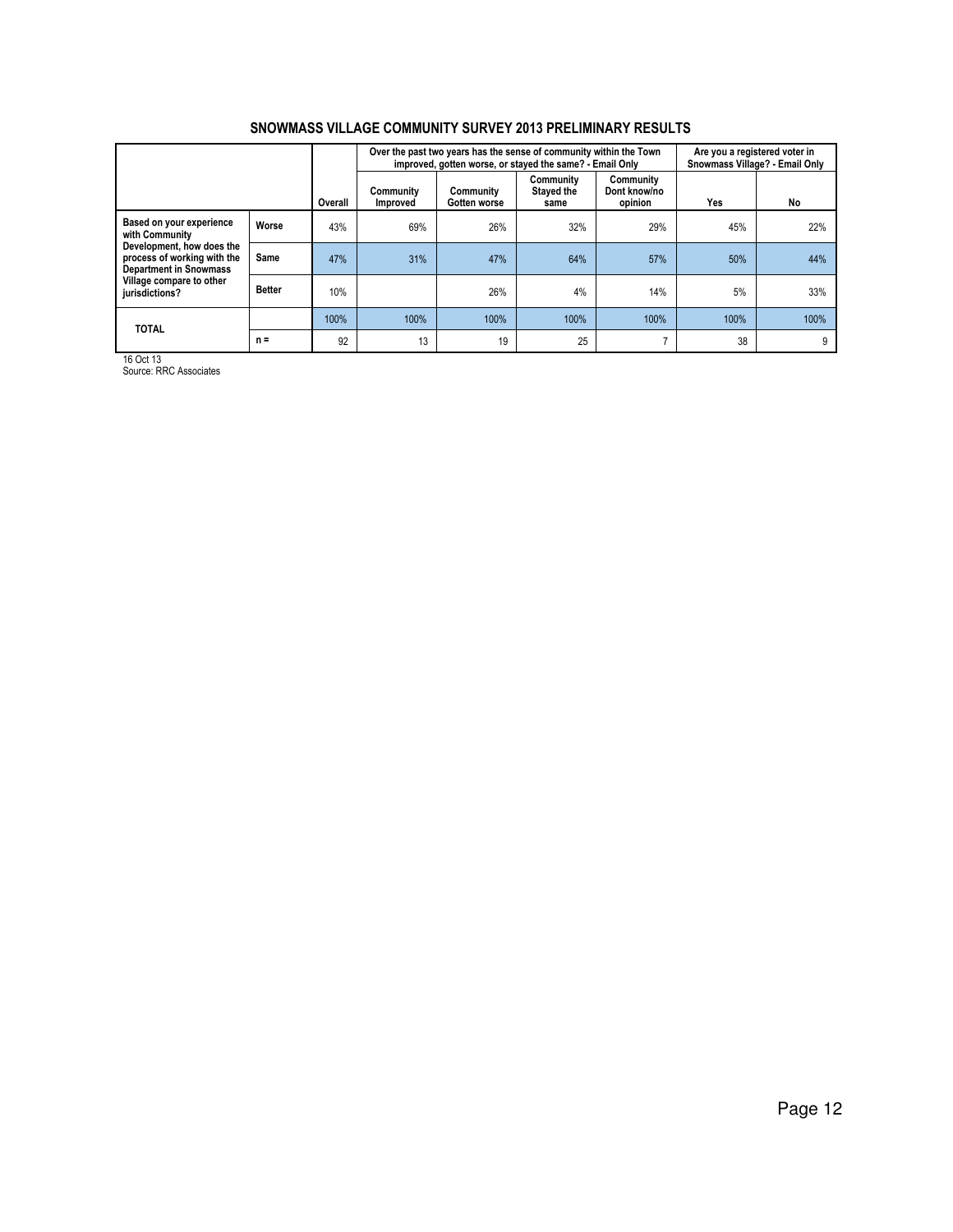|                                                                                                                                                                                       |               |         |                       | Over the past two years has the sense of community within the Town<br>improved, gotten worse, or stayed the same? - Email Only |                                 |                                      | Are you a registered voter in<br>Snowmass Village? - Email Only |      |
|---------------------------------------------------------------------------------------------------------------------------------------------------------------------------------------|---------------|---------|-----------------------|--------------------------------------------------------------------------------------------------------------------------------|---------------------------------|--------------------------------------|-----------------------------------------------------------------|------|
|                                                                                                                                                                                       |               | Overall | Community<br>Improved | Community<br>Gotten worse                                                                                                      | Community<br>Stayed the<br>same | Community<br>Dont know/no<br>opinion | Yes                                                             | No   |
| Based on your experience<br>with Community<br>Development, how does the<br>process of working with the<br><b>Department in Snowmass</b><br>Village compare to other<br>jurisdictions? | Worse         | 43%     | 69%                   | 26%                                                                                                                            | 32%                             | 29%                                  | 45%                                                             | 22%  |
|                                                                                                                                                                                       | Same          | 47%     | 31%                   | 47%                                                                                                                            | 64%                             | 57%                                  | 50%                                                             | 44%  |
|                                                                                                                                                                                       | <b>Better</b> | 10%     |                       | 26%                                                                                                                            | 4%                              | 14%                                  | 5%                                                              | 33%  |
| <b>TOTAL</b>                                                                                                                                                                          |               | 100%    | 100%                  | 100%                                                                                                                           | 100%                            | 100%                                 | 100%                                                            | 100% |
|                                                                                                                                                                                       | $n =$         | 92      | 13                    | 19                                                                                                                             | 25                              | ⇁                                    | 38                                                              | 9    |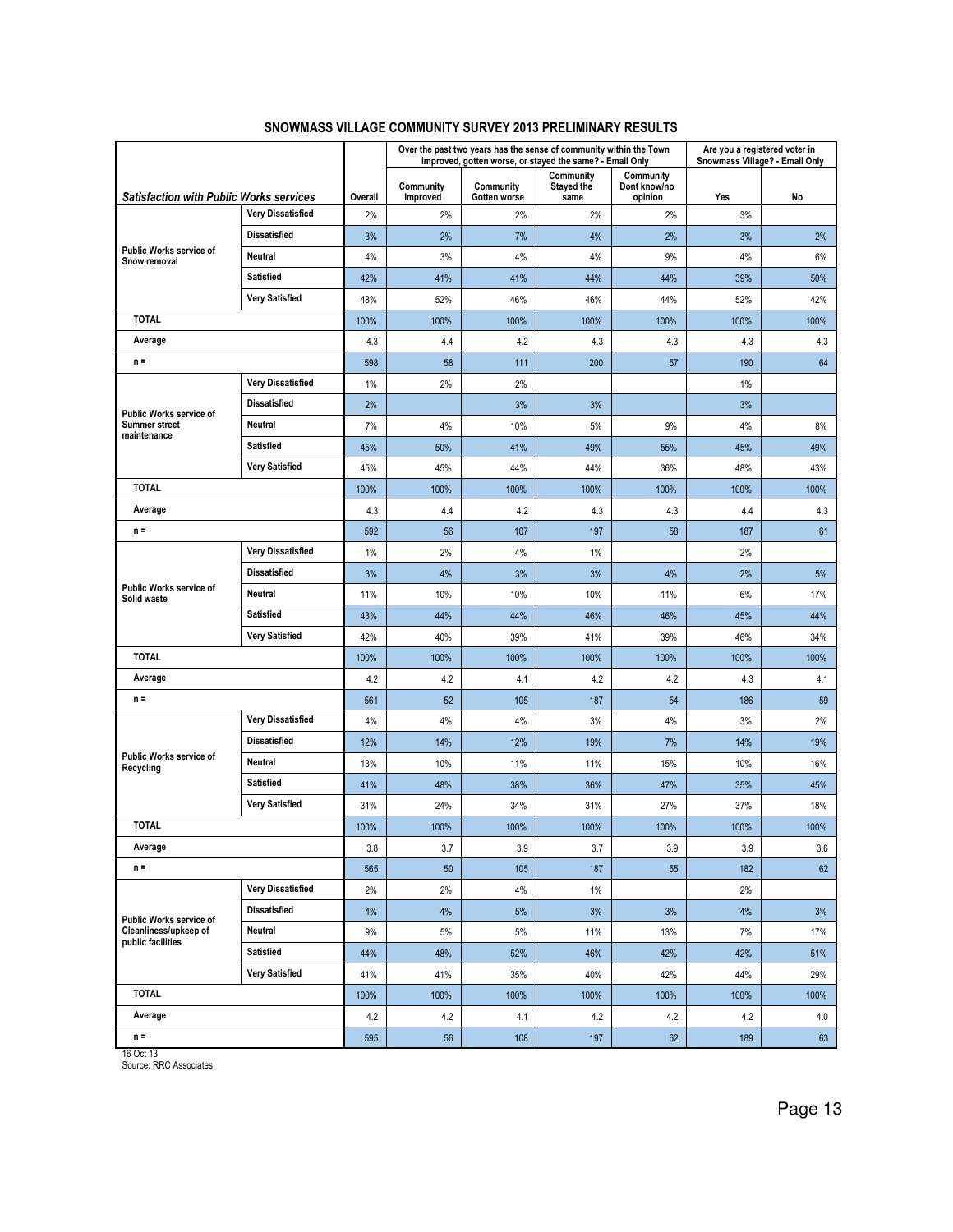|                                                |                          |         |                       |                           | Over the past two years has the sense of community within the Town<br>improved, gotten worse, or stayed the same? - Email Only |                                      | Are you a registered voter in | Snowmass Village? - Email Only |
|------------------------------------------------|--------------------------|---------|-----------------------|---------------------------|--------------------------------------------------------------------------------------------------------------------------------|--------------------------------------|-------------------------------|--------------------------------|
| <b>Satisfaction with Public Works services</b> |                          | Overall | Community<br>Improved | Community<br>Gotten worse | Community<br><b>Stayed the</b><br>same                                                                                         | Community<br>Dont know/no<br>opinion | Yes                           | No                             |
|                                                | <b>Very Dissatisfied</b> | 2%      | 2%                    | 2%                        | 2%                                                                                                                             | 2%                                   | 3%                            |                                |
|                                                | <b>Dissatisfied</b>      | 3%      | 2%                    | 7%                        | 4%                                                                                                                             | 2%                                   | 3%                            | 2%                             |
| <b>Public Works service of</b><br>Snow removal | Neutral                  | 4%      | 3%                    | 4%                        | 4%                                                                                                                             | 9%                                   | 4%                            | 6%                             |
|                                                | <b>Satisfied</b>         | 42%     | 41%                   | 41%                       | 44%                                                                                                                            | 44%                                  | 39%                           | 50%                            |
|                                                | <b>Very Satisfied</b>    | 48%     | 52%                   | 46%                       | 46%                                                                                                                            | 44%                                  | 52%                           | 42%                            |
| <b>TOTAL</b>                                   |                          |         | 100%                  | 100%                      | 100%                                                                                                                           | 100%                                 | 100%                          | 100%                           |
| Average                                        |                          | 4.3     | 4.4                   | 4.2                       | 4.3                                                                                                                            | 4.3                                  | 4.3                           | 4.3                            |
| $n =$                                          |                          | 598     | 58                    | 111                       | 200                                                                                                                            | 57                                   | 190                           | 64                             |
|                                                | <b>Very Dissatisfied</b> | 1%      | 2%                    | 2%                        |                                                                                                                                |                                      | 1%                            |                                |
| Public Works service of                        | <b>Dissatisfied</b>      | 2%      |                       | 3%                        | 3%                                                                                                                             |                                      | 3%                            |                                |
| <b>Summer street</b><br>maintenance            | Neutral                  | 7%      | 4%                    | 10%                       | 5%                                                                                                                             | 9%                                   | 4%                            | 8%                             |
|                                                | <b>Satisfied</b>         | 45%     | 50%                   | 41%                       | 49%                                                                                                                            | 55%                                  | 45%                           | 49%                            |
|                                                | <b>Very Satisfied</b>    | 45%     | 45%                   | 44%                       | 44%                                                                                                                            | 36%                                  | 48%                           | 43%                            |
| <b>TOTAL</b>                                   |                          | 100%    | 100%                  | 100%                      | 100%                                                                                                                           | 100%                                 | 100%                          | 100%                           |
| Average                                        |                          | 4.3     | 4.4                   | 4.2                       | 4.3                                                                                                                            | 4.3                                  | 4.4                           | 4.3                            |
| $n =$                                          |                          | 592     | 56                    | 107                       | 197                                                                                                                            | 58                                   | 187                           | 61                             |
| Public Works service of<br>Solid waste         | <b>Very Dissatisfied</b> | 1%      | 2%                    | 4%                        | $1\%$                                                                                                                          |                                      | 2%                            |                                |
|                                                | <b>Dissatisfied</b>      | 3%      | 4%                    | 3%                        | 3%                                                                                                                             | 4%                                   | 2%                            | 5%                             |
|                                                | <b>Neutral</b>           | 11%     | 10%                   | 10%                       | 10%                                                                                                                            | 11%                                  | 6%                            | 17%                            |
|                                                | <b>Satisfied</b>         | 43%     | 44%                   | 44%                       | 46%                                                                                                                            | 46%                                  | 45%                           | 44%                            |
|                                                | <b>Very Satisfied</b>    | 42%     | 40%                   | 39%                       | 41%                                                                                                                            | 39%                                  | 46%                           | 34%                            |
| <b>TOTAL</b>                                   |                          | 100%    | 100%                  | 100%                      | 100%                                                                                                                           | 100%                                 | 100%                          | 100%                           |
| Average                                        |                          | 4.2     | 4.2                   | 4.1                       | 4.2                                                                                                                            | 4.2                                  | 4.3                           | 4.1                            |
| $n =$                                          |                          | 561     | 52                    | 105                       | 187                                                                                                                            | 54                                   | 186                           | 59                             |
|                                                | <b>Very Dissatisfied</b> | 4%      | 4%                    | 4%                        | 3%                                                                                                                             | 4%                                   | 3%                            | 2%                             |
|                                                | <b>Dissatisfied</b>      | 12%     | 14%                   | 12%                       | 19%                                                                                                                            | 7%                                   | 14%                           | 19%                            |
| Public Works service of<br>Recycling           | Neutral                  | 13%     | 10%                   | 11%                       | 11%                                                                                                                            | 15%                                  | 10%                           | 16%                            |
|                                                | <b>Satisfied</b>         | 41%     | 48%                   | 38%                       | 36%                                                                                                                            | 47%                                  | 35%                           | 45%                            |
|                                                | <b>Very Satisfied</b>    | 31%     | 24%                   | 34%                       | 31%                                                                                                                            | 27%                                  | 37%                           | 18%                            |
| <b>TOTAL</b>                                   |                          | 100%    | 100%                  | 100%                      | 100%                                                                                                                           | 100%                                 | 100%                          | 100%                           |
| Average                                        |                          | 3.8     | 3.7                   | 3.9                       | 3.7                                                                                                                            | 3.9                                  | 3.9                           | 3.6                            |
| $n =$                                          |                          | 565     | 50                    | 105                       | 187                                                                                                                            | 55                                   | 182                           | 62                             |
|                                                | <b>Very Dissatisfied</b> | 2%      | 2%                    | 4%                        | $1\%$                                                                                                                          |                                      | 2%                            |                                |
| Public Works service of                        | <b>Dissatisfied</b>      | 4%      | 4%                    | 5%                        | 3%                                                                                                                             | 3%                                   | 4%                            | 3%                             |
| Cleanliness/upkeep of<br>public facilities     | Neutral                  | 9%      | 5%                    | 5%                        | 11%                                                                                                                            | 13%                                  | 7%                            | 17%                            |
|                                                | Satisfied                | 44%     | 48%                   | 52%                       | 46%                                                                                                                            | 42%                                  | 42%                           | 51%                            |
|                                                | <b>Very Satisfied</b>    | 41%     | 41%                   | 35%                       | 40%                                                                                                                            | 42%                                  | 44%                           | 29%                            |
| <b>TOTAL</b>                                   |                          | 100%    | 100%                  | 100%                      | 100%                                                                                                                           | 100%                                 | 100%                          | 100%                           |
| Average                                        |                          | 4.2     | 4.2                   | 4.1                       | 4.2                                                                                                                            | 4.2                                  | 4.2                           | 4.0                            |
| $n =$<br>100.110                               |                          | 595     | 56                    | 108                       | 197                                                                                                                            | 62                                   | 189                           | 63                             |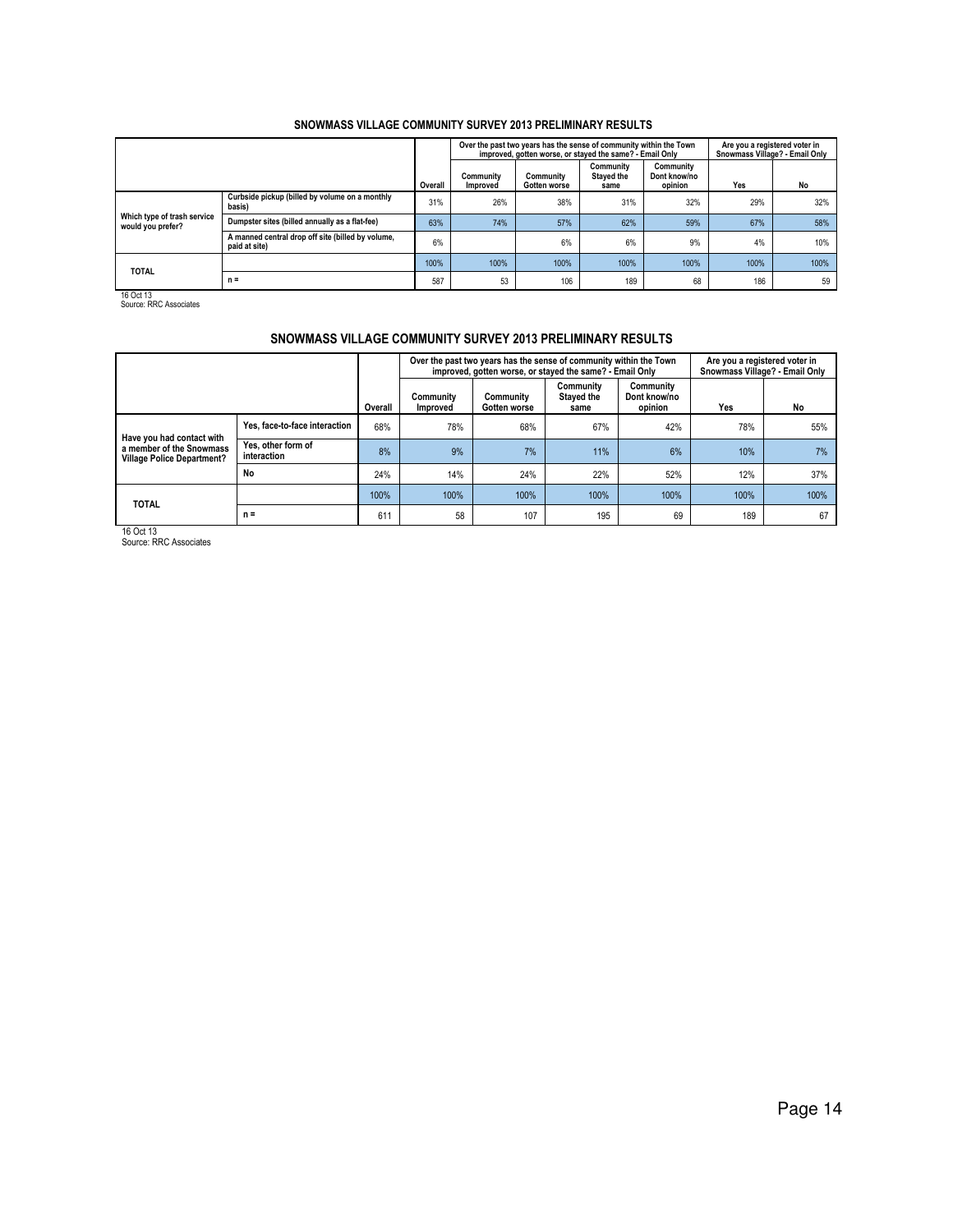|                                                  |                                                                    |         |                       | Over the past two years has the sense of community within the Town<br>improved, gotten worse, or stayed the same? - Email Only |                                 |                                      | Are you a registered voter in<br>Snowmass Village? - Email Only |      |  |
|--------------------------------------------------|--------------------------------------------------------------------|---------|-----------------------|--------------------------------------------------------------------------------------------------------------------------------|---------------------------------|--------------------------------------|-----------------------------------------------------------------|------|--|
|                                                  |                                                                    | Overall | Community<br>Improved | Community<br>Gotten worse                                                                                                      | Community<br>Stayed the<br>same | Community<br>Dont know/no<br>opinion | Yes                                                             | No   |  |
|                                                  | Curbside pickup (billed by volume on a monthly<br>basis)           | 31%     | 26%                   | 38%                                                                                                                            | 31%                             | 32%                                  | 29%                                                             | 32%  |  |
| Which type of trash service<br>would you prefer? | Dumpster sites (billed annually as a flat-fee)                     | 63%     | 74%                   | 57%                                                                                                                            | 62%                             | 59%                                  | 67%                                                             | 58%  |  |
|                                                  | A manned central drop off site (billed by volume,<br>paid at site) | 6%      |                       | 6%                                                                                                                             | 6%                              | 9%                                   | 4%                                                              | 10%  |  |
| <b>TOTAL</b>                                     |                                                                    | 100%    | 100%                  | 100%                                                                                                                           | 100%                            | 100%                                 | 100%                                                            | 100% |  |
|                                                  | $n =$                                                              | 587     | 53                    | 106                                                                                                                            | 189                             | 68                                   | 186                                                             | 59   |  |

16 Oct 13 Source: RRC Associates

## SNOWMASS VILLAGE COMMUNITY SURVEY 2013 PRELIMINARY RESULTS

|                                                               |                                   |         |                       | Over the past two years has the sense of community within the Town<br>improved, gotten worse, or stayed the same? - Email Only |                                        |                                      | Are you a registered voter in<br>Snowmass Village? - Email Only |      |  |
|---------------------------------------------------------------|-----------------------------------|---------|-----------------------|--------------------------------------------------------------------------------------------------------------------------------|----------------------------------------|--------------------------------------|-----------------------------------------------------------------|------|--|
|                                                               |                                   | Overall | Community<br>Improved | Community<br>Gotten worse                                                                                                      | Community<br><b>Staved the</b><br>same | Community<br>Dont know/no<br>opinion | Yes                                                             | No   |  |
| Have you had contact with                                     | Yes, face-to-face interaction     | 68%     | 78%                   | 68%                                                                                                                            | 67%                                    | 42%                                  | 78%                                                             | 55%  |  |
| a member of the Snowmass<br><b>Village Police Department?</b> | Yes, other form of<br>interaction | 8%      | 9%                    | 7%                                                                                                                             | 11%                                    | 6%                                   | 10%                                                             | 7%   |  |
|                                                               | No                                | 24%     | 14%                   | 24%                                                                                                                            | 22%                                    | 52%                                  | 12%                                                             | 37%  |  |
| <b>TOTAL</b>                                                  |                                   | 100%    | 100%                  | 100%                                                                                                                           | 100%                                   | 100%                                 | 100%                                                            | 100% |  |
|                                                               | $n =$                             | 611     | 58                    | 107                                                                                                                            | 195                                    | 69                                   | 189                                                             | 67   |  |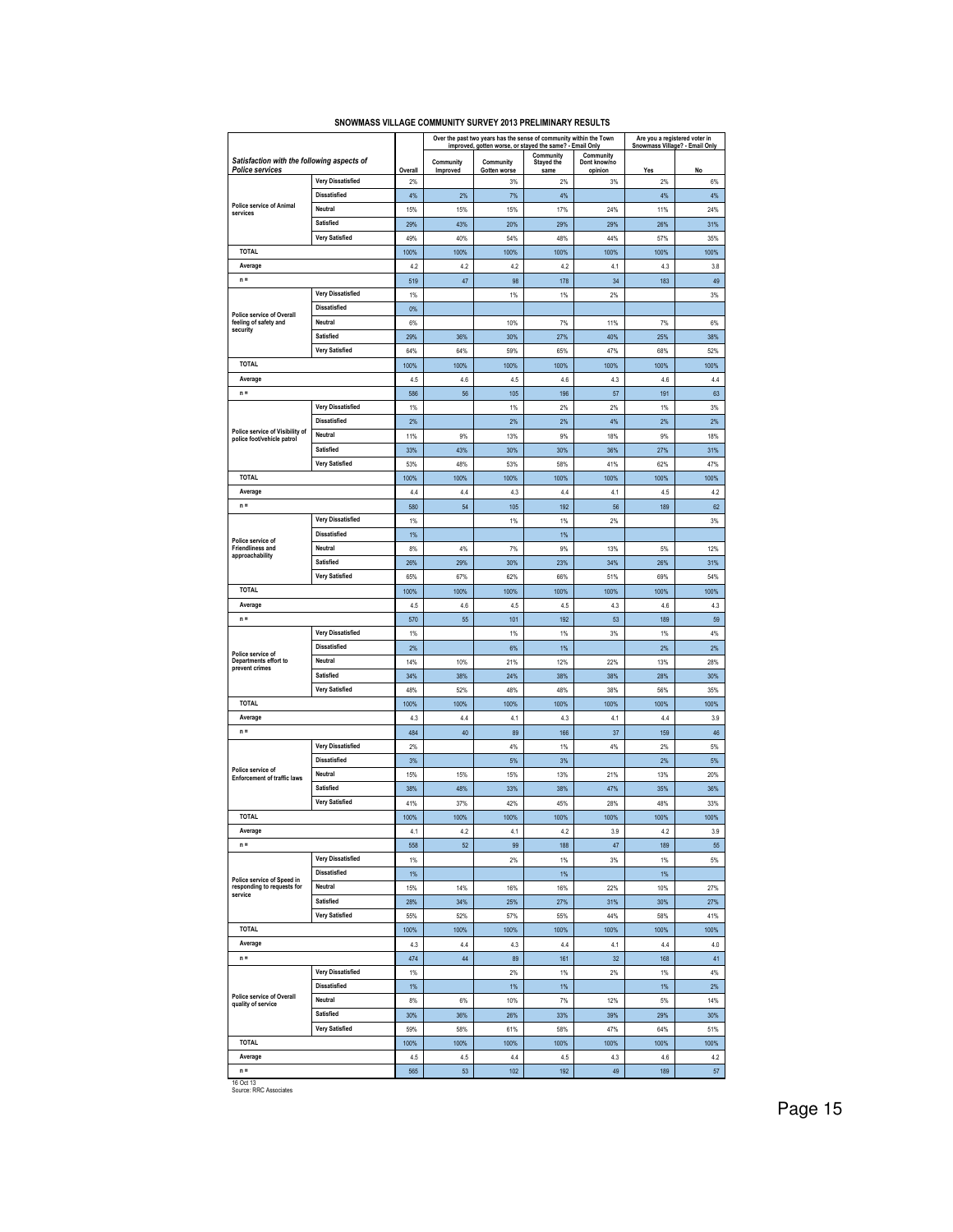|                                                                      |                                                 |             |                       | Over the past two years has the sense of community within the Town<br>improved, gotten worse, or stayed the same? - Email Only |                    |                         | Are you a registered voter in<br>Snowmass Village? - Email Only |             |
|----------------------------------------------------------------------|-------------------------------------------------|-------------|-----------------------|--------------------------------------------------------------------------------------------------------------------------------|--------------------|-------------------------|-----------------------------------------------------------------|-------------|
|                                                                      |                                                 |             |                       |                                                                                                                                | Community          | Community               |                                                                 |             |
| Satisfaction with the following aspects of<br><b>Police services</b> |                                                 | Overall     | Community<br>Improved | Community<br>Gotten worse                                                                                                      | Stayed the<br>same | Dont know/no<br>opinion | Yes                                                             | No          |
|                                                                      | <b>Very Dissatisfied</b>                        | 2%          |                       | 3%                                                                                                                             | 2%                 | 3%                      | 2%                                                              | 6%          |
|                                                                      | <b>Dissatisfied</b>                             | 4%          | 2%                    | 7%                                                                                                                             | 4%                 |                         | 4%                                                              | 4%          |
| Police service of Animal<br>services                                 | Neutral                                         | 15%         | 15%                   | 15%                                                                                                                            | 17%                | 24%                     | 11%                                                             | 24%         |
|                                                                      | Satisfied                                       | 29%         | 43%                   | 20%                                                                                                                            | 29%                | 29%                     | 26%                                                             | 31%         |
|                                                                      | <b>Very Satisfied</b>                           | 49%         | 40%                   | 54%                                                                                                                            | 48%                | 44%                     | 57%                                                             | 35%         |
| <b>TOTAL</b>                                                         |                                                 | 100%        | 100%                  | 100%                                                                                                                           | 100%               | 100%                    | 100%                                                            | 100%        |
| Average                                                              |                                                 | 4.2         | 4.2                   | 4.2                                                                                                                            | 4.2                | 4.1                     | 4.3                                                             | 3.8         |
| $n =$                                                                |                                                 | 519         | 47                    | 98                                                                                                                             | 178                | 34                      | 183                                                             | 49          |
|                                                                      | <b>Very Dissatisfied</b>                        | $1\%$       |                       | 1%                                                                                                                             | 1%                 | $2\%$                   |                                                                 | 3%          |
|                                                                      | <b>Dissatisfied</b>                             | 0%          |                       |                                                                                                                                |                    |                         |                                                                 |             |
| <b>Police service of Overall</b><br>feeling of safety and            | Neutral                                         | 6%          |                       | 10%                                                                                                                            | $7\%$              | 11%                     | 7%                                                              | 6%          |
| security                                                             | Satisfied                                       | 29%         | 36%                   | 30%                                                                                                                            | 27%                | 40%                     | 25%                                                             | 38%         |
|                                                                      | Very Satisfied                                  | 64%         | 64%                   | 59%                                                                                                                            | 65%                | 47%                     | 68%                                                             | 52%         |
| <b>TOTAL</b>                                                         |                                                 | 100%        | 100%                  | 100%                                                                                                                           | 100%               | 100%                    | 100%                                                            | 100%        |
| Average                                                              |                                                 | 4.5         | 4.6                   | 4.5                                                                                                                            | 4.6                | 4.3                     | 4.6                                                             | 4.4         |
| $n =$                                                                |                                                 | 586         | 56                    | 105                                                                                                                            | 196                | 57                      | 191                                                             | 63          |
|                                                                      | <b>Very Dissatisfied</b>                        | 1%          |                       | 1%                                                                                                                             | 2%                 | 2%                      | 1%                                                              | 3%          |
|                                                                      | Dissatisfied                                    |             |                       | 2%                                                                                                                             |                    | 4%                      | 2%                                                              |             |
| Police service of Visibility of                                      | Neutral                                         | 2%          |                       | 13%                                                                                                                            | 2%                 |                         |                                                                 | 2%          |
| police foot/vehicle patrol                                           | Satisfied                                       | 11%         | 9%                    |                                                                                                                                | 9%                 | 18%                     | 9%                                                              | 18%         |
|                                                                      | <b>Very Satisfied</b>                           | 33%         | 43%                   | 30%                                                                                                                            | 30%                | 36%                     | 27%                                                             | 31%         |
| <b>TOTAL</b>                                                         |                                                 | 53%         | 48%                   | 53%                                                                                                                            | 58%                | 41%                     | 62%                                                             | 47%         |
|                                                                      |                                                 | 100%        | 100%                  | 100%                                                                                                                           | 100%               | 100%                    | 100%                                                            | 100%        |
| Average                                                              |                                                 | 4.4         | 4.4                   | 4.3                                                                                                                            | 4.4                | 4.1                     | 4.5                                                             | 4.2         |
| $n =$                                                                | <b>Very Dissatisfied</b>                        | 580         | 54                    | 105                                                                                                                            | 192                | 56                      | 189                                                             | 62          |
|                                                                      | <b>Dissatisfied</b>                             | 1%          |                       | 1%                                                                                                                             | 1%                 | 2%                      |                                                                 | 3%          |
| Police service of                                                    |                                                 | 1%          |                       |                                                                                                                                | 1%                 |                         |                                                                 |             |
| <b>Friendliness and</b><br>approachability                           | Neutral                                         | 8%          | 4%                    | $7\%$                                                                                                                          | 9%                 | 13%                     | 5%                                                              | 12%         |
|                                                                      | <b>Satisfied</b>                                | 26%         | 29%                   | 30%                                                                                                                            | 23%                | 34%                     | 26%                                                             | 31%         |
|                                                                      | <b>Very Satisfied</b>                           | 65%         | 67%                   | 62%                                                                                                                            | 66%                | 51%                     | 69%                                                             | 54%         |
| <b>TOTAL</b>                                                         |                                                 | 100%        | 100%                  | 100%                                                                                                                           | 100%               | 100%                    | 100%                                                            | 100%        |
| Average                                                              |                                                 | 4.5         | 4.6                   | 4.5                                                                                                                            | 4.5                | 4.3                     | 4.6                                                             | 4.3         |
| $n =$                                                                |                                                 | 570         | 55                    | 101                                                                                                                            | 192                | 53                      | 189                                                             | 59          |
|                                                                      | <b>Very Dissatisfied</b><br><b>Dissatisfied</b> | 1%<br>2%    |                       | 1%<br>6%                                                                                                                       | 1%<br>1%           | 3%                      | 1%<br>2%                                                        | 4%<br>2%    |
| Police service of<br>Departments effort to                           | Neutral                                         | 14%         | 10%                   | 21%                                                                                                                            | 12%                | 22%                     | 13%                                                             | 28%         |
| prevent crimes                                                       | Satisfied                                       |             |                       |                                                                                                                                |                    |                         |                                                                 |             |
|                                                                      | <b>Very Satisfied</b>                           | 34%         | 38%<br>52%            | 24%                                                                                                                            | 38%                | 38%                     | 28%                                                             | 30%         |
| <b>TOTAL</b>                                                         |                                                 | 48%         |                       | 48%                                                                                                                            | 48%                | 38%                     | 56%                                                             | 35%         |
| Average                                                              |                                                 | 100%        | 100%                  | 100%                                                                                                                           | 100%               | 100%<br>4.1             | 100%<br>44                                                      | 100%        |
|                                                                      |                                                 | 4.3         | 4.4                   | 4.1                                                                                                                            | 4.3                |                         |                                                                 | 3.9         |
| $n =$                                                                |                                                 | 484         | 40                    | 89                                                                                                                             | 166                | 37                      | 159                                                             | 46          |
|                                                                      | <b>Very Dissatisfied</b>                        | 2%          |                       | 4%                                                                                                                             | $1\%$              | 4%                      | 2%                                                              | 5%          |
| Police service of                                                    | <b>Dissatisfied</b>                             | 3%          |                       | 5%                                                                                                                             | 3%                 |                         | 2%                                                              | 5%          |
| <b>Enforcement of traffic laws</b>                                   | Neutral                                         | 15%         | 15%                   | 15%                                                                                                                            | 13%                | 21%                     | 13%                                                             | 20%         |
|                                                                      | Satisfied                                       | 38%         | 48%                   | 33%                                                                                                                            | 38%                | 47%                     | 35%                                                             | 36%         |
|                                                                      | <b>Very Satisfied</b>                           | 41%         | 37%                   | 42%                                                                                                                            | 45%                | 28%                     | 48%                                                             | 33%         |
| <b>TOTAL</b>                                                         |                                                 | 100%        | 100%                  | 100%                                                                                                                           | 100%               | 100%                    | 100%                                                            | 100%        |
| Average<br>$n =$                                                     |                                                 | 4.1         | 4.2                   | 4.1                                                                                                                            | 4.2                | 3.9                     | 4.2                                                             | 3.9         |
|                                                                      | <b>Very Dissatisfied</b>                        | 558         | 52                    | 99                                                                                                                             | 188                | 47                      | 189                                                             | 55          |
|                                                                      |                                                 | $1\%$       |                       | $2\%$                                                                                                                          | $1\%$              | $3\%$                   | 1%                                                              | $5\%$       |
| Police service of Speed in                                           | <b>Dissatisfied</b>                             | 1%          |                       |                                                                                                                                | $1\%$              |                         | 1%                                                              |             |
| responding to requests for<br>service                                | Neutral<br>Satisfied                            | 15%         | 14%                   | 16%                                                                                                                            | 16%                | 22%                     | 10%                                                             | 27%         |
|                                                                      | <b>Very Satisfied</b>                           | 28%         | 34%<br>52%            | 25%                                                                                                                            | 27%<br>55%         | 31%<br>44%              | 30%                                                             | 27%<br>41%  |
| <b>TOTAL</b>                                                         |                                                 | 55%         |                       | 57%                                                                                                                            |                    |                         | 58%                                                             |             |
| Average                                                              |                                                 | 100%        | 100%                  | 100%                                                                                                                           | 100%               | 100%                    | 100%<br>44                                                      | 100%        |
| $n =$                                                                |                                                 | 4.3<br>474  | 4.4<br>44             | 4.3<br>89                                                                                                                      | 4.4<br>161         | 4.1<br>32               | 168                                                             | 4.0<br>41   |
|                                                                      | <b>Very Dissatisfied</b>                        | $1\%$       |                       | 2%                                                                                                                             |                    |                         | 1%                                                              | 4%          |
|                                                                      | <b>Dissatisfied</b>                             |             |                       | 1%                                                                                                                             | $1\%$              | $2\%$                   | 1%                                                              |             |
| Police service of Overall                                            | Neutral                                         | 1%<br>8%    |                       | 10%                                                                                                                            | $1\%$<br>$7\%$     | 12%                     | 5%                                                              | 2%<br>14%   |
| quality of service                                                   | Satisfied                                       |             | 6%                    |                                                                                                                                |                    |                         |                                                                 |             |
|                                                                      | <b>Very Satisfied</b>                           | 30%         | 36%                   | 26%                                                                                                                            | 33%                | 39%                     | 29%                                                             | 30%         |
| <b>TOTAL</b>                                                         |                                                 | 59%<br>100% | 58%<br>100%           | 61%<br>100%                                                                                                                    | 58%<br>100%        | 47%<br>100%             | 64%<br>100%                                                     | 51%<br>100% |
| Average                                                              |                                                 | 4.5         | 4.5                   | 4.4                                                                                                                            | 4.5                | 4.3                     | 4.6                                                             | 4.2         |
| $n =$                                                                |                                                 | 565         | 53                    | 102                                                                                                                            | 192                | 49                      | 189                                                             | 57          |
| 16 Oct 13                                                            |                                                 |             |                       |                                                                                                                                |                    |                         |                                                                 |             |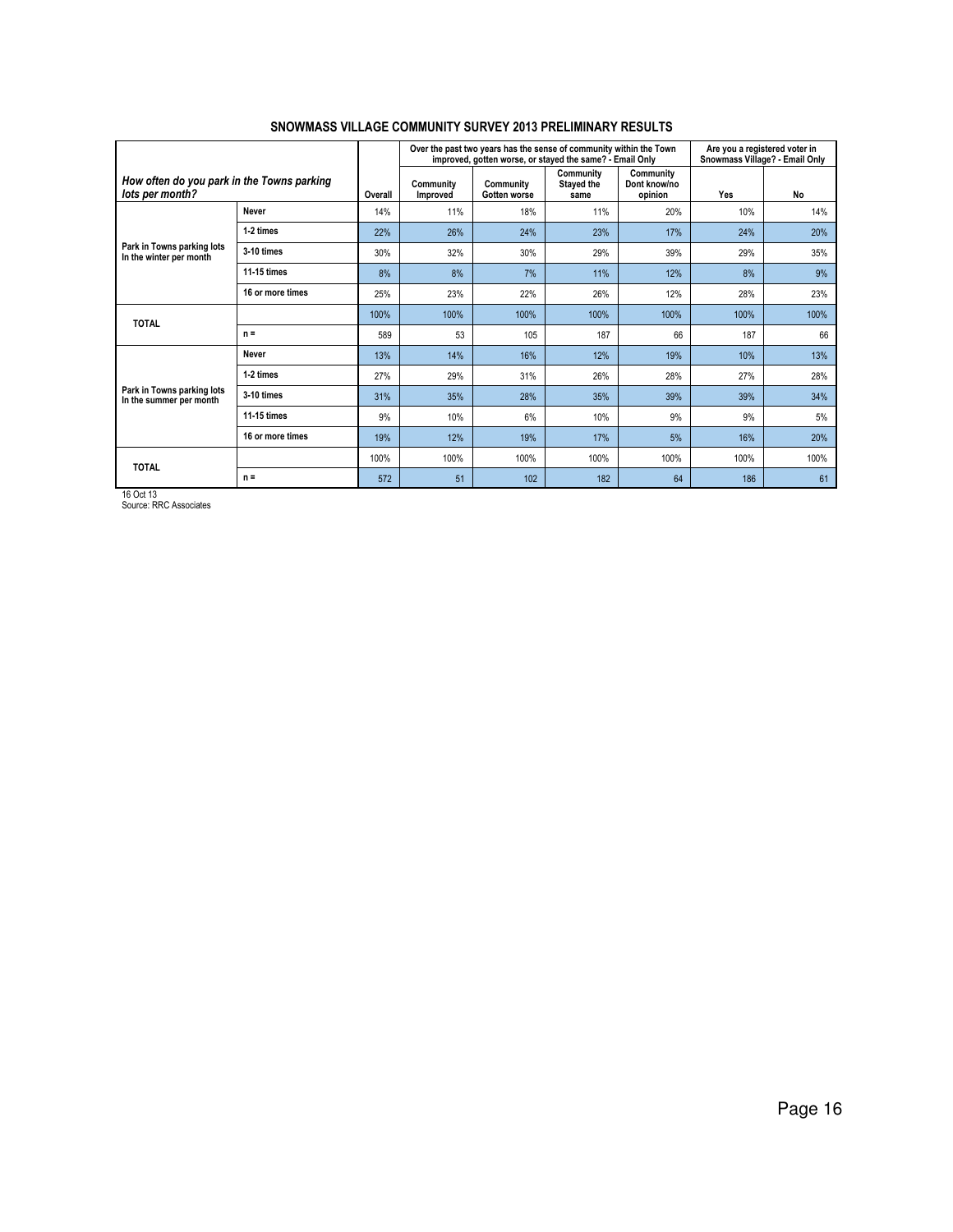|                                                               |                  |         |                       | Over the past two years has the sense of community within the Town<br>improved, gotten worse, or stayed the same? - Email Only |                                        | Are you a registered voter in<br>Snowmass Village? - Email Only |      |      |
|---------------------------------------------------------------|------------------|---------|-----------------------|--------------------------------------------------------------------------------------------------------------------------------|----------------------------------------|-----------------------------------------------------------------|------|------|
| How often do you park in the Towns parking<br>lots per month? |                  | Overall | Community<br>Improved | Community<br>Gotten worse                                                                                                      | Community<br><b>Stayed the</b><br>same | Community<br>Dont know/no<br>opinion                            | Yes  | No   |
|                                                               | Never            | 14%     | 11%                   | 18%                                                                                                                            | 11%                                    | 20%                                                             | 10%  | 14%  |
|                                                               | 1-2 times        | 22%     | 26%                   | 24%                                                                                                                            | 23%                                    | 17%                                                             | 24%  | 20%  |
| Park in Towns parking lots<br>In the winter per month         | 3-10 times       | 30%     | 32%                   | 30%                                                                                                                            | 29%                                    | 39%                                                             | 29%  | 35%  |
|                                                               | 11-15 times      | 8%      | 8%                    | 7%                                                                                                                             | 11%                                    | 12%                                                             | 8%   | 9%   |
|                                                               | 16 or more times | 25%     | 23%                   | 22%                                                                                                                            | 26%                                    | 12%                                                             | 28%  | 23%  |
| <b>TOTAL</b>                                                  |                  | 100%    | 100%                  | 100%                                                                                                                           | 100%                                   | 100%                                                            | 100% | 100% |
|                                                               | $n =$            | 589     | 53                    | 105                                                                                                                            | 187                                    | 66                                                              | 187  | 66   |
|                                                               | Never            | 13%     | 14%                   | 16%                                                                                                                            | 12%                                    | 19%                                                             | 10%  | 13%  |
|                                                               | 1-2 times        | 27%     | 29%                   | 31%                                                                                                                            | 26%                                    | 28%                                                             | 27%  | 28%  |
| Park in Towns parking lots<br>In the summer per month         | 3-10 times       | 31%     | 35%                   | 28%                                                                                                                            | 35%                                    | 39%                                                             | 39%  | 34%  |
|                                                               | 11-15 times      | 9%      | 10%                   | 6%                                                                                                                             | 10%                                    | 9%                                                              | 9%   | 5%   |
|                                                               | 16 or more times | 19%     | 12%                   | 19%                                                                                                                            | 17%                                    | 5%                                                              | 16%  | 20%  |
| <b>TOTAL</b>                                                  |                  | 100%    | 100%                  | 100%                                                                                                                           | 100%                                   | 100%                                                            | 100% | 100% |
|                                                               | $n =$            | 572     | 51                    | 102                                                                                                                            | 182                                    | 64                                                              | 186  | 61   |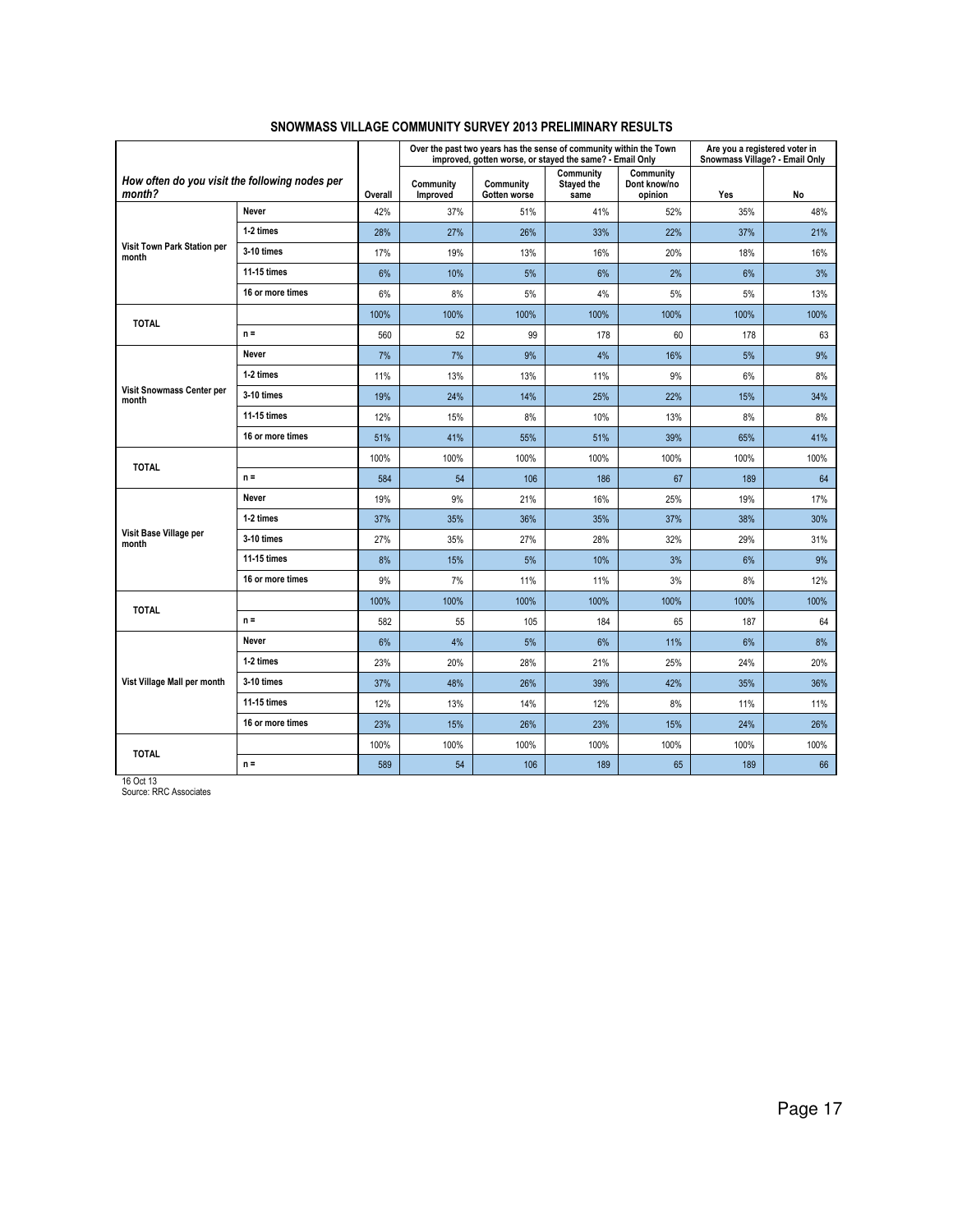|                                                          |                  |         |                       |                           | Over the past two years has the sense of community within the Town<br>improved, gotten worse, or stayed the same? - Email Only |                                      | Are you a registered voter in<br>Snowmass Village? - Email Only |      |
|----------------------------------------------------------|------------------|---------|-----------------------|---------------------------|--------------------------------------------------------------------------------------------------------------------------------|--------------------------------------|-----------------------------------------------------------------|------|
| How often do you visit the following nodes per<br>month? |                  | Overall | Community<br>Improved | Community<br>Gotten worse | Community<br><b>Stayed the</b><br>same                                                                                         | Community<br>Dont know/no<br>opinion | Yes                                                             | No   |
|                                                          | Never            | 42%     | 37%                   | 51%                       | 41%                                                                                                                            | 52%                                  | 35%                                                             | 48%  |
|                                                          | 1-2 times        | 28%     | 27%                   | 26%                       | 33%                                                                                                                            | 22%                                  | 37%                                                             | 21%  |
| Visit Town Park Station per<br>month                     | 3-10 times       | 17%     | 19%                   | 13%                       | 16%                                                                                                                            | 20%                                  | 18%                                                             | 16%  |
|                                                          | 11-15 times      | 6%      | 10%                   | 5%                        | 6%                                                                                                                             | 2%                                   | 6%                                                              | 3%   |
|                                                          | 16 or more times | 6%      | 8%                    | 5%                        | 4%                                                                                                                             | 5%                                   | 5%                                                              | 13%  |
| <b>TOTAL</b>                                             |                  | 100%    | 100%                  | 100%                      | 100%                                                                                                                           | 100%                                 | 100%                                                            | 100% |
|                                                          | $n =$            | 560     | 52                    | 99                        | 178                                                                                                                            | 60                                   | 178                                                             | 63   |
|                                                          | Never            | 7%      | 7%                    | 9%                        | 4%                                                                                                                             | 16%                                  | 5%                                                              | 9%   |
|                                                          | 1-2 times        | 11%     | 13%                   | 13%                       | 11%                                                                                                                            | 9%                                   | 6%                                                              | 8%   |
| Visit Snowmass Center per<br>month                       | 3-10 times       | 19%     | 24%                   | 14%                       | 25%                                                                                                                            | 22%                                  | 15%                                                             | 34%  |
|                                                          | 11-15 times      | 12%     | 15%                   | 8%                        | 10%                                                                                                                            | 13%                                  | 8%                                                              | 8%   |
|                                                          | 16 or more times | 51%     | 41%                   | 55%                       | 51%                                                                                                                            | 39%                                  | 65%                                                             | 41%  |
| <b>TOTAL</b>                                             |                  | 100%    | 100%                  | 100%                      | 100%                                                                                                                           | 100%                                 | 100%                                                            | 100% |
|                                                          | $n =$            | 584     | 54                    | 106                       | 186                                                                                                                            | 67                                   | 189                                                             | 64   |
|                                                          | Never            | 19%     | 9%                    | 21%                       | 16%                                                                                                                            | 25%                                  | 19%                                                             | 17%  |
|                                                          | 1-2 times        | 37%     | 35%                   | 36%                       | 35%                                                                                                                            | 37%                                  | 38%                                                             | 30%  |
| Visit Base Village per<br>month                          | 3-10 times       | 27%     | 35%                   | 27%                       | 28%                                                                                                                            | 32%                                  | 29%                                                             | 31%  |
|                                                          | 11-15 times      | 8%      | 15%                   | 5%                        | 10%                                                                                                                            | 3%                                   | 6%                                                              | 9%   |
|                                                          | 16 or more times | 9%      | 7%                    | 11%                       | 11%                                                                                                                            | 3%                                   | 8%                                                              | 12%  |
| <b>TOTAL</b>                                             |                  | 100%    | 100%                  | 100%                      | 100%                                                                                                                           | 100%                                 | 100%                                                            | 100% |
|                                                          | $n =$            | 582     | 55                    | 105                       | 184                                                                                                                            | 65                                   | 187                                                             | 64   |
|                                                          | Never            | 6%      | 4%                    | 5%                        | 6%                                                                                                                             | 11%                                  | 6%                                                              | 8%   |
|                                                          | 1-2 times        | 23%     | 20%                   | 28%                       | 21%                                                                                                                            | 25%                                  | 24%                                                             | 20%  |
| Vist Village Mall per month                              | 3-10 times       | 37%     | 48%                   | 26%                       | 39%                                                                                                                            | 42%                                  | 35%                                                             | 36%  |
|                                                          | 11-15 times      | 12%     | 13%                   | 14%                       | 12%                                                                                                                            | 8%                                   | 11%                                                             | 11%  |
|                                                          | 16 or more times | 23%     | 15%                   | 26%                       | 23%                                                                                                                            | 15%                                  | 24%                                                             | 26%  |
| <b>TOTAL</b>                                             |                  | 100%    | 100%                  | 100%                      | 100%                                                                                                                           | 100%                                 | 100%                                                            | 100% |
|                                                          | $n =$            | 589     | 54                    | 106                       | 189                                                                                                                            | 65                                   | 189                                                             | 66   |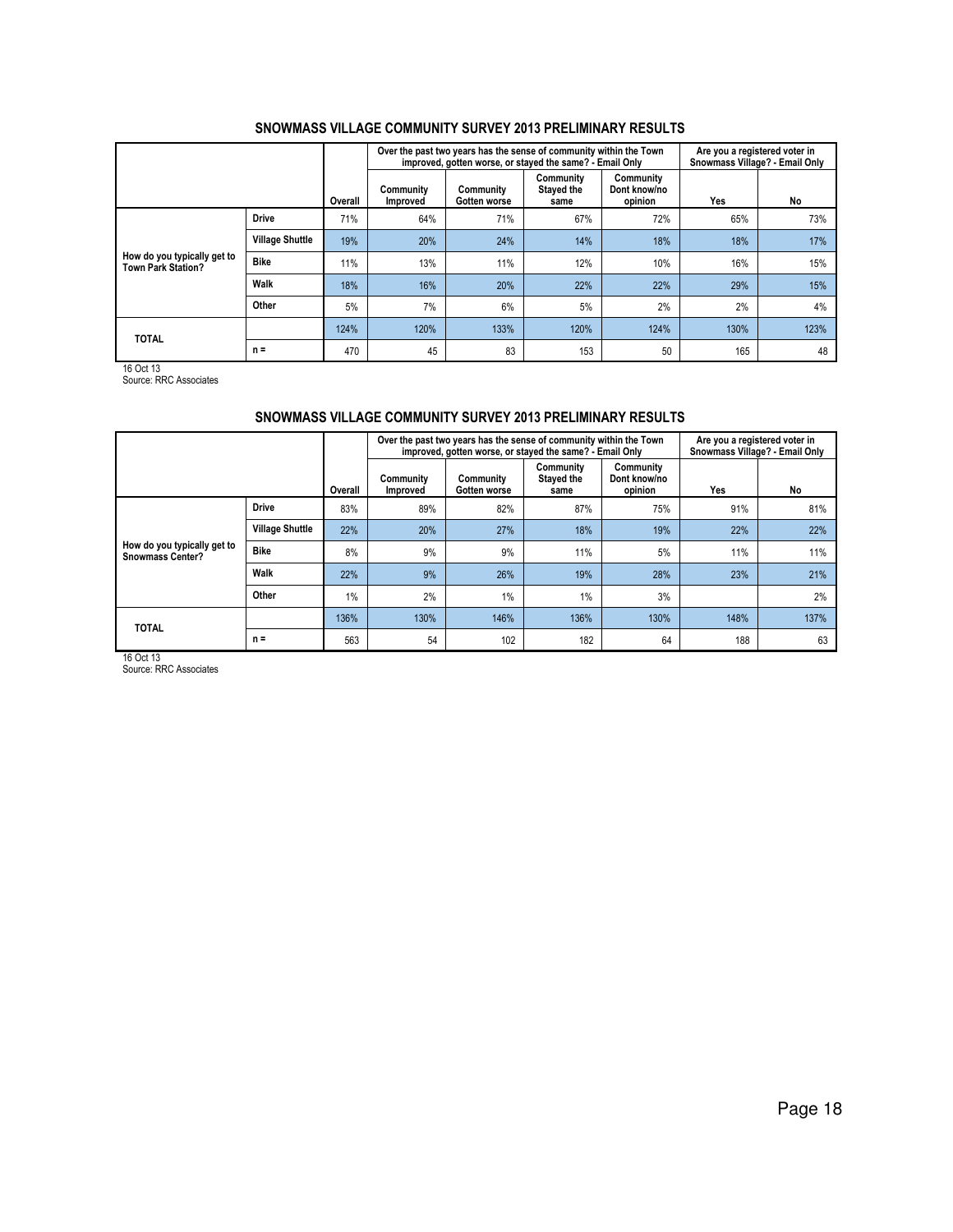|                                                          |                        |         |                       | Over the past two years has the sense of community within the Town<br>improved, gotten worse, or stayed the same? - Email Only |                                 |                                      | Are you a registered voter in<br>Snowmass Village? - Email Only |      |  |
|----------------------------------------------------------|------------------------|---------|-----------------------|--------------------------------------------------------------------------------------------------------------------------------|---------------------------------|--------------------------------------|-----------------------------------------------------------------|------|--|
|                                                          |                        | Overall | Community<br>Improved | Community<br>Gotten worse                                                                                                      | Community<br>Stayed the<br>same | Community<br>Dont know/no<br>opinion | Yes                                                             | No   |  |
|                                                          | <b>Drive</b>           | 71%     | 64%                   | 71%                                                                                                                            | 67%                             | 72%                                  | 65%                                                             | 73%  |  |
|                                                          | <b>Village Shuttle</b> | 19%     | 20%                   | 24%                                                                                                                            | 14%                             | 18%                                  | 18%                                                             | 17%  |  |
| How do you typically get to<br><b>Town Park Station?</b> | <b>Bike</b>            | 11%     | 13%                   | 11%                                                                                                                            | 12%                             | 10%                                  | 16%                                                             | 15%  |  |
|                                                          | Walk                   | 18%     | 16%                   | 20%                                                                                                                            | 22%                             | 22%                                  | 29%                                                             | 15%  |  |
|                                                          | Other                  | 5%      | 7%                    | 6%                                                                                                                             | 5%                              | 2%                                   | 2%                                                              | 4%   |  |
| <b>TOTAL</b>                                             |                        | 124%    | 120%                  | 133%                                                                                                                           | 120%                            | 124%                                 | 130%                                                            | 123% |  |
|                                                          | $n =$                  | 470     | 45                    | 83                                                                                                                             | 153                             | 50                                   | 165                                                             | 48   |  |

16 Oct 13 Source: RRC Associates

## SNOWMASS VILLAGE COMMUNITY SURVEY 2013 PRELIMINARY RESULTS

|                                                        |                        |         |                       | Over the past two years has the sense of community within the Town<br>improved, gotten worse, or stayed the same? - Email Only |                                 |                                      | Are you a registered voter in<br>Snowmass Village? - Email Only |      |  |
|--------------------------------------------------------|------------------------|---------|-----------------------|--------------------------------------------------------------------------------------------------------------------------------|---------------------------------|--------------------------------------|-----------------------------------------------------------------|------|--|
|                                                        |                        | Overall | Community<br>Improved | Community<br>Gotten worse                                                                                                      | Community<br>Stayed the<br>same | Community<br>Dont know/no<br>opinion | Yes                                                             | No   |  |
|                                                        | <b>Drive</b>           | 83%     | 89%                   | 82%                                                                                                                            | 87%                             | 75%                                  | 91%                                                             | 81%  |  |
|                                                        | <b>Village Shuttle</b> | 22%     | 20%                   | 27%                                                                                                                            | 18%                             | 19%                                  | 22%                                                             | 22%  |  |
| How do you typically get to<br><b>Snowmass Center?</b> | <b>Bike</b>            | 8%      | 9%                    | 9%                                                                                                                             | 11%                             | 5%                                   | 11%                                                             | 11%  |  |
|                                                        | Walk                   | 22%     | 9%                    | 26%                                                                                                                            | 19%                             | 28%                                  | 23%                                                             | 21%  |  |
|                                                        | Other                  | 1%      | 2%                    | 1%                                                                                                                             | $1\%$                           | 3%                                   |                                                                 | 2%   |  |
| <b>TOTAL</b>                                           |                        | 136%    | 130%                  | 146%                                                                                                                           | 136%                            | 130%                                 | 148%                                                            | 137% |  |
|                                                        | $n =$                  | 563     | 54                    | 102                                                                                                                            | 182                             | 64                                   | 188                                                             | 63   |  |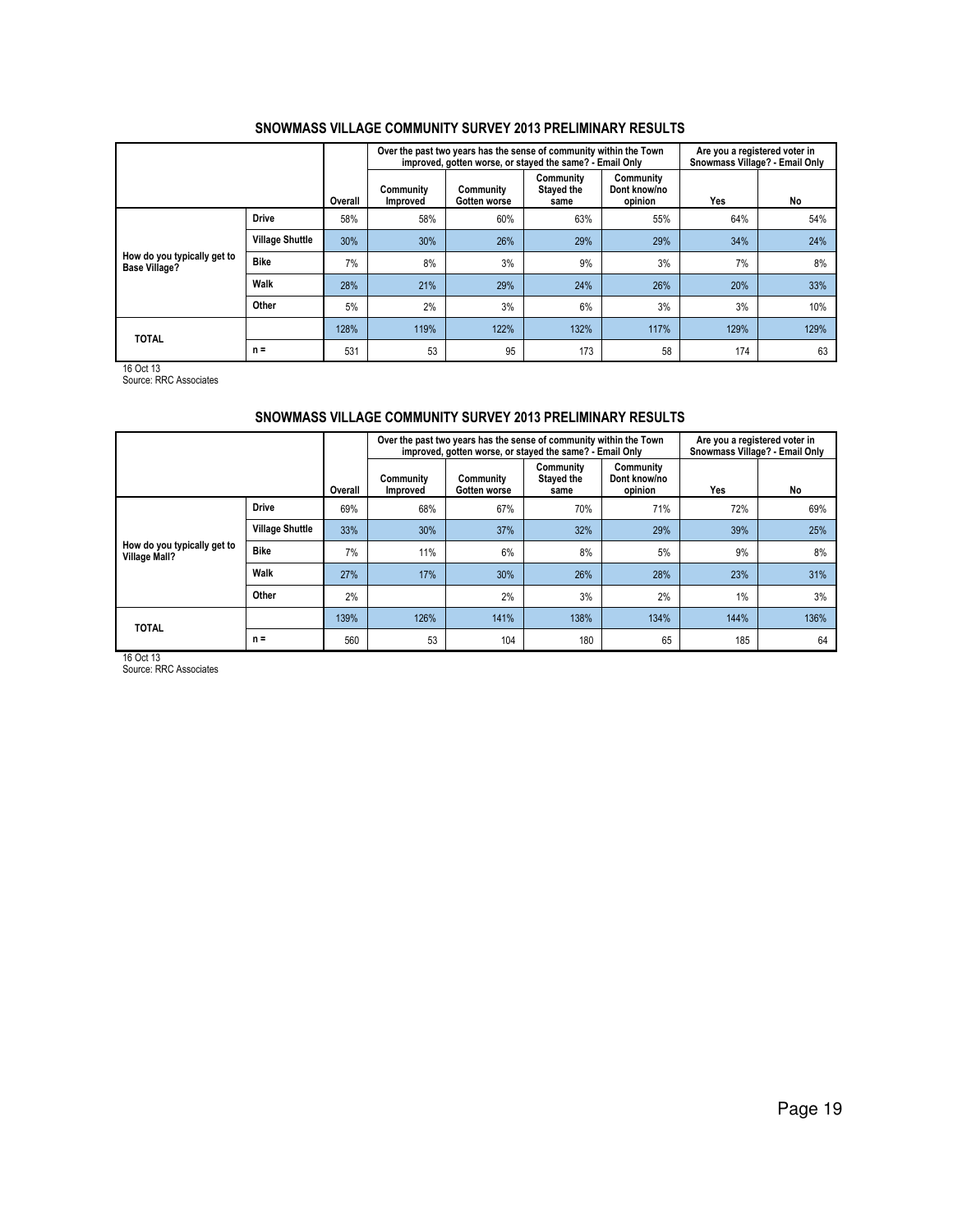|                                              |                        |         |                       | Over the past two years has the sense of community within the Town<br>improved, gotten worse, or stayed the same? - Email Only |                                 |                                      | Are you a registered voter in<br>Snowmass Village? - Email Only |      |  |
|----------------------------------------------|------------------------|---------|-----------------------|--------------------------------------------------------------------------------------------------------------------------------|---------------------------------|--------------------------------------|-----------------------------------------------------------------|------|--|
|                                              |                        | Overall | Community<br>Improved | Community<br>Gotten worse                                                                                                      | Community<br>Stayed the<br>same | Community<br>Dont know/no<br>opinion | Yes                                                             | No   |  |
|                                              | <b>Drive</b>           | 58%     | 58%                   | 60%                                                                                                                            | 63%                             | 55%                                  | 64%                                                             | 54%  |  |
|                                              | <b>Village Shuttle</b> | 30%     | 30%                   | 26%                                                                                                                            | 29%                             | 29%                                  | 34%                                                             | 24%  |  |
| How do you typically get to<br>Base Village? | <b>Bike</b>            | 7%      | 8%                    | 3%                                                                                                                             | 9%                              | 3%                                   | 7%                                                              | 8%   |  |
|                                              | Walk                   | 28%     | 21%                   | 29%                                                                                                                            | 24%                             | 26%                                  | 20%                                                             | 33%  |  |
|                                              | Other                  | 5%      | 2%                    | 3%                                                                                                                             | 6%                              | 3%                                   | 3%                                                              | 10%  |  |
| <b>TOTAL</b>                                 |                        | 128%    | 119%                  | 122%                                                                                                                           | 132%                            | 117%                                 | 129%                                                            | 129% |  |
|                                              | $n =$                  | 531     | 53                    | 95                                                                                                                             | 173                             | 58                                   | 174                                                             | 63   |  |

16 Oct 13 Source: RRC Associates

## SNOWMASS VILLAGE COMMUNITY SURVEY 2013 PRELIMINARY RESULTS

|                                              |                        |         |                       | Over the past two years has the sense of community within the Town<br>improved, gotten worse, or stayed the same? - Email Only |                                 |                                      | Are you a registered voter in<br>Snowmass Village? - Email Only |      |  |
|----------------------------------------------|------------------------|---------|-----------------------|--------------------------------------------------------------------------------------------------------------------------------|---------------------------------|--------------------------------------|-----------------------------------------------------------------|------|--|
|                                              |                        | Overall | Community<br>Improved | Community<br>Gotten worse                                                                                                      | Community<br>Stayed the<br>same | Community<br>Dont know/no<br>opinion | Yes                                                             | No   |  |
|                                              | <b>Drive</b>           | 69%     | 68%                   | 67%                                                                                                                            | 70%                             | 71%                                  | 72%                                                             | 69%  |  |
|                                              | <b>Village Shuttle</b> | 33%     | 30%                   | 37%                                                                                                                            | 32%                             | 29%                                  | 39%                                                             | 25%  |  |
| How do you typically get to<br>Village Mall? | <b>Bike</b>            | 7%      | 11%                   | 6%                                                                                                                             | 8%                              | 5%                                   | 9%                                                              | 8%   |  |
|                                              | Walk                   | 27%     | 17%                   | 30%                                                                                                                            | 26%                             | 28%                                  | 23%                                                             | 31%  |  |
|                                              | Other                  | 2%      |                       | 2%                                                                                                                             | 3%                              | 2%                                   | 1%                                                              | 3%   |  |
| <b>TOTAL</b>                                 |                        | 139%    | 126%                  | 141%                                                                                                                           | 138%                            | 134%                                 | 144%                                                            | 136% |  |
|                                              | $n =$                  | 560     | 53                    | 104                                                                                                                            | 180                             | 65                                   | 185                                                             | 64   |  |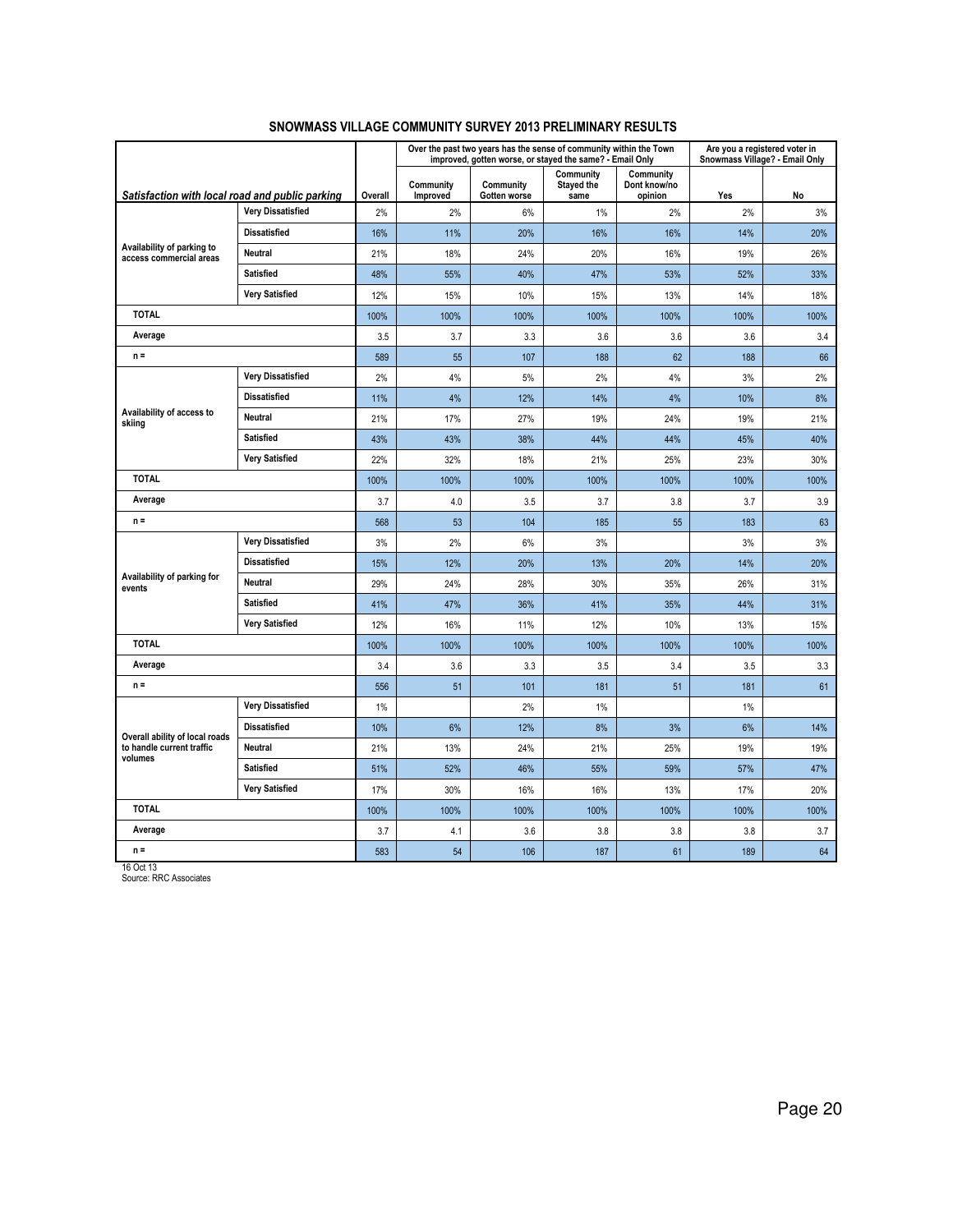|                                                       |                          |         |                       | Over the past two years has the sense of community within the Town<br>improved, gotten worse, or stayed the same? - Email Only |                                 |                                      | Are you a registered voter in<br>Snowmass Village? - Email Only |      |
|-------------------------------------------------------|--------------------------|---------|-----------------------|--------------------------------------------------------------------------------------------------------------------------------|---------------------------------|--------------------------------------|-----------------------------------------------------------------|------|
| Satisfaction with local road and public parking       |                          | Overall | Community<br>Improved | Community<br>Gotten worse                                                                                                      | Community<br>Stayed the<br>same | Community<br>Dont know/no<br>opinion | Yes                                                             | No   |
|                                                       | <b>Very Dissatisfied</b> | 2%      | 2%                    | 6%                                                                                                                             | $1\%$                           | 2%                                   | 2%                                                              | 3%   |
|                                                       | <b>Dissatisfied</b>      | 16%     | 11%                   | 20%                                                                                                                            | 16%                             | 16%                                  | 14%                                                             | 20%  |
| Availability of parking to<br>access commercial areas | <b>Neutral</b>           | 21%     | 18%                   | 24%                                                                                                                            | 20%                             | 16%                                  | 19%                                                             | 26%  |
|                                                       | <b>Satisfied</b>         | 48%     | 55%                   | 40%                                                                                                                            | 47%                             | 53%                                  | 52%                                                             | 33%  |
|                                                       | <b>Very Satisfied</b>    | 12%     | 15%                   | 10%                                                                                                                            | 15%                             | 13%                                  | 14%                                                             | 18%  |
| <b>TOTAL</b>                                          |                          | 100%    | 100%                  | 100%                                                                                                                           | 100%                            | 100%                                 | 100%                                                            | 100% |
| Average                                               |                          | 3.5     | 3.7                   | 3.3                                                                                                                            | 3.6                             | 3.6                                  | 3.6                                                             | 3.4  |
| $n =$                                                 |                          | 589     | 55                    | 107                                                                                                                            | 188                             | 62                                   | 188                                                             | 66   |
|                                                       | <b>Very Dissatisfied</b> | 2%      | 4%                    | 5%                                                                                                                             | 2%                              | 4%                                   | 3%                                                              | 2%   |
|                                                       | <b>Dissatisfied</b>      | 11%     | 4%                    | 12%                                                                                                                            | 14%                             | 4%                                   | 10%                                                             | 8%   |
| Availability of access to<br>skiing                   | Neutral                  | 21%     | 17%                   | 27%                                                                                                                            | 19%                             | 24%                                  | 19%                                                             | 21%  |
|                                                       | <b>Satisfied</b>         | 43%     | 43%                   | 38%                                                                                                                            | 44%                             | 44%                                  | 45%                                                             | 40%  |
|                                                       | <b>Very Satisfied</b>    | 22%     | 32%                   | 18%                                                                                                                            | 21%                             | 25%                                  | 23%                                                             | 30%  |
| <b>TOTAL</b>                                          |                          | 100%    | 100%                  | 100%                                                                                                                           | 100%                            | 100%                                 | 100%                                                            | 100% |
| Average                                               |                          | 3.7     | 4.0                   | 3.5                                                                                                                            | 3.7                             | 3.8                                  | 3.7                                                             | 3.9  |
| $n =$                                                 |                          | 568     | 53                    | 104                                                                                                                            | 185                             | 55                                   | 183                                                             | 63   |
|                                                       | <b>Very Dissatisfied</b> | 3%      | 2%                    | 6%                                                                                                                             | 3%                              |                                      | 3%                                                              | 3%   |
|                                                       | <b>Dissatisfied</b>      | 15%     | 12%                   | 20%                                                                                                                            | 13%                             | 20%                                  | 14%                                                             | 20%  |
| Availability of parking for<br>events                 | Neutral                  | 29%     | 24%                   | 28%                                                                                                                            | 30%                             | 35%                                  | 26%                                                             | 31%  |
|                                                       | <b>Satisfied</b>         | 41%     | 47%                   | 36%                                                                                                                            | 41%                             | 35%                                  | 44%                                                             | 31%  |
|                                                       | <b>Very Satisfied</b>    | 12%     | 16%                   | 11%                                                                                                                            | 12%                             | 10%                                  | 13%                                                             | 15%  |
| <b>TOTAL</b>                                          |                          | 100%    | 100%                  | 100%                                                                                                                           | 100%                            | 100%                                 | 100%                                                            | 100% |
| Average                                               |                          | 3.4     | 3.6                   | 3.3                                                                                                                            | 3.5                             | 3.4                                  | 3.5                                                             | 3.3  |
| $n =$                                                 |                          | 556     | 51                    | 101                                                                                                                            | 181                             | 51                                   | 181                                                             | 61   |
|                                                       | <b>Very Dissatisfied</b> | 1%      |                       | 2%                                                                                                                             | 1%                              |                                      | 1%                                                              |      |
| Overall ability of local roads                        | <b>Dissatisfied</b>      | 10%     | 6%                    | 12%                                                                                                                            | 8%                              | 3%                                   | 6%                                                              | 14%  |
| to handle current traffic<br>volumes                  | Neutral                  | 21%     | 13%                   | 24%                                                                                                                            | 21%                             | 25%                                  | 19%                                                             | 19%  |
|                                                       | <b>Satisfied</b>         | 51%     | 52%                   | 46%                                                                                                                            | 55%                             | 59%                                  | 57%                                                             | 47%  |
|                                                       | <b>Very Satisfied</b>    | 17%     | 30%                   | 16%                                                                                                                            | 16%                             | 13%                                  | 17%                                                             | 20%  |
| <b>TOTAL</b>                                          |                          | 100%    | 100%                  | 100%                                                                                                                           | 100%                            | 100%                                 | 100%                                                            | 100% |
| Average                                               |                          | 3.7     | 4.1                   | 3.6                                                                                                                            | 3.8                             | 3.8                                  | 3.8                                                             | 3.7  |
| $n =$                                                 |                          | 583     | 54                    | 106                                                                                                                            | 187                             | 61                                   | 189                                                             | 64   |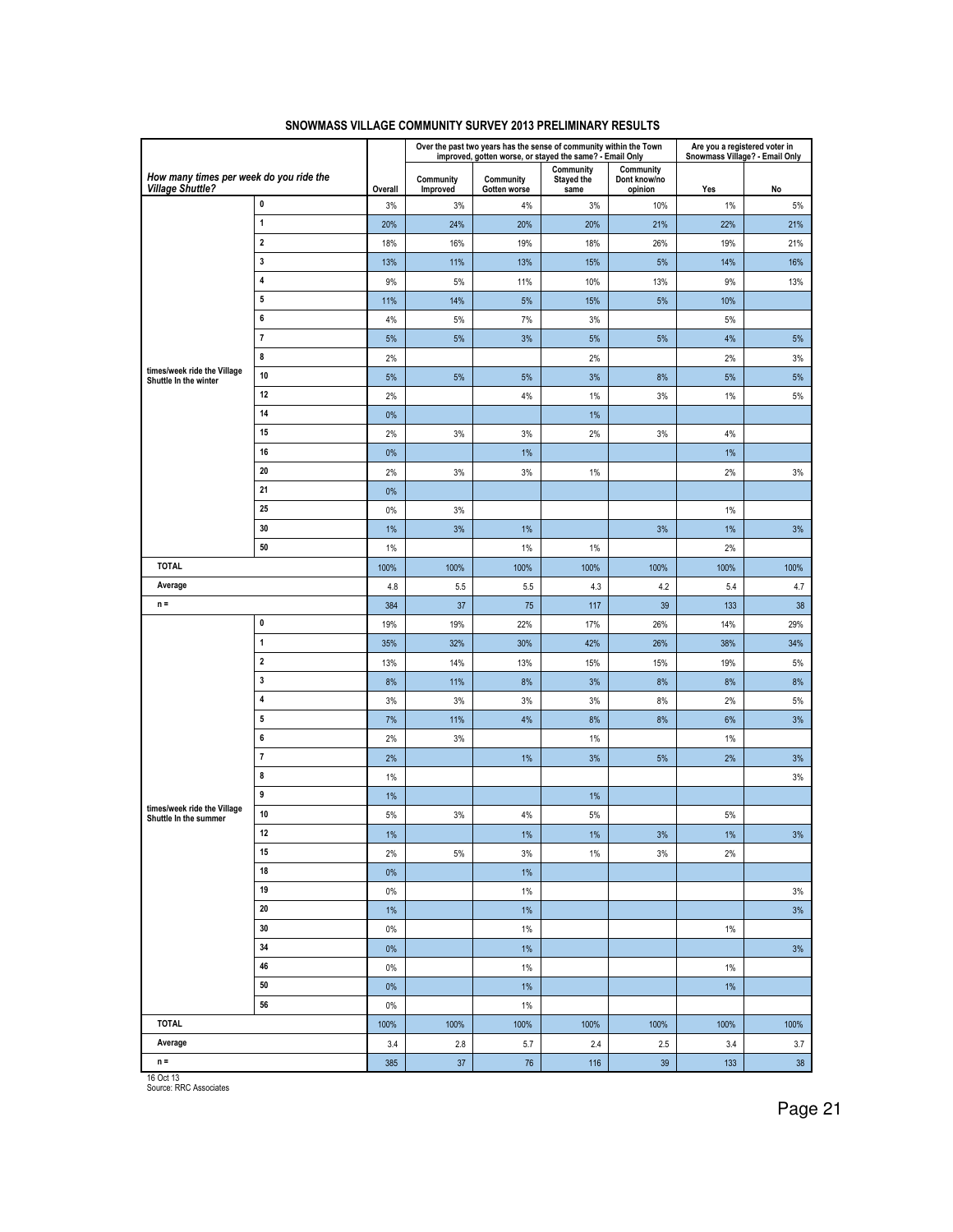|                                                                    |                         |         |                       | Over the past two years has the sense of community within the Town<br>improved, gotten worse, or stayed the same? - Email Only |                                 |                                      |       | Are you a registered voter in<br>Snowmass Village? - Email Only |
|--------------------------------------------------------------------|-------------------------|---------|-----------------------|--------------------------------------------------------------------------------------------------------------------------------|---------------------------------|--------------------------------------|-------|-----------------------------------------------------------------|
| How many times per week do you ride the<br><b>Village Shuttle?</b> |                         | Overall | Community<br>Improved | Community<br>Gotten worse                                                                                                      | Community<br>Stayed the<br>same | Community<br>Dont know/no<br>opinion | Yes   | No                                                              |
|                                                                    | 0                       | 3%      | 3%                    | 4%                                                                                                                             | 3%                              | 10%                                  | 1%    | 5%                                                              |
|                                                                    | 1                       | 20%     | 24%                   | 20%                                                                                                                            | 20%                             | 21%                                  | 22%   | 21%                                                             |
|                                                                    | $\mathbf 2$             | 18%     | 16%                   | 19%                                                                                                                            | 18%                             | 26%                                  | 19%   | 21%                                                             |
|                                                                    | 3                       | 13%     | 11%                   | 13%                                                                                                                            | 15%                             | 5%                                   | 14%   | 16%                                                             |
|                                                                    | 4                       | 9%      | 5%                    | 11%                                                                                                                            | 10%                             | 13%                                  | 9%    | 13%                                                             |
|                                                                    | 5                       | 11%     | 14%                   | $5%$                                                                                                                           | 15%                             | $5%$                                 | 10%   |                                                                 |
|                                                                    | 6                       | 4%      | 5%                    | 7%                                                                                                                             | 3%                              |                                      | 5%    |                                                                 |
|                                                                    | $\overline{\mathbf{r}}$ | 5%      | 5%                    | 3%                                                                                                                             | 5%                              | 5%                                   | 4%    | 5%                                                              |
|                                                                    | 8                       | 2%      |                       |                                                                                                                                | 2%                              |                                      | 2%    | 3%                                                              |
| times/week ride the Village<br>Shuttle In the winter               | 10                      | 5%      | 5%                    | 5%                                                                                                                             | 3%                              | 8%                                   | 5%    | 5%                                                              |
|                                                                    | 12                      | 2%      |                       | 4%                                                                                                                             | $1\%$                           | 3%                                   | 1%    | 5%                                                              |
|                                                                    | 14                      | $0\%$   |                       |                                                                                                                                | 1%                              |                                      |       |                                                                 |
|                                                                    | 15                      | 2%      | 3%                    | 3%                                                                                                                             | 2%                              | 3%                                   | 4%    |                                                                 |
|                                                                    | 16                      | 0%      |                       | 1%                                                                                                                             |                                 |                                      | 1%    |                                                                 |
|                                                                    | 20                      | 2%      | 3%                    | 3%                                                                                                                             | 1%                              |                                      | 2%    | 3%                                                              |
|                                                                    | 21                      | $0\%$   |                       |                                                                                                                                |                                 |                                      |       |                                                                 |
|                                                                    | 25                      | $0\%$   | 3%                    |                                                                                                                                |                                 |                                      | $1\%$ |                                                                 |
|                                                                    | 30                      | 1%      | 3%                    | $1\%$                                                                                                                          |                                 | 3%                                   | 1%    | $3%$                                                            |
|                                                                    | 50                      | 1%      |                       | $1\%$                                                                                                                          | 1%                              |                                      | 2%    |                                                                 |
| <b>TOTAL</b>                                                       |                         | 100%    | 100%                  | 100%                                                                                                                           | 100%                            | 100%                                 | 100%  | 100%                                                            |
| Average                                                            |                         | 4.8     | 5.5                   | 5.5                                                                                                                            | 4.3                             | 4.2                                  | 5.4   | 4.7                                                             |
| $n =$                                                              |                         | 384     | 37                    | 75                                                                                                                             | 117                             | 39                                   | 133   | 38                                                              |
|                                                                    | 0                       | 19%     | 19%                   | 22%                                                                                                                            | 17%                             | 26%                                  | 14%   | 29%                                                             |
|                                                                    | 1                       | 35%     | 32%                   | 30%                                                                                                                            | 42%                             | 26%                                  | 38%   | 34%                                                             |
|                                                                    | $\mathbf 2$             | 13%     | 14%                   | 13%                                                                                                                            | 15%                             | 15%                                  | 19%   | 5%                                                              |
|                                                                    | 3                       | 8%      | 11%                   | 8%                                                                                                                             | 3%                              | 8%                                   | 8%    | 8%                                                              |
|                                                                    | 4                       | 3%      | 3%                    | 3%                                                                                                                             | 3%                              | 8%                                   | 2%    | 5%                                                              |
|                                                                    | 5                       | 7%      | 11%                   | 4%                                                                                                                             | 8%                              | 8%                                   | 6%    | 3%                                                              |
|                                                                    | 6                       | 2%      | 3%                    |                                                                                                                                | 1%                              |                                      | 1%    |                                                                 |
|                                                                    | 7                       | 2%      |                       | 1%                                                                                                                             | 3%                              | 5%                                   | 2%    | 3%                                                              |
|                                                                    | 8                       | $1\%$   |                       |                                                                                                                                |                                 |                                      |       | 3%                                                              |
| times/week ride the Village                                        | 9                       | $1\%$   |                       |                                                                                                                                | 1%                              |                                      |       |                                                                 |
| Shuttle In the summer                                              | 10                      | 5%      | 3%                    | 4%                                                                                                                             | 5%                              |                                      | 5%    |                                                                 |
|                                                                    | $12\,$                  | $1\%$   |                       | 1%                                                                                                                             | $1\%$                           | $3%$                                 | 1%    | 3%                                                              |
|                                                                    | 15<br>18                | 2%      | $5\%$                 | 3%                                                                                                                             | 1%                              | 3%                                   | 2%    |                                                                 |
|                                                                    | 19                      | $0\%$   |                       | 1%                                                                                                                             |                                 |                                      |       |                                                                 |
|                                                                    | 20                      | $0\%$   |                       | $1\%$                                                                                                                          |                                 |                                      |       | 3%                                                              |
|                                                                    |                         | 1%      |                       | $1\%$                                                                                                                          |                                 |                                      |       | 3%                                                              |
|                                                                    | 30<br>34                | $0\%$   |                       | 1%                                                                                                                             |                                 |                                      | 1%    |                                                                 |
|                                                                    | 46                      | $0\%$   |                       | $1\%$                                                                                                                          |                                 |                                      |       | 3%                                                              |
|                                                                    |                         | $0\%$   |                       | $1\%$                                                                                                                          |                                 |                                      | 1%    |                                                                 |
|                                                                    | 50                      | $0\%$   |                       | $1\%$                                                                                                                          |                                 |                                      | 1%    |                                                                 |
| 56                                                                 |                         | $0\%$   |                       | $1\%$                                                                                                                          |                                 |                                      |       |                                                                 |
| <b>TOTAL</b>                                                       |                         | 100%    | 100%                  | 100%                                                                                                                           | 100%                            | 100%                                 | 100%  | 100%                                                            |
| Average                                                            |                         | 3.4     | $2.8\,$               | 5.7                                                                                                                            | 2.4                             | 2.5                                  | 3.4   | 3.7                                                             |
| $n =$<br>16 Oct 13                                                 |                         | 385     | 37                    | 76                                                                                                                             | 116                             | 39                                   | 133   | 38                                                              |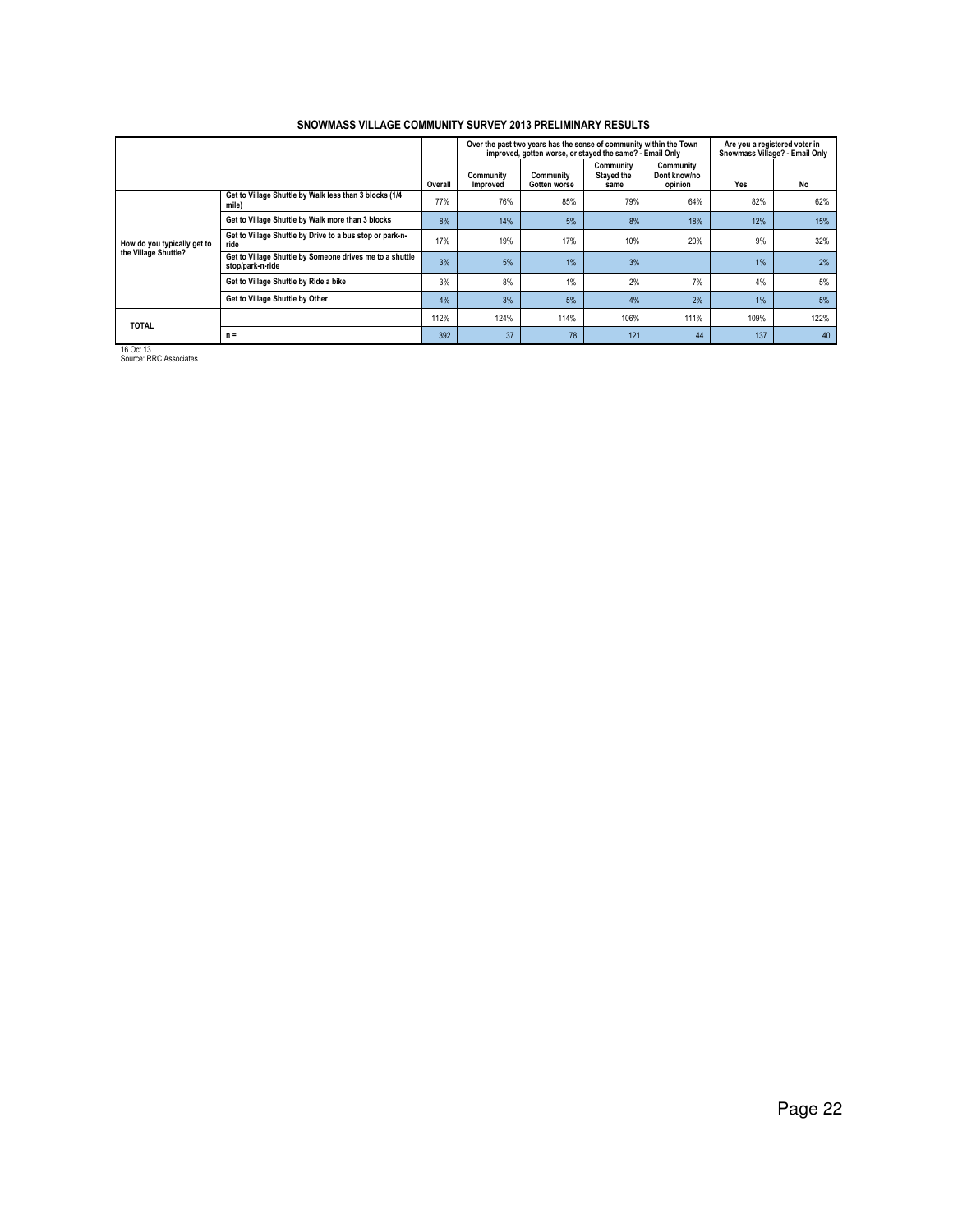|                                                                                                 |                                                                              |         |                       | Over the past two years has the sense of community within the Town<br>improved, gotten worse, or stayed the same? - Email Only |                                 |                                      | Are you a registered voter in<br>Snowmass Village? - Email Only |      |  |
|-------------------------------------------------------------------------------------------------|------------------------------------------------------------------------------|---------|-----------------------|--------------------------------------------------------------------------------------------------------------------------------|---------------------------------|--------------------------------------|-----------------------------------------------------------------|------|--|
|                                                                                                 |                                                                              | Overall | Community<br>Improved | Community<br>Gotten worse                                                                                                      | Community<br>Stayed the<br>same | Community<br>Dont know/no<br>opinion | Yes                                                             | No   |  |
|                                                                                                 | Get to Village Shuttle by Walk less than 3 blocks (1/4<br>mile)              | 77%     | 76%                   | 85%                                                                                                                            | 79%                             | 64%                                  | 82%                                                             | 62%  |  |
|                                                                                                 | Get to Village Shuttle by Walk more than 3 blocks                            | 8%      | 14%                   | 5%                                                                                                                             | 8%                              | 18%                                  | 12%                                                             | 15%  |  |
| Get to Village Shuttle by Drive to a bus stop or park-n-<br>How do you typically get to<br>ride |                                                                              | 17%     | 19%                   | 17%                                                                                                                            | 10%                             | 20%                                  | 9%                                                              | 32%  |  |
| the Village Shuttle?                                                                            | Get to Village Shuttle by Someone drives me to a shuttle<br>stop/park-n-ride | 3%      | 5%                    | 1%                                                                                                                             | 3%                              |                                      | 1%                                                              | 2%   |  |
|                                                                                                 | Get to Village Shuttle by Ride a bike                                        | 3%      | 8%                    | 1%                                                                                                                             | 2%                              | 7%                                   | 4%                                                              | 5%   |  |
|                                                                                                 | Get to Village Shuttle by Other                                              | 4%      | 3%                    | 5%                                                                                                                             | 4%                              | 2%                                   | 1%                                                              | 5%   |  |
| <b>TOTAL</b>                                                                                    |                                                                              | 112%    | 124%                  | 114%                                                                                                                           | 106%                            | 111%                                 | 109%                                                            | 122% |  |
|                                                                                                 | $n =$                                                                        | 392     | 37                    | 78                                                                                                                             | 121                             | 44                                   | 137                                                             | 40   |  |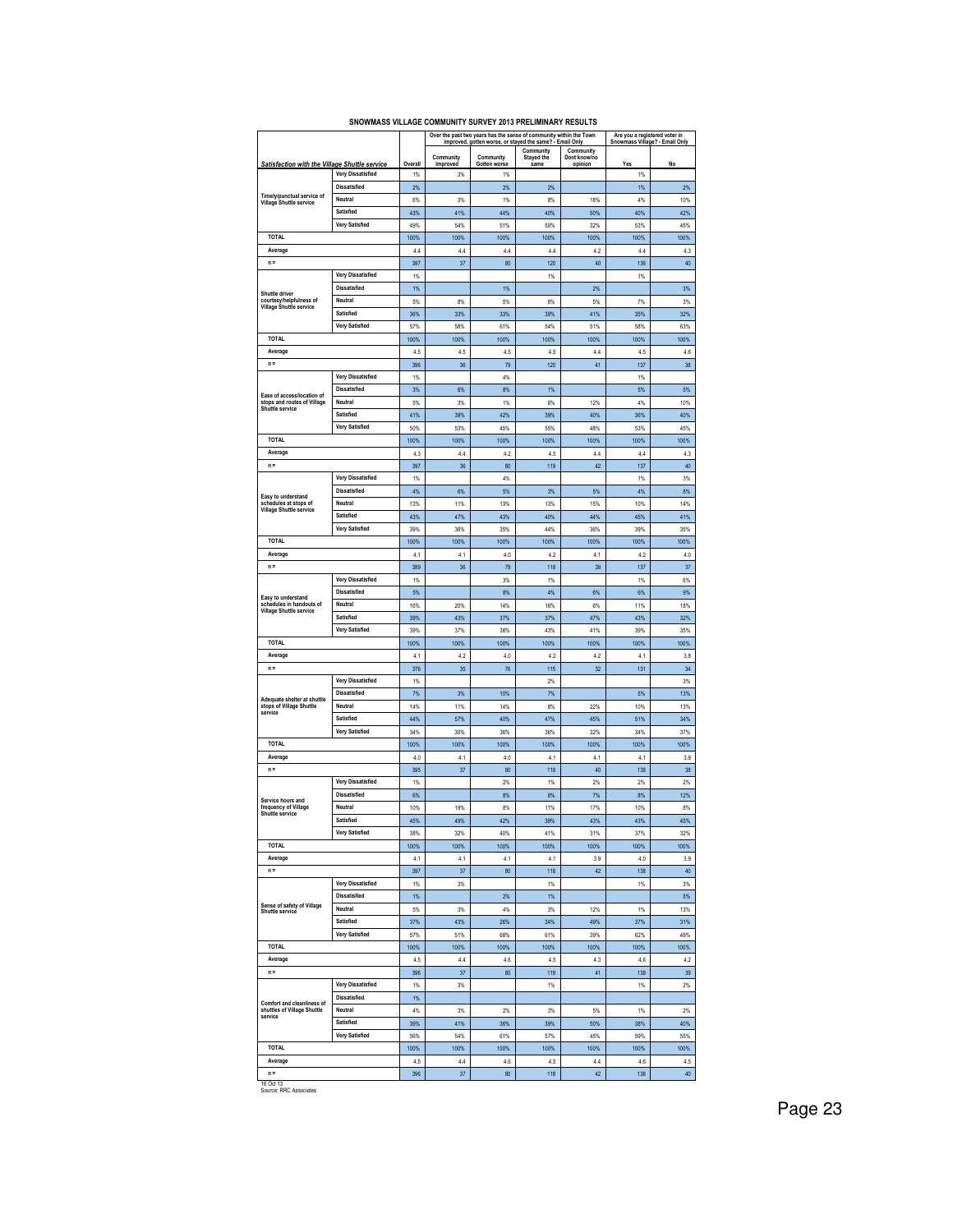| <b>Community</b><br>Stayed the<br>Community<br>Community<br>Community<br>Dont know/no<br>same<br>Satisfaction with the Village Shuttle service<br>Overall<br>Improved<br>Gotten worse<br>Yes<br>No<br>opinion<br><b>Very Dissatisfied</b><br>1%<br>3%<br>1%<br>1%<br><b>Dissatisfied</b><br>2%<br>2%<br>1%<br>2%<br>2%<br>Timely/punctual service of<br>Neutral<br>1%<br>8%<br>4%<br>10%<br>6%<br>3%<br>18%<br><b>Village Shuttle service</b><br>Satisfied<br>41%<br>44%<br>40%<br>40%<br>43%<br>50%<br>42%<br><b>Very Satisfied</b><br>49%<br>54%<br>50%<br>32%<br>45%<br>51%<br>53%<br><b>TOTAL</b><br>100%<br>100%<br>100%<br>100%<br>100%<br>100%<br>100%<br>Average<br>4.4<br>4.2<br>4.4<br>4.3<br>4.4<br>4.4<br>4.4<br>$n =$<br>397<br>37<br>80<br>120<br>40<br>136<br>40<br><b>Very Dissatisfied</b><br>1%<br>1%<br>1%<br><b>Dissatisfied</b><br>1%<br>3%<br>1%<br>2%<br>Shuttle driver<br>courtesy/helpfulness of<br>Neutral<br>5%<br>3%<br>5%<br>8%<br>6%<br>5%<br>7%<br><b>Village Shuttle service</b><br>Satisfied<br>41%<br>35%<br>32%<br>36%<br>33%<br>33%<br>39%<br><b>Very Satisfied</b><br>57%<br>58%<br>61%<br>54%<br>51%<br>58%<br>63%<br><b>TOTAL</b><br>100%<br>100%<br>100%<br>100%<br>100%<br>100%<br>100%<br>Average<br>4.5<br>4.5<br>4.5<br>4.5<br>4.4<br>4.5<br>4.6<br>36<br>79<br>120<br>41<br>38<br>$n =$<br>396<br>137<br><b>Very Dissatisfied</b><br>1%<br>4%<br>1%<br><b>Dissatisfied</b><br>8%<br>5%<br>3%<br>6%<br>1%<br>5%<br>Ease of access/location of<br>stops and routes of Village<br>Neutral<br>3%<br>$1\%$<br>4%<br>10%<br>5%<br>6%<br>12%<br>Shuttle service<br>Satisfied<br>41%<br>39%<br>42%<br>39%<br>40%<br>36%<br>40%<br><b>Very Satisfied</b><br>48%<br>53%<br>45%<br>50%<br>53%<br>45%<br>55%<br><b>TOTAL</b><br>100%<br>100%<br>100%<br>100%<br>100%<br>100%<br>100%<br>Average<br>4.4<br>4.2<br>4.5<br>4.4<br>4.4<br>4.3<br>4.3<br>36<br>42<br>40<br>$n =$<br>397<br>80<br>119<br>137<br><b>Very Dissatisfied</b><br>1%<br>4%<br>1%<br>3%<br><b>Dissatisfied</b><br>4%<br>5%<br>4%<br>8%<br>6%<br>3%<br>5%<br>Easy to understand<br>schedules at stops of<br>Neutral<br>13%<br>11%<br>13%<br>13%<br>15%<br>10%<br>14%<br><b>Village Shuttle service</b><br>Satisfied<br>47%<br>43%<br>40%<br>44%<br>45%<br>41%<br>43%<br><b>Very Satisfied</b><br>39%<br>36%<br>35%<br>44%<br>36%<br>39%<br>35%<br><b>TOTAL</b><br>100%<br>100%<br>100%<br>100%<br>100%<br>100%<br>100%<br>Average<br>4.1<br>4.1<br>4.0<br>42<br>4.1<br>42<br>4.0<br>$n =$<br>389<br>36<br>79<br>118<br>39<br>137<br>37<br><b>Very Dissatisfied</b><br>3%<br>1%<br>1%<br>6%<br>1%<br><b>Dissatisfied</b><br>5%<br>8%<br>4%<br>6%<br>6%<br>9%<br>Easy to understand<br>schedules in handouts of<br>Neutral<br>20%<br>14%<br>16%<br>6%<br>11%<br>18%<br>16%<br>Village Shuttle service<br>Satisfied<br>39%<br>43%<br>37%<br>37%<br>47%<br>43%<br>32%<br><b>Very Satisfied</b><br>37%<br>38%<br>41%<br>39%<br>39%<br>43%<br>35%<br><b>TOTAL</b><br>100%<br>100%<br>100%<br>100%<br>100%<br>100%<br>100%<br>Average<br>4.2<br>4.1<br>4.0<br>4.2<br>4.2<br>4.1<br>3.8<br>$n =$<br>35<br>32<br>34<br>376<br>76<br>115<br>131<br><b>Very Dissatisfied</b><br>1%<br>2%<br>3%<br><b>Dissatisfied</b><br>7%<br>3%<br>10%<br>7%<br>5%<br>13%<br>Adequate shelter at shuttle<br>Neutral<br>stops of Village Shuttle<br>14%<br>11%<br>14%<br>8%<br>22%<br>10%<br>13%<br>service<br>Satisfied<br>44%<br>57%<br>40%<br>47%<br>45%<br>51%<br>34%<br><b>Very Satisfied</b><br>34%<br>37%<br>34%<br>30%<br>36%<br>36%<br>32%<br><b>TOTAL</b><br>100%<br>100%<br>100%<br>100%<br>100%<br>100%<br>100%<br>Average<br>3.9<br>4.0<br>4.1<br>4.0<br>4.1<br>4.1<br>4.1<br>$n =$<br>395<br>37<br>80<br>118<br>40<br>138<br>38<br><b>Very Dissatisfied</b><br>1%<br>2%<br>1%<br>2%<br>2%<br>2%<br><b>Dissatisfied</b><br>6%<br>8%<br>8%<br>7%<br>8%<br>12%<br>Service hours and<br>frequency of Village<br>Neutral<br>10%<br>8%<br>11%<br>17%<br>10%<br>19%<br>8%<br>Shuttle service<br>Satisfied<br>45%<br>45%<br>49%<br>42%<br>39%<br>43%<br>43%<br>Very Satisfied<br>38%<br>32%<br>40%<br>41%<br>31%<br>37%<br>32%<br><b>TOTAL</b><br>100%<br>100%<br>100%<br>100%<br>100%<br>100%<br>100%<br>Average<br>4.1<br>4.1<br>4.1<br>4.1<br>3.9<br>4.0<br>3.9<br>$n =$<br>42<br>397<br>37<br>80<br>118<br>138<br>40<br><b>Very Dissatisfied</b><br>1%<br>1%<br>3%<br>1%<br>3%<br><b>Dissatisfied</b><br>1%<br>2%<br>1%<br>5%<br>Sense of safety of Village<br>Neutral<br>4%<br>5%<br>3%<br>3%<br>12%<br>1%<br>13%<br>Shuttle service<br>Satisfied<br>37%<br>43%<br>26%<br>34%<br>49%<br>37%<br>31%<br><b>Very Satisfied</b><br>51%<br>68%<br>61%<br>39%<br>49%<br>57%<br>62%<br><b>TOTAL</b><br>100%<br>100%<br>100%<br>100%<br>100%<br>100%<br>100%<br>Average<br>4.4<br>4.6<br>4.5<br>4.3<br>4.5<br>4.6<br>4.2<br>$n =$<br>80<br>119<br>41<br>396<br>37<br>138<br>39<br><b>Very Dissatisfied</b><br>1%<br>3%<br>1%<br>1%<br>2%<br><b>Dissatisfied</b><br>1%<br>Comfort and cleanliness of<br>Neutral<br>shuttles of Village Shuttle<br>4%<br>3%<br>2%<br>3%<br>5%<br>1%<br>2%<br>service<br>Satisfied<br>41%<br>36%<br>39%<br>38%<br>40%<br>39%<br>50%<br><b>Very Satisfied</b><br>56%<br>54%<br>61%<br>57%<br>45%<br>59%<br>55%<br><b>TOTAL</b><br>100%<br>100%<br>100%<br>100%<br>100%<br>100%<br>100%<br>Average<br>4.4<br>4.6<br>4.4<br>4.6<br>4.5<br>4.5<br>4.5<br>$n =$<br>396<br>37<br>80<br>118<br>42<br>138<br>40<br>16 Oct 13 |  |  |  | Over the past two years has the sense of community within the Town<br>improved, gotten worse, or stayed the same? - Email Only |  | Are you a registered voter in<br>Snowmass Village? - Email Only |  |
|-------------------------------------------------------------------------------------------------------------------------------------------------------------------------------------------------------------------------------------------------------------------------------------------------------------------------------------------------------------------------------------------------------------------------------------------------------------------------------------------------------------------------------------------------------------------------------------------------------------------------------------------------------------------------------------------------------------------------------------------------------------------------------------------------------------------------------------------------------------------------------------------------------------------------------------------------------------------------------------------------------------------------------------------------------------------------------------------------------------------------------------------------------------------------------------------------------------------------------------------------------------------------------------------------------------------------------------------------------------------------------------------------------------------------------------------------------------------------------------------------------------------------------------------------------------------------------------------------------------------------------------------------------------------------------------------------------------------------------------------------------------------------------------------------------------------------------------------------------------------------------------------------------------------------------------------------------------------------------------------------------------------------------------------------------------------------------------------------------------------------------------------------------------------------------------------------------------------------------------------------------------------------------------------------------------------------------------------------------------------------------------------------------------------------------------------------------------------------------------------------------------------------------------------------------------------------------------------------------------------------------------------------------------------------------------------------------------------------------------------------------------------------------------------------------------------------------------------------------------------------------------------------------------------------------------------------------------------------------------------------------------------------------------------------------------------------------------------------------------------------------------------------------------------------------------------------------------------------------------------------------------------------------------------------------------------------------------------------------------------------------------------------------------------------------------------------------------------------------------------------------------------------------------------------------------------------------------------------------------------------------------------------------------------------------------------------------------------------------------------------------------------------------------------------------------------------------------------------------------------------------------------------------------------------------------------------------------------------------------------------------------------------------------------------------------------------------------------------------------------------------------------------------------------------------------------------------------------------------------------------------------------------------------------------------------------------------------------------------------------------------------------------------------------------------------------------------------------------------------------------------------------------------------------------------------------------------------------------------------------------------------------------------------------------------------------------------------------------------------------------------------------------------------------------------------------------------------------------------------------------------------------------------------------------------------------------------------------------------------------------------------------------------------------------------------------------------------------------------------------------------------------------------------------------------------------------------------------------------------------------------------------------------------------------------------------------------------------------------------------------------------------------------------------------------|--|--|--|--------------------------------------------------------------------------------------------------------------------------------|--|-----------------------------------------------------------------|--|
|                                                                                                                                                                                                                                                                                                                                                                                                                                                                                                                                                                                                                                                                                                                                                                                                                                                                                                                                                                                                                                                                                                                                                                                                                                                                                                                                                                                                                                                                                                                                                                                                                                                                                                                                                                                                                                                                                                                                                                                                                                                                                                                                                                                                                                                                                                                                                                                                                                                                                                                                                                                                                                                                                                                                                                                                                                                                                                                                                                                                                                                                                                                                                                                                                                                                                                                                                                                                                                                                                                                                                                                                                                                                                                                                                                                                                                                                                                                                                                                                                                                                                                                                                                                                                                                                                                                                                                                                                                                                                                                                                                                                                                                                                                                                                                                                                                                                                                                                                                                                                                                                                                                                                                                                                                                                                                                                                                                                                               |  |  |  |                                                                                                                                |  |                                                                 |  |
|                                                                                                                                                                                                                                                                                                                                                                                                                                                                                                                                                                                                                                                                                                                                                                                                                                                                                                                                                                                                                                                                                                                                                                                                                                                                                                                                                                                                                                                                                                                                                                                                                                                                                                                                                                                                                                                                                                                                                                                                                                                                                                                                                                                                                                                                                                                                                                                                                                                                                                                                                                                                                                                                                                                                                                                                                                                                                                                                                                                                                                                                                                                                                                                                                                                                                                                                                                                                                                                                                                                                                                                                                                                                                                                                                                                                                                                                                                                                                                                                                                                                                                                                                                                                                                                                                                                                                                                                                                                                                                                                                                                                                                                                                                                                                                                                                                                                                                                                                                                                                                                                                                                                                                                                                                                                                                                                                                                                                               |  |  |  |                                                                                                                                |  |                                                                 |  |
|                                                                                                                                                                                                                                                                                                                                                                                                                                                                                                                                                                                                                                                                                                                                                                                                                                                                                                                                                                                                                                                                                                                                                                                                                                                                                                                                                                                                                                                                                                                                                                                                                                                                                                                                                                                                                                                                                                                                                                                                                                                                                                                                                                                                                                                                                                                                                                                                                                                                                                                                                                                                                                                                                                                                                                                                                                                                                                                                                                                                                                                                                                                                                                                                                                                                                                                                                                                                                                                                                                                                                                                                                                                                                                                                                                                                                                                                                                                                                                                                                                                                                                                                                                                                                                                                                                                                                                                                                                                                                                                                                                                                                                                                                                                                                                                                                                                                                                                                                                                                                                                                                                                                                                                                                                                                                                                                                                                                                               |  |  |  |                                                                                                                                |  |                                                                 |  |
|                                                                                                                                                                                                                                                                                                                                                                                                                                                                                                                                                                                                                                                                                                                                                                                                                                                                                                                                                                                                                                                                                                                                                                                                                                                                                                                                                                                                                                                                                                                                                                                                                                                                                                                                                                                                                                                                                                                                                                                                                                                                                                                                                                                                                                                                                                                                                                                                                                                                                                                                                                                                                                                                                                                                                                                                                                                                                                                                                                                                                                                                                                                                                                                                                                                                                                                                                                                                                                                                                                                                                                                                                                                                                                                                                                                                                                                                                                                                                                                                                                                                                                                                                                                                                                                                                                                                                                                                                                                                                                                                                                                                                                                                                                                                                                                                                                                                                                                                                                                                                                                                                                                                                                                                                                                                                                                                                                                                                               |  |  |  |                                                                                                                                |  |                                                                 |  |
|                                                                                                                                                                                                                                                                                                                                                                                                                                                                                                                                                                                                                                                                                                                                                                                                                                                                                                                                                                                                                                                                                                                                                                                                                                                                                                                                                                                                                                                                                                                                                                                                                                                                                                                                                                                                                                                                                                                                                                                                                                                                                                                                                                                                                                                                                                                                                                                                                                                                                                                                                                                                                                                                                                                                                                                                                                                                                                                                                                                                                                                                                                                                                                                                                                                                                                                                                                                                                                                                                                                                                                                                                                                                                                                                                                                                                                                                                                                                                                                                                                                                                                                                                                                                                                                                                                                                                                                                                                                                                                                                                                                                                                                                                                                                                                                                                                                                                                                                                                                                                                                                                                                                                                                                                                                                                                                                                                                                                               |  |  |  |                                                                                                                                |  |                                                                 |  |
|                                                                                                                                                                                                                                                                                                                                                                                                                                                                                                                                                                                                                                                                                                                                                                                                                                                                                                                                                                                                                                                                                                                                                                                                                                                                                                                                                                                                                                                                                                                                                                                                                                                                                                                                                                                                                                                                                                                                                                                                                                                                                                                                                                                                                                                                                                                                                                                                                                                                                                                                                                                                                                                                                                                                                                                                                                                                                                                                                                                                                                                                                                                                                                                                                                                                                                                                                                                                                                                                                                                                                                                                                                                                                                                                                                                                                                                                                                                                                                                                                                                                                                                                                                                                                                                                                                                                                                                                                                                                                                                                                                                                                                                                                                                                                                                                                                                                                                                                                                                                                                                                                                                                                                                                                                                                                                                                                                                                                               |  |  |  |                                                                                                                                |  |                                                                 |  |
|                                                                                                                                                                                                                                                                                                                                                                                                                                                                                                                                                                                                                                                                                                                                                                                                                                                                                                                                                                                                                                                                                                                                                                                                                                                                                                                                                                                                                                                                                                                                                                                                                                                                                                                                                                                                                                                                                                                                                                                                                                                                                                                                                                                                                                                                                                                                                                                                                                                                                                                                                                                                                                                                                                                                                                                                                                                                                                                                                                                                                                                                                                                                                                                                                                                                                                                                                                                                                                                                                                                                                                                                                                                                                                                                                                                                                                                                                                                                                                                                                                                                                                                                                                                                                                                                                                                                                                                                                                                                                                                                                                                                                                                                                                                                                                                                                                                                                                                                                                                                                                                                                                                                                                                                                                                                                                                                                                                                                               |  |  |  |                                                                                                                                |  |                                                                 |  |
|                                                                                                                                                                                                                                                                                                                                                                                                                                                                                                                                                                                                                                                                                                                                                                                                                                                                                                                                                                                                                                                                                                                                                                                                                                                                                                                                                                                                                                                                                                                                                                                                                                                                                                                                                                                                                                                                                                                                                                                                                                                                                                                                                                                                                                                                                                                                                                                                                                                                                                                                                                                                                                                                                                                                                                                                                                                                                                                                                                                                                                                                                                                                                                                                                                                                                                                                                                                                                                                                                                                                                                                                                                                                                                                                                                                                                                                                                                                                                                                                                                                                                                                                                                                                                                                                                                                                                                                                                                                                                                                                                                                                                                                                                                                                                                                                                                                                                                                                                                                                                                                                                                                                                                                                                                                                                                                                                                                                                               |  |  |  |                                                                                                                                |  |                                                                 |  |
|                                                                                                                                                                                                                                                                                                                                                                                                                                                                                                                                                                                                                                                                                                                                                                                                                                                                                                                                                                                                                                                                                                                                                                                                                                                                                                                                                                                                                                                                                                                                                                                                                                                                                                                                                                                                                                                                                                                                                                                                                                                                                                                                                                                                                                                                                                                                                                                                                                                                                                                                                                                                                                                                                                                                                                                                                                                                                                                                                                                                                                                                                                                                                                                                                                                                                                                                                                                                                                                                                                                                                                                                                                                                                                                                                                                                                                                                                                                                                                                                                                                                                                                                                                                                                                                                                                                                                                                                                                                                                                                                                                                                                                                                                                                                                                                                                                                                                                                                                                                                                                                                                                                                                                                                                                                                                                                                                                                                                               |  |  |  |                                                                                                                                |  |                                                                 |  |
|                                                                                                                                                                                                                                                                                                                                                                                                                                                                                                                                                                                                                                                                                                                                                                                                                                                                                                                                                                                                                                                                                                                                                                                                                                                                                                                                                                                                                                                                                                                                                                                                                                                                                                                                                                                                                                                                                                                                                                                                                                                                                                                                                                                                                                                                                                                                                                                                                                                                                                                                                                                                                                                                                                                                                                                                                                                                                                                                                                                                                                                                                                                                                                                                                                                                                                                                                                                                                                                                                                                                                                                                                                                                                                                                                                                                                                                                                                                                                                                                                                                                                                                                                                                                                                                                                                                                                                                                                                                                                                                                                                                                                                                                                                                                                                                                                                                                                                                                                                                                                                                                                                                                                                                                                                                                                                                                                                                                                               |  |  |  |                                                                                                                                |  |                                                                 |  |
|                                                                                                                                                                                                                                                                                                                                                                                                                                                                                                                                                                                                                                                                                                                                                                                                                                                                                                                                                                                                                                                                                                                                                                                                                                                                                                                                                                                                                                                                                                                                                                                                                                                                                                                                                                                                                                                                                                                                                                                                                                                                                                                                                                                                                                                                                                                                                                                                                                                                                                                                                                                                                                                                                                                                                                                                                                                                                                                                                                                                                                                                                                                                                                                                                                                                                                                                                                                                                                                                                                                                                                                                                                                                                                                                                                                                                                                                                                                                                                                                                                                                                                                                                                                                                                                                                                                                                                                                                                                                                                                                                                                                                                                                                                                                                                                                                                                                                                                                                                                                                                                                                                                                                                                                                                                                                                                                                                                                                               |  |  |  |                                                                                                                                |  |                                                                 |  |
|                                                                                                                                                                                                                                                                                                                                                                                                                                                                                                                                                                                                                                                                                                                                                                                                                                                                                                                                                                                                                                                                                                                                                                                                                                                                                                                                                                                                                                                                                                                                                                                                                                                                                                                                                                                                                                                                                                                                                                                                                                                                                                                                                                                                                                                                                                                                                                                                                                                                                                                                                                                                                                                                                                                                                                                                                                                                                                                                                                                                                                                                                                                                                                                                                                                                                                                                                                                                                                                                                                                                                                                                                                                                                                                                                                                                                                                                                                                                                                                                                                                                                                                                                                                                                                                                                                                                                                                                                                                                                                                                                                                                                                                                                                                                                                                                                                                                                                                                                                                                                                                                                                                                                                                                                                                                                                                                                                                                                               |  |  |  |                                                                                                                                |  |                                                                 |  |
|                                                                                                                                                                                                                                                                                                                                                                                                                                                                                                                                                                                                                                                                                                                                                                                                                                                                                                                                                                                                                                                                                                                                                                                                                                                                                                                                                                                                                                                                                                                                                                                                                                                                                                                                                                                                                                                                                                                                                                                                                                                                                                                                                                                                                                                                                                                                                                                                                                                                                                                                                                                                                                                                                                                                                                                                                                                                                                                                                                                                                                                                                                                                                                                                                                                                                                                                                                                                                                                                                                                                                                                                                                                                                                                                                                                                                                                                                                                                                                                                                                                                                                                                                                                                                                                                                                                                                                                                                                                                                                                                                                                                                                                                                                                                                                                                                                                                                                                                                                                                                                                                                                                                                                                                                                                                                                                                                                                                                               |  |  |  |                                                                                                                                |  |                                                                 |  |
|                                                                                                                                                                                                                                                                                                                                                                                                                                                                                                                                                                                                                                                                                                                                                                                                                                                                                                                                                                                                                                                                                                                                                                                                                                                                                                                                                                                                                                                                                                                                                                                                                                                                                                                                                                                                                                                                                                                                                                                                                                                                                                                                                                                                                                                                                                                                                                                                                                                                                                                                                                                                                                                                                                                                                                                                                                                                                                                                                                                                                                                                                                                                                                                                                                                                                                                                                                                                                                                                                                                                                                                                                                                                                                                                                                                                                                                                                                                                                                                                                                                                                                                                                                                                                                                                                                                                                                                                                                                                                                                                                                                                                                                                                                                                                                                                                                                                                                                                                                                                                                                                                                                                                                                                                                                                                                                                                                                                                               |  |  |  |                                                                                                                                |  |                                                                 |  |
|                                                                                                                                                                                                                                                                                                                                                                                                                                                                                                                                                                                                                                                                                                                                                                                                                                                                                                                                                                                                                                                                                                                                                                                                                                                                                                                                                                                                                                                                                                                                                                                                                                                                                                                                                                                                                                                                                                                                                                                                                                                                                                                                                                                                                                                                                                                                                                                                                                                                                                                                                                                                                                                                                                                                                                                                                                                                                                                                                                                                                                                                                                                                                                                                                                                                                                                                                                                                                                                                                                                                                                                                                                                                                                                                                                                                                                                                                                                                                                                                                                                                                                                                                                                                                                                                                                                                                                                                                                                                                                                                                                                                                                                                                                                                                                                                                                                                                                                                                                                                                                                                                                                                                                                                                                                                                                                                                                                                                               |  |  |  |                                                                                                                                |  |                                                                 |  |
|                                                                                                                                                                                                                                                                                                                                                                                                                                                                                                                                                                                                                                                                                                                                                                                                                                                                                                                                                                                                                                                                                                                                                                                                                                                                                                                                                                                                                                                                                                                                                                                                                                                                                                                                                                                                                                                                                                                                                                                                                                                                                                                                                                                                                                                                                                                                                                                                                                                                                                                                                                                                                                                                                                                                                                                                                                                                                                                                                                                                                                                                                                                                                                                                                                                                                                                                                                                                                                                                                                                                                                                                                                                                                                                                                                                                                                                                                                                                                                                                                                                                                                                                                                                                                                                                                                                                                                                                                                                                                                                                                                                                                                                                                                                                                                                                                                                                                                                                                                                                                                                                                                                                                                                                                                                                                                                                                                                                                               |  |  |  |                                                                                                                                |  |                                                                 |  |
|                                                                                                                                                                                                                                                                                                                                                                                                                                                                                                                                                                                                                                                                                                                                                                                                                                                                                                                                                                                                                                                                                                                                                                                                                                                                                                                                                                                                                                                                                                                                                                                                                                                                                                                                                                                                                                                                                                                                                                                                                                                                                                                                                                                                                                                                                                                                                                                                                                                                                                                                                                                                                                                                                                                                                                                                                                                                                                                                                                                                                                                                                                                                                                                                                                                                                                                                                                                                                                                                                                                                                                                                                                                                                                                                                                                                                                                                                                                                                                                                                                                                                                                                                                                                                                                                                                                                                                                                                                                                                                                                                                                                                                                                                                                                                                                                                                                                                                                                                                                                                                                                                                                                                                                                                                                                                                                                                                                                                               |  |  |  |                                                                                                                                |  |                                                                 |  |
|                                                                                                                                                                                                                                                                                                                                                                                                                                                                                                                                                                                                                                                                                                                                                                                                                                                                                                                                                                                                                                                                                                                                                                                                                                                                                                                                                                                                                                                                                                                                                                                                                                                                                                                                                                                                                                                                                                                                                                                                                                                                                                                                                                                                                                                                                                                                                                                                                                                                                                                                                                                                                                                                                                                                                                                                                                                                                                                                                                                                                                                                                                                                                                                                                                                                                                                                                                                                                                                                                                                                                                                                                                                                                                                                                                                                                                                                                                                                                                                                                                                                                                                                                                                                                                                                                                                                                                                                                                                                                                                                                                                                                                                                                                                                                                                                                                                                                                                                                                                                                                                                                                                                                                                                                                                                                                                                                                                                                               |  |  |  |                                                                                                                                |  |                                                                 |  |
|                                                                                                                                                                                                                                                                                                                                                                                                                                                                                                                                                                                                                                                                                                                                                                                                                                                                                                                                                                                                                                                                                                                                                                                                                                                                                                                                                                                                                                                                                                                                                                                                                                                                                                                                                                                                                                                                                                                                                                                                                                                                                                                                                                                                                                                                                                                                                                                                                                                                                                                                                                                                                                                                                                                                                                                                                                                                                                                                                                                                                                                                                                                                                                                                                                                                                                                                                                                                                                                                                                                                                                                                                                                                                                                                                                                                                                                                                                                                                                                                                                                                                                                                                                                                                                                                                                                                                                                                                                                                                                                                                                                                                                                                                                                                                                                                                                                                                                                                                                                                                                                                                                                                                                                                                                                                                                                                                                                                                               |  |  |  |                                                                                                                                |  |                                                                 |  |
|                                                                                                                                                                                                                                                                                                                                                                                                                                                                                                                                                                                                                                                                                                                                                                                                                                                                                                                                                                                                                                                                                                                                                                                                                                                                                                                                                                                                                                                                                                                                                                                                                                                                                                                                                                                                                                                                                                                                                                                                                                                                                                                                                                                                                                                                                                                                                                                                                                                                                                                                                                                                                                                                                                                                                                                                                                                                                                                                                                                                                                                                                                                                                                                                                                                                                                                                                                                                                                                                                                                                                                                                                                                                                                                                                                                                                                                                                                                                                                                                                                                                                                                                                                                                                                                                                                                                                                                                                                                                                                                                                                                                                                                                                                                                                                                                                                                                                                                                                                                                                                                                                                                                                                                                                                                                                                                                                                                                                               |  |  |  |                                                                                                                                |  |                                                                 |  |
|                                                                                                                                                                                                                                                                                                                                                                                                                                                                                                                                                                                                                                                                                                                                                                                                                                                                                                                                                                                                                                                                                                                                                                                                                                                                                                                                                                                                                                                                                                                                                                                                                                                                                                                                                                                                                                                                                                                                                                                                                                                                                                                                                                                                                                                                                                                                                                                                                                                                                                                                                                                                                                                                                                                                                                                                                                                                                                                                                                                                                                                                                                                                                                                                                                                                                                                                                                                                                                                                                                                                                                                                                                                                                                                                                                                                                                                                                                                                                                                                                                                                                                                                                                                                                                                                                                                                                                                                                                                                                                                                                                                                                                                                                                                                                                                                                                                                                                                                                                                                                                                                                                                                                                                                                                                                                                                                                                                                                               |  |  |  |                                                                                                                                |  |                                                                 |  |
|                                                                                                                                                                                                                                                                                                                                                                                                                                                                                                                                                                                                                                                                                                                                                                                                                                                                                                                                                                                                                                                                                                                                                                                                                                                                                                                                                                                                                                                                                                                                                                                                                                                                                                                                                                                                                                                                                                                                                                                                                                                                                                                                                                                                                                                                                                                                                                                                                                                                                                                                                                                                                                                                                                                                                                                                                                                                                                                                                                                                                                                                                                                                                                                                                                                                                                                                                                                                                                                                                                                                                                                                                                                                                                                                                                                                                                                                                                                                                                                                                                                                                                                                                                                                                                                                                                                                                                                                                                                                                                                                                                                                                                                                                                                                                                                                                                                                                                                                                                                                                                                                                                                                                                                                                                                                                                                                                                                                                               |  |  |  |                                                                                                                                |  |                                                                 |  |
|                                                                                                                                                                                                                                                                                                                                                                                                                                                                                                                                                                                                                                                                                                                                                                                                                                                                                                                                                                                                                                                                                                                                                                                                                                                                                                                                                                                                                                                                                                                                                                                                                                                                                                                                                                                                                                                                                                                                                                                                                                                                                                                                                                                                                                                                                                                                                                                                                                                                                                                                                                                                                                                                                                                                                                                                                                                                                                                                                                                                                                                                                                                                                                                                                                                                                                                                                                                                                                                                                                                                                                                                                                                                                                                                                                                                                                                                                                                                                                                                                                                                                                                                                                                                                                                                                                                                                                                                                                                                                                                                                                                                                                                                                                                                                                                                                                                                                                                                                                                                                                                                                                                                                                                                                                                                                                                                                                                                                               |  |  |  |                                                                                                                                |  |                                                                 |  |
|                                                                                                                                                                                                                                                                                                                                                                                                                                                                                                                                                                                                                                                                                                                                                                                                                                                                                                                                                                                                                                                                                                                                                                                                                                                                                                                                                                                                                                                                                                                                                                                                                                                                                                                                                                                                                                                                                                                                                                                                                                                                                                                                                                                                                                                                                                                                                                                                                                                                                                                                                                                                                                                                                                                                                                                                                                                                                                                                                                                                                                                                                                                                                                                                                                                                                                                                                                                                                                                                                                                                                                                                                                                                                                                                                                                                                                                                                                                                                                                                                                                                                                                                                                                                                                                                                                                                                                                                                                                                                                                                                                                                                                                                                                                                                                                                                                                                                                                                                                                                                                                                                                                                                                                                                                                                                                                                                                                                                               |  |  |  |                                                                                                                                |  |                                                                 |  |
|                                                                                                                                                                                                                                                                                                                                                                                                                                                                                                                                                                                                                                                                                                                                                                                                                                                                                                                                                                                                                                                                                                                                                                                                                                                                                                                                                                                                                                                                                                                                                                                                                                                                                                                                                                                                                                                                                                                                                                                                                                                                                                                                                                                                                                                                                                                                                                                                                                                                                                                                                                                                                                                                                                                                                                                                                                                                                                                                                                                                                                                                                                                                                                                                                                                                                                                                                                                                                                                                                                                                                                                                                                                                                                                                                                                                                                                                                                                                                                                                                                                                                                                                                                                                                                                                                                                                                                                                                                                                                                                                                                                                                                                                                                                                                                                                                                                                                                                                                                                                                                                                                                                                                                                                                                                                                                                                                                                                                               |  |  |  |                                                                                                                                |  |                                                                 |  |
|                                                                                                                                                                                                                                                                                                                                                                                                                                                                                                                                                                                                                                                                                                                                                                                                                                                                                                                                                                                                                                                                                                                                                                                                                                                                                                                                                                                                                                                                                                                                                                                                                                                                                                                                                                                                                                                                                                                                                                                                                                                                                                                                                                                                                                                                                                                                                                                                                                                                                                                                                                                                                                                                                                                                                                                                                                                                                                                                                                                                                                                                                                                                                                                                                                                                                                                                                                                                                                                                                                                                                                                                                                                                                                                                                                                                                                                                                                                                                                                                                                                                                                                                                                                                                                                                                                                                                                                                                                                                                                                                                                                                                                                                                                                                                                                                                                                                                                                                                                                                                                                                                                                                                                                                                                                                                                                                                                                                                               |  |  |  |                                                                                                                                |  |                                                                 |  |
|                                                                                                                                                                                                                                                                                                                                                                                                                                                                                                                                                                                                                                                                                                                                                                                                                                                                                                                                                                                                                                                                                                                                                                                                                                                                                                                                                                                                                                                                                                                                                                                                                                                                                                                                                                                                                                                                                                                                                                                                                                                                                                                                                                                                                                                                                                                                                                                                                                                                                                                                                                                                                                                                                                                                                                                                                                                                                                                                                                                                                                                                                                                                                                                                                                                                                                                                                                                                                                                                                                                                                                                                                                                                                                                                                                                                                                                                                                                                                                                                                                                                                                                                                                                                                                                                                                                                                                                                                                                                                                                                                                                                                                                                                                                                                                                                                                                                                                                                                                                                                                                                                                                                                                                                                                                                                                                                                                                                                               |  |  |  |                                                                                                                                |  |                                                                 |  |
|                                                                                                                                                                                                                                                                                                                                                                                                                                                                                                                                                                                                                                                                                                                                                                                                                                                                                                                                                                                                                                                                                                                                                                                                                                                                                                                                                                                                                                                                                                                                                                                                                                                                                                                                                                                                                                                                                                                                                                                                                                                                                                                                                                                                                                                                                                                                                                                                                                                                                                                                                                                                                                                                                                                                                                                                                                                                                                                                                                                                                                                                                                                                                                                                                                                                                                                                                                                                                                                                                                                                                                                                                                                                                                                                                                                                                                                                                                                                                                                                                                                                                                                                                                                                                                                                                                                                                                                                                                                                                                                                                                                                                                                                                                                                                                                                                                                                                                                                                                                                                                                                                                                                                                                                                                                                                                                                                                                                                               |  |  |  |                                                                                                                                |  |                                                                 |  |
|                                                                                                                                                                                                                                                                                                                                                                                                                                                                                                                                                                                                                                                                                                                                                                                                                                                                                                                                                                                                                                                                                                                                                                                                                                                                                                                                                                                                                                                                                                                                                                                                                                                                                                                                                                                                                                                                                                                                                                                                                                                                                                                                                                                                                                                                                                                                                                                                                                                                                                                                                                                                                                                                                                                                                                                                                                                                                                                                                                                                                                                                                                                                                                                                                                                                                                                                                                                                                                                                                                                                                                                                                                                                                                                                                                                                                                                                                                                                                                                                                                                                                                                                                                                                                                                                                                                                                                                                                                                                                                                                                                                                                                                                                                                                                                                                                                                                                                                                                                                                                                                                                                                                                                                                                                                                                                                                                                                                                               |  |  |  |                                                                                                                                |  |                                                                 |  |
|                                                                                                                                                                                                                                                                                                                                                                                                                                                                                                                                                                                                                                                                                                                                                                                                                                                                                                                                                                                                                                                                                                                                                                                                                                                                                                                                                                                                                                                                                                                                                                                                                                                                                                                                                                                                                                                                                                                                                                                                                                                                                                                                                                                                                                                                                                                                                                                                                                                                                                                                                                                                                                                                                                                                                                                                                                                                                                                                                                                                                                                                                                                                                                                                                                                                                                                                                                                                                                                                                                                                                                                                                                                                                                                                                                                                                                                                                                                                                                                                                                                                                                                                                                                                                                                                                                                                                                                                                                                                                                                                                                                                                                                                                                                                                                                                                                                                                                                                                                                                                                                                                                                                                                                                                                                                                                                                                                                                                               |  |  |  |                                                                                                                                |  |                                                                 |  |
|                                                                                                                                                                                                                                                                                                                                                                                                                                                                                                                                                                                                                                                                                                                                                                                                                                                                                                                                                                                                                                                                                                                                                                                                                                                                                                                                                                                                                                                                                                                                                                                                                                                                                                                                                                                                                                                                                                                                                                                                                                                                                                                                                                                                                                                                                                                                                                                                                                                                                                                                                                                                                                                                                                                                                                                                                                                                                                                                                                                                                                                                                                                                                                                                                                                                                                                                                                                                                                                                                                                                                                                                                                                                                                                                                                                                                                                                                                                                                                                                                                                                                                                                                                                                                                                                                                                                                                                                                                                                                                                                                                                                                                                                                                                                                                                                                                                                                                                                                                                                                                                                                                                                                                                                                                                                                                                                                                                                                               |  |  |  |                                                                                                                                |  |                                                                 |  |
|                                                                                                                                                                                                                                                                                                                                                                                                                                                                                                                                                                                                                                                                                                                                                                                                                                                                                                                                                                                                                                                                                                                                                                                                                                                                                                                                                                                                                                                                                                                                                                                                                                                                                                                                                                                                                                                                                                                                                                                                                                                                                                                                                                                                                                                                                                                                                                                                                                                                                                                                                                                                                                                                                                                                                                                                                                                                                                                                                                                                                                                                                                                                                                                                                                                                                                                                                                                                                                                                                                                                                                                                                                                                                                                                                                                                                                                                                                                                                                                                                                                                                                                                                                                                                                                                                                                                                                                                                                                                                                                                                                                                                                                                                                                                                                                                                                                                                                                                                                                                                                                                                                                                                                                                                                                                                                                                                                                                                               |  |  |  |                                                                                                                                |  |                                                                 |  |
|                                                                                                                                                                                                                                                                                                                                                                                                                                                                                                                                                                                                                                                                                                                                                                                                                                                                                                                                                                                                                                                                                                                                                                                                                                                                                                                                                                                                                                                                                                                                                                                                                                                                                                                                                                                                                                                                                                                                                                                                                                                                                                                                                                                                                                                                                                                                                                                                                                                                                                                                                                                                                                                                                                                                                                                                                                                                                                                                                                                                                                                                                                                                                                                                                                                                                                                                                                                                                                                                                                                                                                                                                                                                                                                                                                                                                                                                                                                                                                                                                                                                                                                                                                                                                                                                                                                                                                                                                                                                                                                                                                                                                                                                                                                                                                                                                                                                                                                                                                                                                                                                                                                                                                                                                                                                                                                                                                                                                               |  |  |  |                                                                                                                                |  |                                                                 |  |
|                                                                                                                                                                                                                                                                                                                                                                                                                                                                                                                                                                                                                                                                                                                                                                                                                                                                                                                                                                                                                                                                                                                                                                                                                                                                                                                                                                                                                                                                                                                                                                                                                                                                                                                                                                                                                                                                                                                                                                                                                                                                                                                                                                                                                                                                                                                                                                                                                                                                                                                                                                                                                                                                                                                                                                                                                                                                                                                                                                                                                                                                                                                                                                                                                                                                                                                                                                                                                                                                                                                                                                                                                                                                                                                                                                                                                                                                                                                                                                                                                                                                                                                                                                                                                                                                                                                                                                                                                                                                                                                                                                                                                                                                                                                                                                                                                                                                                                                                                                                                                                                                                                                                                                                                                                                                                                                                                                                                                               |  |  |  |                                                                                                                                |  |                                                                 |  |
|                                                                                                                                                                                                                                                                                                                                                                                                                                                                                                                                                                                                                                                                                                                                                                                                                                                                                                                                                                                                                                                                                                                                                                                                                                                                                                                                                                                                                                                                                                                                                                                                                                                                                                                                                                                                                                                                                                                                                                                                                                                                                                                                                                                                                                                                                                                                                                                                                                                                                                                                                                                                                                                                                                                                                                                                                                                                                                                                                                                                                                                                                                                                                                                                                                                                                                                                                                                                                                                                                                                                                                                                                                                                                                                                                                                                                                                                                                                                                                                                                                                                                                                                                                                                                                                                                                                                                                                                                                                                                                                                                                                                                                                                                                                                                                                                                                                                                                                                                                                                                                                                                                                                                                                                                                                                                                                                                                                                                               |  |  |  |                                                                                                                                |  |                                                                 |  |
|                                                                                                                                                                                                                                                                                                                                                                                                                                                                                                                                                                                                                                                                                                                                                                                                                                                                                                                                                                                                                                                                                                                                                                                                                                                                                                                                                                                                                                                                                                                                                                                                                                                                                                                                                                                                                                                                                                                                                                                                                                                                                                                                                                                                                                                                                                                                                                                                                                                                                                                                                                                                                                                                                                                                                                                                                                                                                                                                                                                                                                                                                                                                                                                                                                                                                                                                                                                                                                                                                                                                                                                                                                                                                                                                                                                                                                                                                                                                                                                                                                                                                                                                                                                                                                                                                                                                                                                                                                                                                                                                                                                                                                                                                                                                                                                                                                                                                                                                                                                                                                                                                                                                                                                                                                                                                                                                                                                                                               |  |  |  |                                                                                                                                |  |                                                                 |  |
|                                                                                                                                                                                                                                                                                                                                                                                                                                                                                                                                                                                                                                                                                                                                                                                                                                                                                                                                                                                                                                                                                                                                                                                                                                                                                                                                                                                                                                                                                                                                                                                                                                                                                                                                                                                                                                                                                                                                                                                                                                                                                                                                                                                                                                                                                                                                                                                                                                                                                                                                                                                                                                                                                                                                                                                                                                                                                                                                                                                                                                                                                                                                                                                                                                                                                                                                                                                                                                                                                                                                                                                                                                                                                                                                                                                                                                                                                                                                                                                                                                                                                                                                                                                                                                                                                                                                                                                                                                                                                                                                                                                                                                                                                                                                                                                                                                                                                                                                                                                                                                                                                                                                                                                                                                                                                                                                                                                                                               |  |  |  |                                                                                                                                |  |                                                                 |  |
|                                                                                                                                                                                                                                                                                                                                                                                                                                                                                                                                                                                                                                                                                                                                                                                                                                                                                                                                                                                                                                                                                                                                                                                                                                                                                                                                                                                                                                                                                                                                                                                                                                                                                                                                                                                                                                                                                                                                                                                                                                                                                                                                                                                                                                                                                                                                                                                                                                                                                                                                                                                                                                                                                                                                                                                                                                                                                                                                                                                                                                                                                                                                                                                                                                                                                                                                                                                                                                                                                                                                                                                                                                                                                                                                                                                                                                                                                                                                                                                                                                                                                                                                                                                                                                                                                                                                                                                                                                                                                                                                                                                                                                                                                                                                                                                                                                                                                                                                                                                                                                                                                                                                                                                                                                                                                                                                                                                                                               |  |  |  |                                                                                                                                |  |                                                                 |  |
|                                                                                                                                                                                                                                                                                                                                                                                                                                                                                                                                                                                                                                                                                                                                                                                                                                                                                                                                                                                                                                                                                                                                                                                                                                                                                                                                                                                                                                                                                                                                                                                                                                                                                                                                                                                                                                                                                                                                                                                                                                                                                                                                                                                                                                                                                                                                                                                                                                                                                                                                                                                                                                                                                                                                                                                                                                                                                                                                                                                                                                                                                                                                                                                                                                                                                                                                                                                                                                                                                                                                                                                                                                                                                                                                                                                                                                                                                                                                                                                                                                                                                                                                                                                                                                                                                                                                                                                                                                                                                                                                                                                                                                                                                                                                                                                                                                                                                                                                                                                                                                                                                                                                                                                                                                                                                                                                                                                                                               |  |  |  |                                                                                                                                |  |                                                                 |  |
|                                                                                                                                                                                                                                                                                                                                                                                                                                                                                                                                                                                                                                                                                                                                                                                                                                                                                                                                                                                                                                                                                                                                                                                                                                                                                                                                                                                                                                                                                                                                                                                                                                                                                                                                                                                                                                                                                                                                                                                                                                                                                                                                                                                                                                                                                                                                                                                                                                                                                                                                                                                                                                                                                                                                                                                                                                                                                                                                                                                                                                                                                                                                                                                                                                                                                                                                                                                                                                                                                                                                                                                                                                                                                                                                                                                                                                                                                                                                                                                                                                                                                                                                                                                                                                                                                                                                                                                                                                                                                                                                                                                                                                                                                                                                                                                                                                                                                                                                                                                                                                                                                                                                                                                                                                                                                                                                                                                                                               |  |  |  |                                                                                                                                |  |                                                                 |  |
|                                                                                                                                                                                                                                                                                                                                                                                                                                                                                                                                                                                                                                                                                                                                                                                                                                                                                                                                                                                                                                                                                                                                                                                                                                                                                                                                                                                                                                                                                                                                                                                                                                                                                                                                                                                                                                                                                                                                                                                                                                                                                                                                                                                                                                                                                                                                                                                                                                                                                                                                                                                                                                                                                                                                                                                                                                                                                                                                                                                                                                                                                                                                                                                                                                                                                                                                                                                                                                                                                                                                                                                                                                                                                                                                                                                                                                                                                                                                                                                                                                                                                                                                                                                                                                                                                                                                                                                                                                                                                                                                                                                                                                                                                                                                                                                                                                                                                                                                                                                                                                                                                                                                                                                                                                                                                                                                                                                                                               |  |  |  |                                                                                                                                |  |                                                                 |  |
|                                                                                                                                                                                                                                                                                                                                                                                                                                                                                                                                                                                                                                                                                                                                                                                                                                                                                                                                                                                                                                                                                                                                                                                                                                                                                                                                                                                                                                                                                                                                                                                                                                                                                                                                                                                                                                                                                                                                                                                                                                                                                                                                                                                                                                                                                                                                                                                                                                                                                                                                                                                                                                                                                                                                                                                                                                                                                                                                                                                                                                                                                                                                                                                                                                                                                                                                                                                                                                                                                                                                                                                                                                                                                                                                                                                                                                                                                                                                                                                                                                                                                                                                                                                                                                                                                                                                                                                                                                                                                                                                                                                                                                                                                                                                                                                                                                                                                                                                                                                                                                                                                                                                                                                                                                                                                                                                                                                                                               |  |  |  |                                                                                                                                |  |                                                                 |  |
|                                                                                                                                                                                                                                                                                                                                                                                                                                                                                                                                                                                                                                                                                                                                                                                                                                                                                                                                                                                                                                                                                                                                                                                                                                                                                                                                                                                                                                                                                                                                                                                                                                                                                                                                                                                                                                                                                                                                                                                                                                                                                                                                                                                                                                                                                                                                                                                                                                                                                                                                                                                                                                                                                                                                                                                                                                                                                                                                                                                                                                                                                                                                                                                                                                                                                                                                                                                                                                                                                                                                                                                                                                                                                                                                                                                                                                                                                                                                                                                                                                                                                                                                                                                                                                                                                                                                                                                                                                                                                                                                                                                                                                                                                                                                                                                                                                                                                                                                                                                                                                                                                                                                                                                                                                                                                                                                                                                                                               |  |  |  |                                                                                                                                |  |                                                                 |  |
|                                                                                                                                                                                                                                                                                                                                                                                                                                                                                                                                                                                                                                                                                                                                                                                                                                                                                                                                                                                                                                                                                                                                                                                                                                                                                                                                                                                                                                                                                                                                                                                                                                                                                                                                                                                                                                                                                                                                                                                                                                                                                                                                                                                                                                                                                                                                                                                                                                                                                                                                                                                                                                                                                                                                                                                                                                                                                                                                                                                                                                                                                                                                                                                                                                                                                                                                                                                                                                                                                                                                                                                                                                                                                                                                                                                                                                                                                                                                                                                                                                                                                                                                                                                                                                                                                                                                                                                                                                                                                                                                                                                                                                                                                                                                                                                                                                                                                                                                                                                                                                                                                                                                                                                                                                                                                                                                                                                                                               |  |  |  |                                                                                                                                |  |                                                                 |  |
|                                                                                                                                                                                                                                                                                                                                                                                                                                                                                                                                                                                                                                                                                                                                                                                                                                                                                                                                                                                                                                                                                                                                                                                                                                                                                                                                                                                                                                                                                                                                                                                                                                                                                                                                                                                                                                                                                                                                                                                                                                                                                                                                                                                                                                                                                                                                                                                                                                                                                                                                                                                                                                                                                                                                                                                                                                                                                                                                                                                                                                                                                                                                                                                                                                                                                                                                                                                                                                                                                                                                                                                                                                                                                                                                                                                                                                                                                                                                                                                                                                                                                                                                                                                                                                                                                                                                                                                                                                                                                                                                                                                                                                                                                                                                                                                                                                                                                                                                                                                                                                                                                                                                                                                                                                                                                                                                                                                                                               |  |  |  |                                                                                                                                |  |                                                                 |  |
|                                                                                                                                                                                                                                                                                                                                                                                                                                                                                                                                                                                                                                                                                                                                                                                                                                                                                                                                                                                                                                                                                                                                                                                                                                                                                                                                                                                                                                                                                                                                                                                                                                                                                                                                                                                                                                                                                                                                                                                                                                                                                                                                                                                                                                                                                                                                                                                                                                                                                                                                                                                                                                                                                                                                                                                                                                                                                                                                                                                                                                                                                                                                                                                                                                                                                                                                                                                                                                                                                                                                                                                                                                                                                                                                                                                                                                                                                                                                                                                                                                                                                                                                                                                                                                                                                                                                                                                                                                                                                                                                                                                                                                                                                                                                                                                                                                                                                                                                                                                                                                                                                                                                                                                                                                                                                                                                                                                                                               |  |  |  |                                                                                                                                |  |                                                                 |  |
|                                                                                                                                                                                                                                                                                                                                                                                                                                                                                                                                                                                                                                                                                                                                                                                                                                                                                                                                                                                                                                                                                                                                                                                                                                                                                                                                                                                                                                                                                                                                                                                                                                                                                                                                                                                                                                                                                                                                                                                                                                                                                                                                                                                                                                                                                                                                                                                                                                                                                                                                                                                                                                                                                                                                                                                                                                                                                                                                                                                                                                                                                                                                                                                                                                                                                                                                                                                                                                                                                                                                                                                                                                                                                                                                                                                                                                                                                                                                                                                                                                                                                                                                                                                                                                                                                                                                                                                                                                                                                                                                                                                                                                                                                                                                                                                                                                                                                                                                                                                                                                                                                                                                                                                                                                                                                                                                                                                                                               |  |  |  |                                                                                                                                |  |                                                                 |  |
|                                                                                                                                                                                                                                                                                                                                                                                                                                                                                                                                                                                                                                                                                                                                                                                                                                                                                                                                                                                                                                                                                                                                                                                                                                                                                                                                                                                                                                                                                                                                                                                                                                                                                                                                                                                                                                                                                                                                                                                                                                                                                                                                                                                                                                                                                                                                                                                                                                                                                                                                                                                                                                                                                                                                                                                                                                                                                                                                                                                                                                                                                                                                                                                                                                                                                                                                                                                                                                                                                                                                                                                                                                                                                                                                                                                                                                                                                                                                                                                                                                                                                                                                                                                                                                                                                                                                                                                                                                                                                                                                                                                                                                                                                                                                                                                                                                                                                                                                                                                                                                                                                                                                                                                                                                                                                                                                                                                                                               |  |  |  |                                                                                                                                |  |                                                                 |  |
|                                                                                                                                                                                                                                                                                                                                                                                                                                                                                                                                                                                                                                                                                                                                                                                                                                                                                                                                                                                                                                                                                                                                                                                                                                                                                                                                                                                                                                                                                                                                                                                                                                                                                                                                                                                                                                                                                                                                                                                                                                                                                                                                                                                                                                                                                                                                                                                                                                                                                                                                                                                                                                                                                                                                                                                                                                                                                                                                                                                                                                                                                                                                                                                                                                                                                                                                                                                                                                                                                                                                                                                                                                                                                                                                                                                                                                                                                                                                                                                                                                                                                                                                                                                                                                                                                                                                                                                                                                                                                                                                                                                                                                                                                                                                                                                                                                                                                                                                                                                                                                                                                                                                                                                                                                                                                                                                                                                                                               |  |  |  |                                                                                                                                |  |                                                                 |  |
|                                                                                                                                                                                                                                                                                                                                                                                                                                                                                                                                                                                                                                                                                                                                                                                                                                                                                                                                                                                                                                                                                                                                                                                                                                                                                                                                                                                                                                                                                                                                                                                                                                                                                                                                                                                                                                                                                                                                                                                                                                                                                                                                                                                                                                                                                                                                                                                                                                                                                                                                                                                                                                                                                                                                                                                                                                                                                                                                                                                                                                                                                                                                                                                                                                                                                                                                                                                                                                                                                                                                                                                                                                                                                                                                                                                                                                                                                                                                                                                                                                                                                                                                                                                                                                                                                                                                                                                                                                                                                                                                                                                                                                                                                                                                                                                                                                                                                                                                                                                                                                                                                                                                                                                                                                                                                                                                                                                                                               |  |  |  |                                                                                                                                |  |                                                                 |  |
|                                                                                                                                                                                                                                                                                                                                                                                                                                                                                                                                                                                                                                                                                                                                                                                                                                                                                                                                                                                                                                                                                                                                                                                                                                                                                                                                                                                                                                                                                                                                                                                                                                                                                                                                                                                                                                                                                                                                                                                                                                                                                                                                                                                                                                                                                                                                                                                                                                                                                                                                                                                                                                                                                                                                                                                                                                                                                                                                                                                                                                                                                                                                                                                                                                                                                                                                                                                                                                                                                                                                                                                                                                                                                                                                                                                                                                                                                                                                                                                                                                                                                                                                                                                                                                                                                                                                                                                                                                                                                                                                                                                                                                                                                                                                                                                                                                                                                                                                                                                                                                                                                                                                                                                                                                                                                                                                                                                                                               |  |  |  |                                                                                                                                |  |                                                                 |  |
|                                                                                                                                                                                                                                                                                                                                                                                                                                                                                                                                                                                                                                                                                                                                                                                                                                                                                                                                                                                                                                                                                                                                                                                                                                                                                                                                                                                                                                                                                                                                                                                                                                                                                                                                                                                                                                                                                                                                                                                                                                                                                                                                                                                                                                                                                                                                                                                                                                                                                                                                                                                                                                                                                                                                                                                                                                                                                                                                                                                                                                                                                                                                                                                                                                                                                                                                                                                                                                                                                                                                                                                                                                                                                                                                                                                                                                                                                                                                                                                                                                                                                                                                                                                                                                                                                                                                                                                                                                                                                                                                                                                                                                                                                                                                                                                                                                                                                                                                                                                                                                                                                                                                                                                                                                                                                                                                                                                                                               |  |  |  |                                                                                                                                |  |                                                                 |  |
|                                                                                                                                                                                                                                                                                                                                                                                                                                                                                                                                                                                                                                                                                                                                                                                                                                                                                                                                                                                                                                                                                                                                                                                                                                                                                                                                                                                                                                                                                                                                                                                                                                                                                                                                                                                                                                                                                                                                                                                                                                                                                                                                                                                                                                                                                                                                                                                                                                                                                                                                                                                                                                                                                                                                                                                                                                                                                                                                                                                                                                                                                                                                                                                                                                                                                                                                                                                                                                                                                                                                                                                                                                                                                                                                                                                                                                                                                                                                                                                                                                                                                                                                                                                                                                                                                                                                                                                                                                                                                                                                                                                                                                                                                                                                                                                                                                                                                                                                                                                                                                                                                                                                                                                                                                                                                                                                                                                                                               |  |  |  |                                                                                                                                |  |                                                                 |  |
|                                                                                                                                                                                                                                                                                                                                                                                                                                                                                                                                                                                                                                                                                                                                                                                                                                                                                                                                                                                                                                                                                                                                                                                                                                                                                                                                                                                                                                                                                                                                                                                                                                                                                                                                                                                                                                                                                                                                                                                                                                                                                                                                                                                                                                                                                                                                                                                                                                                                                                                                                                                                                                                                                                                                                                                                                                                                                                                                                                                                                                                                                                                                                                                                                                                                                                                                                                                                                                                                                                                                                                                                                                                                                                                                                                                                                                                                                                                                                                                                                                                                                                                                                                                                                                                                                                                                                                                                                                                                                                                                                                                                                                                                                                                                                                                                                                                                                                                                                                                                                                                                                                                                                                                                                                                                                                                                                                                                                               |  |  |  |                                                                                                                                |  |                                                                 |  |
|                                                                                                                                                                                                                                                                                                                                                                                                                                                                                                                                                                                                                                                                                                                                                                                                                                                                                                                                                                                                                                                                                                                                                                                                                                                                                                                                                                                                                                                                                                                                                                                                                                                                                                                                                                                                                                                                                                                                                                                                                                                                                                                                                                                                                                                                                                                                                                                                                                                                                                                                                                                                                                                                                                                                                                                                                                                                                                                                                                                                                                                                                                                                                                                                                                                                                                                                                                                                                                                                                                                                                                                                                                                                                                                                                                                                                                                                                                                                                                                                                                                                                                                                                                                                                                                                                                                                                                                                                                                                                                                                                                                                                                                                                                                                                                                                                                                                                                                                                                                                                                                                                                                                                                                                                                                                                                                                                                                                                               |  |  |  |                                                                                                                                |  |                                                                 |  |
|                                                                                                                                                                                                                                                                                                                                                                                                                                                                                                                                                                                                                                                                                                                                                                                                                                                                                                                                                                                                                                                                                                                                                                                                                                                                                                                                                                                                                                                                                                                                                                                                                                                                                                                                                                                                                                                                                                                                                                                                                                                                                                                                                                                                                                                                                                                                                                                                                                                                                                                                                                                                                                                                                                                                                                                                                                                                                                                                                                                                                                                                                                                                                                                                                                                                                                                                                                                                                                                                                                                                                                                                                                                                                                                                                                                                                                                                                                                                                                                                                                                                                                                                                                                                                                                                                                                                                                                                                                                                                                                                                                                                                                                                                                                                                                                                                                                                                                                                                                                                                                                                                                                                                                                                                                                                                                                                                                                                                               |  |  |  |                                                                                                                                |  |                                                                 |  |
|                                                                                                                                                                                                                                                                                                                                                                                                                                                                                                                                                                                                                                                                                                                                                                                                                                                                                                                                                                                                                                                                                                                                                                                                                                                                                                                                                                                                                                                                                                                                                                                                                                                                                                                                                                                                                                                                                                                                                                                                                                                                                                                                                                                                                                                                                                                                                                                                                                                                                                                                                                                                                                                                                                                                                                                                                                                                                                                                                                                                                                                                                                                                                                                                                                                                                                                                                                                                                                                                                                                                                                                                                                                                                                                                                                                                                                                                                                                                                                                                                                                                                                                                                                                                                                                                                                                                                                                                                                                                                                                                                                                                                                                                                                                                                                                                                                                                                                                                                                                                                                                                                                                                                                                                                                                                                                                                                                                                                               |  |  |  |                                                                                                                                |  |                                                                 |  |
|                                                                                                                                                                                                                                                                                                                                                                                                                                                                                                                                                                                                                                                                                                                                                                                                                                                                                                                                                                                                                                                                                                                                                                                                                                                                                                                                                                                                                                                                                                                                                                                                                                                                                                                                                                                                                                                                                                                                                                                                                                                                                                                                                                                                                                                                                                                                                                                                                                                                                                                                                                                                                                                                                                                                                                                                                                                                                                                                                                                                                                                                                                                                                                                                                                                                                                                                                                                                                                                                                                                                                                                                                                                                                                                                                                                                                                                                                                                                                                                                                                                                                                                                                                                                                                                                                                                                                                                                                                                                                                                                                                                                                                                                                                                                                                                                                                                                                                                                                                                                                                                                                                                                                                                                                                                                                                                                                                                                                               |  |  |  |                                                                                                                                |  |                                                                 |  |
|                                                                                                                                                                                                                                                                                                                                                                                                                                                                                                                                                                                                                                                                                                                                                                                                                                                                                                                                                                                                                                                                                                                                                                                                                                                                                                                                                                                                                                                                                                                                                                                                                                                                                                                                                                                                                                                                                                                                                                                                                                                                                                                                                                                                                                                                                                                                                                                                                                                                                                                                                                                                                                                                                                                                                                                                                                                                                                                                                                                                                                                                                                                                                                                                                                                                                                                                                                                                                                                                                                                                                                                                                                                                                                                                                                                                                                                                                                                                                                                                                                                                                                                                                                                                                                                                                                                                                                                                                                                                                                                                                                                                                                                                                                                                                                                                                                                                                                                                                                                                                                                                                                                                                                                                                                                                                                                                                                                                                               |  |  |  |                                                                                                                                |  |                                                                 |  |
|                                                                                                                                                                                                                                                                                                                                                                                                                                                                                                                                                                                                                                                                                                                                                                                                                                                                                                                                                                                                                                                                                                                                                                                                                                                                                                                                                                                                                                                                                                                                                                                                                                                                                                                                                                                                                                                                                                                                                                                                                                                                                                                                                                                                                                                                                                                                                                                                                                                                                                                                                                                                                                                                                                                                                                                                                                                                                                                                                                                                                                                                                                                                                                                                                                                                                                                                                                                                                                                                                                                                                                                                                                                                                                                                                                                                                                                                                                                                                                                                                                                                                                                                                                                                                                                                                                                                                                                                                                                                                                                                                                                                                                                                                                                                                                                                                                                                                                                                                                                                                                                                                                                                                                                                                                                                                                                                                                                                                               |  |  |  |                                                                                                                                |  |                                                                 |  |
|                                                                                                                                                                                                                                                                                                                                                                                                                                                                                                                                                                                                                                                                                                                                                                                                                                                                                                                                                                                                                                                                                                                                                                                                                                                                                                                                                                                                                                                                                                                                                                                                                                                                                                                                                                                                                                                                                                                                                                                                                                                                                                                                                                                                                                                                                                                                                                                                                                                                                                                                                                                                                                                                                                                                                                                                                                                                                                                                                                                                                                                                                                                                                                                                                                                                                                                                                                                                                                                                                                                                                                                                                                                                                                                                                                                                                                                                                                                                                                                                                                                                                                                                                                                                                                                                                                                                                                                                                                                                                                                                                                                                                                                                                                                                                                                                                                                                                                                                                                                                                                                                                                                                                                                                                                                                                                                                                                                                                               |  |  |  |                                                                                                                                |  |                                                                 |  |
|                                                                                                                                                                                                                                                                                                                                                                                                                                                                                                                                                                                                                                                                                                                                                                                                                                                                                                                                                                                                                                                                                                                                                                                                                                                                                                                                                                                                                                                                                                                                                                                                                                                                                                                                                                                                                                                                                                                                                                                                                                                                                                                                                                                                                                                                                                                                                                                                                                                                                                                                                                                                                                                                                                                                                                                                                                                                                                                                                                                                                                                                                                                                                                                                                                                                                                                                                                                                                                                                                                                                                                                                                                                                                                                                                                                                                                                                                                                                                                                                                                                                                                                                                                                                                                                                                                                                                                                                                                                                                                                                                                                                                                                                                                                                                                                                                                                                                                                                                                                                                                                                                                                                                                                                                                                                                                                                                                                                                               |  |  |  |                                                                                                                                |  |                                                                 |  |
|                                                                                                                                                                                                                                                                                                                                                                                                                                                                                                                                                                                                                                                                                                                                                                                                                                                                                                                                                                                                                                                                                                                                                                                                                                                                                                                                                                                                                                                                                                                                                                                                                                                                                                                                                                                                                                                                                                                                                                                                                                                                                                                                                                                                                                                                                                                                                                                                                                                                                                                                                                                                                                                                                                                                                                                                                                                                                                                                                                                                                                                                                                                                                                                                                                                                                                                                                                                                                                                                                                                                                                                                                                                                                                                                                                                                                                                                                                                                                                                                                                                                                                                                                                                                                                                                                                                                                                                                                                                                                                                                                                                                                                                                                                                                                                                                                                                                                                                                                                                                                                                                                                                                                                                                                                                                                                                                                                                                                               |  |  |  |                                                                                                                                |  |                                                                 |  |
|                                                                                                                                                                                                                                                                                                                                                                                                                                                                                                                                                                                                                                                                                                                                                                                                                                                                                                                                                                                                                                                                                                                                                                                                                                                                                                                                                                                                                                                                                                                                                                                                                                                                                                                                                                                                                                                                                                                                                                                                                                                                                                                                                                                                                                                                                                                                                                                                                                                                                                                                                                                                                                                                                                                                                                                                                                                                                                                                                                                                                                                                                                                                                                                                                                                                                                                                                                                                                                                                                                                                                                                                                                                                                                                                                                                                                                                                                                                                                                                                                                                                                                                                                                                                                                                                                                                                                                                                                                                                                                                                                                                                                                                                                                                                                                                                                                                                                                                                                                                                                                                                                                                                                                                                                                                                                                                                                                                                                               |  |  |  |                                                                                                                                |  |                                                                 |  |
|                                                                                                                                                                                                                                                                                                                                                                                                                                                                                                                                                                                                                                                                                                                                                                                                                                                                                                                                                                                                                                                                                                                                                                                                                                                                                                                                                                                                                                                                                                                                                                                                                                                                                                                                                                                                                                                                                                                                                                                                                                                                                                                                                                                                                                                                                                                                                                                                                                                                                                                                                                                                                                                                                                                                                                                                                                                                                                                                                                                                                                                                                                                                                                                                                                                                                                                                                                                                                                                                                                                                                                                                                                                                                                                                                                                                                                                                                                                                                                                                                                                                                                                                                                                                                                                                                                                                                                                                                                                                                                                                                                                                                                                                                                                                                                                                                                                                                                                                                                                                                                                                                                                                                                                                                                                                                                                                                                                                                               |  |  |  |                                                                                                                                |  |                                                                 |  |
|                                                                                                                                                                                                                                                                                                                                                                                                                                                                                                                                                                                                                                                                                                                                                                                                                                                                                                                                                                                                                                                                                                                                                                                                                                                                                                                                                                                                                                                                                                                                                                                                                                                                                                                                                                                                                                                                                                                                                                                                                                                                                                                                                                                                                                                                                                                                                                                                                                                                                                                                                                                                                                                                                                                                                                                                                                                                                                                                                                                                                                                                                                                                                                                                                                                                                                                                                                                                                                                                                                                                                                                                                                                                                                                                                                                                                                                                                                                                                                                                                                                                                                                                                                                                                                                                                                                                                                                                                                                                                                                                                                                                                                                                                                                                                                                                                                                                                                                                                                                                                                                                                                                                                                                                                                                                                                                                                                                                                               |  |  |  |                                                                                                                                |  |                                                                 |  |
|                                                                                                                                                                                                                                                                                                                                                                                                                                                                                                                                                                                                                                                                                                                                                                                                                                                                                                                                                                                                                                                                                                                                                                                                                                                                                                                                                                                                                                                                                                                                                                                                                                                                                                                                                                                                                                                                                                                                                                                                                                                                                                                                                                                                                                                                                                                                                                                                                                                                                                                                                                                                                                                                                                                                                                                                                                                                                                                                                                                                                                                                                                                                                                                                                                                                                                                                                                                                                                                                                                                                                                                                                                                                                                                                                                                                                                                                                                                                                                                                                                                                                                                                                                                                                                                                                                                                                                                                                                                                                                                                                                                                                                                                                                                                                                                                                                                                                                                                                                                                                                                                                                                                                                                                                                                                                                                                                                                                                               |  |  |  |                                                                                                                                |  |                                                                 |  |
| Source: RRC Associates                                                                                                                                                                                                                                                                                                                                                                                                                                                                                                                                                                                                                                                                                                                                                                                                                                                                                                                                                                                                                                                                                                                                                                                                                                                                                                                                                                                                                                                                                                                                                                                                                                                                                                                                                                                                                                                                                                                                                                                                                                                                                                                                                                                                                                                                                                                                                                                                                                                                                                                                                                                                                                                                                                                                                                                                                                                                                                                                                                                                                                                                                                                                                                                                                                                                                                                                                                                                                                                                                                                                                                                                                                                                                                                                                                                                                                                                                                                                                                                                                                                                                                                                                                                                                                                                                                                                                                                                                                                                                                                                                                                                                                                                                                                                                                                                                                                                                                                                                                                                                                                                                                                                                                                                                                                                                                                                                                                                        |  |  |  |                                                                                                                                |  |                                                                 |  |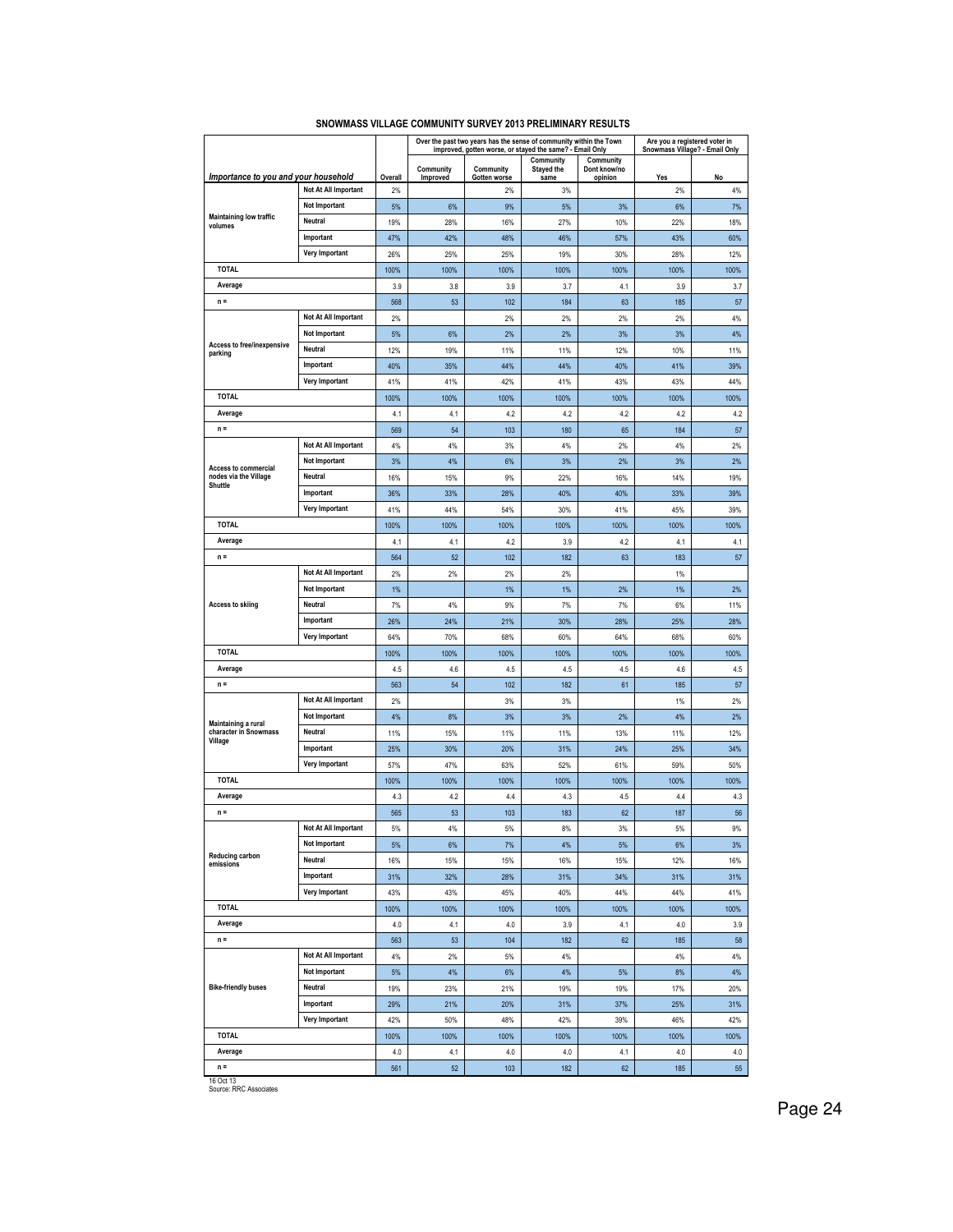|                                              |                       |             | Over the past two years has the sense of community within the Town<br>improved, gotten worse, or stayed the same? - Email Only |              |                         |                           | Are you a registered voter in<br>Snowmass Village? - Email Only |             |  |
|----------------------------------------------|-----------------------|-------------|--------------------------------------------------------------------------------------------------------------------------------|--------------|-------------------------|---------------------------|-----------------------------------------------------------------|-------------|--|
|                                              |                       |             | Community                                                                                                                      | Community    | Community<br>Stayed the | Community<br>Dont know/no |                                                                 |             |  |
| Importance to you and your household         |                       | Overall     | Improved                                                                                                                       | Gotten worse | same                    | opinion                   | Yes                                                             | No          |  |
|                                              | Not At All Important  | 2%          |                                                                                                                                | 2%           | 3%                      |                           | 2%                                                              | 4%          |  |
| Maintaining low traffic                      | Not Important         | 5%          | 6%                                                                                                                             | 9%           | 5%                      | 3%                        | 6%                                                              | 7%          |  |
| volumes                                      | Neutral               | 19%         | 28%                                                                                                                            | 16%          | 27%                     | 10%                       | 22%                                                             | 18%         |  |
|                                              | Important             | 47%         | 42%                                                                                                                            | 48%          | 46%                     | 57%                       | 43%                                                             | 60%         |  |
|                                              | <b>Very Important</b> | 26%         | 25%                                                                                                                            | 25%          | 19%                     | 30%                       | 28%                                                             | 12%         |  |
| <b>TOTAL</b>                                 |                       | 100%        | 100%                                                                                                                           | 100%         | 100%                    | 100%                      | 100%                                                            | 100%        |  |
| Average                                      |                       | 3.9         | 3.8                                                                                                                            | 3.9          | 3.7                     | 4.1                       | 3.9                                                             | 3.7         |  |
| $n =$                                        |                       | 568         | 53                                                                                                                             | 102          | 184                     | 63                        | 185                                                             | 57          |  |
|                                              | Not At All Important  | 2%          |                                                                                                                                | 2%           | 2%                      | 2%                        | 2%                                                              | 4%          |  |
| <b>Access to free/inexpensive</b>            | <b>Not Important</b>  | 5%          | 6%                                                                                                                             | 2%           | 2%                      | 3%                        | 3%                                                              | 4%          |  |
| parking                                      | Neutral               | 12%         | 19%                                                                                                                            | 11%          | 11%                     | 12%                       | 10%                                                             | 11%         |  |
|                                              | Important             | 40%         | 35%                                                                                                                            | 44%          | 44%                     | 40%                       | 41%                                                             | 39%         |  |
|                                              | Very Important        | 41%         | 41%                                                                                                                            | 42%          | 41%                     | 43%                       | 43%                                                             | 44%         |  |
| TOTAL                                        |                       | 100%        | 100%                                                                                                                           | 100%         | 100%                    | 100%                      | 100%                                                            | 100%        |  |
| Average                                      |                       | 4.1         | 4.1                                                                                                                            | 4.2          | 4.2                     | 4.2                       | 4.2                                                             | 4.2         |  |
| $n =$                                        |                       | 569         | 54                                                                                                                             | 103          | 180                     | 65                        | 184                                                             | 57          |  |
|                                              | Not At All Important  | 4%          | 4%                                                                                                                             | 3%           | 4%                      | 2%                        | 4%                                                              | 2%          |  |
| <b>Access to commercial</b>                  | <b>Not Important</b>  | 3%          | 4%                                                                                                                             | 6%           | 3%                      | 2%                        | 3%                                                              | 2%          |  |
| nodes via the Village<br>Shuttle             | Neutral               | 16%         | 15%                                                                                                                            | 9%           | 22%                     | 16%                       | 14%                                                             | 19%         |  |
|                                              | Important             | 36%         | 33%                                                                                                                            | 28%          | 40%                     | 40%                       | 33%                                                             | 39%         |  |
|                                              | Very Important        | 41%         | 44%                                                                                                                            | 54%          | 30%                     | 41%                       | 45%                                                             | 39%         |  |
| <b>TOTAL</b>                                 |                       | 100%        | 100%                                                                                                                           | 100%         | 100%                    | 100%                      | 100%                                                            | 100%        |  |
| Average                                      |                       | 4.1         | 4.1                                                                                                                            | 4.2          | 3.9                     | 4.2                       | 4.1                                                             | 4.1         |  |
| $n =$                                        |                       | 564         | 52                                                                                                                             | 102          | 182                     | 63                        | 183                                                             | 57          |  |
|                                              | Not At All Important  | 2%          | 2%                                                                                                                             | 2%           | 2%                      |                           | 1%                                                              |             |  |
|                                              | Not Important         | 1%          |                                                                                                                                | 1%           | 1%                      | 2%                        | $1\%$                                                           | 2%          |  |
| <b>Access to skiing</b>                      | Neutral               | 7%          | 4%                                                                                                                             | 9%           | 7%                      | 7%                        | 6%                                                              | 11%         |  |
|                                              | Important             | 26%         | 24%                                                                                                                            | 21%          | 30%                     | 28%                       | 25%                                                             | 28%         |  |
| <b>TOTAL</b>                                 | <b>Very Important</b> | 64%         | 70%                                                                                                                            | 68%          | 60%                     | 64%                       | 68%                                                             | 60%         |  |
|                                              |                       | 100%        | 100%                                                                                                                           | 100%         | 100%                    | 100%                      | 100%                                                            | 100%        |  |
| Average<br>$n =$                             |                       | 4.5         | 4.6                                                                                                                            | 4.5          | 4.5                     | 4.5                       | 4.6                                                             | 4.5         |  |
|                                              | Not At All Important  | 563         | 54                                                                                                                             | 102          | 182                     | 61                        | 185                                                             | 57          |  |
|                                              | Not Important         | 2%          |                                                                                                                                | 3%           | 3%                      |                           | 1%                                                              | 2%          |  |
| Maintaining a rural<br>character in Snowmass | Neutral               | 4%<br>11%   | 8%                                                                                                                             | 3%<br>11%    | 3%<br>11%               | 2%<br>13%                 | 4%<br>11%                                                       | 2%<br>12%   |  |
| Village                                      | Important             |             | 15%                                                                                                                            |              |                         |                           |                                                                 | 34%         |  |
|                                              | <b>Very Important</b> | 25%         | 30%                                                                                                                            | 20%          | 31%                     | 24%                       | 25%                                                             |             |  |
| <b>TOTAL</b>                                 |                       | 57%         | 47%                                                                                                                            | 63%          | 52%                     | 61%                       | 59%                                                             | 50%         |  |
| Average                                      |                       | 100%<br>4.3 | 100%<br>4.2                                                                                                                    | 100%<br>4.4  | 100%<br>4.3             | 100%<br>4.5               | 100%<br>4.4                                                     | 100%<br>4.3 |  |
| $n =$                                        |                       | 565         | 53                                                                                                                             | 103          | 183                     | 62                        | 187                                                             | 56          |  |
|                                              | Not At All Important  | 5%          | 4%                                                                                                                             | 5%           | 8%                      | 3%                        | 5%                                                              | 9%          |  |
|                                              | Not Important         | 5%          | 6%                                                                                                                             | 7%           | 4%                      | $5%$                      | 6%                                                              | 3%          |  |
| <b>Reducing carbon</b>                       | Neutral               | 16%         | 15%                                                                                                                            | 15%          | 16%                     | 15%                       | 12%                                                             | 16%         |  |
| emissions                                    | Important             | 31%         | 32%                                                                                                                            | 28%          | 31%                     | 34%                       | 31%                                                             | 31%         |  |
|                                              | Very Important        | 43%         | 43%                                                                                                                            | 45%          | 40%                     | 44%                       | 44%                                                             | 41%         |  |
| <b>TOTAL</b>                                 |                       | 100%        | 100%                                                                                                                           | 100%         | 100%                    | 100%                      | 100%                                                            | 100%        |  |
| Average                                      |                       | 4.0         | 4.1                                                                                                                            | 4.0          | 3.9                     | 4.1                       | 4.0                                                             | 3.9         |  |
| $n =$                                        |                       | 563         | 53                                                                                                                             | 104          | 182                     | 62                        | 185                                                             | 58          |  |
|                                              | Not At All Important  | 4%          | 2%                                                                                                                             | $5\%$        | 4%                      |                           | 4%                                                              | 4%          |  |
|                                              | Not Important         | 5%          | 4%                                                                                                                             | $6\%$        | 4%                      | $5%$                      | 8%                                                              | 4%          |  |
| <b>Bike-friendly buses</b>                   | Neutral               | 19%         | 23%                                                                                                                            | 21%          | 19%                     | 19%                       | 17%                                                             | 20%         |  |
|                                              | Important             | 29%         | 21%                                                                                                                            | 20%          | 31%                     | 37%                       | 25%                                                             | 31%         |  |
|                                              | Very Important        | 42%         | 50%                                                                                                                            | 48%          | 42%                     | 39%                       | 46%                                                             | 42%         |  |
| <b>TOTAL</b>                                 |                       | 100%        | 100%                                                                                                                           | 100%         | 100%                    | 100%                      | 100%                                                            | 100%        |  |
| Average                                      |                       | 4.0         | 4.1                                                                                                                            | 4.0          | 4.0                     | 4.1                       | 4.0                                                             | 4.0         |  |
| $n =$                                        |                       | 561         | 52                                                                                                                             | 103          | 182                     | 62                        | 185                                                             | 55          |  |
|                                              |                       |             |                                                                                                                                |              |                         |                           |                                                                 |             |  |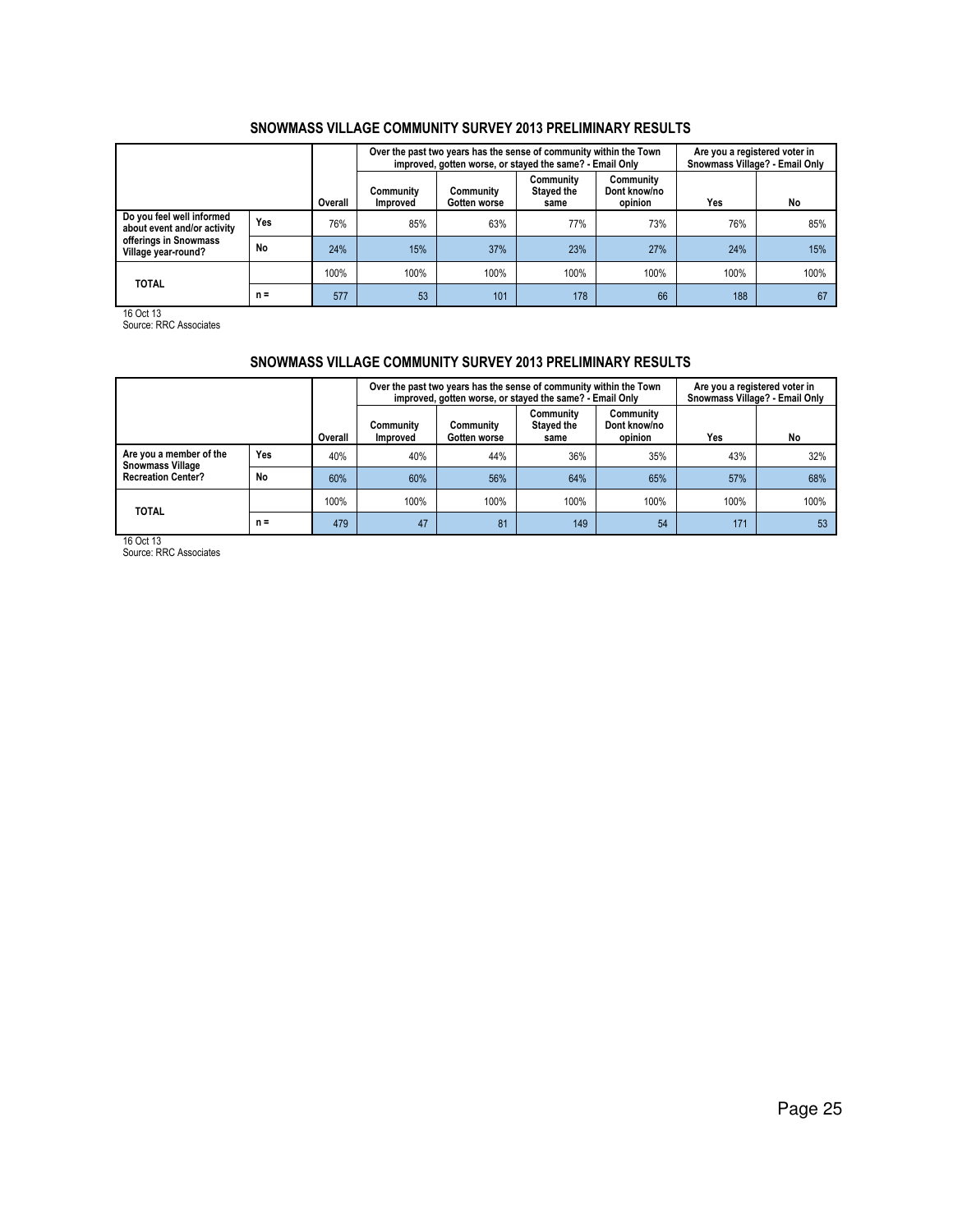|                                                          |       |         |                              | Over the past two years has the sense of community within the Town<br>improved, gotten worse, or stayed the same? - Email Only | Are you a registered voter in<br>Snowmass Village? - Email Only |                                      |      |      |
|----------------------------------------------------------|-------|---------|------------------------------|--------------------------------------------------------------------------------------------------------------------------------|-----------------------------------------------------------------|--------------------------------------|------|------|
|                                                          |       | Overall | Community<br><b>Improved</b> | Community<br>Gotten worse                                                                                                      | Community<br>Stayed the<br>same                                 | Community<br>Dont know/no<br>opinion | Yes  | No   |
| Do you feel well informed<br>about event and/or activity | Yes   | 76%     | 85%                          | 63%                                                                                                                            | 77%                                                             | 73%                                  | 76%  | 85%  |
| offerings in Snowmass<br>Village year-round?             | No    | 24%     | 15%                          | 37%                                                                                                                            | 23%                                                             | 27%                                  | 24%  | 15%  |
| <b>TOTAL</b>                                             |       | 100%    | 100%                         | 100%                                                                                                                           | 100%                                                            | 100%                                 | 100% | 100% |
|                                                          | $n =$ | 577     | 53                           | 101                                                                                                                            | 178                                                             | 66                                   | 188  | 67   |

16 Oct 13 Source: RRC Associates

## SNOWMASS VILLAGE COMMUNITY SURVEY 2013 PRELIMINARY RESULTS

|                                                    |       |         |                              | Over the past two years has the sense of community within the Town<br>improved, gotten worse, or stayed the same? - Email Only |                                 |                                      | Are you a registered voter in<br>Snowmass Village? - Email Only |      |  |
|----------------------------------------------------|-------|---------|------------------------------|--------------------------------------------------------------------------------------------------------------------------------|---------------------------------|--------------------------------------|-----------------------------------------------------------------|------|--|
|                                                    |       | Overall | Communitv<br><b>Improved</b> | Community<br>Gotten worse                                                                                                      | Community<br>Stayed the<br>same | Community<br>Dont know/no<br>opinion | Yes                                                             | No   |  |
| Are you a member of the<br><b>Snowmass Village</b> | Yes   | 40%     | 40%                          | 44%                                                                                                                            | 36%                             | 35%                                  | 43%                                                             | 32%  |  |
| <b>Recreation Center?</b>                          | No    | 60%     | 60%                          | 56%                                                                                                                            | 64%                             | 65%                                  | 57%                                                             | 68%  |  |
| <b>TOTAL</b>                                       |       | 100%    | 100%                         | 100%                                                                                                                           | 100%                            | 100%                                 | 100%                                                            | 100% |  |
|                                                    | $n =$ | 479     | 47                           | 81                                                                                                                             | 149                             | 54                                   | 171                                                             | 53   |  |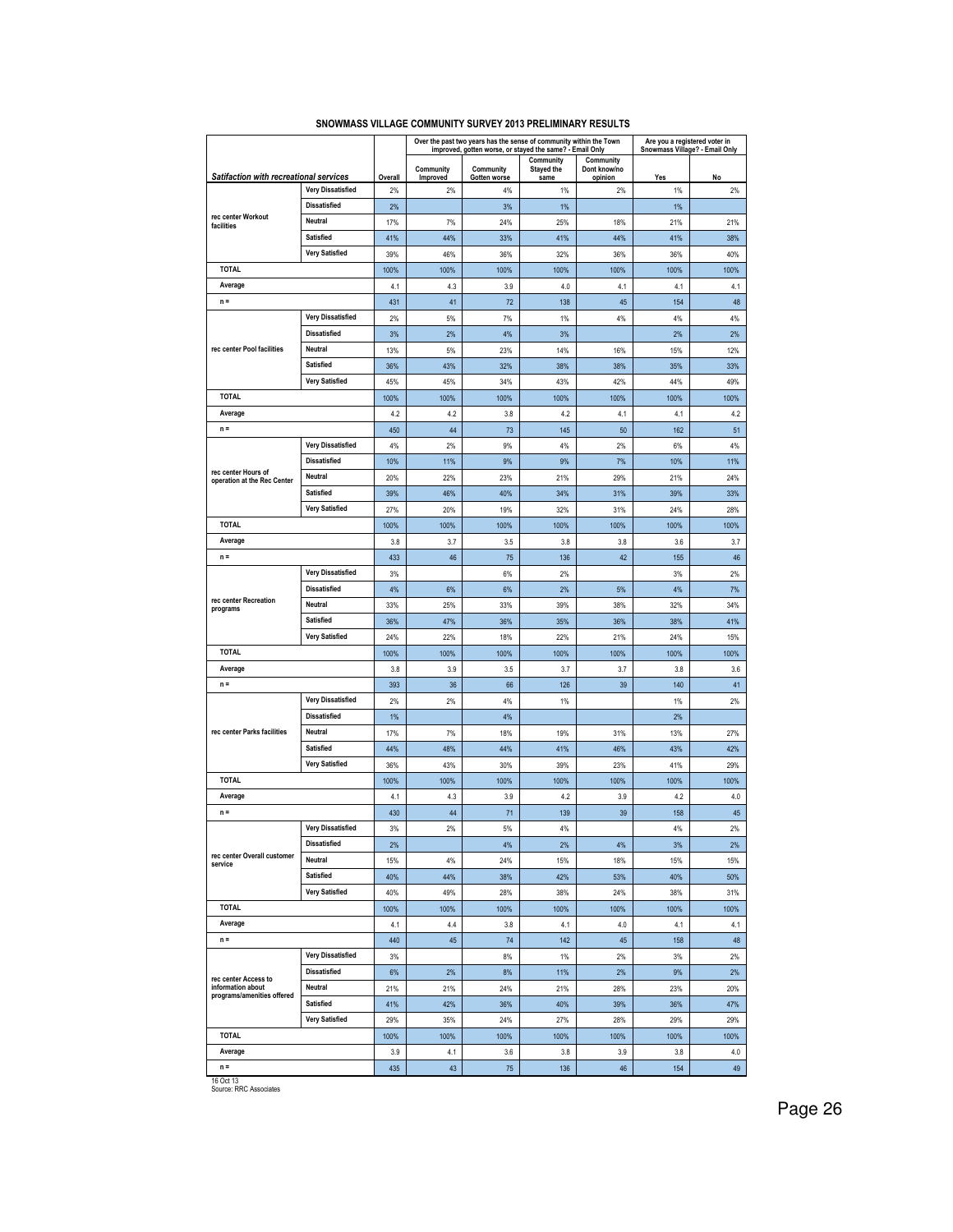| Community<br>Community<br>Community<br>Community<br><b>Stayed the</b><br>Dont know/no<br>Satifaction with recreational services<br>Overall<br>No<br>Improved<br>Yes<br>Gotten worse<br>same<br>opinion<br><b>Very Dissatisfied</b><br>2%<br>2%<br>4%<br>1%<br>2%<br>1%<br>2%<br><b>Dissatisfied</b><br>2%<br>3%<br>1%<br>1%<br>rec center Workout<br>Neutral<br>17%<br>24%<br>25%<br>21%<br>21%<br>7%<br>18%<br>facilities<br>Satisfied<br>41%<br>44%<br>33%<br>41%<br>44%<br>41%<br>38%<br><b>Very Satisfied</b><br>39%<br>46%<br>36%<br>32%<br>36%<br>36%<br>40%<br><b>TOTAL</b><br>100%<br>100%<br>100%<br>100%<br>100%<br>100%<br>100%<br>Average<br>4.3<br>3.9<br>4.0<br>4.1<br>4.1<br>4.1<br>4.1<br>$n =$<br>41<br>72<br>48<br>431<br>138<br>45<br>154<br><b>Very Dissatisfied</b><br>2%<br>7%<br>4%<br>4%<br>4%<br>5%<br>1%<br><b>Dissatisfied</b><br>3%<br>2%<br>4%<br>3%<br>2%<br>2%<br>rec center Pool facilities<br>Neutral<br>23%<br>14%<br>13%<br>5%<br>16%<br>15%<br>12%<br><b>Satisfied</b><br>36%<br>43%<br>32%<br>38%<br>38%<br>35%<br>33%<br><b>Very Satisfied</b><br>45%<br>45%<br>34%<br>43%<br>42%<br>44%<br>49%<br>TOTAL<br>100%<br>100%<br>100%<br>100%<br>100%<br>100%<br>100%<br>Average<br>4.2<br>3.8<br>4.2<br>4.1<br>4.2<br>4.2<br>4.1<br>$n =$<br>450<br>44<br>73<br>145<br>50<br>162<br>51<br><b>Very Dissatisfied</b><br>4%<br>2%<br>9%<br>4%<br>2%<br>6%<br>4%<br><b>Dissatisfied</b><br>9%<br>7%<br>10%<br>10%<br>11%<br>9%<br>11%<br>rec center Hours of<br>Neutral<br>20%<br>22%<br>23%<br>21%<br>29%<br>21%<br>24%<br>operation at the Rec Center<br>Satisfied<br>39%<br>46%<br>40%<br>34%<br>31%<br>39%<br>33%<br>Very Satisfied<br>27%<br>20%<br>19%<br>32%<br>28%<br>31%<br>24%<br><b>TOTAL</b><br>100%<br>100%<br>100%<br>100%<br>100%<br>100%<br>100%<br>Average<br>3.8<br>3.7<br>3.5<br>3.8<br>3.8<br>3.6<br>3.7<br>$n =$<br>46<br>42<br>433<br>136<br>155<br>46<br>75<br><b>Very Dissatisfied</b><br>3%<br>6%<br>2%<br>3%<br>2%<br><b>Dissatisfied</b><br>4%<br>6%<br>6%<br>2%<br>5%<br>4%<br>7%<br>rec center Recreation<br>Neutral<br>33%<br>25%<br>33%<br>39%<br>38%<br>32%<br>34%<br>programs<br>Satisfied<br>36%<br>47%<br>36%<br>35%<br>36%<br>38%<br>41%<br><b>Very Satisfied</b><br>24%<br>22%<br>18%<br>22%<br>21%<br>24%<br>15%<br><b>TOTAL</b><br>100%<br>100%<br>100%<br>100%<br>100%<br>100%<br>100%<br>Average<br>3.9<br>3.5<br>3.7<br>3.8<br>3.7<br>3.8<br>3.6<br>$n =$<br>393<br>36<br>66<br>126<br>39<br>140<br>41<br>Very Dissatisfied<br>2%<br>2%<br>4%<br>1%<br>1%<br>2%<br><b>Dissatisfied</b><br>4%<br>2%<br>1%<br>rec center Parks facilities<br>Neutral<br>17%<br>7%<br>18%<br>19%<br>31%<br>13%<br>27%<br><b>Satisfied</b><br>43%<br>44%<br>48%<br>44%<br>41%<br>46%<br>42%<br><b>Very Satisfied</b><br>30%<br>41%<br>29%<br>36%<br>43%<br>39%<br>23%<br>TOTAL<br>100%<br>100%<br>100%<br>100%<br>100%<br>100%<br>100%<br>Average<br>4.3<br>3.9<br>4.2<br>4.2<br>4.1<br>3.9<br>4.0<br>$n =$<br>430<br>44<br>139<br>39<br>45<br>71<br>158<br><b>Very Dissatisfied</b><br>2%<br>2%<br>3%<br>5%<br>4%<br>4%<br><b>Dissatisfied</b><br>4%<br>2%<br>4%<br>3%<br>2%<br>2%<br>rec center Overall customer<br><b>Neutral</b><br>4%<br>24%<br>18%<br>15%<br>15%<br>15%<br>15%<br>service<br>Satisfied<br>44%<br>40%<br>38%<br>42%<br>53%<br>40%<br>50%<br><b>Very Satisfied</b><br>40%<br>49%<br>28%<br>38%<br>24%<br>38%<br>31%<br><b>TOTAL</b><br>100%<br>100%<br>100%<br>100%<br>100%<br>100%<br>100%<br>Average<br>3.8<br>4.1<br>4.4<br>4.1<br>4.0<br>4.1<br>4.1<br>440<br>$n =$<br>45<br>74<br>142<br>45<br>158<br>48<br><b>Very Dissatisfied</b><br>3%<br>8%<br>$1\%$<br>2%<br>3%<br>2%<br><b>Dissatisfied</b><br>6%<br>2%<br>8%<br>11%<br>2%<br>9%<br>2%<br>rec center Access to<br>information about<br>Neutral<br>21%<br>21%<br>24%<br>21%<br>28%<br>23%<br>20%<br>programs/amenities offered<br>Satisfied<br>41%<br>42%<br>36%<br>40%<br>39%<br>36%<br>47%<br><b>Very Satisfied</b><br>29%<br>35%<br>29%<br>24%<br>27%<br>28%<br>29%<br><b>TOTAL</b><br>100%<br>100%<br>100%<br>100%<br>100%<br>100%<br>100%<br>Average<br>3.9<br>4.1<br>3.6<br>3.8<br>3.9<br>3.8<br>4.0<br>$n =$<br>435<br>43<br>75<br>136<br>46<br>154<br>49 |  |  |  | Over the past two years has the sense of community within the Town<br>improved, gotten worse, or stayed the same? - Email Only | Are you a registered voter in<br>Snowmass Village? - Email Only |  |
|-----------------------------------------------------------------------------------------------------------------------------------------------------------------------------------------------------------------------------------------------------------------------------------------------------------------------------------------------------------------------------------------------------------------------------------------------------------------------------------------------------------------------------------------------------------------------------------------------------------------------------------------------------------------------------------------------------------------------------------------------------------------------------------------------------------------------------------------------------------------------------------------------------------------------------------------------------------------------------------------------------------------------------------------------------------------------------------------------------------------------------------------------------------------------------------------------------------------------------------------------------------------------------------------------------------------------------------------------------------------------------------------------------------------------------------------------------------------------------------------------------------------------------------------------------------------------------------------------------------------------------------------------------------------------------------------------------------------------------------------------------------------------------------------------------------------------------------------------------------------------------------------------------------------------------------------------------------------------------------------------------------------------------------------------------------------------------------------------------------------------------------------------------------------------------------------------------------------------------------------------------------------------------------------------------------------------------------------------------------------------------------------------------------------------------------------------------------------------------------------------------------------------------------------------------------------------------------------------------------------------------------------------------------------------------------------------------------------------------------------------------------------------------------------------------------------------------------------------------------------------------------------------------------------------------------------------------------------------------------------------------------------------------------------------------------------------------------------------------------------------------------------------------------------------------------------------------------------------------------------------------------------------------------------------------------------------------------------------------------------------------------------------------------------------------------------------------------------------------------------------------------------------------------------------------------------------------------------------------------------------------------------------------------------------------------------------------------------------------------------------------------------------------------------------------------------------------------------------------------------------------------------------------------------------------------------------------------------------------------------------------------------------------------------------------------------------------------------------------------------------------------------------------------------------------------------------------|--|--|--|--------------------------------------------------------------------------------------------------------------------------------|-----------------------------------------------------------------|--|
|                                                                                                                                                                                                                                                                                                                                                                                                                                                                                                                                                                                                                                                                                                                                                                                                                                                                                                                                                                                                                                                                                                                                                                                                                                                                                                                                                                                                                                                                                                                                                                                                                                                                                                                                                                                                                                                                                                                                                                                                                                                                                                                                                                                                                                                                                                                                                                                                                                                                                                                                                                                                                                                                                                                                                                                                                                                                                                                                                                                                                                                                                                                                                                                                                                                                                                                                                                                                                                                                                                                                                                                                                                                                                                                                                                                                                                                                                                                                                                                                                                                                                                                                                                                                     |  |  |  |                                                                                                                                |                                                                 |  |
|                                                                                                                                                                                                                                                                                                                                                                                                                                                                                                                                                                                                                                                                                                                                                                                                                                                                                                                                                                                                                                                                                                                                                                                                                                                                                                                                                                                                                                                                                                                                                                                                                                                                                                                                                                                                                                                                                                                                                                                                                                                                                                                                                                                                                                                                                                                                                                                                                                                                                                                                                                                                                                                                                                                                                                                                                                                                                                                                                                                                                                                                                                                                                                                                                                                                                                                                                                                                                                                                                                                                                                                                                                                                                                                                                                                                                                                                                                                                                                                                                                                                                                                                                                                                     |  |  |  |                                                                                                                                |                                                                 |  |
|                                                                                                                                                                                                                                                                                                                                                                                                                                                                                                                                                                                                                                                                                                                                                                                                                                                                                                                                                                                                                                                                                                                                                                                                                                                                                                                                                                                                                                                                                                                                                                                                                                                                                                                                                                                                                                                                                                                                                                                                                                                                                                                                                                                                                                                                                                                                                                                                                                                                                                                                                                                                                                                                                                                                                                                                                                                                                                                                                                                                                                                                                                                                                                                                                                                                                                                                                                                                                                                                                                                                                                                                                                                                                                                                                                                                                                                                                                                                                                                                                                                                                                                                                                                                     |  |  |  |                                                                                                                                |                                                                 |  |
|                                                                                                                                                                                                                                                                                                                                                                                                                                                                                                                                                                                                                                                                                                                                                                                                                                                                                                                                                                                                                                                                                                                                                                                                                                                                                                                                                                                                                                                                                                                                                                                                                                                                                                                                                                                                                                                                                                                                                                                                                                                                                                                                                                                                                                                                                                                                                                                                                                                                                                                                                                                                                                                                                                                                                                                                                                                                                                                                                                                                                                                                                                                                                                                                                                                                                                                                                                                                                                                                                                                                                                                                                                                                                                                                                                                                                                                                                                                                                                                                                                                                                                                                                                                                     |  |  |  |                                                                                                                                |                                                                 |  |
|                                                                                                                                                                                                                                                                                                                                                                                                                                                                                                                                                                                                                                                                                                                                                                                                                                                                                                                                                                                                                                                                                                                                                                                                                                                                                                                                                                                                                                                                                                                                                                                                                                                                                                                                                                                                                                                                                                                                                                                                                                                                                                                                                                                                                                                                                                                                                                                                                                                                                                                                                                                                                                                                                                                                                                                                                                                                                                                                                                                                                                                                                                                                                                                                                                                                                                                                                                                                                                                                                                                                                                                                                                                                                                                                                                                                                                                                                                                                                                                                                                                                                                                                                                                                     |  |  |  |                                                                                                                                |                                                                 |  |
|                                                                                                                                                                                                                                                                                                                                                                                                                                                                                                                                                                                                                                                                                                                                                                                                                                                                                                                                                                                                                                                                                                                                                                                                                                                                                                                                                                                                                                                                                                                                                                                                                                                                                                                                                                                                                                                                                                                                                                                                                                                                                                                                                                                                                                                                                                                                                                                                                                                                                                                                                                                                                                                                                                                                                                                                                                                                                                                                                                                                                                                                                                                                                                                                                                                                                                                                                                                                                                                                                                                                                                                                                                                                                                                                                                                                                                                                                                                                                                                                                                                                                                                                                                                                     |  |  |  |                                                                                                                                |                                                                 |  |
|                                                                                                                                                                                                                                                                                                                                                                                                                                                                                                                                                                                                                                                                                                                                                                                                                                                                                                                                                                                                                                                                                                                                                                                                                                                                                                                                                                                                                                                                                                                                                                                                                                                                                                                                                                                                                                                                                                                                                                                                                                                                                                                                                                                                                                                                                                                                                                                                                                                                                                                                                                                                                                                                                                                                                                                                                                                                                                                                                                                                                                                                                                                                                                                                                                                                                                                                                                                                                                                                                                                                                                                                                                                                                                                                                                                                                                                                                                                                                                                                                                                                                                                                                                                                     |  |  |  |                                                                                                                                |                                                                 |  |
|                                                                                                                                                                                                                                                                                                                                                                                                                                                                                                                                                                                                                                                                                                                                                                                                                                                                                                                                                                                                                                                                                                                                                                                                                                                                                                                                                                                                                                                                                                                                                                                                                                                                                                                                                                                                                                                                                                                                                                                                                                                                                                                                                                                                                                                                                                                                                                                                                                                                                                                                                                                                                                                                                                                                                                                                                                                                                                                                                                                                                                                                                                                                                                                                                                                                                                                                                                                                                                                                                                                                                                                                                                                                                                                                                                                                                                                                                                                                                                                                                                                                                                                                                                                                     |  |  |  |                                                                                                                                |                                                                 |  |
|                                                                                                                                                                                                                                                                                                                                                                                                                                                                                                                                                                                                                                                                                                                                                                                                                                                                                                                                                                                                                                                                                                                                                                                                                                                                                                                                                                                                                                                                                                                                                                                                                                                                                                                                                                                                                                                                                                                                                                                                                                                                                                                                                                                                                                                                                                                                                                                                                                                                                                                                                                                                                                                                                                                                                                                                                                                                                                                                                                                                                                                                                                                                                                                                                                                                                                                                                                                                                                                                                                                                                                                                                                                                                                                                                                                                                                                                                                                                                                                                                                                                                                                                                                                                     |  |  |  |                                                                                                                                |                                                                 |  |
|                                                                                                                                                                                                                                                                                                                                                                                                                                                                                                                                                                                                                                                                                                                                                                                                                                                                                                                                                                                                                                                                                                                                                                                                                                                                                                                                                                                                                                                                                                                                                                                                                                                                                                                                                                                                                                                                                                                                                                                                                                                                                                                                                                                                                                                                                                                                                                                                                                                                                                                                                                                                                                                                                                                                                                                                                                                                                                                                                                                                                                                                                                                                                                                                                                                                                                                                                                                                                                                                                                                                                                                                                                                                                                                                                                                                                                                                                                                                                                                                                                                                                                                                                                                                     |  |  |  |                                                                                                                                |                                                                 |  |
|                                                                                                                                                                                                                                                                                                                                                                                                                                                                                                                                                                                                                                                                                                                                                                                                                                                                                                                                                                                                                                                                                                                                                                                                                                                                                                                                                                                                                                                                                                                                                                                                                                                                                                                                                                                                                                                                                                                                                                                                                                                                                                                                                                                                                                                                                                                                                                                                                                                                                                                                                                                                                                                                                                                                                                                                                                                                                                                                                                                                                                                                                                                                                                                                                                                                                                                                                                                                                                                                                                                                                                                                                                                                                                                                                                                                                                                                                                                                                                                                                                                                                                                                                                                                     |  |  |  |                                                                                                                                |                                                                 |  |
|                                                                                                                                                                                                                                                                                                                                                                                                                                                                                                                                                                                                                                                                                                                                                                                                                                                                                                                                                                                                                                                                                                                                                                                                                                                                                                                                                                                                                                                                                                                                                                                                                                                                                                                                                                                                                                                                                                                                                                                                                                                                                                                                                                                                                                                                                                                                                                                                                                                                                                                                                                                                                                                                                                                                                                                                                                                                                                                                                                                                                                                                                                                                                                                                                                                                                                                                                                                                                                                                                                                                                                                                                                                                                                                                                                                                                                                                                                                                                                                                                                                                                                                                                                                                     |  |  |  |                                                                                                                                |                                                                 |  |
|                                                                                                                                                                                                                                                                                                                                                                                                                                                                                                                                                                                                                                                                                                                                                                                                                                                                                                                                                                                                                                                                                                                                                                                                                                                                                                                                                                                                                                                                                                                                                                                                                                                                                                                                                                                                                                                                                                                                                                                                                                                                                                                                                                                                                                                                                                                                                                                                                                                                                                                                                                                                                                                                                                                                                                                                                                                                                                                                                                                                                                                                                                                                                                                                                                                                                                                                                                                                                                                                                                                                                                                                                                                                                                                                                                                                                                                                                                                                                                                                                                                                                                                                                                                                     |  |  |  |                                                                                                                                |                                                                 |  |
|                                                                                                                                                                                                                                                                                                                                                                                                                                                                                                                                                                                                                                                                                                                                                                                                                                                                                                                                                                                                                                                                                                                                                                                                                                                                                                                                                                                                                                                                                                                                                                                                                                                                                                                                                                                                                                                                                                                                                                                                                                                                                                                                                                                                                                                                                                                                                                                                                                                                                                                                                                                                                                                                                                                                                                                                                                                                                                                                                                                                                                                                                                                                                                                                                                                                                                                                                                                                                                                                                                                                                                                                                                                                                                                                                                                                                                                                                                                                                                                                                                                                                                                                                                                                     |  |  |  |                                                                                                                                |                                                                 |  |
|                                                                                                                                                                                                                                                                                                                                                                                                                                                                                                                                                                                                                                                                                                                                                                                                                                                                                                                                                                                                                                                                                                                                                                                                                                                                                                                                                                                                                                                                                                                                                                                                                                                                                                                                                                                                                                                                                                                                                                                                                                                                                                                                                                                                                                                                                                                                                                                                                                                                                                                                                                                                                                                                                                                                                                                                                                                                                                                                                                                                                                                                                                                                                                                                                                                                                                                                                                                                                                                                                                                                                                                                                                                                                                                                                                                                                                                                                                                                                                                                                                                                                                                                                                                                     |  |  |  |                                                                                                                                |                                                                 |  |
|                                                                                                                                                                                                                                                                                                                                                                                                                                                                                                                                                                                                                                                                                                                                                                                                                                                                                                                                                                                                                                                                                                                                                                                                                                                                                                                                                                                                                                                                                                                                                                                                                                                                                                                                                                                                                                                                                                                                                                                                                                                                                                                                                                                                                                                                                                                                                                                                                                                                                                                                                                                                                                                                                                                                                                                                                                                                                                                                                                                                                                                                                                                                                                                                                                                                                                                                                                                                                                                                                                                                                                                                                                                                                                                                                                                                                                                                                                                                                                                                                                                                                                                                                                                                     |  |  |  |                                                                                                                                |                                                                 |  |
|                                                                                                                                                                                                                                                                                                                                                                                                                                                                                                                                                                                                                                                                                                                                                                                                                                                                                                                                                                                                                                                                                                                                                                                                                                                                                                                                                                                                                                                                                                                                                                                                                                                                                                                                                                                                                                                                                                                                                                                                                                                                                                                                                                                                                                                                                                                                                                                                                                                                                                                                                                                                                                                                                                                                                                                                                                                                                                                                                                                                                                                                                                                                                                                                                                                                                                                                                                                                                                                                                                                                                                                                                                                                                                                                                                                                                                                                                                                                                                                                                                                                                                                                                                                                     |  |  |  |                                                                                                                                |                                                                 |  |
|                                                                                                                                                                                                                                                                                                                                                                                                                                                                                                                                                                                                                                                                                                                                                                                                                                                                                                                                                                                                                                                                                                                                                                                                                                                                                                                                                                                                                                                                                                                                                                                                                                                                                                                                                                                                                                                                                                                                                                                                                                                                                                                                                                                                                                                                                                                                                                                                                                                                                                                                                                                                                                                                                                                                                                                                                                                                                                                                                                                                                                                                                                                                                                                                                                                                                                                                                                                                                                                                                                                                                                                                                                                                                                                                                                                                                                                                                                                                                                                                                                                                                                                                                                                                     |  |  |  |                                                                                                                                |                                                                 |  |
|                                                                                                                                                                                                                                                                                                                                                                                                                                                                                                                                                                                                                                                                                                                                                                                                                                                                                                                                                                                                                                                                                                                                                                                                                                                                                                                                                                                                                                                                                                                                                                                                                                                                                                                                                                                                                                                                                                                                                                                                                                                                                                                                                                                                                                                                                                                                                                                                                                                                                                                                                                                                                                                                                                                                                                                                                                                                                                                                                                                                                                                                                                                                                                                                                                                                                                                                                                                                                                                                                                                                                                                                                                                                                                                                                                                                                                                                                                                                                                                                                                                                                                                                                                                                     |  |  |  |                                                                                                                                |                                                                 |  |
|                                                                                                                                                                                                                                                                                                                                                                                                                                                                                                                                                                                                                                                                                                                                                                                                                                                                                                                                                                                                                                                                                                                                                                                                                                                                                                                                                                                                                                                                                                                                                                                                                                                                                                                                                                                                                                                                                                                                                                                                                                                                                                                                                                                                                                                                                                                                                                                                                                                                                                                                                                                                                                                                                                                                                                                                                                                                                                                                                                                                                                                                                                                                                                                                                                                                                                                                                                                                                                                                                                                                                                                                                                                                                                                                                                                                                                                                                                                                                                                                                                                                                                                                                                                                     |  |  |  |                                                                                                                                |                                                                 |  |
|                                                                                                                                                                                                                                                                                                                                                                                                                                                                                                                                                                                                                                                                                                                                                                                                                                                                                                                                                                                                                                                                                                                                                                                                                                                                                                                                                                                                                                                                                                                                                                                                                                                                                                                                                                                                                                                                                                                                                                                                                                                                                                                                                                                                                                                                                                                                                                                                                                                                                                                                                                                                                                                                                                                                                                                                                                                                                                                                                                                                                                                                                                                                                                                                                                                                                                                                                                                                                                                                                                                                                                                                                                                                                                                                                                                                                                                                                                                                                                                                                                                                                                                                                                                                     |  |  |  |                                                                                                                                |                                                                 |  |
|                                                                                                                                                                                                                                                                                                                                                                                                                                                                                                                                                                                                                                                                                                                                                                                                                                                                                                                                                                                                                                                                                                                                                                                                                                                                                                                                                                                                                                                                                                                                                                                                                                                                                                                                                                                                                                                                                                                                                                                                                                                                                                                                                                                                                                                                                                                                                                                                                                                                                                                                                                                                                                                                                                                                                                                                                                                                                                                                                                                                                                                                                                                                                                                                                                                                                                                                                                                                                                                                                                                                                                                                                                                                                                                                                                                                                                                                                                                                                                                                                                                                                                                                                                                                     |  |  |  |                                                                                                                                |                                                                 |  |
|                                                                                                                                                                                                                                                                                                                                                                                                                                                                                                                                                                                                                                                                                                                                                                                                                                                                                                                                                                                                                                                                                                                                                                                                                                                                                                                                                                                                                                                                                                                                                                                                                                                                                                                                                                                                                                                                                                                                                                                                                                                                                                                                                                                                                                                                                                                                                                                                                                                                                                                                                                                                                                                                                                                                                                                                                                                                                                                                                                                                                                                                                                                                                                                                                                                                                                                                                                                                                                                                                                                                                                                                                                                                                                                                                                                                                                                                                                                                                                                                                                                                                                                                                                                                     |  |  |  |                                                                                                                                |                                                                 |  |
|                                                                                                                                                                                                                                                                                                                                                                                                                                                                                                                                                                                                                                                                                                                                                                                                                                                                                                                                                                                                                                                                                                                                                                                                                                                                                                                                                                                                                                                                                                                                                                                                                                                                                                                                                                                                                                                                                                                                                                                                                                                                                                                                                                                                                                                                                                                                                                                                                                                                                                                                                                                                                                                                                                                                                                                                                                                                                                                                                                                                                                                                                                                                                                                                                                                                                                                                                                                                                                                                                                                                                                                                                                                                                                                                                                                                                                                                                                                                                                                                                                                                                                                                                                                                     |  |  |  |                                                                                                                                |                                                                 |  |
|                                                                                                                                                                                                                                                                                                                                                                                                                                                                                                                                                                                                                                                                                                                                                                                                                                                                                                                                                                                                                                                                                                                                                                                                                                                                                                                                                                                                                                                                                                                                                                                                                                                                                                                                                                                                                                                                                                                                                                                                                                                                                                                                                                                                                                                                                                                                                                                                                                                                                                                                                                                                                                                                                                                                                                                                                                                                                                                                                                                                                                                                                                                                                                                                                                                                                                                                                                                                                                                                                                                                                                                                                                                                                                                                                                                                                                                                                                                                                                                                                                                                                                                                                                                                     |  |  |  |                                                                                                                                |                                                                 |  |
|                                                                                                                                                                                                                                                                                                                                                                                                                                                                                                                                                                                                                                                                                                                                                                                                                                                                                                                                                                                                                                                                                                                                                                                                                                                                                                                                                                                                                                                                                                                                                                                                                                                                                                                                                                                                                                                                                                                                                                                                                                                                                                                                                                                                                                                                                                                                                                                                                                                                                                                                                                                                                                                                                                                                                                                                                                                                                                                                                                                                                                                                                                                                                                                                                                                                                                                                                                                                                                                                                                                                                                                                                                                                                                                                                                                                                                                                                                                                                                                                                                                                                                                                                                                                     |  |  |  |                                                                                                                                |                                                                 |  |
|                                                                                                                                                                                                                                                                                                                                                                                                                                                                                                                                                                                                                                                                                                                                                                                                                                                                                                                                                                                                                                                                                                                                                                                                                                                                                                                                                                                                                                                                                                                                                                                                                                                                                                                                                                                                                                                                                                                                                                                                                                                                                                                                                                                                                                                                                                                                                                                                                                                                                                                                                                                                                                                                                                                                                                                                                                                                                                                                                                                                                                                                                                                                                                                                                                                                                                                                                                                                                                                                                                                                                                                                                                                                                                                                                                                                                                                                                                                                                                                                                                                                                                                                                                                                     |  |  |  |                                                                                                                                |                                                                 |  |
|                                                                                                                                                                                                                                                                                                                                                                                                                                                                                                                                                                                                                                                                                                                                                                                                                                                                                                                                                                                                                                                                                                                                                                                                                                                                                                                                                                                                                                                                                                                                                                                                                                                                                                                                                                                                                                                                                                                                                                                                                                                                                                                                                                                                                                                                                                                                                                                                                                                                                                                                                                                                                                                                                                                                                                                                                                                                                                                                                                                                                                                                                                                                                                                                                                                                                                                                                                                                                                                                                                                                                                                                                                                                                                                                                                                                                                                                                                                                                                                                                                                                                                                                                                                                     |  |  |  |                                                                                                                                |                                                                 |  |
|                                                                                                                                                                                                                                                                                                                                                                                                                                                                                                                                                                                                                                                                                                                                                                                                                                                                                                                                                                                                                                                                                                                                                                                                                                                                                                                                                                                                                                                                                                                                                                                                                                                                                                                                                                                                                                                                                                                                                                                                                                                                                                                                                                                                                                                                                                                                                                                                                                                                                                                                                                                                                                                                                                                                                                                                                                                                                                                                                                                                                                                                                                                                                                                                                                                                                                                                                                                                                                                                                                                                                                                                                                                                                                                                                                                                                                                                                                                                                                                                                                                                                                                                                                                                     |  |  |  |                                                                                                                                |                                                                 |  |
|                                                                                                                                                                                                                                                                                                                                                                                                                                                                                                                                                                                                                                                                                                                                                                                                                                                                                                                                                                                                                                                                                                                                                                                                                                                                                                                                                                                                                                                                                                                                                                                                                                                                                                                                                                                                                                                                                                                                                                                                                                                                                                                                                                                                                                                                                                                                                                                                                                                                                                                                                                                                                                                                                                                                                                                                                                                                                                                                                                                                                                                                                                                                                                                                                                                                                                                                                                                                                                                                                                                                                                                                                                                                                                                                                                                                                                                                                                                                                                                                                                                                                                                                                                                                     |  |  |  |                                                                                                                                |                                                                 |  |
|                                                                                                                                                                                                                                                                                                                                                                                                                                                                                                                                                                                                                                                                                                                                                                                                                                                                                                                                                                                                                                                                                                                                                                                                                                                                                                                                                                                                                                                                                                                                                                                                                                                                                                                                                                                                                                                                                                                                                                                                                                                                                                                                                                                                                                                                                                                                                                                                                                                                                                                                                                                                                                                                                                                                                                                                                                                                                                                                                                                                                                                                                                                                                                                                                                                                                                                                                                                                                                                                                                                                                                                                                                                                                                                                                                                                                                                                                                                                                                                                                                                                                                                                                                                                     |  |  |  |                                                                                                                                |                                                                 |  |
|                                                                                                                                                                                                                                                                                                                                                                                                                                                                                                                                                                                                                                                                                                                                                                                                                                                                                                                                                                                                                                                                                                                                                                                                                                                                                                                                                                                                                                                                                                                                                                                                                                                                                                                                                                                                                                                                                                                                                                                                                                                                                                                                                                                                                                                                                                                                                                                                                                                                                                                                                                                                                                                                                                                                                                                                                                                                                                                                                                                                                                                                                                                                                                                                                                                                                                                                                                                                                                                                                                                                                                                                                                                                                                                                                                                                                                                                                                                                                                                                                                                                                                                                                                                                     |  |  |  |                                                                                                                                |                                                                 |  |
|                                                                                                                                                                                                                                                                                                                                                                                                                                                                                                                                                                                                                                                                                                                                                                                                                                                                                                                                                                                                                                                                                                                                                                                                                                                                                                                                                                                                                                                                                                                                                                                                                                                                                                                                                                                                                                                                                                                                                                                                                                                                                                                                                                                                                                                                                                                                                                                                                                                                                                                                                                                                                                                                                                                                                                                                                                                                                                                                                                                                                                                                                                                                                                                                                                                                                                                                                                                                                                                                                                                                                                                                                                                                                                                                                                                                                                                                                                                                                                                                                                                                                                                                                                                                     |  |  |  |                                                                                                                                |                                                                 |  |
|                                                                                                                                                                                                                                                                                                                                                                                                                                                                                                                                                                                                                                                                                                                                                                                                                                                                                                                                                                                                                                                                                                                                                                                                                                                                                                                                                                                                                                                                                                                                                                                                                                                                                                                                                                                                                                                                                                                                                                                                                                                                                                                                                                                                                                                                                                                                                                                                                                                                                                                                                                                                                                                                                                                                                                                                                                                                                                                                                                                                                                                                                                                                                                                                                                                                                                                                                                                                                                                                                                                                                                                                                                                                                                                                                                                                                                                                                                                                                                                                                                                                                                                                                                                                     |  |  |  |                                                                                                                                |                                                                 |  |
|                                                                                                                                                                                                                                                                                                                                                                                                                                                                                                                                                                                                                                                                                                                                                                                                                                                                                                                                                                                                                                                                                                                                                                                                                                                                                                                                                                                                                                                                                                                                                                                                                                                                                                                                                                                                                                                                                                                                                                                                                                                                                                                                                                                                                                                                                                                                                                                                                                                                                                                                                                                                                                                                                                                                                                                                                                                                                                                                                                                                                                                                                                                                                                                                                                                                                                                                                                                                                                                                                                                                                                                                                                                                                                                                                                                                                                                                                                                                                                                                                                                                                                                                                                                                     |  |  |  |                                                                                                                                |                                                                 |  |
|                                                                                                                                                                                                                                                                                                                                                                                                                                                                                                                                                                                                                                                                                                                                                                                                                                                                                                                                                                                                                                                                                                                                                                                                                                                                                                                                                                                                                                                                                                                                                                                                                                                                                                                                                                                                                                                                                                                                                                                                                                                                                                                                                                                                                                                                                                                                                                                                                                                                                                                                                                                                                                                                                                                                                                                                                                                                                                                                                                                                                                                                                                                                                                                                                                                                                                                                                                                                                                                                                                                                                                                                                                                                                                                                                                                                                                                                                                                                                                                                                                                                                                                                                                                                     |  |  |  |                                                                                                                                |                                                                 |  |
|                                                                                                                                                                                                                                                                                                                                                                                                                                                                                                                                                                                                                                                                                                                                                                                                                                                                                                                                                                                                                                                                                                                                                                                                                                                                                                                                                                                                                                                                                                                                                                                                                                                                                                                                                                                                                                                                                                                                                                                                                                                                                                                                                                                                                                                                                                                                                                                                                                                                                                                                                                                                                                                                                                                                                                                                                                                                                                                                                                                                                                                                                                                                                                                                                                                                                                                                                                                                                                                                                                                                                                                                                                                                                                                                                                                                                                                                                                                                                                                                                                                                                                                                                                                                     |  |  |  |                                                                                                                                |                                                                 |  |
|                                                                                                                                                                                                                                                                                                                                                                                                                                                                                                                                                                                                                                                                                                                                                                                                                                                                                                                                                                                                                                                                                                                                                                                                                                                                                                                                                                                                                                                                                                                                                                                                                                                                                                                                                                                                                                                                                                                                                                                                                                                                                                                                                                                                                                                                                                                                                                                                                                                                                                                                                                                                                                                                                                                                                                                                                                                                                                                                                                                                                                                                                                                                                                                                                                                                                                                                                                                                                                                                                                                                                                                                                                                                                                                                                                                                                                                                                                                                                                                                                                                                                                                                                                                                     |  |  |  |                                                                                                                                |                                                                 |  |
|                                                                                                                                                                                                                                                                                                                                                                                                                                                                                                                                                                                                                                                                                                                                                                                                                                                                                                                                                                                                                                                                                                                                                                                                                                                                                                                                                                                                                                                                                                                                                                                                                                                                                                                                                                                                                                                                                                                                                                                                                                                                                                                                                                                                                                                                                                                                                                                                                                                                                                                                                                                                                                                                                                                                                                                                                                                                                                                                                                                                                                                                                                                                                                                                                                                                                                                                                                                                                                                                                                                                                                                                                                                                                                                                                                                                                                                                                                                                                                                                                                                                                                                                                                                                     |  |  |  |                                                                                                                                |                                                                 |  |
|                                                                                                                                                                                                                                                                                                                                                                                                                                                                                                                                                                                                                                                                                                                                                                                                                                                                                                                                                                                                                                                                                                                                                                                                                                                                                                                                                                                                                                                                                                                                                                                                                                                                                                                                                                                                                                                                                                                                                                                                                                                                                                                                                                                                                                                                                                                                                                                                                                                                                                                                                                                                                                                                                                                                                                                                                                                                                                                                                                                                                                                                                                                                                                                                                                                                                                                                                                                                                                                                                                                                                                                                                                                                                                                                                                                                                                                                                                                                                                                                                                                                                                                                                                                                     |  |  |  |                                                                                                                                |                                                                 |  |
|                                                                                                                                                                                                                                                                                                                                                                                                                                                                                                                                                                                                                                                                                                                                                                                                                                                                                                                                                                                                                                                                                                                                                                                                                                                                                                                                                                                                                                                                                                                                                                                                                                                                                                                                                                                                                                                                                                                                                                                                                                                                                                                                                                                                                                                                                                                                                                                                                                                                                                                                                                                                                                                                                                                                                                                                                                                                                                                                                                                                                                                                                                                                                                                                                                                                                                                                                                                                                                                                                                                                                                                                                                                                                                                                                                                                                                                                                                                                                                                                                                                                                                                                                                                                     |  |  |  |                                                                                                                                |                                                                 |  |
|                                                                                                                                                                                                                                                                                                                                                                                                                                                                                                                                                                                                                                                                                                                                                                                                                                                                                                                                                                                                                                                                                                                                                                                                                                                                                                                                                                                                                                                                                                                                                                                                                                                                                                                                                                                                                                                                                                                                                                                                                                                                                                                                                                                                                                                                                                                                                                                                                                                                                                                                                                                                                                                                                                                                                                                                                                                                                                                                                                                                                                                                                                                                                                                                                                                                                                                                                                                                                                                                                                                                                                                                                                                                                                                                                                                                                                                                                                                                                                                                                                                                                                                                                                                                     |  |  |  |                                                                                                                                |                                                                 |  |
|                                                                                                                                                                                                                                                                                                                                                                                                                                                                                                                                                                                                                                                                                                                                                                                                                                                                                                                                                                                                                                                                                                                                                                                                                                                                                                                                                                                                                                                                                                                                                                                                                                                                                                                                                                                                                                                                                                                                                                                                                                                                                                                                                                                                                                                                                                                                                                                                                                                                                                                                                                                                                                                                                                                                                                                                                                                                                                                                                                                                                                                                                                                                                                                                                                                                                                                                                                                                                                                                                                                                                                                                                                                                                                                                                                                                                                                                                                                                                                                                                                                                                                                                                                                                     |  |  |  |                                                                                                                                |                                                                 |  |
|                                                                                                                                                                                                                                                                                                                                                                                                                                                                                                                                                                                                                                                                                                                                                                                                                                                                                                                                                                                                                                                                                                                                                                                                                                                                                                                                                                                                                                                                                                                                                                                                                                                                                                                                                                                                                                                                                                                                                                                                                                                                                                                                                                                                                                                                                                                                                                                                                                                                                                                                                                                                                                                                                                                                                                                                                                                                                                                                                                                                                                                                                                                                                                                                                                                                                                                                                                                                                                                                                                                                                                                                                                                                                                                                                                                                                                                                                                                                                                                                                                                                                                                                                                                                     |  |  |  |                                                                                                                                |                                                                 |  |
|                                                                                                                                                                                                                                                                                                                                                                                                                                                                                                                                                                                                                                                                                                                                                                                                                                                                                                                                                                                                                                                                                                                                                                                                                                                                                                                                                                                                                                                                                                                                                                                                                                                                                                                                                                                                                                                                                                                                                                                                                                                                                                                                                                                                                                                                                                                                                                                                                                                                                                                                                                                                                                                                                                                                                                                                                                                                                                                                                                                                                                                                                                                                                                                                                                                                                                                                                                                                                                                                                                                                                                                                                                                                                                                                                                                                                                                                                                                                                                                                                                                                                                                                                                                                     |  |  |  |                                                                                                                                |                                                                 |  |
|                                                                                                                                                                                                                                                                                                                                                                                                                                                                                                                                                                                                                                                                                                                                                                                                                                                                                                                                                                                                                                                                                                                                                                                                                                                                                                                                                                                                                                                                                                                                                                                                                                                                                                                                                                                                                                                                                                                                                                                                                                                                                                                                                                                                                                                                                                                                                                                                                                                                                                                                                                                                                                                                                                                                                                                                                                                                                                                                                                                                                                                                                                                                                                                                                                                                                                                                                                                                                                                                                                                                                                                                                                                                                                                                                                                                                                                                                                                                                                                                                                                                                                                                                                                                     |  |  |  |                                                                                                                                |                                                                 |  |
|                                                                                                                                                                                                                                                                                                                                                                                                                                                                                                                                                                                                                                                                                                                                                                                                                                                                                                                                                                                                                                                                                                                                                                                                                                                                                                                                                                                                                                                                                                                                                                                                                                                                                                                                                                                                                                                                                                                                                                                                                                                                                                                                                                                                                                                                                                                                                                                                                                                                                                                                                                                                                                                                                                                                                                                                                                                                                                                                                                                                                                                                                                                                                                                                                                                                                                                                                                                                                                                                                                                                                                                                                                                                                                                                                                                                                                                                                                                                                                                                                                                                                                                                                                                                     |  |  |  |                                                                                                                                |                                                                 |  |
|                                                                                                                                                                                                                                                                                                                                                                                                                                                                                                                                                                                                                                                                                                                                                                                                                                                                                                                                                                                                                                                                                                                                                                                                                                                                                                                                                                                                                                                                                                                                                                                                                                                                                                                                                                                                                                                                                                                                                                                                                                                                                                                                                                                                                                                                                                                                                                                                                                                                                                                                                                                                                                                                                                                                                                                                                                                                                                                                                                                                                                                                                                                                                                                                                                                                                                                                                                                                                                                                                                                                                                                                                                                                                                                                                                                                                                                                                                                                                                                                                                                                                                                                                                                                     |  |  |  |                                                                                                                                |                                                                 |  |
|                                                                                                                                                                                                                                                                                                                                                                                                                                                                                                                                                                                                                                                                                                                                                                                                                                                                                                                                                                                                                                                                                                                                                                                                                                                                                                                                                                                                                                                                                                                                                                                                                                                                                                                                                                                                                                                                                                                                                                                                                                                                                                                                                                                                                                                                                                                                                                                                                                                                                                                                                                                                                                                                                                                                                                                                                                                                                                                                                                                                                                                                                                                                                                                                                                                                                                                                                                                                                                                                                                                                                                                                                                                                                                                                                                                                                                                                                                                                                                                                                                                                                                                                                                                                     |  |  |  |                                                                                                                                |                                                                 |  |
|                                                                                                                                                                                                                                                                                                                                                                                                                                                                                                                                                                                                                                                                                                                                                                                                                                                                                                                                                                                                                                                                                                                                                                                                                                                                                                                                                                                                                                                                                                                                                                                                                                                                                                                                                                                                                                                                                                                                                                                                                                                                                                                                                                                                                                                                                                                                                                                                                                                                                                                                                                                                                                                                                                                                                                                                                                                                                                                                                                                                                                                                                                                                                                                                                                                                                                                                                                                                                                                                                                                                                                                                                                                                                                                                                                                                                                                                                                                                                                                                                                                                                                                                                                                                     |  |  |  |                                                                                                                                |                                                                 |  |
|                                                                                                                                                                                                                                                                                                                                                                                                                                                                                                                                                                                                                                                                                                                                                                                                                                                                                                                                                                                                                                                                                                                                                                                                                                                                                                                                                                                                                                                                                                                                                                                                                                                                                                                                                                                                                                                                                                                                                                                                                                                                                                                                                                                                                                                                                                                                                                                                                                                                                                                                                                                                                                                                                                                                                                                                                                                                                                                                                                                                                                                                                                                                                                                                                                                                                                                                                                                                                                                                                                                                                                                                                                                                                                                                                                                                                                                                                                                                                                                                                                                                                                                                                                                                     |  |  |  |                                                                                                                                |                                                                 |  |
|                                                                                                                                                                                                                                                                                                                                                                                                                                                                                                                                                                                                                                                                                                                                                                                                                                                                                                                                                                                                                                                                                                                                                                                                                                                                                                                                                                                                                                                                                                                                                                                                                                                                                                                                                                                                                                                                                                                                                                                                                                                                                                                                                                                                                                                                                                                                                                                                                                                                                                                                                                                                                                                                                                                                                                                                                                                                                                                                                                                                                                                                                                                                                                                                                                                                                                                                                                                                                                                                                                                                                                                                                                                                                                                                                                                                                                                                                                                                                                                                                                                                                                                                                                                                     |  |  |  |                                                                                                                                |                                                                 |  |
|                                                                                                                                                                                                                                                                                                                                                                                                                                                                                                                                                                                                                                                                                                                                                                                                                                                                                                                                                                                                                                                                                                                                                                                                                                                                                                                                                                                                                                                                                                                                                                                                                                                                                                                                                                                                                                                                                                                                                                                                                                                                                                                                                                                                                                                                                                                                                                                                                                                                                                                                                                                                                                                                                                                                                                                                                                                                                                                                                                                                                                                                                                                                                                                                                                                                                                                                                                                                                                                                                                                                                                                                                                                                                                                                                                                                                                                                                                                                                                                                                                                                                                                                                                                                     |  |  |  |                                                                                                                                |                                                                 |  |
|                                                                                                                                                                                                                                                                                                                                                                                                                                                                                                                                                                                                                                                                                                                                                                                                                                                                                                                                                                                                                                                                                                                                                                                                                                                                                                                                                                                                                                                                                                                                                                                                                                                                                                                                                                                                                                                                                                                                                                                                                                                                                                                                                                                                                                                                                                                                                                                                                                                                                                                                                                                                                                                                                                                                                                                                                                                                                                                                                                                                                                                                                                                                                                                                                                                                                                                                                                                                                                                                                                                                                                                                                                                                                                                                                                                                                                                                                                                                                                                                                                                                                                                                                                                                     |  |  |  |                                                                                                                                |                                                                 |  |
|                                                                                                                                                                                                                                                                                                                                                                                                                                                                                                                                                                                                                                                                                                                                                                                                                                                                                                                                                                                                                                                                                                                                                                                                                                                                                                                                                                                                                                                                                                                                                                                                                                                                                                                                                                                                                                                                                                                                                                                                                                                                                                                                                                                                                                                                                                                                                                                                                                                                                                                                                                                                                                                                                                                                                                                                                                                                                                                                                                                                                                                                                                                                                                                                                                                                                                                                                                                                                                                                                                                                                                                                                                                                                                                                                                                                                                                                                                                                                                                                                                                                                                                                                                                                     |  |  |  |                                                                                                                                |                                                                 |  |
|                                                                                                                                                                                                                                                                                                                                                                                                                                                                                                                                                                                                                                                                                                                                                                                                                                                                                                                                                                                                                                                                                                                                                                                                                                                                                                                                                                                                                                                                                                                                                                                                                                                                                                                                                                                                                                                                                                                                                                                                                                                                                                                                                                                                                                                                                                                                                                                                                                                                                                                                                                                                                                                                                                                                                                                                                                                                                                                                                                                                                                                                                                                                                                                                                                                                                                                                                                                                                                                                                                                                                                                                                                                                                                                                                                                                                                                                                                                                                                                                                                                                                                                                                                                                     |  |  |  |                                                                                                                                |                                                                 |  |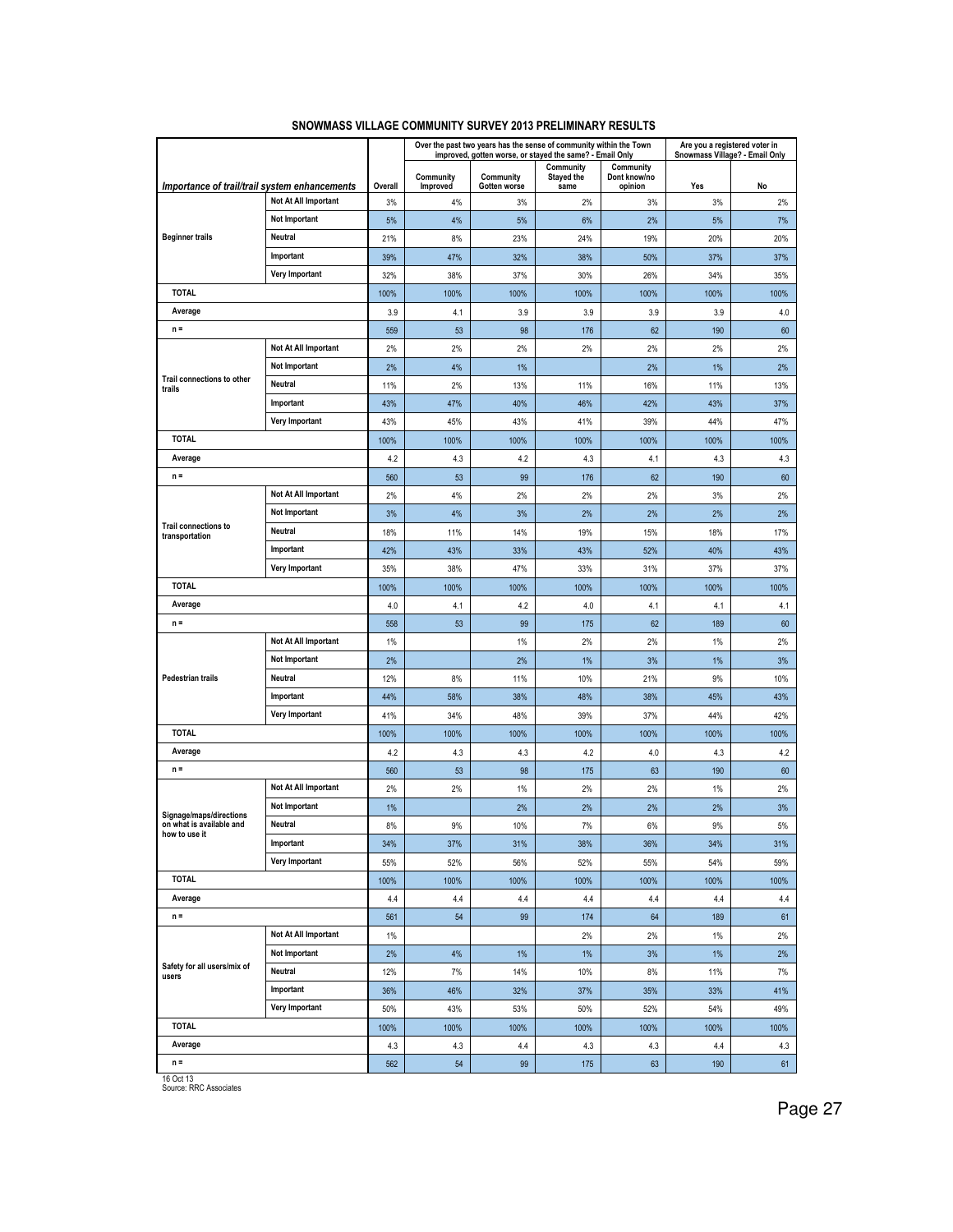|                                                     |                      |             |                       | Over the past two years has the sense of community within the Town<br>improved, gotten worse, or stayed the same? - Email Only |                                 |                                      | Are you a registered voter in<br>Snowmass Village? - Email Only |      |
|-----------------------------------------------------|----------------------|-------------|-----------------------|--------------------------------------------------------------------------------------------------------------------------------|---------------------------------|--------------------------------------|-----------------------------------------------------------------|------|
| Importance of trail/trail system enhancements       |                      | Overall     | Community<br>Improved | Community<br>Gotten worse                                                                                                      | Community<br>Stayed the<br>same | Community<br>Dont know/no<br>opinion | Yes                                                             | No   |
|                                                     | Not At All Important | 3%          | 4%                    | 3%                                                                                                                             | 2%                              | 3%                                   | 3%                                                              | 2%   |
|                                                     | Not Important        | 5%          | 4%                    | 5%                                                                                                                             | 6%                              | 2%                                   | 5%                                                              | 7%   |
| <b>Beginner trails</b>                              | Neutral              | 21%         | 8%                    | 23%                                                                                                                            | 24%                             | 19%                                  | 20%                                                             | 20%  |
|                                                     | Important            | 39%         | 47%                   | 32%                                                                                                                            | 38%                             | 50%                                  | 37%                                                             | 37%  |
|                                                     | Very Important       | 32%         | 38%                   | 37%                                                                                                                            | 30%                             | 26%                                  | 34%                                                             | 35%  |
| <b>TOTAL</b>                                        |                      | 100%        | 100%                  | 100%                                                                                                                           | 100%                            | 100%                                 | 100%                                                            | 100% |
| Average                                             |                      | 3.9         | 4.1                   | 3.9                                                                                                                            | 3.9                             | 3.9                                  | 3.9                                                             | 4.0  |
| $n =$                                               |                      | 559         | 53                    | 98                                                                                                                             | 176                             | 62                                   | 190                                                             | 60   |
|                                                     | Not At All Important | 2%          | 2%                    | 2%                                                                                                                             | 2%                              | 2%                                   | 2%                                                              | 2%   |
|                                                     | Not Important        | 2%          | 4%                    | 1%                                                                                                                             |                                 | 2%                                   | 1%                                                              | 2%   |
| Trail connections to other<br>trails                | Neutral              | 11%         | 2%                    | 13%                                                                                                                            | 11%                             | 16%                                  | 11%                                                             | 13%  |
|                                                     | Important            | 43%         | 47%                   | 40%                                                                                                                            | 46%                             | 42%                                  | 43%                                                             | 37%  |
|                                                     | Very Important       | 43%         | 45%                   | 43%                                                                                                                            | 41%                             | 39%                                  | 44%                                                             | 47%  |
| <b>TOTAL</b>                                        |                      | 100%        | 100%                  | 100%                                                                                                                           | 100%                            | 100%                                 | 100%                                                            | 100% |
| Average                                             |                      | 4.2         | 4.3                   | 4.2                                                                                                                            | 4.3                             | 4.1                                  | 4.3                                                             | 4.3  |
| $n =$                                               |                      | 560         | 53                    | 99                                                                                                                             | 176                             | 62                                   | 190                                                             | 60   |
|                                                     | Not At All Important | 2%          | 4%                    | 2%                                                                                                                             | 2%                              | 2%                                   | 3%                                                              | 2%   |
|                                                     | Not Important        | 3%          | 4%                    | 3%                                                                                                                             | 2%                              | 2%                                   | 2%                                                              | 2%   |
| Trail connections to<br>transportation              | Neutral              | 18%         | 11%                   | 14%                                                                                                                            | 19%                             | 15%                                  | 18%                                                             | 17%  |
|                                                     | Important            | 42%         | 43%                   | 33%                                                                                                                            | 43%                             | 52%                                  | 40%                                                             | 43%  |
|                                                     | Very Important       | 35%         | 38%                   | 47%                                                                                                                            | 33%                             | 31%                                  | 37%                                                             | 37%  |
| <b>TOTAL</b>                                        |                      | 100%        | 100%                  | 100%                                                                                                                           | 100%                            | 100%                                 | 100%                                                            | 100% |
| Average                                             |                      | 4.0         | 4.1                   | 4.2                                                                                                                            | 4.0                             | 4.1                                  | 4.1                                                             | 4.1  |
| $n =$                                               |                      | 558         | 53                    | 99                                                                                                                             | 175                             | 62                                   | 189                                                             | 60   |
|                                                     | Not At All Important | 1%          |                       | 1%                                                                                                                             | 2%                              | 2%                                   | 1%                                                              | 2%   |
|                                                     | Not Important        | 2%          |                       | 2%                                                                                                                             | 1%                              | 3%                                   | 1%                                                              | 3%   |
| <b>Pedestrian trails</b>                            | Neutral              | 12%         | 8%                    | 11%                                                                                                                            | 10%                             | 21%                                  | 9%                                                              | 10%  |
|                                                     | Important            | 44%         | 58%                   | 38%                                                                                                                            | 48%                             | 38%                                  | 45%                                                             | 43%  |
|                                                     | Very Important       | 41%         | 34%                   | 48%                                                                                                                            | 39%                             | 37%                                  | 44%                                                             | 42%  |
| <b>TOTAL</b>                                        |                      | 100%        | 100%                  | 100%                                                                                                                           | 100%                            | 100%                                 | 100%                                                            | 100% |
| Average                                             |                      | 4.2         | 4.3                   | 4.3                                                                                                                            | 4.2                             | 4.0                                  | 4.3                                                             | 4.2  |
| $n =$                                               |                      | 560         | 53                    | 98                                                                                                                             | 175                             | 63                                   | 190                                                             | 60   |
|                                                     | Not At All Important | 2%          | 2%                    | 1%                                                                                                                             | 2%                              | 2%                                   | 1%                                                              | 2%   |
|                                                     | Not Important        | 1%          |                       | 2%                                                                                                                             | 2%                              | 2%                                   | 2%                                                              | 3%   |
| Signage/maps/directions<br>on what is available and | Neutral              | 8%          | 9%                    | 10%                                                                                                                            | 7%                              | 6%                                   | 9%                                                              | 5%   |
| now to use it                                       | Important            | 34%         | 37%                   | 31%                                                                                                                            | 38%                             | 36%                                  | 34%                                                             | 31%  |
|                                                     | Very Important       | 55%         | 52%                   | 56%                                                                                                                            | 52%                             | 55%                                  | 54%                                                             | 59%  |
| <b>TOTAL</b>                                        |                      | 100%        | 100%                  | 100%                                                                                                                           | 100%                            | 100%                                 | 100%                                                            | 100% |
| Average                                             |                      | 4.4         | 4.4                   | 4.4                                                                                                                            | 4.4                             | 4.4                                  | 4.4                                                             | 4.4  |
| $n =$                                               |                      | 561         | 54                    | 99                                                                                                                             | 174                             | 64                                   | 189                                                             | 61   |
|                                                     | Not At All Important | 1%          |                       |                                                                                                                                | 2%                              | 2%                                   | 1%                                                              | 2%   |
|                                                     | Not Important        | 2%          | 4%                    | $1\%$                                                                                                                          | 1%                              | 3%                                   | $1\%$                                                           | 2%   |
| Safety for all users/mix of<br>users                | Neutral              | 12%         | 7%                    | 14%                                                                                                                            | 10%                             | 8%                                   | 11%                                                             | 7%   |
|                                                     | Important            | 36%         | 46%                   | 32%                                                                                                                            | 37%                             | 35%                                  | 33%                                                             | 41%  |
|                                                     | Very Important       | 50%         | 43%                   | 53%                                                                                                                            | 50%                             | 52%                                  | 54%                                                             | 49%  |
| <b>TOTAL</b>                                        |                      |             | 100%                  | 100%                                                                                                                           | 100%                            | 100%                                 | 100%                                                            | 100% |
| Average                                             |                      | 100%<br>4.3 | 4.3                   | 4.4                                                                                                                            | 4.3                             | 4.3                                  | 4.4                                                             | 4.3  |
| $n =$                                               |                      | 562         | 54                    | 99                                                                                                                             | 175                             | 63                                   | 190                                                             | 61   |
| (0.0111)                                            |                      |             |                       |                                                                                                                                |                                 |                                      |                                                                 |      |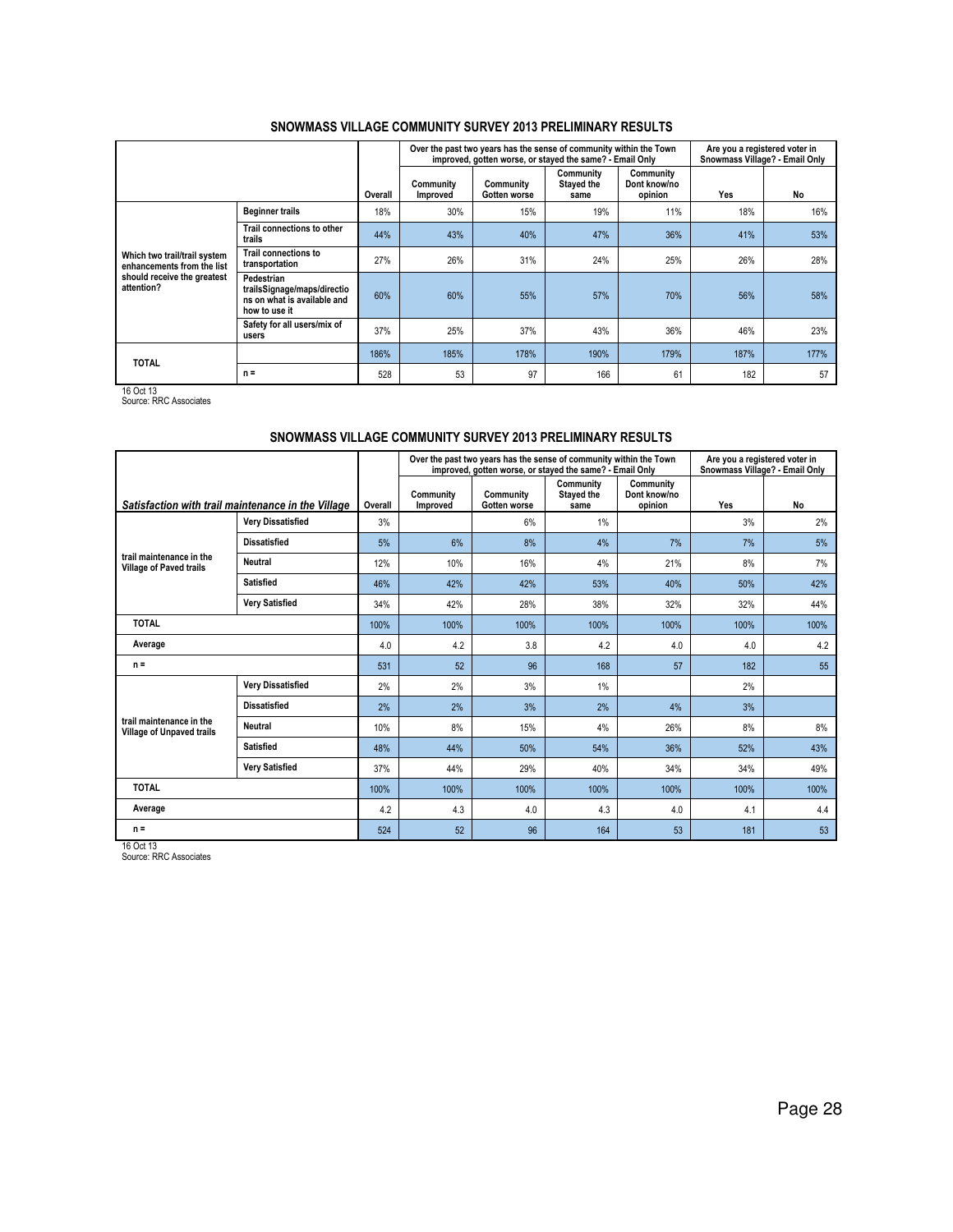|                                                                                                         |                                                                                           |         |                       | Over the past two years has the sense of community within the Town<br>improved, gotten worse, or stayed the same? - Email Only |                                        |                                      | Are you a registered voter in<br>Snowmass Village? - Email Only |      |
|---------------------------------------------------------------------------------------------------------|-------------------------------------------------------------------------------------------|---------|-----------------------|--------------------------------------------------------------------------------------------------------------------------------|----------------------------------------|--------------------------------------|-----------------------------------------------------------------|------|
|                                                                                                         |                                                                                           | Overall | Community<br>Improved | Community<br>Gotten worse                                                                                                      | Community<br><b>Stayed the</b><br>same | Community<br>Dont know/no<br>opinion | Yes                                                             | No   |
|                                                                                                         | <b>Beginner trails</b>                                                                    | 18%     | 30%                   | 15%                                                                                                                            | 19%                                    | 11%                                  | 18%                                                             | 16%  |
|                                                                                                         | Trail connections to other<br>trails                                                      | 44%     | 43%                   | 40%                                                                                                                            | 47%                                    | 36%                                  | 41%                                                             | 53%  |
| Which two trail/trail system<br>enhancements from the list<br>should receive the greatest<br>attention? | <b>Trail connections to</b><br>transportation                                             | 27%     | 26%                   | 31%                                                                                                                            | 24%                                    | 25%                                  | 26%                                                             | 28%  |
|                                                                                                         | Pedestrian<br>trailsSignage/maps/directio<br>ns on what is available and<br>how to use it | 60%     | 60%                   | 55%                                                                                                                            | 57%                                    | 70%                                  | 56%                                                             | 58%  |
|                                                                                                         | Safety for all users/mix of<br>users                                                      | 37%     | 25%                   | 37%                                                                                                                            | 43%                                    | 36%                                  | 46%                                                             | 23%  |
|                                                                                                         |                                                                                           | 186%    | 185%                  | 178%                                                                                                                           | 190%                                   | 179%                                 | 187%                                                            | 177% |
| <b>TOTAL</b>                                                                                            | $n =$                                                                                     | 528     | 53                    | 97                                                                                                                             | 166                                    | 61                                   | 182                                                             | 57   |

16 Oct 13 Source: RRC Associates

## SNOWMASS VILLAGE COMMUNITY SURVEY 2013 PRELIMINARY RESULTS

|                                                            |                                                    |         |                       | Over the past two years has the sense of community within the Town<br>improved, gotten worse, or stayed the same? - Email Only |                                 |                                      | Are you a registered voter in<br>Snowmass Village? - Email Only |      |
|------------------------------------------------------------|----------------------------------------------------|---------|-----------------------|--------------------------------------------------------------------------------------------------------------------------------|---------------------------------|--------------------------------------|-----------------------------------------------------------------|------|
|                                                            | Satisfaction with trail maintenance in the Village | Overall | Community<br>Improved | Community<br>Gotten worse                                                                                                      | Community<br>Stayed the<br>same | Community<br>Dont know/no<br>opinion | Yes                                                             | No   |
|                                                            | <b>Very Dissatisfied</b>                           | 3%      |                       | 6%                                                                                                                             | $1\%$                           |                                      | 3%                                                              | 2%   |
|                                                            | <b>Dissatisfied</b>                                | 5%      | 6%                    | 8%                                                                                                                             | 4%                              | 7%                                   | 7%                                                              | 5%   |
| trail maintenance in the<br><b>Village of Paved trails</b> | <b>Neutral</b>                                     | 12%     | 10%                   | 16%                                                                                                                            | 4%                              | 21%                                  | 8%                                                              | 7%   |
|                                                            | <b>Satisfied</b>                                   | 46%     | 42%                   | 42%                                                                                                                            | 53%                             | 40%                                  | 50%                                                             | 42%  |
|                                                            | <b>Very Satisfied</b>                              | 34%     | 42%                   | 28%                                                                                                                            | 38%                             | 32%                                  | 32%                                                             | 44%  |
| <b>TOTAL</b>                                               |                                                    | 100%    | 100%                  | 100%                                                                                                                           | 100%                            | 100%                                 | 100%                                                            | 100% |
| Average                                                    |                                                    | 4.0     | 4.2                   | 3.8                                                                                                                            | 4.2                             | 4.0                                  | 4.0                                                             | 4.2  |
| $n =$                                                      |                                                    | 531     | 52                    | 96                                                                                                                             | 168                             | 57                                   | 182                                                             | 55   |
|                                                            | <b>Very Dissatisfied</b>                           | 2%      | 2%                    | 3%                                                                                                                             | 1%                              |                                      | 2%                                                              |      |
|                                                            | <b>Dissatisfied</b>                                | 2%      | 2%                    | 3%                                                                                                                             | 2%                              | 4%                                   | 3%                                                              |      |
| Village of Unpaved trails                                  | trail maintenance in the<br>Neutral                |         | 8%                    | 15%                                                                                                                            | 4%                              | 26%                                  | 8%                                                              | 8%   |
| <b>Satisfied</b>                                           |                                                    | 48%     | 44%                   | 50%                                                                                                                            | 54%                             | 36%                                  | 52%                                                             | 43%  |
| <b>Very Satisfied</b>                                      |                                                    | 37%     | 44%                   | 29%                                                                                                                            | 40%                             | 34%                                  | 34%                                                             | 49%  |
| <b>TOTAL</b>                                               |                                                    | 100%    | 100%                  | 100%                                                                                                                           | 100%                            | 100%                                 | 100%                                                            | 100% |
| Average                                                    |                                                    | 4.2     | 4.3                   | 4.0                                                                                                                            | 4.3                             | 4.0                                  | 4.1                                                             | 4.4  |
| $n =$                                                      |                                                    | 524     | 52                    | 96                                                                                                                             | 164                             | 53                                   | 181                                                             | 53   |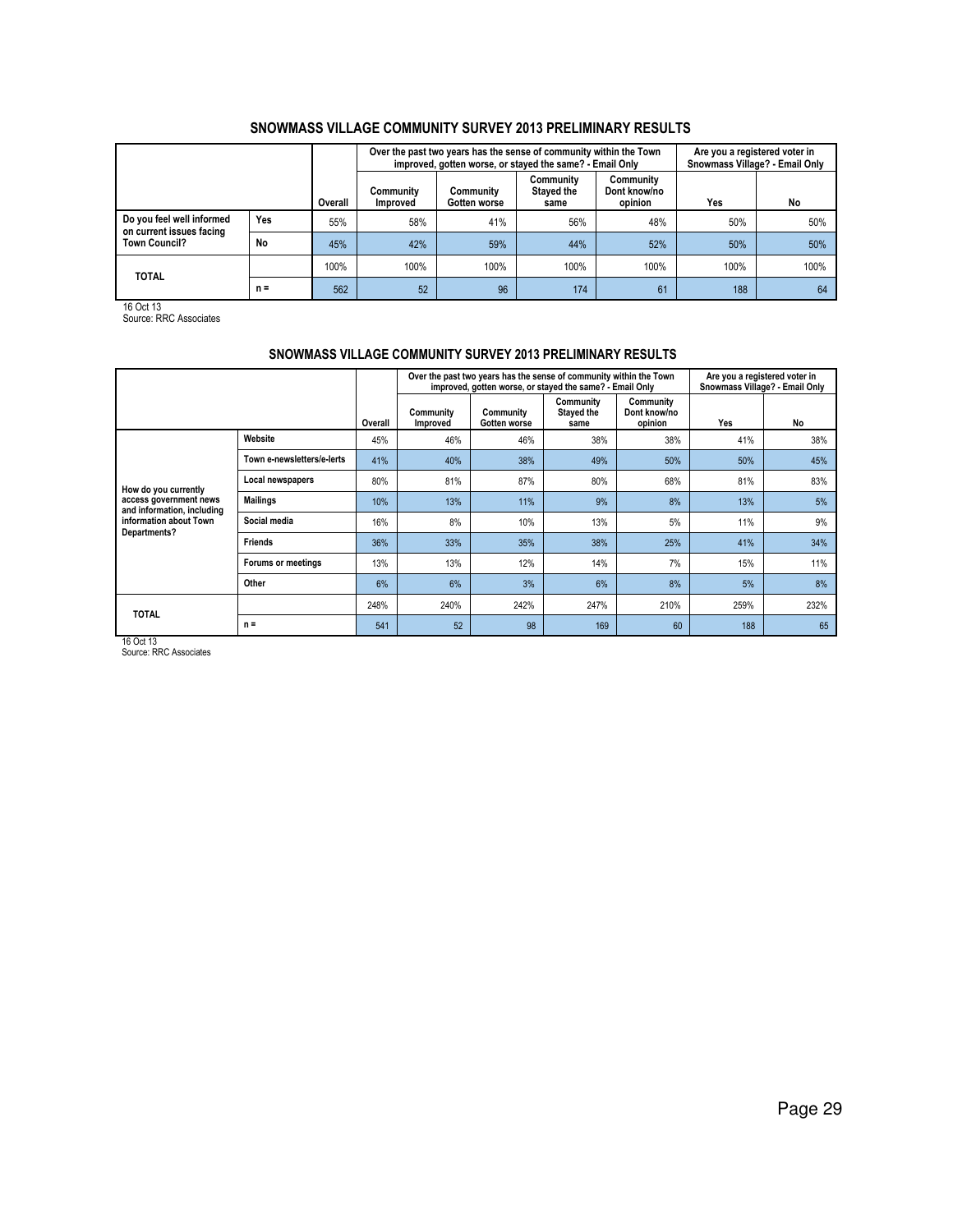|                                                       |       |         |                              | Over the past two years has the sense of community within the Town<br>improved, gotten worse, or stayed the same? - Email Only | Are you a registered voter in<br>Snowmass Village? - Email Only |                                      |      |      |
|-------------------------------------------------------|-------|---------|------------------------------|--------------------------------------------------------------------------------------------------------------------------------|-----------------------------------------------------------------|--------------------------------------|------|------|
|                                                       |       | Overall | Communitv<br><b>Improved</b> | Community<br>Gotten worse                                                                                                      | Community<br><b>Staved the</b><br>same                          | Community<br>Dont know/no<br>opinion | Yes  | No   |
| Do you feel well informed<br>on current issues facing | Yes   | 55%     | 58%                          | 41%                                                                                                                            | 56%                                                             | 48%                                  | 50%  | 50%  |
| <b>Town Council?</b>                                  | No    | 45%     | 42%                          | 59%                                                                                                                            | 44%                                                             | 52%                                  | 50%  | 50%  |
| <b>TOTAL</b>                                          |       | 100%    | 100%                         | 100%                                                                                                                           | 100%                                                            | 100%                                 | 100% | 100% |
|                                                       | $n =$ | 562     | 52                           | 96                                                                                                                             | 174                                                             | 61                                   | 188  | 64   |

16 Oct 13 Source: RRC Associates

### SNOWMASS VILLAGE COMMUNITY SURVEY 2013 PRELIMINARY RESULTS

|                                                      |                            |         |                       | Over the past two years has the sense of community within the Town<br>improved, gotten worse, or stayed the same? - Email Only |                                        |                                      | Are you a registered voter in<br>Snowmass Village? - Email Only |      |
|------------------------------------------------------|----------------------------|---------|-----------------------|--------------------------------------------------------------------------------------------------------------------------------|----------------------------------------|--------------------------------------|-----------------------------------------------------------------|------|
|                                                      |                            | Overall | Community<br>Improved | Community<br>Gotten worse                                                                                                      | Community<br><b>Stayed the</b><br>same | Community<br>Dont know/no<br>opinion | Yes                                                             | No   |
|                                                      | Website                    | 45%     | 46%                   | 46%                                                                                                                            | 38%                                    | 38%                                  | 41%                                                             | 38%  |
|                                                      | Town e-newsletters/e-lerts | 41%     | 40%                   | 38%                                                                                                                            | 49%                                    | 50%                                  | 50%                                                             | 45%  |
| How do you currently                                 | Local newspapers           | 80%     | 81%                   | 87%                                                                                                                            | 80%                                    | 68%                                  | 81%                                                             | 83%  |
| access government news<br>and information, including | <b>Mailings</b>            | 10%     | 13%                   | 11%                                                                                                                            | 9%                                     | 8%                                   | 13%                                                             | 5%   |
| information about Town<br>Departments?               | Social media               | 16%     | 8%                    | 10%                                                                                                                            | 13%                                    | 5%                                   | 11%                                                             | 9%   |
|                                                      | <b>Friends</b>             | 36%     | 33%                   | 35%                                                                                                                            | 38%                                    | 25%                                  | 41%                                                             | 34%  |
|                                                      | Forums or meetings         | 13%     | 13%                   | 12%                                                                                                                            | 14%                                    | 7%                                   | 15%                                                             | 11%  |
|                                                      | Other                      | 6%      | 6%                    | 3%                                                                                                                             | 6%                                     | 8%                                   | 5%                                                              | 8%   |
| <b>TOTAL</b>                                         |                            | 248%    | 240%                  | 242%                                                                                                                           | 247%                                   | 210%                                 | 259%                                                            | 232% |
|                                                      | $n =$                      | 541     | 52                    | 98                                                                                                                             | 169                                    | 60                                   | 188                                                             | 65   |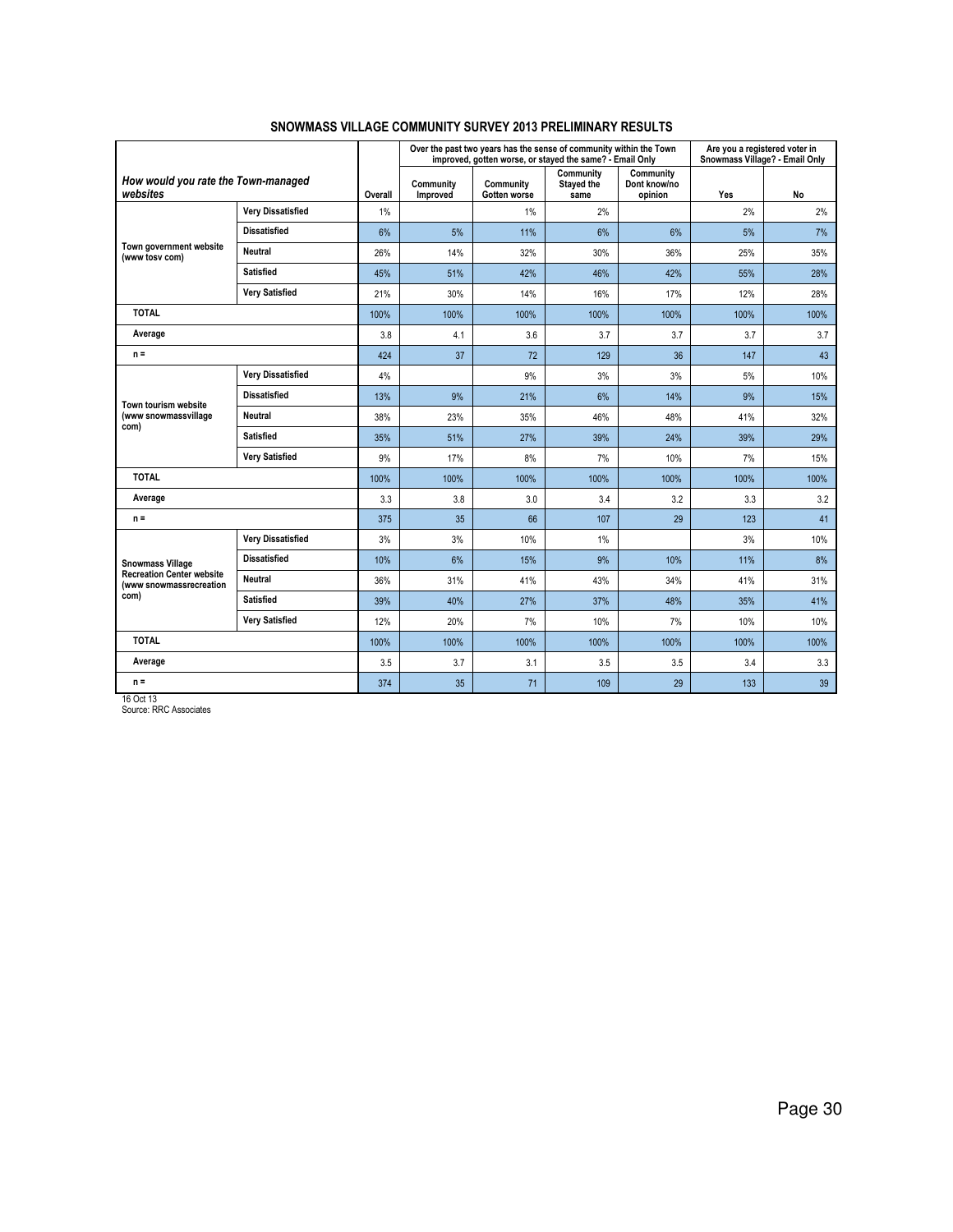|                                                             |                          |         |                       | Over the past two years has the sense of community within the Town<br>improved, gotten worse, or stayed the same? - Email Only |                                 |                                      | Are you a registered voter in<br>Snowmass Village? - Email Only |      |
|-------------------------------------------------------------|--------------------------|---------|-----------------------|--------------------------------------------------------------------------------------------------------------------------------|---------------------------------|--------------------------------------|-----------------------------------------------------------------|------|
| How would you rate the Town-managed<br>websites             |                          | Overall | Community<br>Improved | Community<br>Gotten worse                                                                                                      | Community<br>Stayed the<br>same | Community<br>Dont know/no<br>opinion | Yes                                                             | No   |
|                                                             | <b>Very Dissatisfied</b> | 1%      |                       | 1%                                                                                                                             | 2%                              |                                      | 2%                                                              | 2%   |
|                                                             | <b>Dissatisfied</b>      | 6%      | 5%                    | 11%                                                                                                                            | 6%                              | 6%                                   | 5%                                                              | 7%   |
| Town government website<br>(www tosy com)                   | Neutral                  | 26%     | 14%                   | 32%                                                                                                                            | 30%                             | 36%                                  | 25%                                                             | 35%  |
|                                                             | <b>Satisfied</b>         | 45%     | 51%                   | 42%                                                                                                                            | 46%                             | 42%                                  | 55%                                                             | 28%  |
|                                                             | <b>Very Satisfied</b>    | 21%     | 30%                   | 14%                                                                                                                            | 16%                             | 17%                                  | 12%                                                             | 28%  |
| <b>TOTAL</b>                                                |                          | 100%    | 100%                  | 100%                                                                                                                           | 100%                            | 100%                                 | 100%                                                            | 100% |
| Average                                                     |                          | 3.8     | 4.1                   | 3.6                                                                                                                            | 3.7                             | 3.7                                  | 3.7                                                             | 3.7  |
| $n =$                                                       |                          | 424     | 37                    | 72                                                                                                                             | 129                             | 36                                   | 147                                                             | 43   |
|                                                             | <b>Very Dissatisfied</b> | 4%      |                       | 9%                                                                                                                             | 3%                              | 3%                                   | 5%                                                              | 10%  |
| Town tourism website<br>(www snowmassvillage<br>com)        | <b>Dissatisfied</b>      | 13%     | 9%                    | 21%                                                                                                                            | 6%                              | 14%                                  | 9%                                                              | 15%  |
|                                                             | <b>Neutral</b>           | 38%     | 23%                   | 35%                                                                                                                            | 46%                             | 48%                                  | 41%                                                             | 32%  |
|                                                             | <b>Satisfied</b>         | 35%     | 51%                   | 27%                                                                                                                            | 39%                             | 24%                                  | 39%                                                             | 29%  |
|                                                             | <b>Very Satisfied</b>    | 9%      | 17%                   | 8%                                                                                                                             | 7%                              | 10%                                  | 7%                                                              | 15%  |
| <b>TOTAL</b>                                                |                          | 100%    | 100%                  | 100%                                                                                                                           | 100%                            | 100%                                 | 100%                                                            | 100% |
| Average                                                     |                          | 3.3     | 3.8                   | 3.0                                                                                                                            | 3.4                             | 3.2                                  | 3.3                                                             | 3.2  |
| $n =$                                                       |                          | 375     | 35                    | 66                                                                                                                             | 107                             | 29                                   | 123                                                             | 41   |
|                                                             | <b>Very Dissatisfied</b> | 3%      | 3%                    | 10%                                                                                                                            | $1\%$                           |                                      | 3%                                                              | 10%  |
| <b>Snowmass Village</b>                                     | <b>Dissatisfied</b>      | 10%     | 6%                    | 15%                                                                                                                            | 9%                              | 10%                                  | 11%                                                             | 8%   |
| <b>Recreation Center website</b><br>(www snowmassrecreation | <b>Neutral</b>           | 36%     | 31%                   | 41%                                                                                                                            | 43%                             | 34%                                  | 41%                                                             | 31%  |
| com)                                                        | <b>Satisfied</b>         | 39%     | 40%                   | 27%                                                                                                                            | 37%                             | 48%                                  | 35%                                                             | 41%  |
|                                                             | <b>Very Satisfied</b>    | 12%     | 20%                   | 7%                                                                                                                             | 10%                             | 7%                                   | 10%                                                             | 10%  |
| <b>TOTAL</b>                                                |                          | 100%    | 100%                  | 100%                                                                                                                           | 100%                            | 100%                                 | 100%                                                            | 100% |
| Average                                                     |                          | 3.5     | 3.7                   | 3.1                                                                                                                            | 3.5                             | 3.5                                  | 3.4                                                             | 3.3  |
| $n =$                                                       |                          | 374     | 35                    | 71                                                                                                                             | 109                             | 29                                   | 133                                                             | 39   |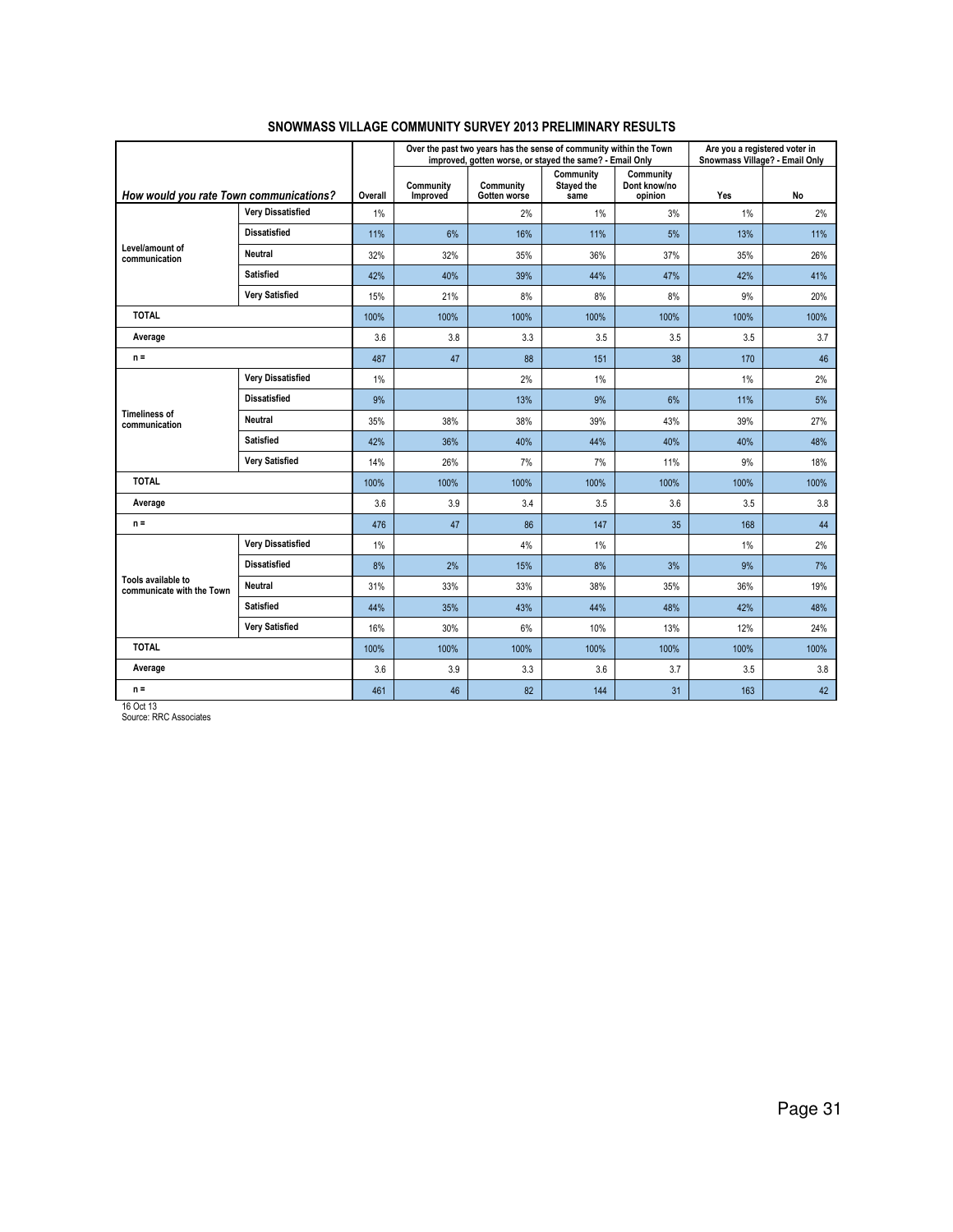|                                                 |                          |         |                       | Over the past two years has the sense of community within the Town<br>improved, gotten worse, or stayed the same? - Email Only |                                 |                                      | Are you a registered voter in<br>Snowmass Village? - Email Only |           |
|-------------------------------------------------|--------------------------|---------|-----------------------|--------------------------------------------------------------------------------------------------------------------------------|---------------------------------|--------------------------------------|-----------------------------------------------------------------|-----------|
| How would you rate Town communications?         |                          | Overall | Community<br>Improved | Community<br>Gotten worse                                                                                                      | Community<br>Stayed the<br>same | Community<br>Dont know/no<br>opinion | Yes                                                             | <b>No</b> |
|                                                 | <b>Very Dissatisfied</b> | 1%      |                       | 2%                                                                                                                             | 1%                              | 3%                                   | 1%                                                              | 2%        |
|                                                 | <b>Dissatisfied</b>      | 11%     | 6%                    | 16%                                                                                                                            | 11%                             | 5%                                   | 13%                                                             | 11%       |
| Level/amount of<br>communication                | <b>Neutral</b>           | 32%     | 32%                   | 35%                                                                                                                            | 36%                             | 37%                                  | 35%                                                             | 26%       |
|                                                 | <b>Satisfied</b>         | 42%     | 40%                   | 39%                                                                                                                            | 44%                             | 47%                                  | 42%                                                             | 41%       |
|                                                 | <b>Very Satisfied</b>    | 15%     | 21%                   | 8%                                                                                                                             | 8%                              | 8%                                   | 9%                                                              | 20%       |
| <b>TOTAL</b>                                    |                          | 100%    | 100%                  | 100%                                                                                                                           | 100%                            | 100%                                 | 100%                                                            | 100%      |
| Average                                         |                          | 3.6     | 3.8                   | 3.3                                                                                                                            | 3.5                             | 3.5                                  | 3.5                                                             | 3.7       |
| $n =$                                           |                          | 487     | 47                    | 88                                                                                                                             | 151                             | 38                                   | 170                                                             | 46        |
|                                                 | <b>Very Dissatisfied</b> | 1%      |                       | 2%                                                                                                                             | 1%                              |                                      | 1%                                                              | 2%        |
| <b>Timeliness of</b><br>communication           | <b>Dissatisfied</b>      | 9%      |                       | 13%                                                                                                                            | 9%                              | 6%                                   | 11%                                                             | 5%        |
|                                                 | <b>Neutral</b>           | 35%     | 38%                   | 38%                                                                                                                            | 39%                             | 43%                                  | 39%                                                             | 27%       |
|                                                 | <b>Satisfied</b>         | 42%     | 36%                   | 40%                                                                                                                            | 44%                             | 40%                                  | 40%                                                             | 48%       |
|                                                 | <b>Very Satisfied</b>    | 14%     | 26%                   | 7%                                                                                                                             | 7%                              | 11%                                  | 9%                                                              | 18%       |
| <b>TOTAL</b>                                    |                          | 100%    | 100%                  | 100%                                                                                                                           | 100%                            | 100%                                 | 100%                                                            | 100%      |
| Average                                         |                          | 3.6     | 3.9                   | 3.4                                                                                                                            | 3.5                             | 3.6                                  | 3.5                                                             | 3.8       |
| $n =$                                           |                          | 476     | 47                    | 86                                                                                                                             | 147                             | 35                                   | 168                                                             | 44        |
|                                                 | <b>Very Dissatisfied</b> | 1%      |                       | 4%                                                                                                                             | 1%                              |                                      | $1\%$                                                           | 2%        |
|                                                 | <b>Dissatisfied</b>      | 8%      | 2%                    | 15%                                                                                                                            | 8%                              | 3%                                   | 9%                                                              | 7%        |
| Tools available to<br>communicate with the Town | <b>Neutral</b>           | 31%     | 33%                   | 33%                                                                                                                            | 38%                             | 35%                                  | 36%                                                             | 19%       |
|                                                 | <b>Satisfied</b>         | 44%     | 35%                   | 43%                                                                                                                            | 44%                             | 48%                                  | 42%                                                             | 48%       |
|                                                 | <b>Very Satisfied</b>    | 16%     | 30%                   | 6%                                                                                                                             | 10%                             | 13%                                  | 12%                                                             | 24%       |
| <b>TOTAL</b>                                    |                          | 100%    | 100%                  | 100%                                                                                                                           | 100%                            | 100%                                 | 100%                                                            | 100%      |
| Average                                         |                          | 3.6     | 3.9                   | 3.3                                                                                                                            | 3.6                             | 3.7                                  | 3.5                                                             | 3.8       |
| $n =$                                           |                          | 461     | 46                    | 82                                                                                                                             | 144                             | 31                                   | 163                                                             | 42        |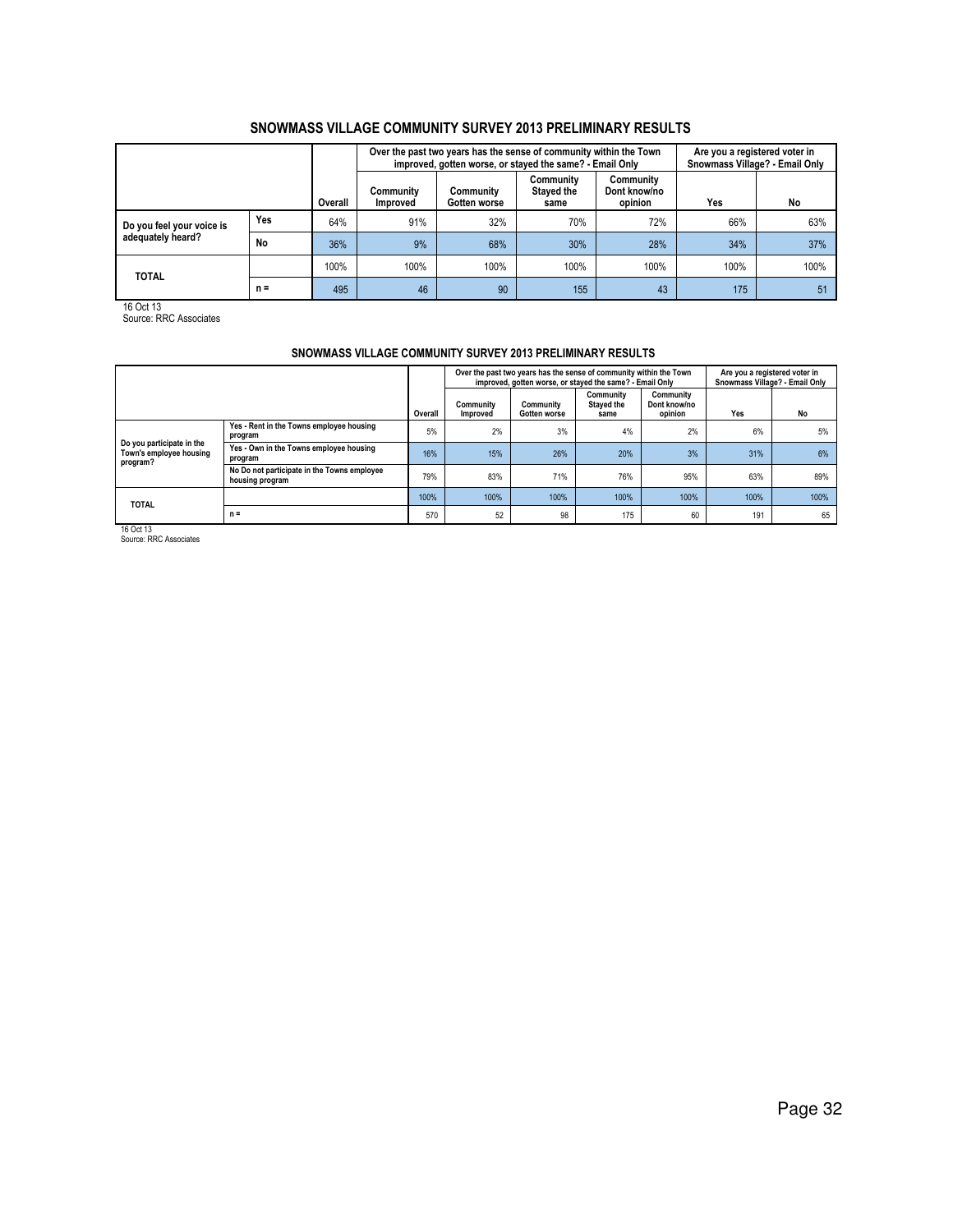|                           |       |         |                              | Over the past two years has the sense of community within the Town<br>improved, gotten worse, or stayed the same? - Email Only | Are you a registered voter in<br>Snowmass Village? - Email Only |                                      |      |      |
|---------------------------|-------|---------|------------------------------|--------------------------------------------------------------------------------------------------------------------------------|-----------------------------------------------------------------|--------------------------------------|------|------|
|                           |       | Overall | Community<br><b>Improved</b> | Community<br>Gotten worse                                                                                                      | Community<br><b>Stayed the</b><br>same                          | Community<br>Dont know/no<br>opinion | Yes  | No   |
| Do you feel your voice is | Yes   | 64%     | 91%                          | 32%                                                                                                                            | 70%                                                             | 72%                                  | 66%  | 63%  |
| adequately heard?         | No    | 36%     | 9%                           | 68%                                                                                                                            | 30%                                                             | 28%                                  | 34%  | 37%  |
| <b>TOTAL</b>              |       | 100%    | 100%                         | 100%                                                                                                                           | 100%                                                            | 100%                                 | 100% | 100% |
|                           | $n =$ | 495     | 46                           | 90                                                                                                                             | 155                                                             | 43                                   | 175  | 51   |

16 Oct 13 Source: RRC Associates

## SNOWMASS VILLAGE COMMUNITY SURVEY 2013 PRELIMINARY RESULTS

|                                                                  |                                                                |         |                       | Over the past two years has the sense of community within the Town<br>improved, gotten worse, or stayed the same? - Email Only |                                 |                                      | Are you a registered voter in<br>Snowmass Village? - Email Only |      |  |
|------------------------------------------------------------------|----------------------------------------------------------------|---------|-----------------------|--------------------------------------------------------------------------------------------------------------------------------|---------------------------------|--------------------------------------|-----------------------------------------------------------------|------|--|
|                                                                  |                                                                | Overall | Community<br>Improved | Community<br>Gotten worse                                                                                                      | Community<br>Stayed the<br>same | Community<br>Dont know/no<br>opinion | Yes                                                             | No   |  |
|                                                                  | Yes - Rent in the Towns employee housing<br>program            | 5%      | 2%                    | 3%                                                                                                                             | 4%                              | 2%                                   | 6%                                                              | 5%   |  |
| Do you participate in the<br>Town's employee housing<br>program? | Yes - Own in the Towns employee housing<br>program             | 16%     | 15%                   | 26%                                                                                                                            | 20%                             | 3%                                   | 31%                                                             | 6%   |  |
|                                                                  | No Do not participate in the Towns employee<br>housing program | 79%     | 83%                   | 71%                                                                                                                            | 76%                             | 95%                                  | 63%                                                             | 89%  |  |
| <b>TOTAL</b>                                                     |                                                                | 100%    | 100%                  | 100%                                                                                                                           | 100%                            | 100%                                 | 100%                                                            | 100% |  |
|                                                                  | $n =$                                                          | 570     | 52                    | 98                                                                                                                             | 175                             | 60                                   | 191                                                             | 65   |  |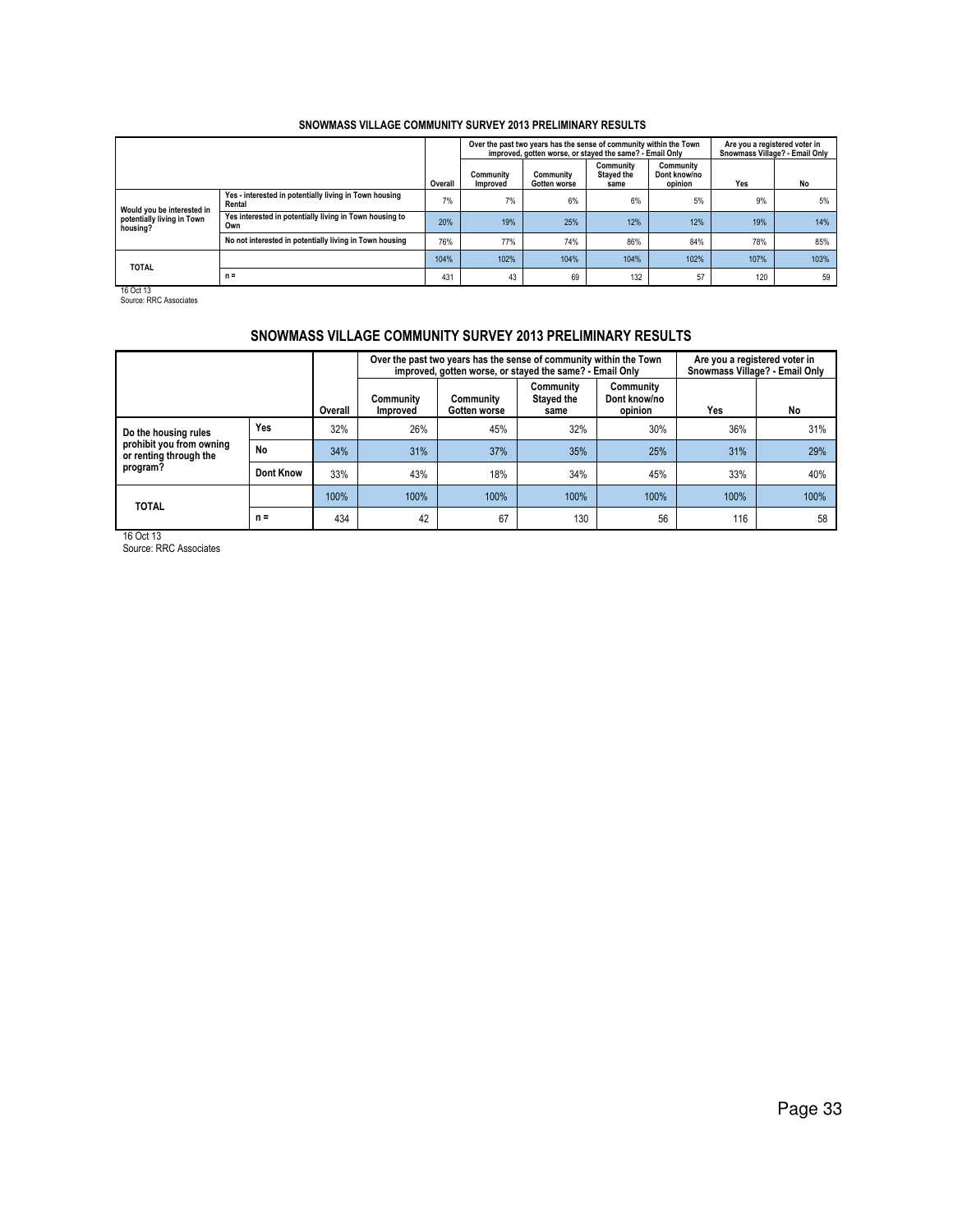|                                        |                                                                  |         |                       | Over the past two years has the sense of community within the Town<br>improved, gotten worse, or stayed the same? - Email Only |                                 |                                      | Are you a registered voter in<br>Snowmass Village? - Email Only |      |
|----------------------------------------|------------------------------------------------------------------|---------|-----------------------|--------------------------------------------------------------------------------------------------------------------------------|---------------------------------|--------------------------------------|-----------------------------------------------------------------|------|
|                                        |                                                                  | Overall | Community<br>Improved | Community<br>Gotten worse                                                                                                      | Community<br>Stayed the<br>same | Community<br>Dont know/no<br>opinion | Yes                                                             | No   |
| Would you be interested in             | Yes - interested in potentially living in Town housing<br>Rental | 7%      | 7%                    | 6%                                                                                                                             | 6%                              | 5%                                   | 9%                                                              | 5%   |
| potentially living in Town<br>housing? | Yes interested in potentially living in Town housing to<br>Own   | 20%     | 19%                   | 25%                                                                                                                            | 12%                             | 12%                                  | 19%                                                             | 14%  |
|                                        | No not interested in potentially living in Town housing          | 76%     | 77%                   | <b>74%</b>                                                                                                                     | 86%                             | 84%                                  | 78%                                                             | 85%  |
| <b>TOTAL</b>                           |                                                                  | 104%    | 102%                  | 104%                                                                                                                           | 104%                            | 102%                                 | 107%                                                            | 103% |
|                                        | $n =$                                                            | 431     | 43                    | 69                                                                                                                             | 132                             | 57                                   | 120                                                             | 59   |

16 Oct 13 Source: RRC Associates

## SNOWMASS VILLAGE COMMUNITY SURVEY 2013 PRELIMINARY RESULTS

|                                                    |           |         |                       |                           | Over the past two years has the sense of community within the Town<br>improved, gotten worse, or stayed the same? - Email Only |                                      | Are you a registered voter in<br>Snowmass Village? - Email Only |      |  |
|----------------------------------------------------|-----------|---------|-----------------------|---------------------------|--------------------------------------------------------------------------------------------------------------------------------|--------------------------------------|-----------------------------------------------------------------|------|--|
|                                                    |           | Overall | Community<br>Improved | Community<br>Gotten worse | Community<br>Stayed the<br>same                                                                                                | Community<br>Dont know/no<br>opinion | Yes                                                             | No   |  |
| Do the housing rules                               | Yes       | 32%     | 26%                   | 45%                       | 32%                                                                                                                            | 30%                                  | 36%                                                             | 31%  |  |
| prohibit you from owning<br>or renting through the | No        | 34%     | 31%                   | 37%                       | 35%                                                                                                                            | 25%                                  | 31%                                                             | 29%  |  |
| program?                                           | Dont Know | 33%     | 43%                   | 18%                       | 34%                                                                                                                            | 45%                                  | 33%                                                             | 40%  |  |
| <b>TOTAL</b>                                       |           | 100%    | 100%                  | 100%                      | 100%                                                                                                                           | 100%                                 | 100%                                                            | 100% |  |
|                                                    | $n =$     | 434     | 42                    | 67                        | 130                                                                                                                            | 56                                   | 116                                                             | 58   |  |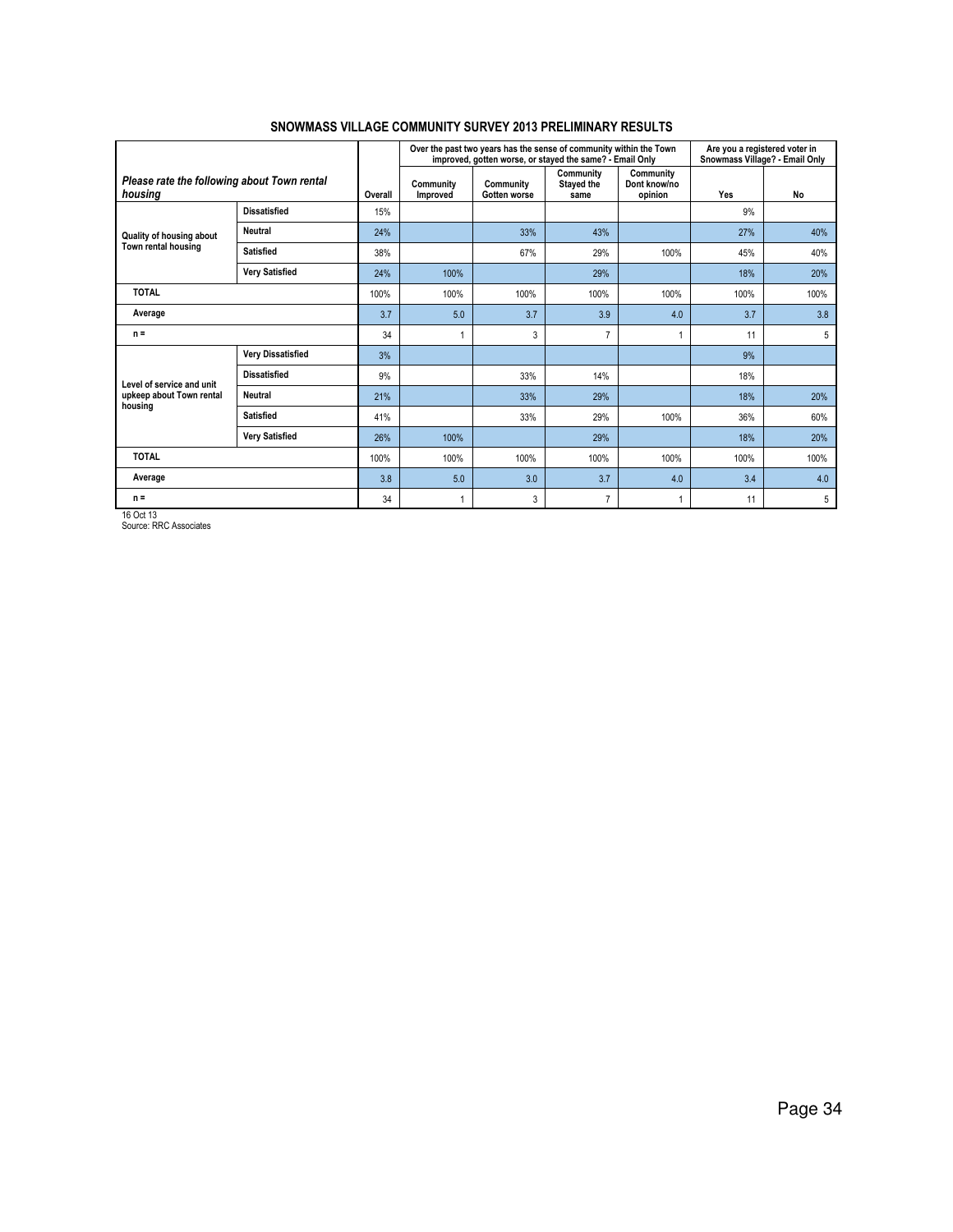|                                                        |                          |         |                       | Over the past two years has the sense of community within the Town<br>improved, gotten worse, or stayed the same? - Email Only |                                 |                                      | Are you a registered voter in<br>Snowmass Village? - Email Only |      |
|--------------------------------------------------------|--------------------------|---------|-----------------------|--------------------------------------------------------------------------------------------------------------------------------|---------------------------------|--------------------------------------|-----------------------------------------------------------------|------|
| Please rate the following about Town rental<br>housing |                          | Overall | Community<br>Improved | Community<br>Gotten worse                                                                                                      | Community<br>Stayed the<br>same | Community<br>Dont know/no<br>opinion | Yes                                                             | No   |
|                                                        | <b>Dissatisfied</b>      | 15%     |                       |                                                                                                                                |                                 |                                      | 9%                                                              |      |
| Quality of housing about                               | <b>Neutral</b>           | 24%     |                       | 33%                                                                                                                            | 43%                             |                                      | 27%                                                             | 40%  |
| Town rental housing                                    | <b>Satisfied</b>         | 38%     |                       | 67%                                                                                                                            | 29%                             | 100%                                 | 45%                                                             | 40%  |
|                                                        | <b>Very Satisfied</b>    | 24%     | 100%                  |                                                                                                                                | 29%                             |                                      | 18%                                                             | 20%  |
| <b>TOTAL</b>                                           |                          | 100%    | 100%                  | 100%                                                                                                                           | 100%                            | 100%                                 | 100%                                                            | 100% |
| Average                                                |                          | 3.7     | 5.0                   | 3.7                                                                                                                            | 3.9                             | 4.0                                  | 3.7                                                             | 3.8  |
| $n =$                                                  |                          | 34      |                       | 3                                                                                                                              | 7                               |                                      | 11                                                              | 5    |
|                                                        | <b>Very Dissatisfied</b> | 3%      |                       |                                                                                                                                |                                 |                                      | 9%                                                              |      |
| Level of service and unit                              | <b>Dissatisfied</b>      | 9%      |                       | 33%                                                                                                                            | 14%                             |                                      | 18%                                                             |      |
| upkeep about Town rental<br>housing                    | Neutral                  | 21%     |                       | 33%                                                                                                                            | 29%                             |                                      | 18%                                                             | 20%  |
|                                                        | <b>Satisfied</b>         | 41%     |                       | 33%                                                                                                                            | 29%                             | 100%                                 | 36%                                                             | 60%  |
| <b>Very Satisfied</b>                                  |                          | 26%     | 100%                  |                                                                                                                                | 29%                             |                                      | 18%                                                             | 20%  |
| <b>TOTAL</b>                                           |                          | 100%    | 100%                  | 100%                                                                                                                           | 100%                            | 100%                                 | 100%                                                            | 100% |
| Average                                                |                          | 3.8     | 5.0                   | 3.0                                                                                                                            | 3.7                             | 4.0                                  | 3.4                                                             | 4.0  |
| $n =$                                                  |                          | 34      |                       | 3                                                                                                                              | $\overline{7}$                  |                                      | 11                                                              | 5    |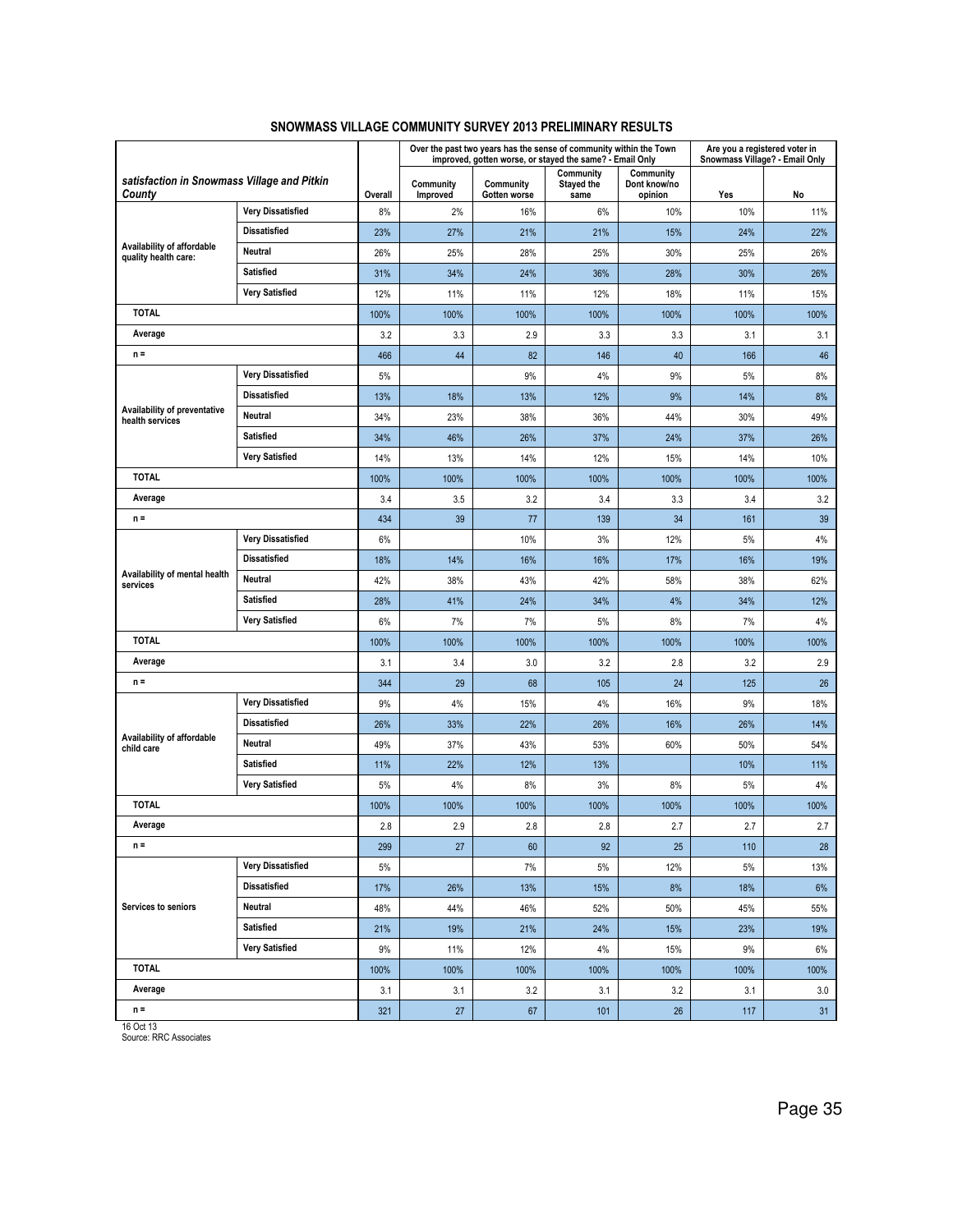|                                                       |                          |         |                       | Over the past two years has the sense of community within the Town<br>improved, gotten worse, or stayed the same? - Email Only |                                        |                                      | Are you a registered voter in<br>Snowmass Village? - Email Only |      |
|-------------------------------------------------------|--------------------------|---------|-----------------------|--------------------------------------------------------------------------------------------------------------------------------|----------------------------------------|--------------------------------------|-----------------------------------------------------------------|------|
| satisfaction in Snowmass Village and Pitkin<br>County |                          | Overall | Community<br>Improved | Community<br>Gotten worse                                                                                                      | Community<br><b>Stayed the</b><br>same | Community<br>Dont know/no<br>opinion | Yes                                                             | No   |
|                                                       | <b>Very Dissatisfied</b> | 8%      | 2%                    | 16%                                                                                                                            | 6%                                     | 10%                                  | 10%                                                             | 11%  |
|                                                       | <b>Dissatisfied</b>      | 23%     | 27%                   | 21%                                                                                                                            | 21%                                    | 15%                                  | 24%                                                             | 22%  |
| Availability of affordable<br>quality health care:    | Neutral                  | 26%     | 25%                   | 28%                                                                                                                            | 25%                                    | 30%                                  | 25%                                                             | 26%  |
|                                                       | <b>Satisfied</b>         | 31%     | 34%                   | 24%                                                                                                                            | 36%                                    | 28%                                  | 30%                                                             | 26%  |
|                                                       | <b>Very Satisfied</b>    | 12%     | 11%                   | 11%                                                                                                                            | 12%                                    | 18%                                  | 11%                                                             | 15%  |
| <b>TOTAL</b>                                          |                          | 100%    | 100%                  | 100%                                                                                                                           | 100%                                   | 100%                                 | 100%                                                            | 100% |
| Average                                               |                          | 3.2     | 3.3                   | 2.9                                                                                                                            | 3.3                                    | 3.3                                  | 3.1                                                             | 3.1  |
| $n =$                                                 |                          | 466     | 44                    | 82                                                                                                                             | 146                                    | 40                                   | 166                                                             | 46   |
|                                                       | <b>Very Dissatisfied</b> | 5%      |                       | 9%                                                                                                                             | 4%                                     | 9%                                   | 5%                                                              | 8%   |
|                                                       | <b>Dissatisfied</b>      | 13%     | 18%                   | 13%                                                                                                                            | 12%                                    | 9%                                   | 14%                                                             | 8%   |
| Availability of preventative<br>health services       | Neutral                  | 34%     | 23%                   | 38%                                                                                                                            | 36%                                    | 44%                                  | 30%                                                             | 49%  |
|                                                       | Satisfied                | 34%     | 46%                   | 26%                                                                                                                            | 37%                                    | 24%                                  | 37%                                                             | 26%  |
|                                                       | <b>Very Satisfied</b>    | 14%     | 13%                   | 14%                                                                                                                            | 12%                                    | 15%                                  | 14%                                                             | 10%  |
| <b>TOTAL</b>                                          |                          | 100%    | 100%                  | 100%                                                                                                                           | 100%                                   | 100%                                 | 100%                                                            | 100% |
| Average                                               |                          | 3.4     | 3.5                   | 3.2                                                                                                                            | 3.4                                    | 3.3                                  | 3.4                                                             | 3.2  |
| $n =$                                                 |                          | 434     | 39                    | 77                                                                                                                             | 139                                    | 34                                   | 161                                                             | 39   |
|                                                       | <b>Very Dissatisfied</b> | 6%      |                       | 10%                                                                                                                            | 3%                                     | 12%                                  | 5%                                                              | 4%   |
|                                                       | <b>Dissatisfied</b>      | 18%     | 14%                   | 16%                                                                                                                            | 16%                                    | 17%                                  | 16%                                                             | 19%  |
| Availability of mental health<br>services             | Neutral                  | 42%     | 38%                   | 43%                                                                                                                            | 42%                                    | 58%                                  | 38%                                                             | 62%  |
|                                                       | <b>Satisfied</b>         | 28%     | 41%                   | 24%                                                                                                                            | 34%                                    | 4%                                   | 34%                                                             | 12%  |
|                                                       | <b>Very Satisfied</b>    | 6%      | 7%                    | 7%                                                                                                                             | 5%                                     | 8%                                   | 7%                                                              | 4%   |
| <b>TOTAL</b>                                          |                          | 100%    | 100%                  | 100%                                                                                                                           | 100%                                   | 100%                                 | 100%                                                            | 100% |
| Average                                               |                          | 3.1     | 3.4                   | 3.0                                                                                                                            | 3.2                                    | 2.8                                  | 3.2                                                             | 2.9  |
| $n =$                                                 |                          | 344     | 29                    | 68                                                                                                                             | 105                                    | 24                                   | 125                                                             | 26   |
|                                                       | <b>Very Dissatisfied</b> | 9%      | 4%                    | 15%                                                                                                                            | 4%                                     | 16%                                  | 9%                                                              | 18%  |
|                                                       | <b>Dissatisfied</b>      | 26%     | 33%                   | 22%                                                                                                                            | 26%                                    | 16%                                  | 26%                                                             | 14%  |
| Availability of affordable<br>child care              | Neutral                  | 49%     | 37%                   | 43%                                                                                                                            | 53%                                    | 60%                                  | 50%                                                             | 54%  |
|                                                       | Satisfied                | 11%     | 22%                   | 12%                                                                                                                            | 13%                                    |                                      | 10%                                                             | 11%  |
|                                                       | <b>Very Satisfied</b>    | 5%      | 4%                    | 8%                                                                                                                             | 3%                                     | 8%                                   | 5%                                                              | 4%   |
| <b>TOTAL</b>                                          |                          | 100%    | 100%                  | 100%                                                                                                                           | 100%                                   | 100%                                 | 100%                                                            | 100% |
| Average                                               |                          | 2.8     | 2.9                   | 2.8                                                                                                                            | 2.8                                    | 2.7                                  | 2.7                                                             | 2.7  |
| $n =$                                                 |                          | 299     | 27                    | 60                                                                                                                             | 92                                     | 25                                   | 110                                                             | 28   |
|                                                       | <b>Very Dissatisfied</b> | 5%      |                       | 7%                                                                                                                             | 5%                                     | 12%                                  | 5%                                                              | 13%  |
|                                                       | <b>Dissatisfied</b>      | 17%     | 26%                   | 13%                                                                                                                            | 15%                                    | 8%                                   | 18%                                                             | 6%   |
| Services to seniors                                   | Neutral                  | 48%     | 44%                   | 46%                                                                                                                            | 52%                                    | 50%                                  | 45%                                                             | 55%  |
| Satisfied                                             |                          | 21%     | 19%                   | 21%                                                                                                                            | 24%                                    | 15%                                  | 23%                                                             | 19%  |
| <b>Very Satisfied</b>                                 |                          | 9%      | 11%                   | 12%                                                                                                                            | 4%                                     | 15%                                  | 9%                                                              | 6%   |
| <b>TOTAL</b>                                          |                          | 100%    | 100%                  | 100%                                                                                                                           | 100%                                   | 100%                                 | 100%                                                            | 100% |
| Average                                               |                          | 3.1     | 3.1                   | 3.2                                                                                                                            | 3.1                                    | 3.2                                  | 3.1                                                             | 3.0  |
| $n =$                                                 |                          | 321     | 27                    | 67                                                                                                                             | 101                                    | 26                                   | 117                                                             | 31   |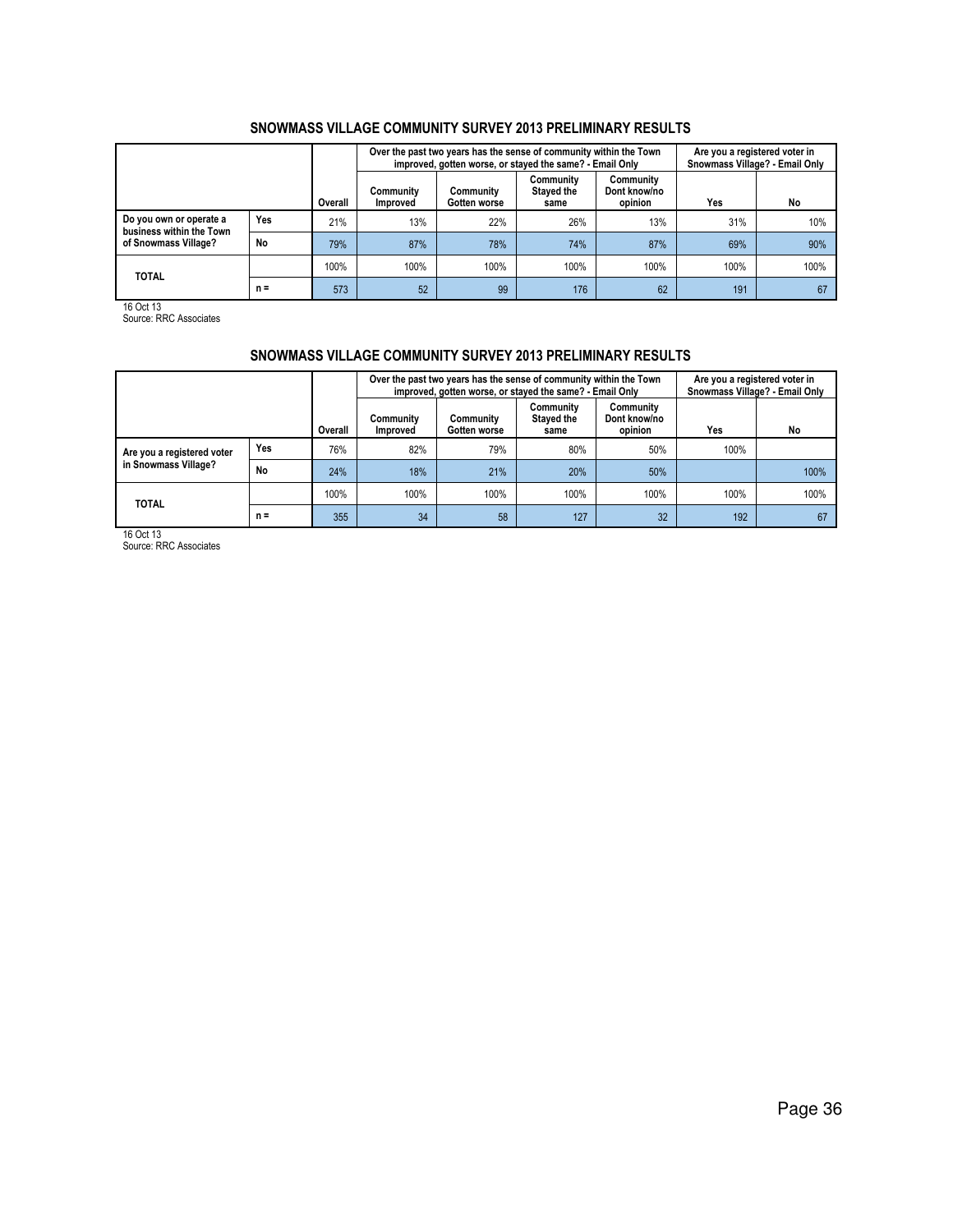|                                                     |       |         |                              | Over the past two years has the sense of community within the Town<br>improved, gotten worse, or stayed the same? - Email Only | Are you a registered voter in<br>Snowmass Village? - Email Only |                                      |      |      |
|-----------------------------------------------------|-------|---------|------------------------------|--------------------------------------------------------------------------------------------------------------------------------|-----------------------------------------------------------------|--------------------------------------|------|------|
|                                                     |       | Overall | Communitv<br><b>Improved</b> | Community<br>Gotten worse                                                                                                      | Community<br><b>Stayed the</b><br>same                          | Community<br>Dont know/no<br>opinion | Yes  | No   |
| Do you own or operate a<br>business within the Town | Yes   | 21%     | 13%                          | 22%                                                                                                                            | 26%                                                             | 13%                                  | 31%  | 10%  |
| of Snowmass Village?                                | No    | 79%     | 87%                          | 78%                                                                                                                            | 74%                                                             | 87%                                  | 69%  | 90%  |
| <b>TOTAL</b>                                        |       | 100%    | 100%                         | 100%                                                                                                                           | 100%                                                            | 100%                                 | 100% | 100% |
|                                                     | $n =$ | 573     | 52                           | 99                                                                                                                             | 176                                                             | 62                                   | 191  | 67   |

16 Oct 13 Source: RRC Associates

## SNOWMASS VILLAGE COMMUNITY SURVEY 2013 PRELIMINARY RESULTS

|                            |     |         |                              | Over the past two years has the sense of community within the Town<br>improved, gotten worse, or stayed the same? - Email Only |                                 |                                      | Are you a registered voter in<br>Snowmass Village? - Email Only |      |  |
|----------------------------|-----|---------|------------------------------|--------------------------------------------------------------------------------------------------------------------------------|---------------------------------|--------------------------------------|-----------------------------------------------------------------|------|--|
|                            |     | Overall | Communitv<br><b>Improved</b> | Communitv<br>Gotten worse                                                                                                      | Community<br>Stayed the<br>same | Community<br>Dont know/no<br>opinion | Yes                                                             | No   |  |
| Are you a registered voter | Yes | 76%     | 82%                          | 79%                                                                                                                            | 80%                             | 50%                                  | 100%                                                            |      |  |
| in Snowmass Village?       | No  | 24%     | 18%                          | 21%                                                                                                                            | 20%                             | 50%                                  |                                                                 | 100% |  |
| <b>TOTAL</b>               |     | 100%    | 100%                         | 100%                                                                                                                           | 100%                            | 100%                                 | 100%                                                            | 100% |  |
| $n =$                      |     | 355     | 34                           | 58                                                                                                                             | 127                             | 32                                   | 192                                                             | 67   |  |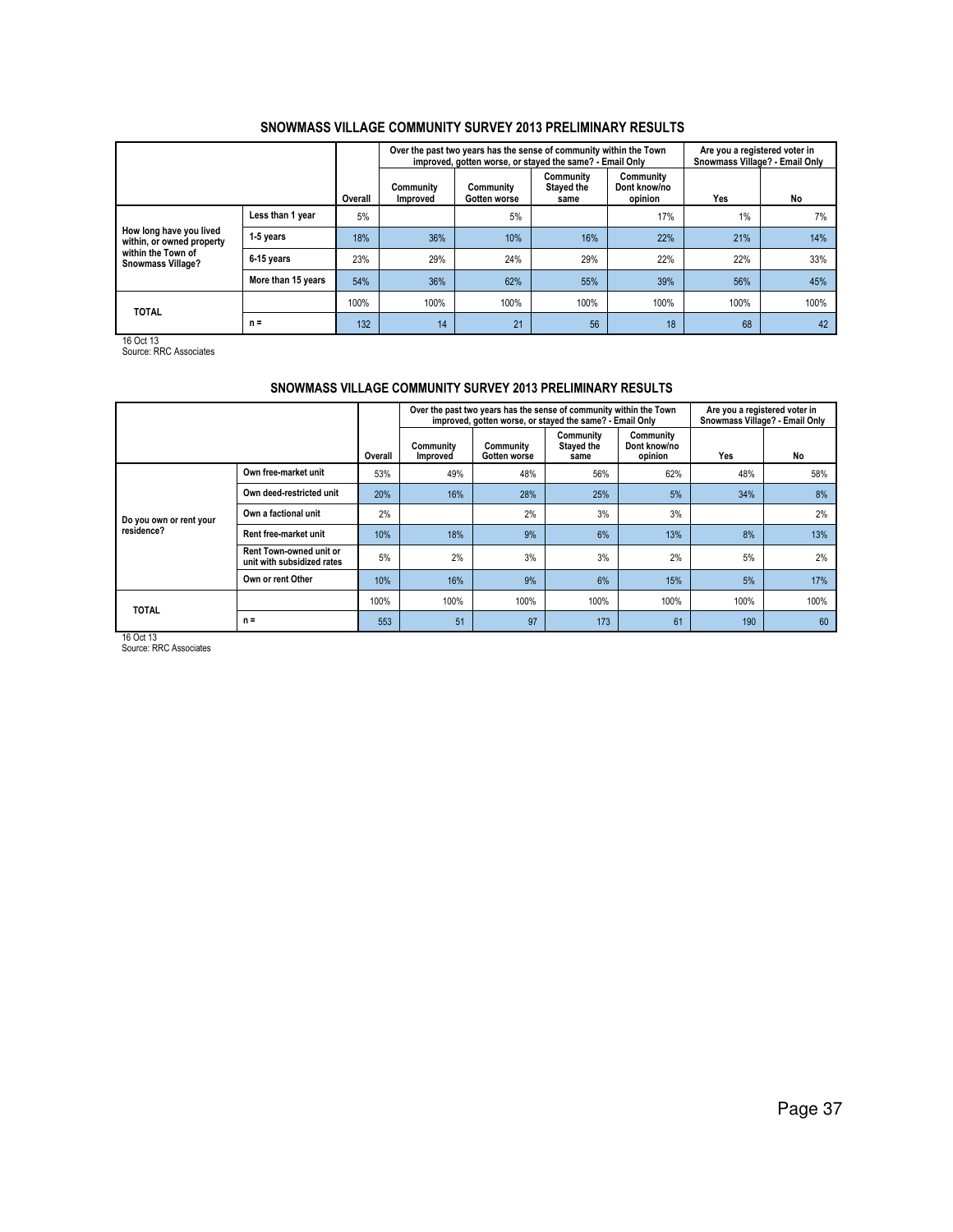|                                                      |                    |         |                       | Over the past two years has the sense of community within the Town<br>improved, gotten worse, or stayed the same? - Email Only |                                        |                                      | Are you a registered voter in<br>Snowmass Village? - Email Only |      |  |
|------------------------------------------------------|--------------------|---------|-----------------------|--------------------------------------------------------------------------------------------------------------------------------|----------------------------------------|--------------------------------------|-----------------------------------------------------------------|------|--|
|                                                      |                    | Overall | Community<br>Improved | Community<br>Gotten worse                                                                                                      | Community<br><b>Stayed the</b><br>same | Community<br>Dont know/no<br>opinion | Yes                                                             | No   |  |
|                                                      | Less than 1 year   | 5%      |                       | 5%                                                                                                                             |                                        | 17%                                  | 1%                                                              | 7%   |  |
| How long have you lived<br>within, or owned property | 1-5 years          | 18%     | 36%                   | 10%                                                                                                                            | 16%                                    | 22%                                  | 21%                                                             | 14%  |  |
| within the Town of<br><b>Snowmass Village?</b>       | 6-15 years         | 23%     | 29%                   | 24%                                                                                                                            | 29%                                    | 22%                                  | 22%                                                             | 33%  |  |
|                                                      | More than 15 years | 54%     | 36%                   | 62%                                                                                                                            | 55%                                    | 39%                                  | 56%                                                             | 45%  |  |
| <b>TOTAL</b>                                         |                    | 100%    | 100%                  | 100%                                                                                                                           | 100%                                   | 100%                                 | 100%                                                            | 100% |  |
|                                                      | $n =$              | 132     | 14                    | 21                                                                                                                             | 56                                     | 18                                   | 68                                                              | 42   |  |

16 Oct 13 Source: RRC Associates

# SNOWMASS VILLAGE COMMUNITY SURVEY 2013 PRELIMINARY RESULTS

|                         |                                                              |         |                       | Over the past two years has the sense of community within the Town<br>improved, gotten worse, or stayed the same? - Email Only |                                 |                                      |      |      |  |
|-------------------------|--------------------------------------------------------------|---------|-----------------------|--------------------------------------------------------------------------------------------------------------------------------|---------------------------------|--------------------------------------|------|------|--|
|                         |                                                              | Overall | Community<br>Improved | Community<br>Gotten worse                                                                                                      | Community<br>Stayed the<br>same | Community<br>Dont know/no<br>opinion | Yes  | No   |  |
|                         | Own free-market unit                                         | 53%     | 49%                   | 48%                                                                                                                            | 56%                             | 62%                                  | 48%  | 58%  |  |
|                         | Own deed-restricted unit                                     | 20%     | 16%                   | 28%                                                                                                                            | 25%                             | 5%                                   | 34%  | 8%   |  |
| Do you own or rent your | Own a factional unit                                         | 2%      |                       | 2%                                                                                                                             | 3%                              | 3%                                   |      | 2%   |  |
| residence?              | Rent free-market unit                                        | 10%     | 18%                   | 9%                                                                                                                             | 6%                              | 13%                                  | 8%   | 13%  |  |
|                         | <b>Rent Town-owned unit or</b><br>unit with subsidized rates | 5%      | 2%                    | 3%                                                                                                                             | 3%                              | 2%                                   | 5%   | 2%   |  |
|                         | Own or rent Other                                            | 10%     | 16%                   | 9%                                                                                                                             | 6%                              | 15%                                  | 5%   | 17%  |  |
| <b>TOTAL</b>            |                                                              | 100%    | 100%                  | 100%                                                                                                                           | 100%                            | 100%                                 | 100% | 100% |  |
|                         | $n =$                                                        | 553     | 51                    | 97                                                                                                                             | 173                             | 61                                   | 190  | 60   |  |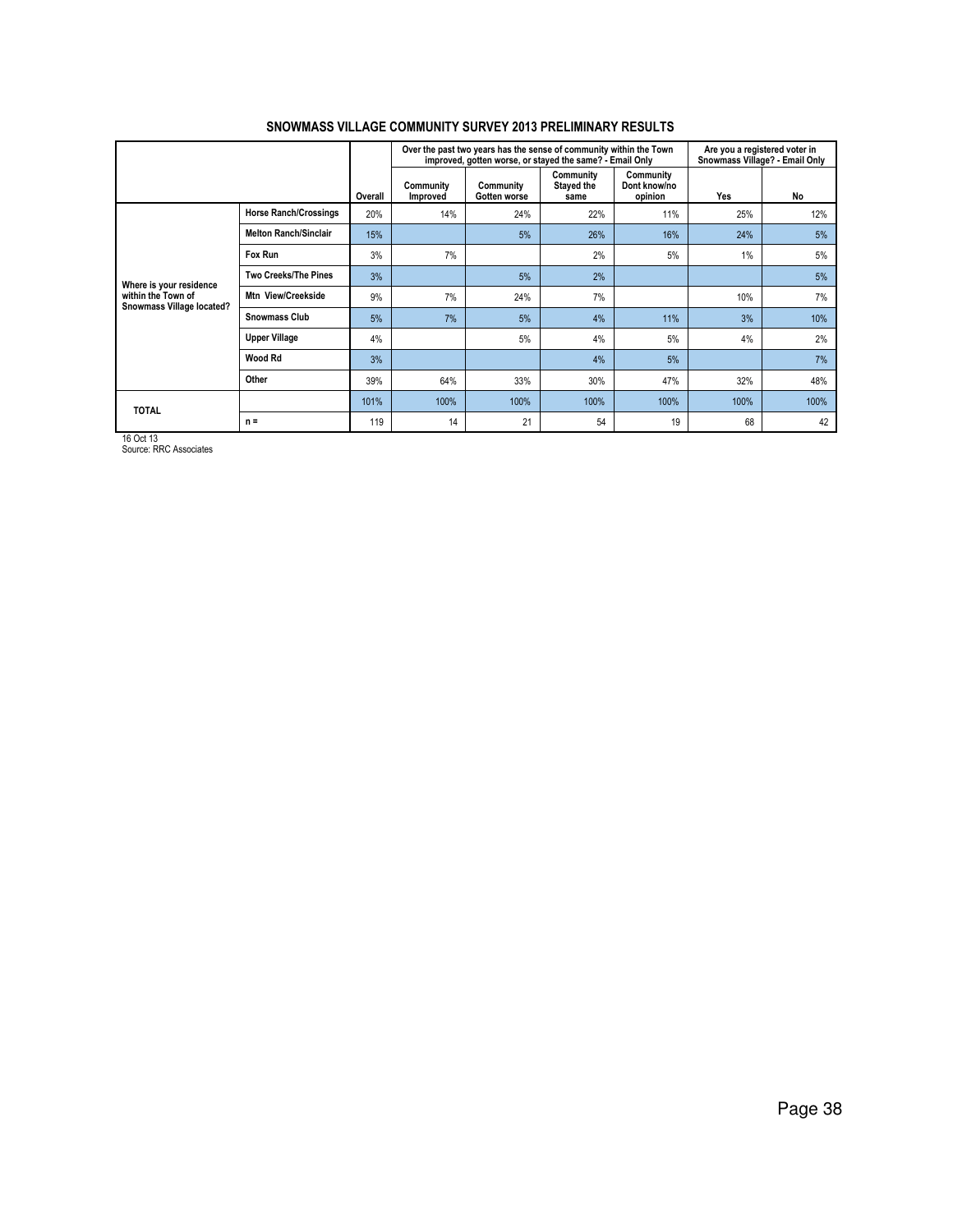|                                                 |                              |         |                       | Over the past two years has the sense of community within the Town<br>improved, gotten worse, or stayed the same? - Email Only |                                 | Are you a registered voter in<br>Snowmass Village? - Email Only |      |      |
|-------------------------------------------------|------------------------------|---------|-----------------------|--------------------------------------------------------------------------------------------------------------------------------|---------------------------------|-----------------------------------------------------------------|------|------|
|                                                 |                              | Overall | Community<br>Improved | Community<br>Gotten worse                                                                                                      | Community<br>Stayed the<br>same | Community<br>Dont know/no<br>opinion                            | Yes  | No   |
|                                                 | <b>Horse Ranch/Crossings</b> | 20%     | 14%                   | 24%                                                                                                                            | 22%                             | 11%                                                             | 25%  | 12%  |
|                                                 | <b>Melton Ranch/Sinclair</b> | 15%     |                       | 5%                                                                                                                             | 26%                             | 16%                                                             | 24%  | 5%   |
|                                                 | Fox Run                      | 3%      | 7%                    |                                                                                                                                | 2%                              | 5%                                                              | 1%   | 5%   |
| Where is your residence                         | <b>Two Creeks/The Pines</b>  | 3%      |                       | 5%                                                                                                                             | 2%                              |                                                                 |      | 5%   |
| within the Town of<br>Snowmass Village located? | Mtn View/Creekside           | 9%      | 7%                    | 24%                                                                                                                            | 7%                              |                                                                 | 10%  | 7%   |
|                                                 | <b>Snowmass Club</b>         | 5%      | 7%                    | 5%                                                                                                                             | 4%                              | 11%                                                             | 3%   | 10%  |
|                                                 | <b>Upper Village</b>         | 4%      |                       | 5%                                                                                                                             | 4%                              | 5%                                                              | 4%   | 2%   |
|                                                 | Wood Rd                      | 3%      |                       |                                                                                                                                | 4%                              | 5%                                                              |      | 7%   |
|                                                 | Other                        | 39%     | 64%                   | 33%                                                                                                                            | 30%                             | 47%                                                             | 32%  | 48%  |
|                                                 |                              | 101%    | 100%                  | 100%                                                                                                                           | 100%                            | 100%                                                            | 100% | 100% |
| <b>TOTAL</b>                                    | $n =$                        | 119     | 14                    | 21                                                                                                                             | 54                              | 19                                                              | 68   | 42   |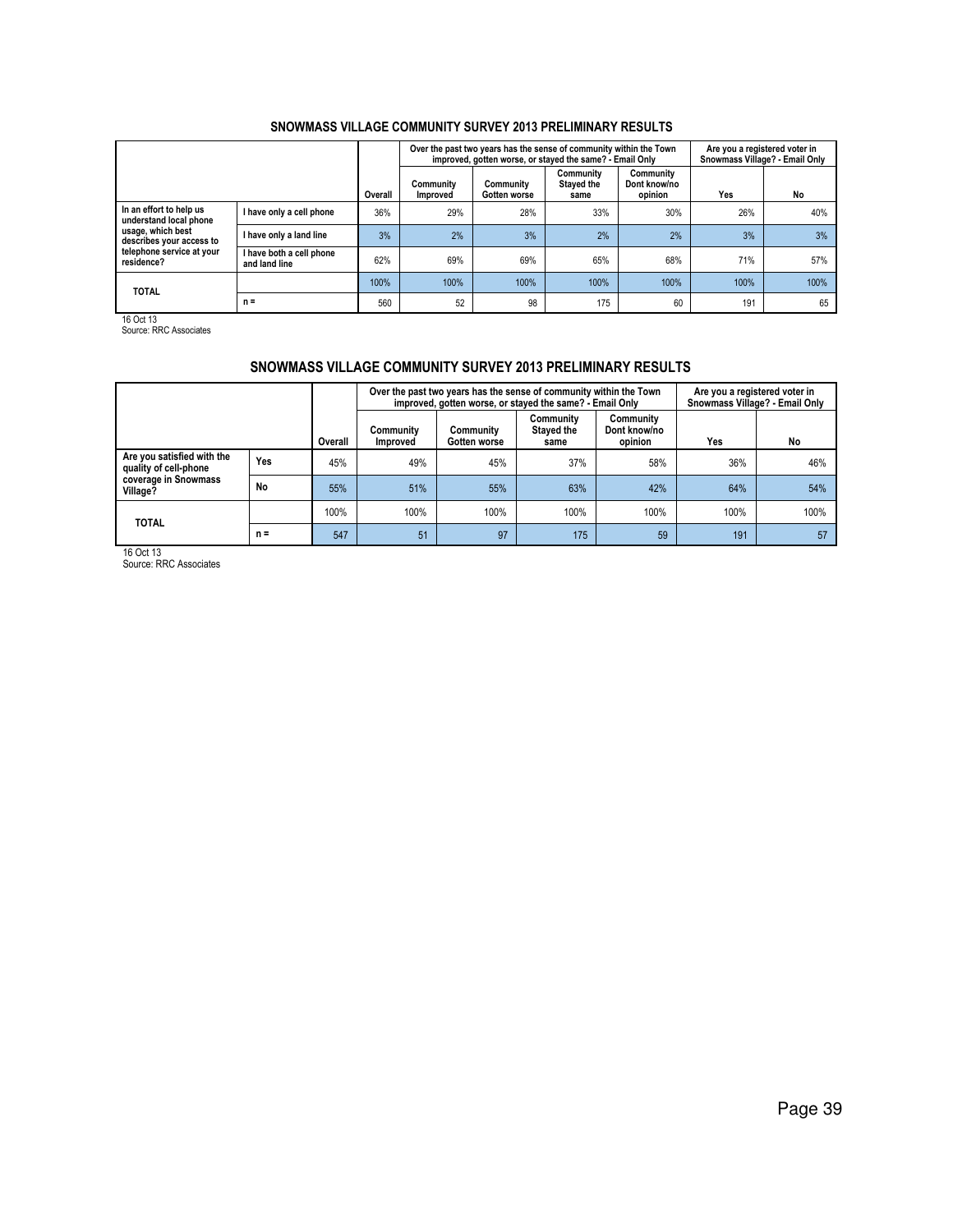|                                                                                                                                               |                                           |         | Over the past two years has the sense of community within the Town<br>improved, gotten worse, or stayed the same? - Email Only | Are you a registered voter in<br>Snowmass Village? - Email Only |                                        |                                      |      |      |
|-----------------------------------------------------------------------------------------------------------------------------------------------|-------------------------------------------|---------|--------------------------------------------------------------------------------------------------------------------------------|-----------------------------------------------------------------|----------------------------------------|--------------------------------------|------|------|
|                                                                                                                                               |                                           | Overall | Community<br><b>Improved</b>                                                                                                   | Community<br>Gotten worse                                       | Community<br><b>Staved the</b><br>same | Community<br>Dont know/no<br>opinion | Yes  | No   |
| In an effort to help us<br>understand local phone<br>usage, which best<br>describes your access to<br>telephone service at your<br>residence? | I have only a cell phone                  | 36%     | 29%                                                                                                                            | 28%                                                             | 33%                                    | 30%                                  | 26%  | 40%  |
|                                                                                                                                               | I have only a land line                   | 3%      | 2%                                                                                                                             | 3%                                                              | 2%                                     | 2%                                   | 3%   | 3%   |
|                                                                                                                                               | I have both a cell phone<br>and land line | 62%     | 69%                                                                                                                            | 69%                                                             | 65%                                    | 68%                                  | 71%  | 57%  |
| <b>TOTAL</b>                                                                                                                                  |                                           | 100%    | 100%                                                                                                                           | 100%                                                            | 100%                                   | 100%                                 | 100% | 100% |
|                                                                                                                                               | $n =$                                     | 560     | 52                                                                                                                             | 98                                                              | 175                                    | 60                                   | 191  | 65   |

16 Oct 13 Source: RRC Associates

## SNOWMASS VILLAGE COMMUNITY SURVEY 2013 PRELIMINARY RESULTS

|                                                                                         |       |         |                       | Over the past two years has the sense of community within the Town<br>improved, gotten worse, or stayed the same? - Email Only | Are you a registered voter in<br>Snowmass Village? - Email Only |                                      |      |      |
|-----------------------------------------------------------------------------------------|-------|---------|-----------------------|--------------------------------------------------------------------------------------------------------------------------------|-----------------------------------------------------------------|--------------------------------------|------|------|
|                                                                                         |       | Overall | Community<br>Improved | Community<br>Gotten worse                                                                                                      | Community<br>Stayed the<br>same                                 | Community<br>Dont know/no<br>opinion | Yes  | No   |
| Are you satisfied with the<br>quality of cell-phone<br>coverage in Snowmass<br>Village? | Yes   | 45%     | 49%                   | 45%                                                                                                                            | 37%                                                             | 58%                                  | 36%  | 46%  |
|                                                                                         | No    | 55%     | 51%                   | 55%                                                                                                                            | 63%                                                             | 42%                                  | 64%  | 54%  |
| <b>TOTAL</b>                                                                            |       | 100%    | 100%                  | 100%                                                                                                                           | 100%                                                            | 100%                                 | 100% | 100% |
|                                                                                         | $n =$ | 547     | 51                    | 97                                                                                                                             | 175                                                             | 59                                   | 191  | 57   |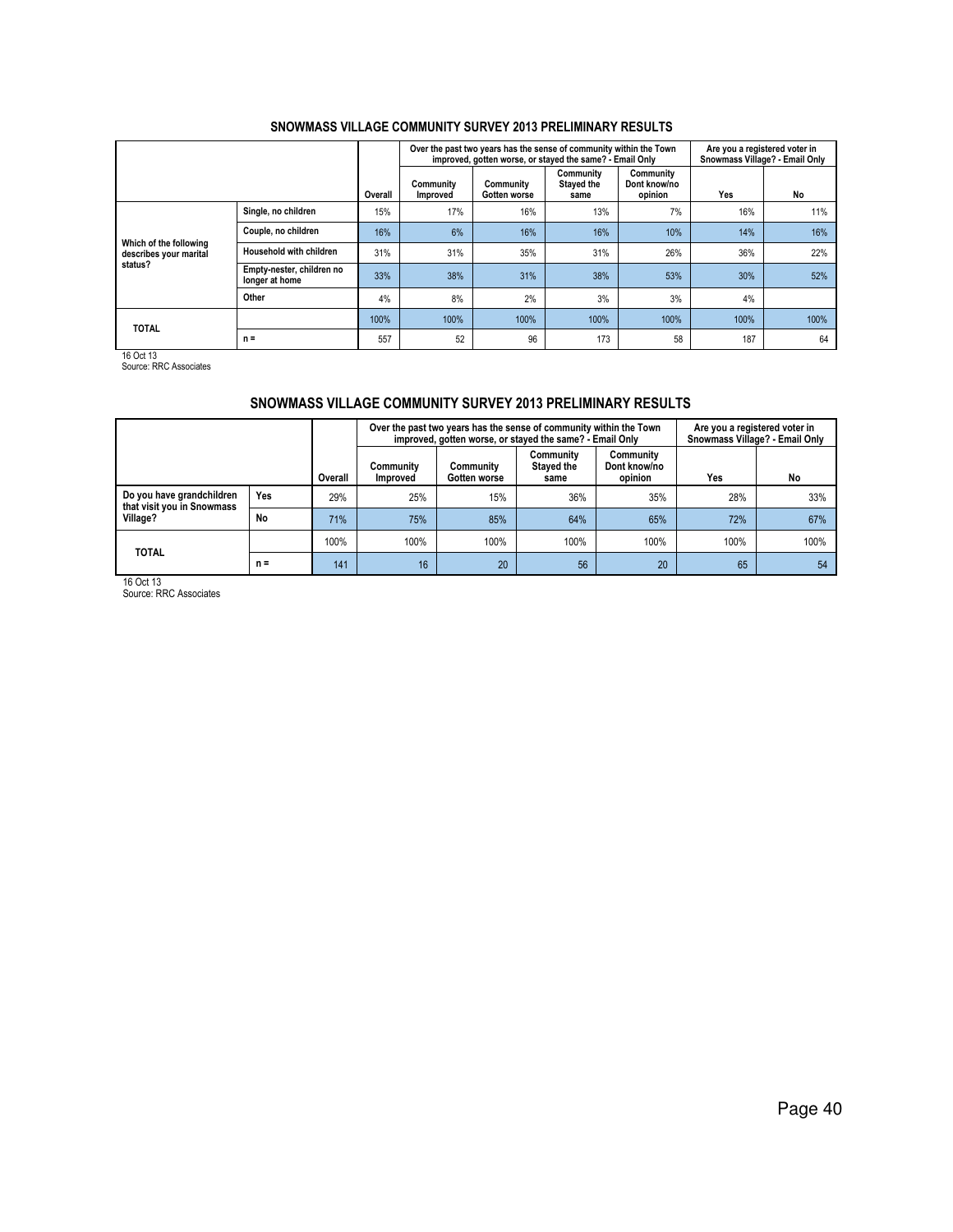|                                                  |                                             |         | Over the past two years has the sense of community within the Town<br>improved, gotten worse, or stayed the same? - Email Only |                           | Are you a registered voter in<br>Snowmass Village? - Email Only |                                      |      |      |
|--------------------------------------------------|---------------------------------------------|---------|--------------------------------------------------------------------------------------------------------------------------------|---------------------------|-----------------------------------------------------------------|--------------------------------------|------|------|
|                                                  |                                             | Overall | Community<br>Improved                                                                                                          | Community<br>Gotten worse | Community<br><b>Stayed the</b><br>same                          | Community<br>Dont know/no<br>opinion | Yes  | No   |
|                                                  | Single, no children                         | 15%     | 17%                                                                                                                            | 16%                       | 13%                                                             | 7%                                   | 16%  | 11%  |
|                                                  | Couple, no children                         | 16%     | 6%                                                                                                                             | 16%                       | 16%                                                             | 10%                                  | 14%  | 16%  |
| Which of the following<br>describes your marital | Household with children                     | 31%     | 31%                                                                                                                            | 35%                       | 31%                                                             | 26%                                  | 36%  | 22%  |
| status?                                          | Empty-nester, children no<br>longer at home | 33%     | 38%                                                                                                                            | 31%                       | 38%                                                             | 53%                                  | 30%  | 52%  |
|                                                  | Other                                       | 4%      | 8%                                                                                                                             | 2%                        | 3%                                                              | 3%                                   | 4%   |      |
| <b>TOTAL</b>                                     |                                             | 100%    | 100%                                                                                                                           | 100%                      | 100%                                                            | 100%                                 | 100% | 100% |
|                                                  | $n =$                                       | 557     | 52                                                                                                                             | 96                        | 173                                                             | 58                                   | 187  | 64   |

16 Oct 13 Source: RRC Associates

## SNOWMASS VILLAGE COMMUNITY SURVEY 2013 PRELIMINARY RESULTS

|                                                         |       |         |                              | Over the past two years has the sense of community within the Town<br>improved, gotten worse, or stayed the same? - Email Only | Are you a registered voter in<br>Snowmass Village? - Email Only |                                      |      |      |
|---------------------------------------------------------|-------|---------|------------------------------|--------------------------------------------------------------------------------------------------------------------------------|-----------------------------------------------------------------|--------------------------------------|------|------|
|                                                         |       | Overall | Community<br><b>Improved</b> | Community<br>Gotten worse                                                                                                      | Community<br><b>Stayed the</b><br>same                          | Community<br>Dont know/no<br>opinion | Yes  | No   |
| Do you have grandchildren<br>that visit you in Snowmass | Yes   | 29%     | 25%                          | 15%                                                                                                                            | 36%                                                             | 35%                                  | 28%  | 33%  |
| Village?                                                | No    | 71%     | 75%                          | 85%                                                                                                                            | 64%                                                             | 65%                                  | 72%  | 67%  |
| <b>TOTAL</b>                                            |       | 100%    | 100%                         | 100%                                                                                                                           | 100%                                                            | 100%                                 | 100% | 100% |
|                                                         | $n =$ | 141     | 16                           | 20                                                                                                                             | 56                                                              | 20                                   | 65   | 54   |